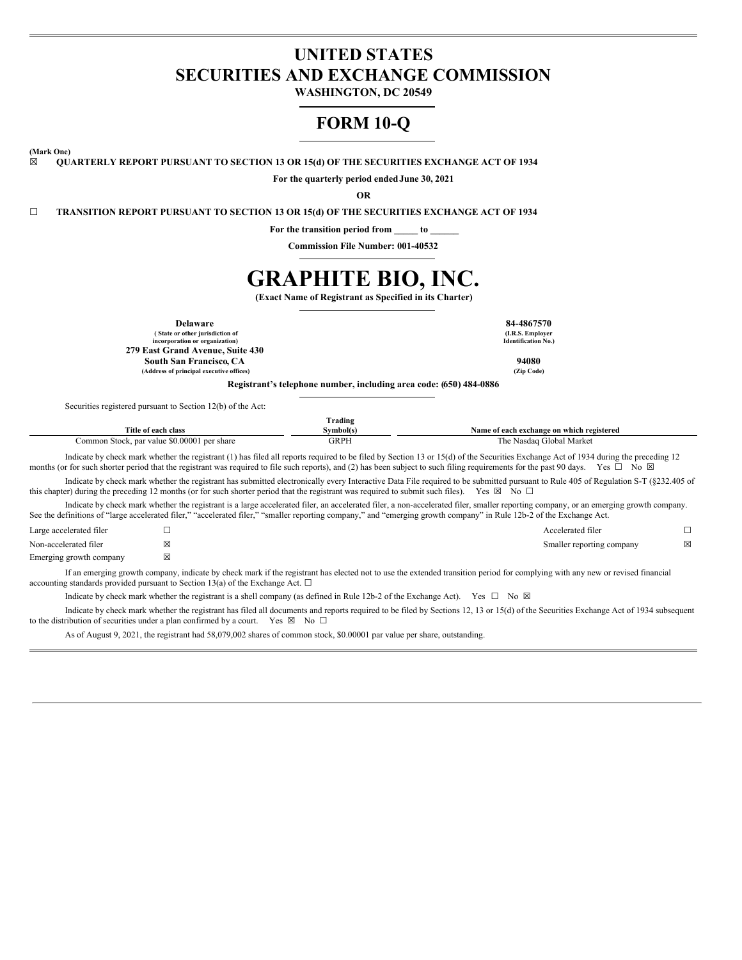# **UNITED STATES SECURITIES AND EXCHANGE COMMISSION**

**WASHINGTON, DC 20549**

# **FORM 10-Q**

**(Mark One)**

**☒ QUARTERLY REPORT PURSUANT TO SECTION 13 OR 15(d) OF THE SECURITIES EXCHANGE ACT OF 1934**

**For the quarterly period endedJune 30, 2021**

**OR**

**☐ TRANSITION REPORT PURSUANT TO SECTION 13 OR 15(d) OF THE SECURITIES EXCHANGE ACT OF 1934**

**For the transition period from \_\_\_\_\_ to \_\_\_\_\_\_**

**Commission File Number: 001-40532**

# **GRAPHITE BIO, INC.**

**(Exact Name of Registrant as Specified in its Charter)**

**Delaware 84-4867570 ( State or other jurisdiction of incorporation or organization) 279 East Grand Avenue, Suite 430 South San Francisco, CA 94080 (Address of principal executive offices) (Zip Code)**

**(I.R.S. Employer Identification No.)**

**Registrant's telephone number, including area code: (650) 484-0886**

Securities registered pursuant to Section 12(b) of the Act:

|                                                        | Trading   |                                              |
|--------------------------------------------------------|-----------|----------------------------------------------|
| Title of each class                                    | Symbol(s. | of each exchange on which registered<br>Name |
| par value $$0.00001$ ,<br>Common Stock. •<br>per share | GRPH      | : Nasdag Global Market<br>r he-              |

Indicate by check mark whether the registrant (1) has filed all reports required to be filed by Section 13 or 15(d) of the Securities Exchange Act of 1934 during the preceding 12 months (or for such shorter period that the registrant was required to file such reports), and (2) has been subject to such filing requirements for the past 90 days. Yes □ No ⊠

Indicate by check mark whether the registrant has submitted electronically every Interactive Data File required to be submitted pursuant to Rule 405 of Regulation S-T (§232.405 of this chapter) during the preceding 12 months (or for such shorter period that the registrant was required to submit such files). Yes  $\boxtimes$  No  $\Box$ 

Indicate by check mark whether the registrant is a large accelerated filer, an accelerated filer, a non-accelerated filer, smaller reporting company, or an emerging growth company. See the definitions of "large accelerated filer," "accelerated filer," "smaller reporting company," and "emerging growth company" in Rule 12b-2 of the Exchange Act.

| Large accelerated filer | Accelerated filer         |   |
|-------------------------|---------------------------|---|
| Non-accelerated filer   | Smaller reporting company | ⊠ |
| Emerging growth company |                           |   |

If an emerging growth company, indicate by check mark if the registrant has elected not to use the extended transition period for complying with any new or revised financial accounting standards provided pursuant to Section 13(a) of the Exchange Act.  $\Box$ 

Indicate by check mark whether the registrant is a shell company (as defined in Rule 12b-2 of the Exchange Act). Yes  $\Box$  No  $\boxtimes$ 

Indicate by check mark whether the registrant has filed all documents and reports required to be filed by Sections 12, 13 or 15(d) of the Securities Exchange Act of 1934 subsequent to the distribution of securities under a plan confirmed by a court. Yes  $\boxtimes$  No  $\Box$ 

As of August 9, 2021, the registrant had 58,079,002 shares of common stock, \$0.00001 par value per share, outstanding.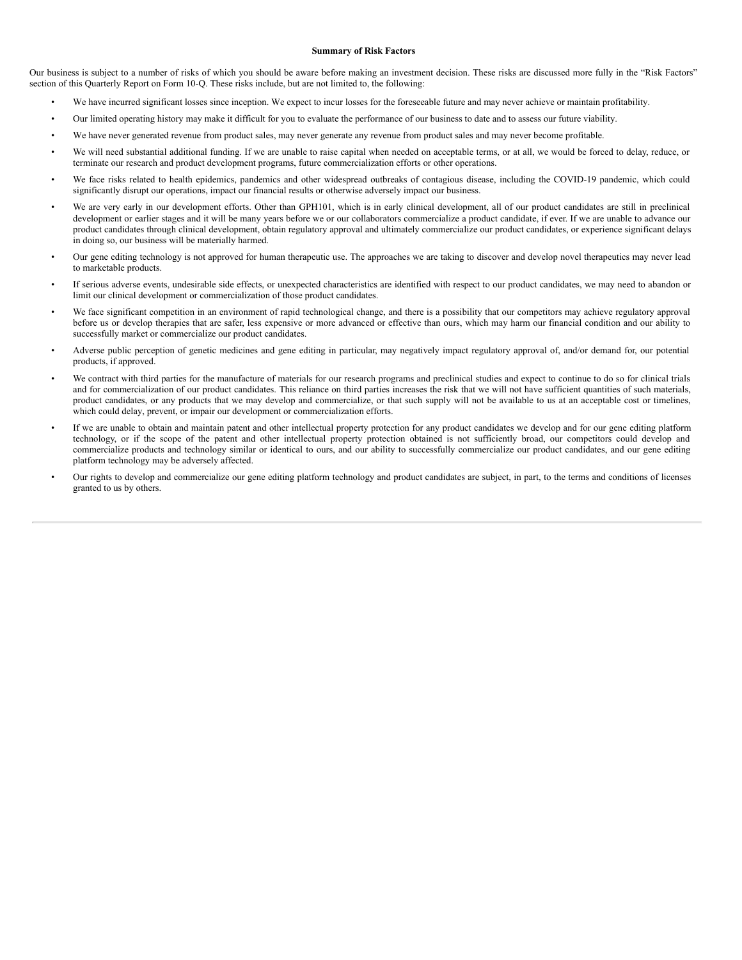# **Summary of Risk Factors**

Our business is subject to a number of risks of which you should be aware before making an investment decision. These risks are discussed more fully in the "Risk Factors" section of this Quarterly Report on Form 10-Q. These risks include, but are not limited to, the following:

- We have incurred significant losses since inception. We expect to incur losses for the foreseeable future and may never achieve or maintain profitability.
- Our limited operating history may make it difficult for you to evaluate the performance of our business to date and to assess our future viability.
- We have never generated revenue from product sales, may never generate any revenue from product sales and may never become profitable.
- We will need substantial additional funding. If we are unable to raise capital when needed on acceptable terms, or at all, we would be forced to delay, reduce, or terminate our research and product development programs, future commercialization efforts or other operations.
- We face risks related to health epidemics, pandemics and other widespread outbreaks of contagious disease, including the COVID-19 pandemic, which could significantly disrupt our operations, impact our financial results or otherwise adversely impact our business.
- We are very early in our development efforts. Other than GPH101, which is in early clinical development, all of our product candidates are still in preclinical development or earlier stages and it will be many years before we or our collaborators commercialize a product candidate, if ever. If we are unable to advance our product candidates through clinical development, obtain regulatory approval and ultimately commercialize our product candidates, or experience significant delays in doing so, our business will be materially harmed.
- Our gene editing technology is not approved for human therapeutic use. The approaches we are taking to discover and develop novel therapeutics may never lead to marketable products.
- If serious adverse events, undesirable side effects, or unexpected characteristics are identified with respect to our product candidates, we may need to abandon or limit our clinical development or commercialization of those product candidates.
- We face significant competition in an environment of rapid technological change, and there is a possibility that our competitors may achieve regulatory approval before us or develop therapies that are safer, less expensive or more advanced or effective than ours, which may harm our financial condition and our ability to successfully market or commercialize our product candidates.
- Adverse public perception of genetic medicines and gene editing in particular, may negatively impact regulatory approval of, and/or demand for, our potential products, if approved.
- We contract with third parties for the manufacture of materials for our research programs and preclinical studies and expect to continue to do so for clinical trials and for commercialization of our product candidates. This reliance on third parties increases the risk that we will not have sufficient quantities of such materials, product candidates, or any products that we may develop and commercialize, or that such supply will not be available to us at an acceptable cost or timelines, which could delay, prevent, or impair our development or commercialization efforts.
- If we are unable to obtain and maintain patent and other intellectual property protection for any product candidates we develop and for our gene editing platform technology, or if the scope of the patent and other intellectual property protection obtained is not sufficiently broad, our competitors could develop and commercialize products and technology similar or identical to ours, and our ability to successfully commercialize our product candidates, and our gene editing platform technology may be adversely affected.
- Our rights to develop and commercialize our gene editing platform technology and product candidates are subject, in part, to the terms and conditions of licenses granted to us by others.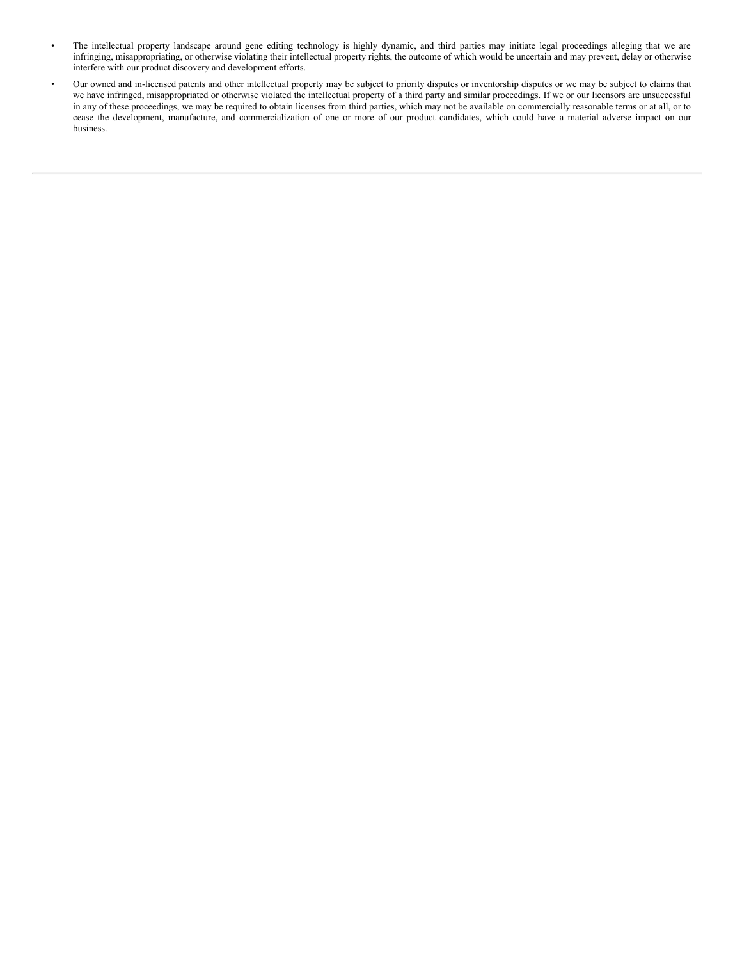- The intellectual property landscape around gene editing technology is highly dynamic, and third parties may initiate legal proceedings alleging that we are infringing, misappropriating, or otherwise violating their intellectual property rights, the outcome of which would be uncertain and may prevent, delay or otherwise interfere with our product discovery and development efforts.
- Our owned and in-licensed patents and other intellectual property may be subject to priority disputes or inventorship disputes or we may be subject to claims that we have infringed, misappropriated or otherwise violated the intellectual property of a third party and similar proceedings. If we or our licensors are unsuccessful in any of these proceedings, we may be required to obtain licenses from third parties, which may not be available on commercially reasonable terms or at all, or to cease the development, manufacture, and commercialization of one or more of our product candidates, which could have a material adverse impact on our business.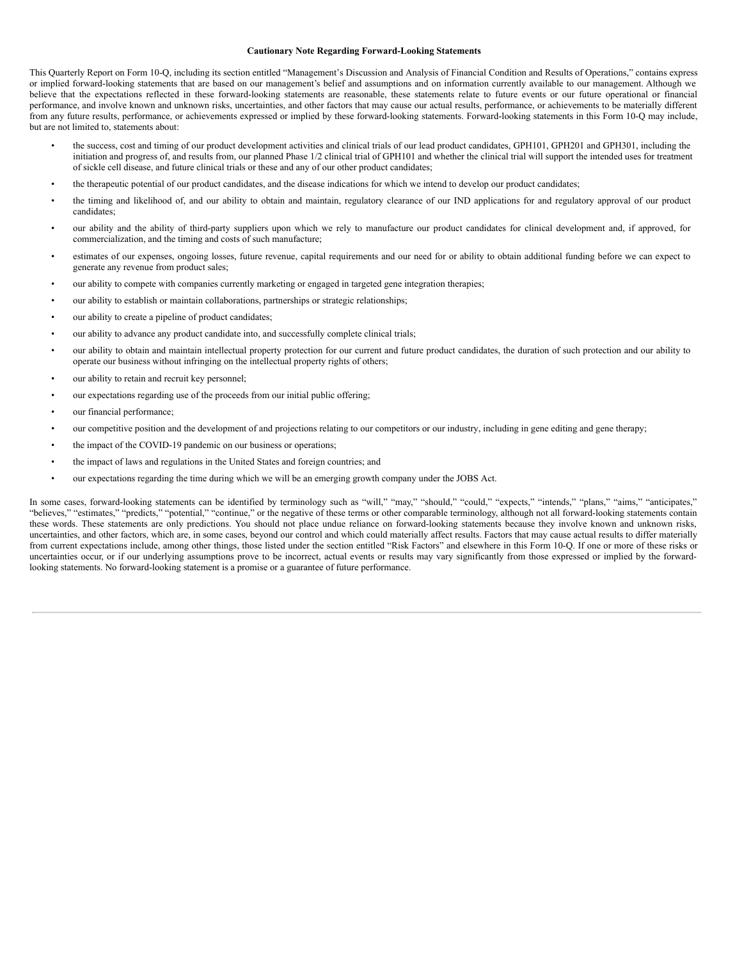# **Cautionary Note Regarding Forward-Looking Statements**

This Quarterly Report on Form 10-Q, including its section entitled "Management's Discussion and Analysis of Financial Condition and Results of Operations," contains express or implied forward-looking statements that are based on our management's belief and assumptions and on information currently available to our management. Although we believe that the expectations reflected in these forward-looking statements are reasonable, these statements relate to future events or our future operational or financial performance, and involve known and unknown risks, uncertainties, and other factors that may cause our actual results, performance, or achievements to be materially different from any future results, performance, or achievements expressed or implied by these forward-looking statements. Forward-looking statements in this Form 10-Q may include, but are not limited to, statements about:

- the success, cost and timing of our product development activities and clinical trials of our lead product candidates, GPH101, GPH201 and GPH301, including the initiation and progress of, and results from, our planned Phase 1/2 clinical trial of GPH101 and whether the clinical trial will support the intended uses for treatment of sickle cell disease, and future clinical trials or these and any of our other product candidates;
- the therapeutic potential of our product candidates, and the disease indications for which we intend to develop our product candidates;
- the timing and likelihood of, and our ability to obtain and maintain, regulatory clearance of our IND applications for and regulatory approval of our product candidates;
- our ability and the ability of third-party suppliers upon which we rely to manufacture our product candidates for clinical development and, if approved, for commercialization, and the timing and costs of such manufacture;
- estimates of our expenses, ongoing losses, future revenue, capital requirements and our need for or ability to obtain additional funding before we can expect to generate any revenue from product sales;
- our ability to compete with companies currently marketing or engaged in targeted gene integration therapies;
- our ability to establish or maintain collaborations, partnerships or strategic relationships;
- our ability to create a pipeline of product candidates;
- our ability to advance any product candidate into, and successfully complete clinical trials;
- our ability to obtain and maintain intellectual property protection for our current and future product candidates, the duration of such protection and our ability to operate our business without infringing on the intellectual property rights of others;
- our ability to retain and recruit key personnel;
- our expectations regarding use of the proceeds from our initial public offering;
- our financial performance;
- our competitive position and the development of and projections relating to our competitors or our industry, including in gene editing and gene therapy;
- the impact of the COVID-19 pandemic on our business or operations;
- the impact of laws and regulations in the United States and foreign countries; and
- our expectations regarding the time during which we will be an emerging growth company under the JOBS Act.

In some cases, forward-looking statements can be identified by terminology such as "will," "may," "hould," "could," "expects," "intends," "plans," "aims," "anticipates," "believes," "estimates," "predicts," "potential," "continue," or the negative of these terms or other comparable terminology, although not all forward-looking statements contain these words. These statements are only predictions. You should not place undue reliance on forward-looking statements because they involve known and unknown risks, uncertainties, and other factors, which are, in some cases, beyond our control and which could materially affect results. Factors that may cause actual results to differ materially from current expectations include, among other things, those listed under the section entitled "Risk Factors" and elsewhere in this Form 10-Q. If one or more of these risks or uncertainties occur, or if our underlying assumptions prove to be incorrect, actual events or results may vary significantly from those expressed or implied by the forwardlooking statements. No forward-looking statement is a promise or a guarantee of future performance.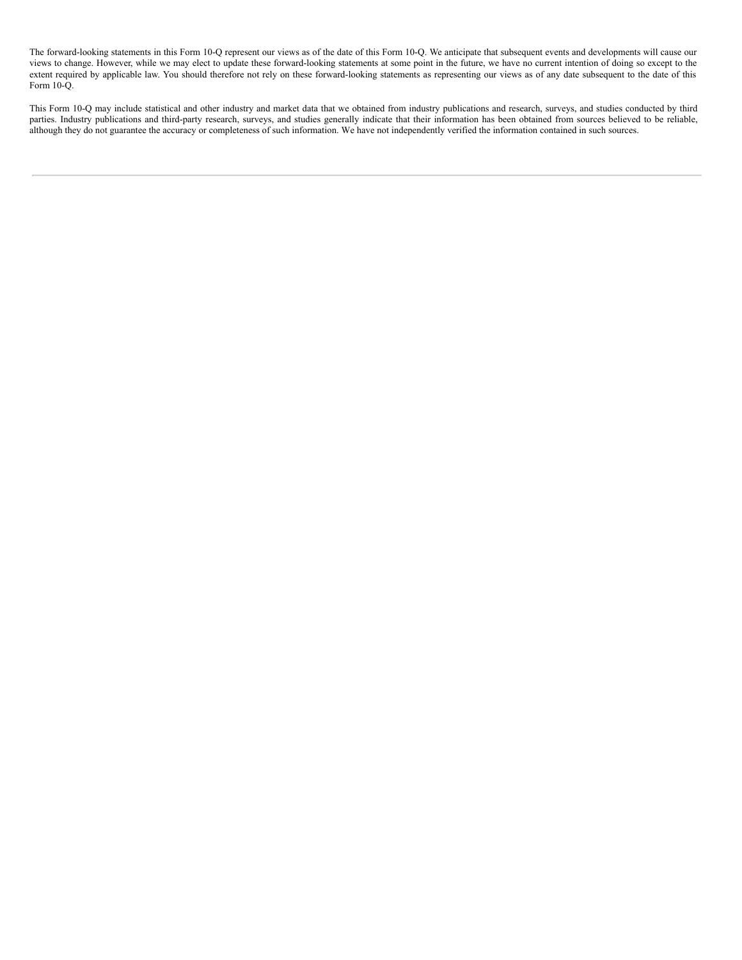The forward-looking statements in this Form 10-Q represent our views as of the date of this Form 10-Q. We anticipate that subsequent events and developments will cause our views to change. However, while we may elect to update these forward-looking statements at some point in the future, we have no current intention of doing so except to the extent required by applicable law. You should therefore not rely on these forward-looking statements as representing our views as of any date subsequent to the date of this Form 10-Q.

This Form 10-Q may include statistical and other industry and market data that we obtained from industry publications and research, surveys, and studies conducted by third parties. Industry publications and third-party research, surveys, and studies generally indicate that their information has been obtained from sources believed to be reliable, although they do not guarantee the accuracy or completeness of such information. We have not independently verified the information contained in such sources.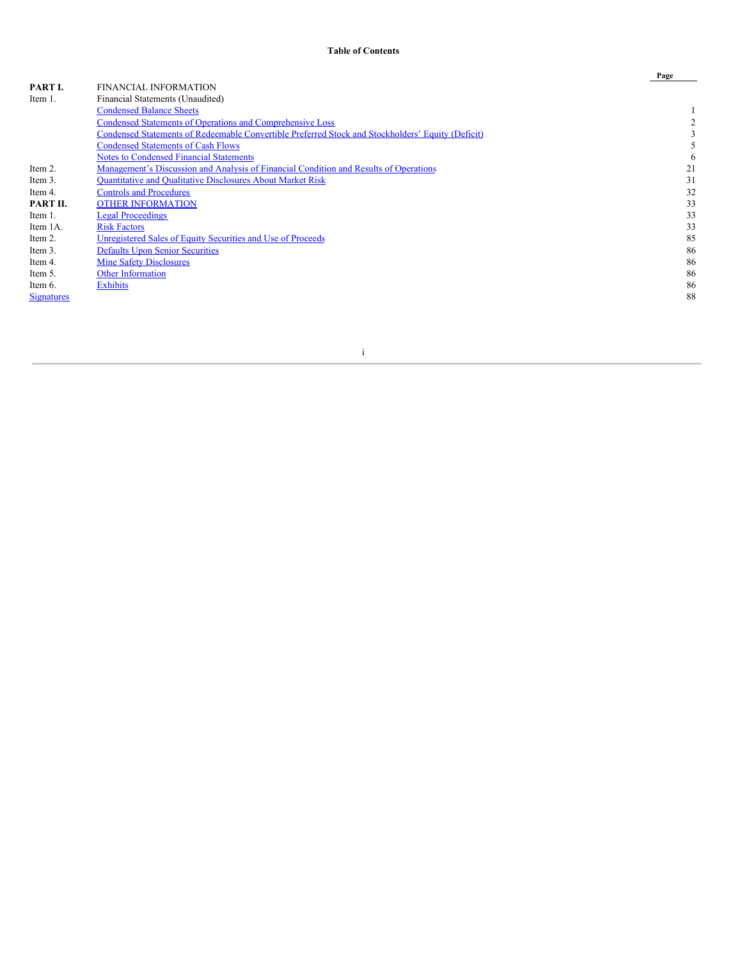|                   |                                                                                                   | Page |
|-------------------|---------------------------------------------------------------------------------------------------|------|
| PART I.           | <b>FINANCIAL INFORMATION</b>                                                                      |      |
| Item 1.           | Financial Statements (Unaudited)                                                                  |      |
|                   | <b>Condensed Balance Sheets</b>                                                                   |      |
|                   | <b>Condensed Statements of Operations and Comprehensive Loss</b>                                  |      |
|                   | Condensed Statements of Redeemable Convertible Preferred Stock and Stockholders' Equity (Deficit) |      |
|                   | <b>Condensed Statements of Cash Flows</b>                                                         |      |
|                   | <b>Notes to Condensed Financial Statements</b>                                                    | 6    |
| Item 2.           | Management's Discussion and Analysis of Financial Condition and Results of Operations             | 21   |
| Item 3.           | <b>Quantitative and Qualitative Disclosures About Market Risk</b>                                 | 31   |
| Item 4.           | <b>Controls and Procedures</b>                                                                    | 32   |
| PART II.          | <b>OTHER INFORMATION</b>                                                                          | 33   |
| Item 1.           | <b>Legal Proceedings</b>                                                                          | 33   |
| Item 1A.          | <b>Risk Factors</b>                                                                               | 33   |
| Item 2.           | Unregistered Sales of Equity Securities and Use of Proceeds                                       | 85   |
| Item 3.           | <b>Defaults Upon Senior Securities</b>                                                            | 86   |
| Item 4.           | <b>Mine Safety Disclosures</b>                                                                    | 86   |
| Item 5.           | <b>Other Information</b>                                                                          | 86   |
| Item 6.           | <b>Exhibits</b>                                                                                   | 86   |
| <b>Signatures</b> |                                                                                                   | 88   |

i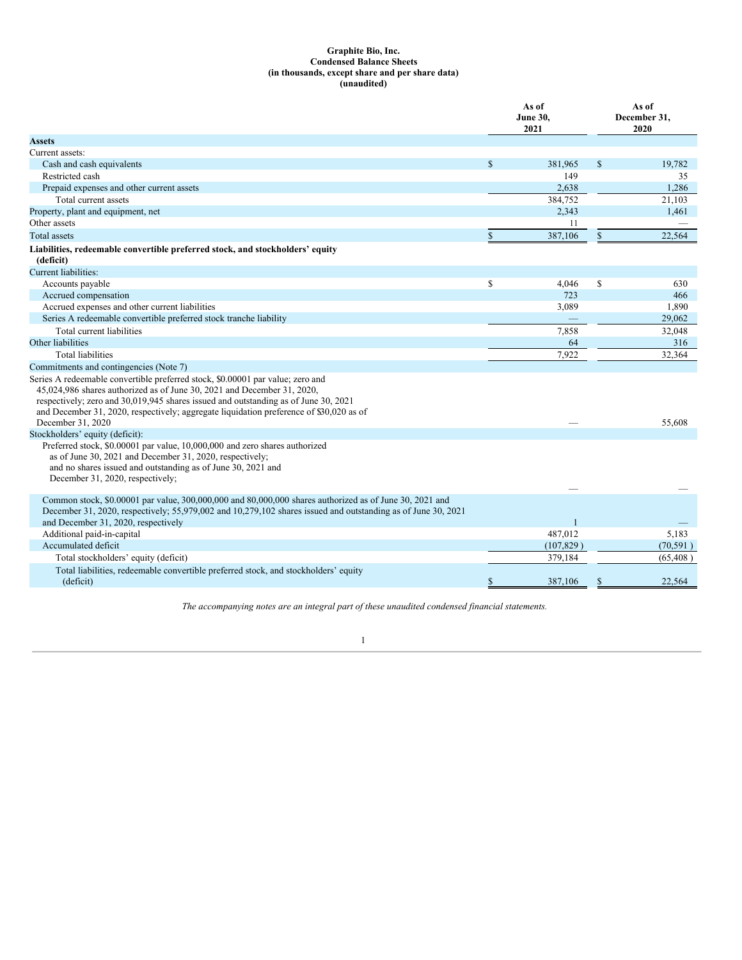# **Graphite Bio, Inc. Condensed Balance Sheets (in thousands, except share and per share data) (unaudited)**

<span id="page-6-0"></span>

|                                                                                                                                                                                                                                                                                                                                                                   |               | As of<br><b>June 30,</b><br>2021 |               | As of<br>December 31,<br>2020 |
|-------------------------------------------------------------------------------------------------------------------------------------------------------------------------------------------------------------------------------------------------------------------------------------------------------------------------------------------------------------------|---------------|----------------------------------|---------------|-------------------------------|
| <b>Assets</b>                                                                                                                                                                                                                                                                                                                                                     |               |                                  |               |                               |
| Current assets:                                                                                                                                                                                                                                                                                                                                                   |               |                                  |               |                               |
| Cash and cash equivalents                                                                                                                                                                                                                                                                                                                                         | $\mathbf{\$}$ | 381,965                          | <sup>\$</sup> | 19,782                        |
| Restricted cash                                                                                                                                                                                                                                                                                                                                                   |               | 149                              |               | 35                            |
| Prepaid expenses and other current assets                                                                                                                                                                                                                                                                                                                         |               | 2,638                            |               | 1,286                         |
| Total current assets                                                                                                                                                                                                                                                                                                                                              |               | 384,752                          |               | 21,103                        |
| Property, plant and equipment, net                                                                                                                                                                                                                                                                                                                                |               | 2,343                            |               | 1,461                         |
| Other assets                                                                                                                                                                                                                                                                                                                                                      |               | 11                               |               |                               |
| <b>Total assets</b>                                                                                                                                                                                                                                                                                                                                               | \$            | 387,106                          | $\mathbf S$   | 22.564                        |
| Liabilities, redeemable convertible preferred stock, and stockholders' equity<br>(deficit)                                                                                                                                                                                                                                                                        |               |                                  |               |                               |
| Current liabilities:                                                                                                                                                                                                                                                                                                                                              |               |                                  |               |                               |
| Accounts payable                                                                                                                                                                                                                                                                                                                                                  | \$            | 4,046                            | \$            | 630                           |
| Accrued compensation                                                                                                                                                                                                                                                                                                                                              |               | 723                              |               | 466                           |
| Accrued expenses and other current liabilities                                                                                                                                                                                                                                                                                                                    |               | 3,089                            |               | 1,890                         |
| Series A redeemable convertible preferred stock tranche liability                                                                                                                                                                                                                                                                                                 |               |                                  |               | 29,062                        |
| Total current liabilities                                                                                                                                                                                                                                                                                                                                         |               | 7,858                            |               | 32,048                        |
| Other liabilities                                                                                                                                                                                                                                                                                                                                                 |               | 64                               |               | 316                           |
| <b>Total liabilities</b>                                                                                                                                                                                                                                                                                                                                          |               | 7,922                            |               | 32,364                        |
| Commitments and contingencies (Note 7)                                                                                                                                                                                                                                                                                                                            |               |                                  |               |                               |
| Series A redeemable convertible preferred stock, \$0.00001 par value; zero and<br>45,024,986 shares authorized as of June 30, 2021 and December 31, 2020,<br>respectively; zero and 30,019,945 shares issued and outstanding as of June 30, 2021<br>and December 31, 2020, respectively; aggregate liquidation preference of $$30,020$ as of<br>December 31, 2020 |               |                                  |               | 55,608                        |
| Stockholders' equity (deficit):                                                                                                                                                                                                                                                                                                                                   |               |                                  |               |                               |
| Preferred stock, \$0.00001 par value, 10,000,000 and zero shares authorized<br>as of June 30, 2021 and December 31, 2020, respectively;<br>and no shares issued and outstanding as of June 30, 2021 and<br>December 31, 2020, respectively;                                                                                                                       |               |                                  |               |                               |
| Common stock, \$0.00001 par value, 300,000,000 and 80,000,000 shares authorized as of June 30, 2021 and<br>December 31, 2020, respectively; 55,979,002 and 10,279,102 shares issued and outstanding as of June 30, 2021<br>and December 31, 2020, respectively                                                                                                    |               | $\mathbf{1}$                     |               |                               |
| Additional paid-in-capital                                                                                                                                                                                                                                                                                                                                        |               | 487,012                          |               | 5,183                         |
| Accumulated deficit                                                                                                                                                                                                                                                                                                                                               |               | (107, 829)                       |               | (70, 591)                     |
| Total stockholders' equity (deficit)                                                                                                                                                                                                                                                                                                                              |               | 379,184                          |               | (65, 408)                     |
| Total liabilities, redeemable convertible preferred stock, and stockholders' equity<br>(deficit)                                                                                                                                                                                                                                                                  | \$            | 387,106                          | \$            | 22,564                        |

*The accompanying notes are an integral part of these unaudited condensed financial statements.*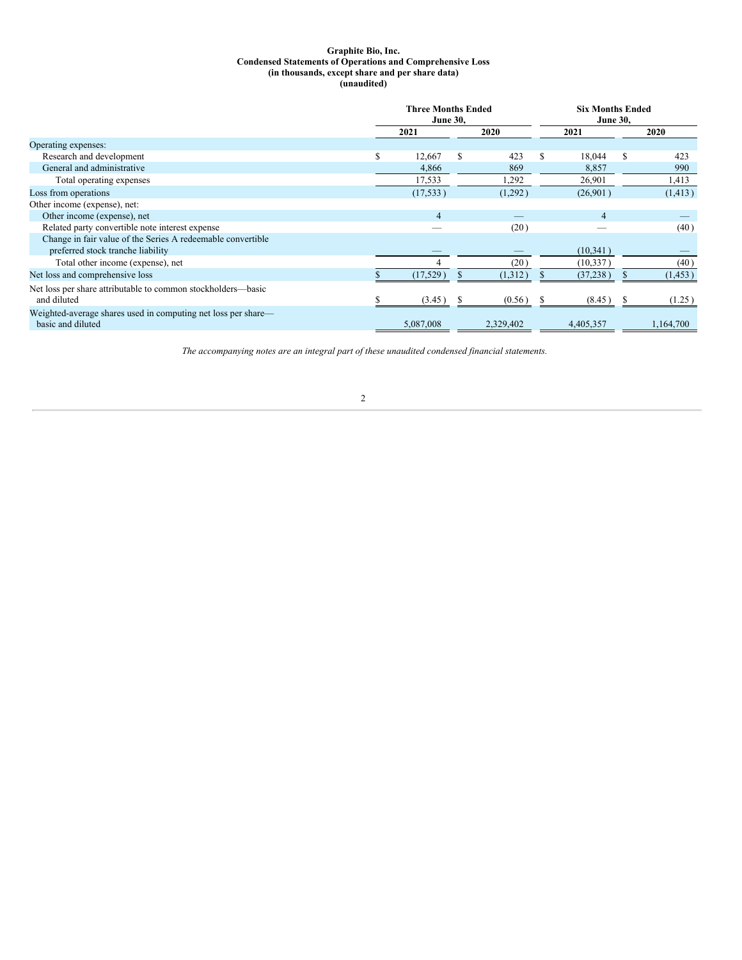# **Graphite Bio, Inc. Condensed Statements of Operations and Comprehensive Loss (in thousands, except share and per share data) (unaudited)**

<span id="page-7-0"></span>

|                                                                                                  | <b>Three Months Ended</b><br><b>June 30,</b> |                |   | <b>Six Months Ended</b><br><b>June 30,</b> |   |                |     |           |
|--------------------------------------------------------------------------------------------------|----------------------------------------------|----------------|---|--------------------------------------------|---|----------------|-----|-----------|
|                                                                                                  |                                              | 2021           |   | 2020                                       |   | 2021           |     | 2020      |
| Operating expenses:                                                                              |                                              |                |   |                                            |   |                |     |           |
| Research and development                                                                         | ъ                                            | 12,667         | S | 423                                        | S | 18,044         | \$. | 423       |
| General and administrative                                                                       |                                              | 4,866          |   | 869                                        |   | 8,857          |     | 990       |
| Total operating expenses                                                                         |                                              | 17,533         |   | 1,292                                      |   | 26,901         |     | 1,413     |
| Loss from operations                                                                             |                                              | (17, 533)      |   | (1,292)                                    |   | (26,901)       |     | (1, 413)  |
| Other income (expense), net:                                                                     |                                              |                |   |                                            |   |                |     |           |
| Other income (expense), net                                                                      |                                              | $\overline{4}$ |   |                                            |   | $\overline{4}$ |     |           |
| Related party convertible note interest expense                                                  |                                              |                |   | (20)                                       |   |                |     | (40)      |
| Change in fair value of the Series A redeemable convertible<br>preferred stock tranche liability |                                              |                |   |                                            |   | (10, 341)      |     |           |
| Total other income (expense), net                                                                |                                              |                |   | (20)                                       |   | (10, 337)      |     | (40)      |
| Net loss and comprehensive loss                                                                  |                                              | (17, 529)      |   | (1,312)                                    |   | (37, 238)      |     | (1, 453)  |
| Net loss per share attributable to common stockholders—basic<br>and diluted                      |                                              | (3.45)         |   | (0.56)                                     |   | (8.45)         |     | (1.25)    |
| Weighted-average shares used in computing net loss per share—<br>basic and diluted               |                                              | 5,087,008      |   | 2,329,402                                  |   | 4,405,357      |     | 1,164,700 |

*The accompanying notes are an integral part of these unaudited condensed financial statements.*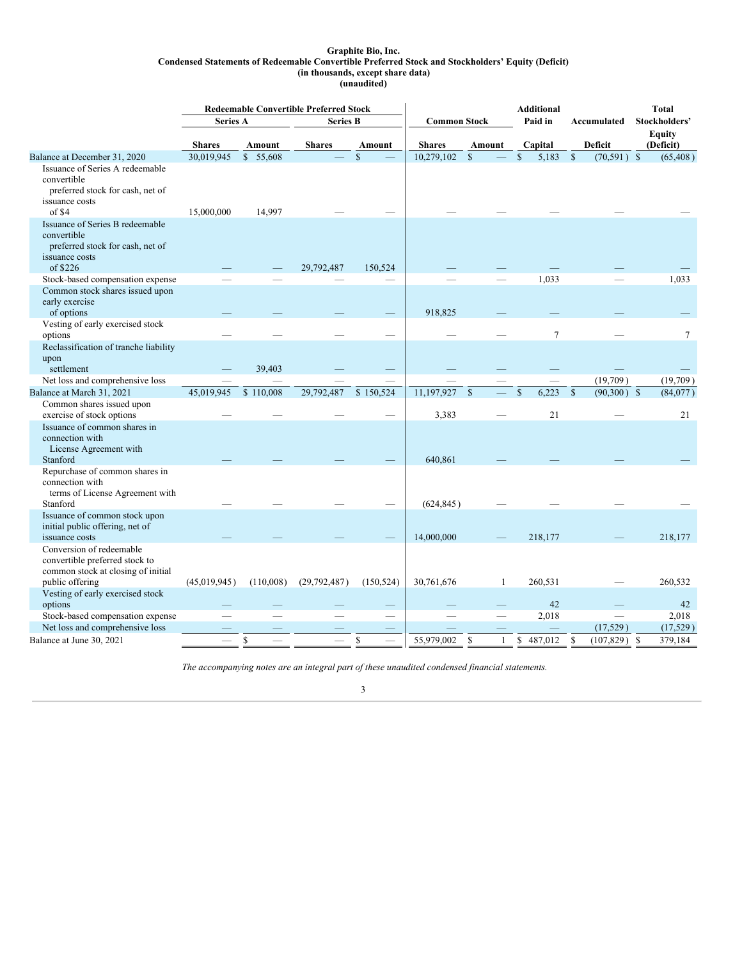#### **Graphite Bio, Inc. Condensed Statements of Redeemable Convertible Preferred Stock and Stockholders' Equity (Deficit) (in thousands, except share data) (unaudited)**

<span id="page-8-0"></span>

|                                                                                                                                      |                          |              | <b>Redeemable Convertible Preferred Stock</b> |                   |                             |                    | <b>Additional</b>    |                                |               |  |
|--------------------------------------------------------------------------------------------------------------------------------------|--------------------------|--------------|-----------------------------------------------|-------------------|-----------------------------|--------------------|----------------------|--------------------------------|---------------|--|
|                                                                                                                                      | <b>Series A</b>          |              | <b>Series B</b>                               |                   | <b>Common Stock</b>         |                    | Paid in              | Accumulated                    | Stockholders' |  |
|                                                                                                                                      |                          |              |                                               |                   |                             |                    |                      |                                | <b>Equity</b> |  |
|                                                                                                                                      | <b>Shares</b>            | Amount       | <b>Shares</b>                                 | Amount            | <b>Shares</b><br>10.279.102 | Amount             | Capital              | Deficit                        | (Deficit)     |  |
| Balance at December 31, 2020<br>Issuance of Series A redeemable<br>convertible<br>preferred stock for cash, net of<br>issuance costs | 30.019.945               | \$5,608      |                                               |                   |                             | $\mathbf S$        | $\mathbf S$<br>5,183 | $\mathbf{s}$<br>$(70, 591)$ \$ | (65, 408)     |  |
| of \$4                                                                                                                               | 15,000,000               | 14,997       |                                               |                   |                             |                    |                      |                                |               |  |
| Issuance of Series B redeemable<br>convertible<br>preferred stock for cash, net of<br>issuance costs                                 |                          |              |                                               |                   |                             |                    |                      |                                |               |  |
| of \$226                                                                                                                             |                          |              | 29,792,487                                    | 150,524           |                             |                    |                      |                                |               |  |
| Stock-based compensation expense<br>Common stock shares issued upon<br>early exercise                                                |                          |              |                                               |                   |                             |                    | 1,033                |                                | 1,033         |  |
| of options                                                                                                                           |                          |              |                                               |                   | 918,825                     |                    |                      |                                |               |  |
| Vesting of early exercised stock<br>options                                                                                          |                          |              |                                               |                   |                             |                    | $\overline{7}$       |                                | $\tau$        |  |
| Reclassification of tranche liability<br>upon<br>settlement                                                                          |                          | 39,403       |                                               |                   |                             |                    |                      |                                |               |  |
| Net loss and comprehensive loss                                                                                                      |                          |              |                                               |                   |                             |                    |                      | (19,709)                       | (19,709)      |  |
| Balance at March 31, 2021                                                                                                            | 45.019.945               | \$110,008    | 29,792,487                                    | \$150,524         | 11.197.927                  | $\mathcal{S}$      | 6.223                | $\mathbf S$<br>$(90,300)$ \$   | (84,077)      |  |
| Common shares issued upon<br>exercise of stock options                                                                               |                          |              |                                               |                   | 3,383                       |                    | 21                   |                                | 21            |  |
| Issuance of common shares in<br>connection with<br>License Agreement with<br>Stanford                                                |                          |              |                                               |                   | 640,861                     |                    |                      |                                |               |  |
| Repurchase of common shares in<br>connection with<br>terms of License Agreement with<br>Stanford                                     |                          |              |                                               |                   | (624, 845)                  |                    |                      |                                |               |  |
| Issuance of common stock upon<br>initial public offering, net of                                                                     |                          |              |                                               |                   |                             |                    |                      |                                |               |  |
| issuance costs<br>Conversion of redeemable<br>convertible preferred stock to<br>common stock at closing of initial                   |                          |              |                                               |                   | 14,000,000                  |                    | 218,177              |                                | 218,177       |  |
| public offering                                                                                                                      | (45,019,945)             | (110,008)    | (29, 792, 487)                                | (150, 524)        | 30,761,676                  | -1                 | 260,531              |                                | 260,532       |  |
| Vesting of early exercised stock<br>options                                                                                          |                          |              |                                               |                   |                             |                    | 42                   |                                | 42            |  |
| Stock-based compensation expense                                                                                                     |                          |              |                                               | -                 |                             |                    | 2,018                |                                | 2,018         |  |
| Net loss and comprehensive loss                                                                                                      |                          |              |                                               |                   |                             |                    |                      | (17, 529)                      | (17, 529)     |  |
| Balance at June 30, 2021                                                                                                             | $\overline{\phantom{0}}$ | $\mathbb{S}$ | $\overline{\phantom{0}}$                      | $\mathbb{S}$<br>- | 55,979,002                  | \$<br>$\mathbf{1}$ | 487,012<br>\$        | \$<br>$(107, 829)$ \$          | 379,184       |  |

*The accompanying notes are an integral part of these unaudited condensed financial statements.*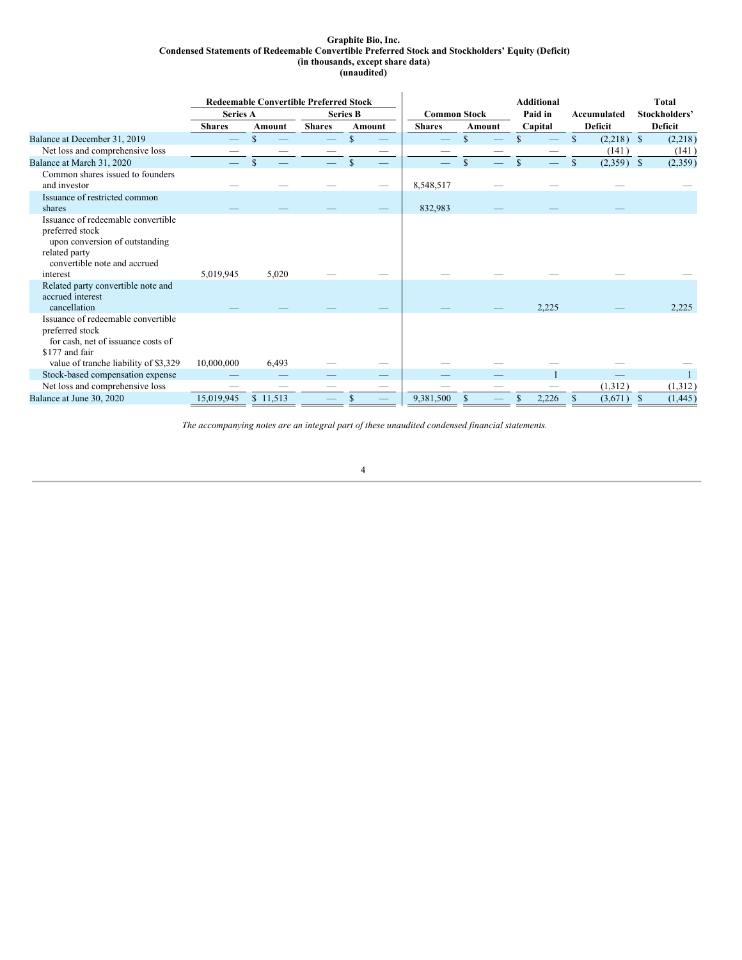#### **Graphite Bio, Inc. Condensed Statements of Redeemable Convertible Preferred Stock and Stockholders' Equity (Deficit) (in thousands, except share data) (unaudited)**

|                                                                                                                                                      |                 | <b>Redeemable Convertible Preferred Stock</b> |               |                    |                     |        | <b>Additional</b> |                               | <b>Total</b> |  |  |  |  |  |         |             |               |
|------------------------------------------------------------------------------------------------------------------------------------------------------|-----------------|-----------------------------------------------|---------------|--------------------|---------------------|--------|-------------------|-------------------------------|--------------|--|--|--|--|--|---------|-------------|---------------|
|                                                                                                                                                      | <b>Series A</b> |                                               |               | <b>Series B</b>    | <b>Common Stock</b> |        |                   |                               |              |  |  |  |  |  | Paid in | Accumulated | Stockholders' |
|                                                                                                                                                      | <b>Shares</b>   | Amount                                        | <b>Shares</b> | Amount             | <b>Shares</b>       | Amount | Capital           | Deficit                       | Deficit      |  |  |  |  |  |         |             |               |
| Balance at December 31, 2019                                                                                                                         |                 |                                               |               | $\mathbf{\hat{S}}$ |                     |        |                   | $\mathcal{S}$<br>$(2,218)$ \$ | (2,218)      |  |  |  |  |  |         |             |               |
| Net loss and comprehensive loss                                                                                                                      |                 |                                               |               |                    |                     |        |                   | (141)                         | (141)        |  |  |  |  |  |         |             |               |
| Balance at March 31, 2020                                                                                                                            |                 | S                                             |               | \$                 |                     |        | $\mathcal{S}$     | <sup>\$</sup><br>$(2,359)$ \$ | (2,359)      |  |  |  |  |  |         |             |               |
| Common shares issued to founders                                                                                                                     |                 |                                               |               |                    |                     |        |                   |                               |              |  |  |  |  |  |         |             |               |
| and investor                                                                                                                                         |                 |                                               |               |                    | 8,548,517           |        |                   |                               |              |  |  |  |  |  |         |             |               |
| Issuance of restricted common                                                                                                                        |                 |                                               |               |                    |                     |        |                   |                               |              |  |  |  |  |  |         |             |               |
| shares                                                                                                                                               |                 |                                               |               |                    | 832,983             |        |                   |                               |              |  |  |  |  |  |         |             |               |
| Issuance of redeemable convertible<br>preferred stock<br>upon conversion of outstanding<br>related party<br>convertible note and accrued<br>interest | 5,019,945       | 5,020                                         |               |                    |                     |        |                   |                               |              |  |  |  |  |  |         |             |               |
|                                                                                                                                                      |                 |                                               |               |                    |                     |        |                   |                               |              |  |  |  |  |  |         |             |               |
| Related party convertible note and<br>accrued interest<br>cancellation                                                                               |                 |                                               |               |                    |                     |        | 2,225             |                               | 2,225        |  |  |  |  |  |         |             |               |
| Issuance of redeemable convertible<br>preferred stock<br>for cash, net of issuance costs of<br>\$177 and fair                                        |                 |                                               |               |                    |                     |        |                   |                               |              |  |  |  |  |  |         |             |               |
| value of tranche liability of \$3,329                                                                                                                | 10,000,000      | 6,493                                         |               |                    |                     |        |                   |                               |              |  |  |  |  |  |         |             |               |
| Stock-based compensation expense                                                                                                                     |                 |                                               |               |                    |                     |        |                   |                               |              |  |  |  |  |  |         |             |               |
| Net loss and comprehensive loss                                                                                                                      |                 |                                               |               | _                  |                     |        |                   | (1,312)                       | (1,312)      |  |  |  |  |  |         |             |               |
| Balance at June 30, 2020                                                                                                                             | 15,019,945      | \$11,513                                      |               |                    | 9,381,500           |        | 2,226             | (3,671)                       | (1,445)      |  |  |  |  |  |         |             |               |

*The accompanying notes are an integral part of these unaudited condensed financial statements.*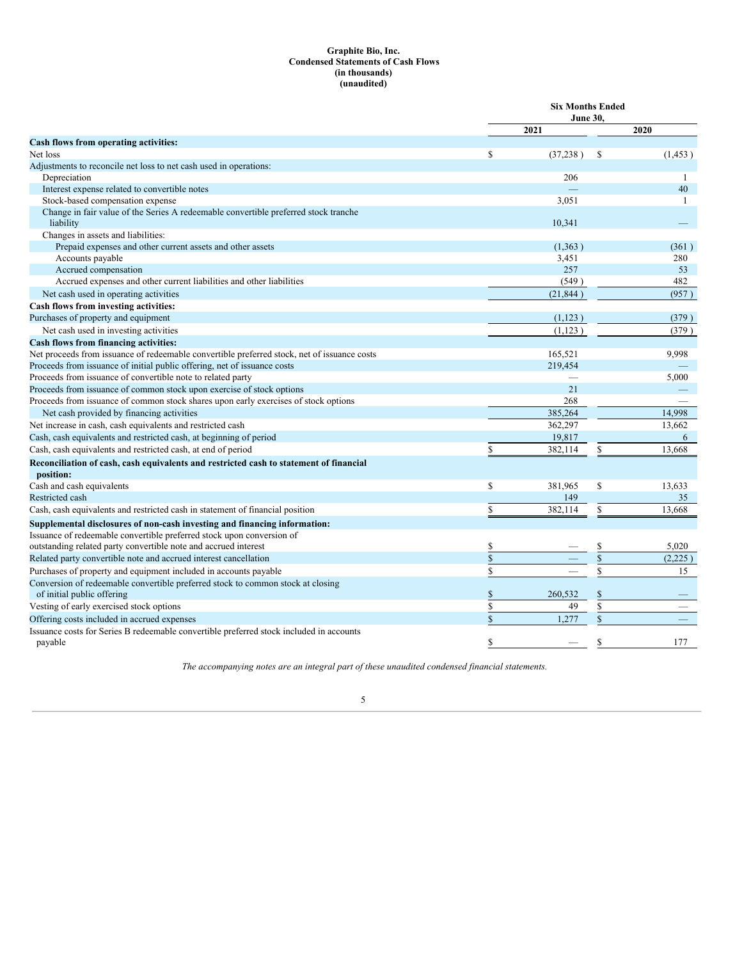# **Graphite Bio, Inc. Condensed Statements of Cash Flows (in thousands) (unaudited)**

<span id="page-10-0"></span>

|                                                                                                     | <b>Six Months Ended</b><br><b>June 30,</b> |           |                    |          |
|-----------------------------------------------------------------------------------------------------|--------------------------------------------|-----------|--------------------|----------|
|                                                                                                     |                                            | 2021      |                    | 2020     |
| Cash flows from operating activities:                                                               |                                            |           |                    |          |
| Net loss                                                                                            | \$                                         | (37,238)  | \$                 | (1, 453) |
| Adjustments to reconcile net loss to net cash used in operations:                                   |                                            |           |                    |          |
| Depreciation                                                                                        |                                            | 206       |                    | -1       |
| Interest expense related to convertible notes                                                       |                                            |           |                    | 40       |
| Stock-based compensation expense                                                                    |                                            | 3,051     |                    | 1        |
| Change in fair value of the Series A redeemable convertible preferred stock tranche<br>liability    |                                            | 10.341    |                    |          |
| Changes in assets and liabilities:                                                                  |                                            |           |                    |          |
| Prepaid expenses and other current assets and other assets                                          |                                            | (1,363)   |                    | (361)    |
| Accounts payable                                                                                    |                                            | 3,451     |                    | 280      |
| Accrued compensation                                                                                |                                            | 257       |                    | 53       |
| Accrued expenses and other current liabilities and other liabilities                                |                                            | (549)     |                    | 482      |
| Net cash used in operating activities                                                               |                                            | (21, 844) |                    | (957)    |
| Cash flows from investing activities:                                                               |                                            |           |                    |          |
| Purchases of property and equipment                                                                 |                                            | (1,123)   |                    | (379)    |
| Net cash used in investing activities                                                               |                                            | (1, 123)  |                    | (379)    |
| Cash flows from financing activities:                                                               |                                            |           |                    |          |
| Net proceeds from issuance of redeemable convertible preferred stock, net of issuance costs         |                                            | 165,521   |                    | 9,998    |
| Proceeds from issuance of initial public offering, net of issuance costs                            |                                            | 219,454   |                    |          |
| Proceeds from issuance of convertible note to related party                                         |                                            |           |                    | 5,000    |
| Proceeds from issuance of common stock upon exercise of stock options                               |                                            | 21        |                    |          |
| Proceeds from issuance of common stock shares upon early exercises of stock options                 |                                            | 268       |                    |          |
| Net cash provided by financing activities                                                           |                                            | 385,264   |                    | 14.998   |
| Net increase in cash, cash equivalents and restricted cash                                          |                                            | 362,297   |                    | 13,662   |
| Cash, cash equivalents and restricted cash, at beginning of period                                  |                                            | 19,817    |                    | 6        |
| Cash, cash equivalents and restricted cash, at end of period                                        | $\mathbf S$                                | 382,114   | \$                 | 13,668   |
| Reconciliation of cash, cash equivalents and restricted cash to statement of financial<br>position: |                                            |           |                    |          |
| Cash and cash equivalents                                                                           | \$                                         | 381,965   | \$                 | 13,633   |
| Restricted cash                                                                                     |                                            | 149       |                    | 35       |
| Cash, cash equivalents and restricted cash in statement of financial position                       | \$                                         | 382,114   | \$                 | 13,668   |
| Supplemental disclosures of non-cash investing and financing information:                           |                                            |           |                    |          |
| Issuance of redeemable convertible preferred stock upon conversion of                               |                                            |           |                    |          |
| outstanding related party convertible note and accrued interest                                     | \$                                         |           | \$                 | 5,020    |
| Related party convertible note and accrued interest cancellation                                    | \$                                         |           | \$                 | (2,225)  |
| Purchases of property and equipment included in accounts payable                                    | \$                                         |           | \$                 | 15       |
| Conversion of redeemable convertible preferred stock to common stock at closing                     |                                            |           |                    |          |
| of initial public offering                                                                          | \$                                         | 260,532   | \$                 |          |
| Vesting of early exercised stock options                                                            | S                                          | 49        | \$                 |          |
| Offering costs included in accrued expenses                                                         | $\overline{\mathbf{S}}$                    | 1.277     | $\mathbf{\hat{s}}$ |          |
| Issuance costs for Series B redeemable convertible preferred stock included in accounts             |                                            |           |                    |          |
| payable                                                                                             | S                                          |           | \$                 | 177      |

*The accompanying notes are an integral part of these unaudited condensed financial statements.*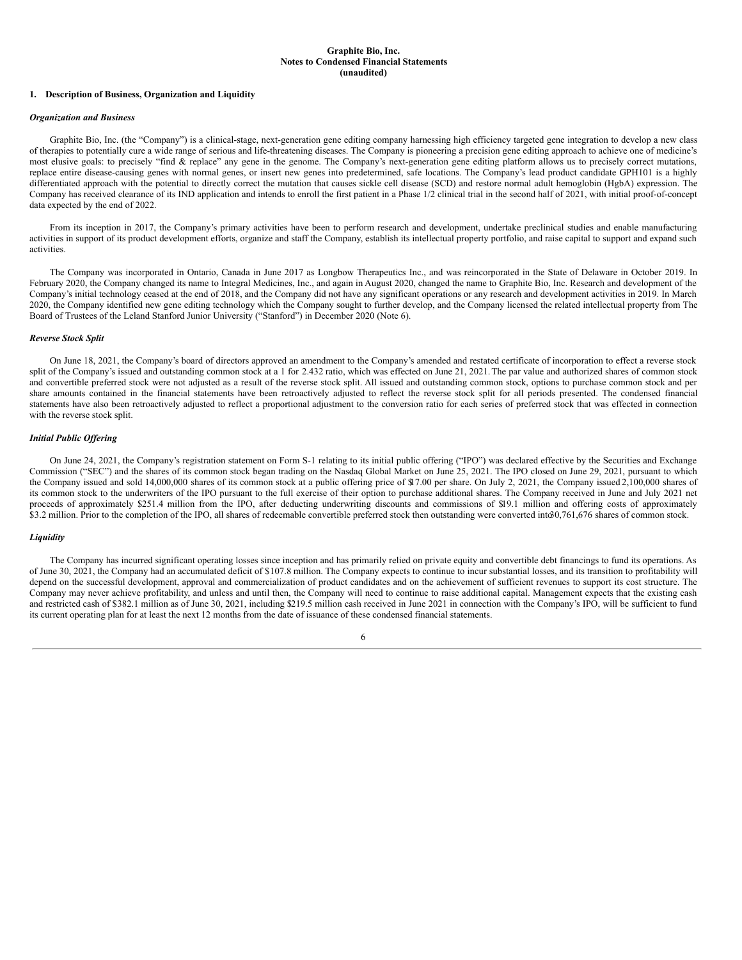# **Graphite Bio, Inc. Notes to Condensed Financial Statements (unaudited)**

#### <span id="page-11-0"></span>**1. Description of Business, Organization and Liquidity**

# *Organization and Business*

Graphite Bio, Inc. (the "Company") is a clinical-stage, next-generation gene editing company harnessing high efficiency targeted gene integration to develop a new class of therapies to potentially cure a wide range of serious and life-threatening diseases. The Company is pioneering a precision gene editing approach to achieve one of medicine's most elusive goals: to precisely "find & replace" any gene in the genome. The Company's next-generation gene editing platform allows us to precisely correct mutations, replace entire disease-causing genes with normal genes, or insert new genes into predetermined, safe locations. The Company's lead product candidate GPH101 is a highly differentiated approach with the potential to directly correct the mutation that causes sickle cell disease (SCD) and restore normal adult hemoglobin (HgbA) expression. The Company has received clearance of its IND application and intends to enroll the first patient in a Phase 1/2 clinical trial in the second half of 2021, with initial proof-of-concept data expected by the end of 2022.

From its inception in 2017, the Company's primary activities have been to perform research and development, undertake preclinical studies and enable manufacturing activities in support of its product development efforts, organize and staff the Company, establish its intellectual property portfolio, and raise capital to support and expand such activities.

The Company was incorporated in Ontario, Canada in June 2017 as Longbow Therapeutics Inc., and was reincorporated in the State of Delaware in October 2019. In February 2020, the Company changed its name to Integral Medicines, Inc., and again in August 2020, changed the name to Graphite Bio, Inc. Research and development of the Company's initial technology ceased at the end of 2018, and the Company did not have any significant operations or any research and development activities in 2019. In March 2020, the Company identified new gene editing technology which the Company sought to further develop, and the Company licensed the related intellectual property from The Board of Trustees of the Leland Stanford Junior University ("Stanford") in December 2020 (Note 6).

# *Reverse Stock Split*

On June 18, 2021, the Company's board of directors approved an amendment to the Company's amended and restated certificate of incorporation to effect a reverse stock split of the Company's issued and outstanding common stock at a 1 for 2.432 ratio, which was effected on June 21, 2021. The par value and authorized shares of common stock and convertible preferred stock were not adjusted as a result of the reverse stock split. All issued and outstanding common stock, options to purchase common stock and per share amounts contained in the financial statements have been retroactively adjusted to reflect the reverse stock split for all periods presented. The condensed financial statements have also been retroactively adjusted to reflect a proportional adjustment to the conversion ratio for each series of preferred stock that was effected in connection with the reverse stock split.

# *Initial Public Of ering*

On June 24, 2021, the Company's registration statement on Form S-1 relating to its initial public offering ("IPO") was declared effective by the Securities and Exchange Commission ("SEC") and the shares of its common stock began trading on the Nasdaq Global Market on June 25, 2021. The IPO closed on June 29, 2021, pursuant to which the Company issued and sold 14,000,000 shares of its common stock at a public offering price of \$17.00 per share. On July 2, 2021, the Company issued 2,100,000 shares of its common stock to the underwriters of the IPO pursuant to the full exercise of their option to purchase additional shares. The Company received in June and July 2021 net proceeds of approximately \$251.4 million from the IPO, after deducting underwriting discounts and commissions of \$19.1 million and offering costs of approximately \$3.2 million. Prior to the completion of the IPO, all shares of redeemable convertible preferred stock then outstanding were converted into 0,761,676 shares of common stock.

# *Liquidity*

The Company has incurred significant operating losses since inception and has primarily relied on private equity and convertible debt financings to fund its operations. As of June 30, 2021, the Company had an accumulated deficit of \$107.8 million. The Company expects to continue to incur substantial losses, and its transition to profitability will depend on the successful development, approval and commercialization of product candidates and on the achievement of sufficient revenues to support its cost structure. The Company may never achieve profitability, and unless and until then, the Company will need to continue to raise additional capital. Management expects that the existing cash and restricted cash of \$382.1 million as of June 30, 2021, including \$219.5 million cash received in June 2021 in connection with the Company's IPO, will be sufficient to fund its current operating plan for at least the next 12 months from the date of issuance of these condensed financial statements.

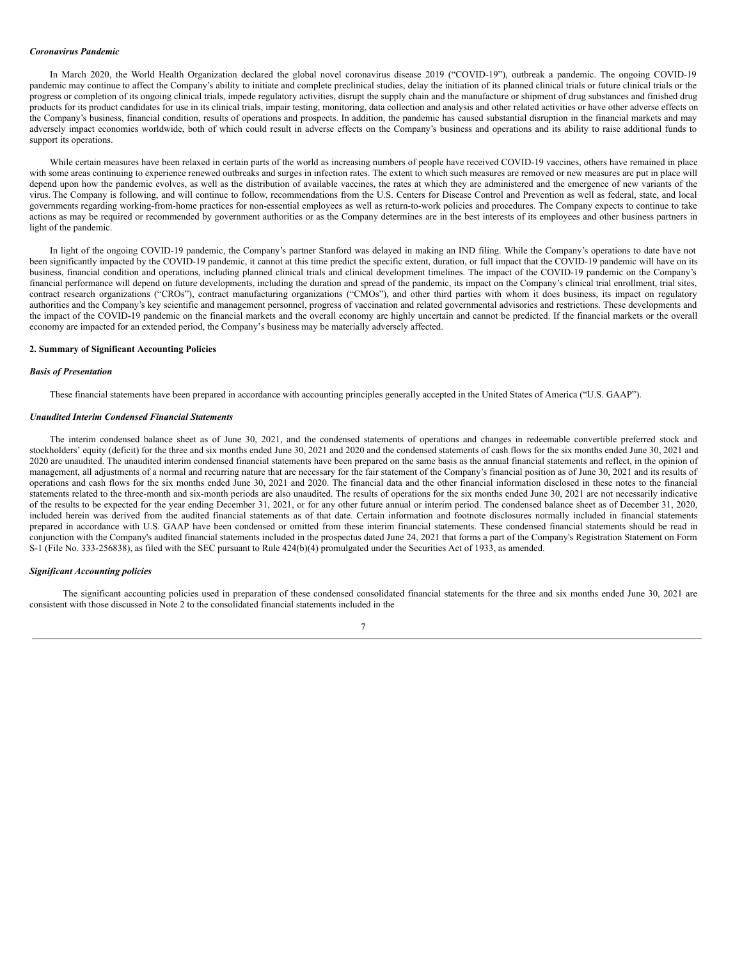# *Coronavirus Pandemic*

In March 2020, the World Health Organization declared the global novel coronavirus disease 2019 ("COVID-19"), outbreak a pandemic. The ongoing COVID-19 pandemic may continue to affect the Company's ability to initiate and complete preclinical studies, delay the initiation of its planned clinical trials or future clinical trials or the progress or completion of its ongoing clinical trials, impede regulatory activities, disrupt the supply chain and the manufacture or shipment of drug substances and finished drug products for its product candidates for use in its clinical trials, impair testing, monitoring, data collection and analysis and other related activities or have other adverse effects on the Company's business, financial condition, results of operations and prospects. In addition, the pandemic has caused substantial disruption in the financial markets and may adversely impact economies worldwide, both of which could result in adverse effects on the Company's business and operations and its ability to raise additional funds to support its operations.

While certain measures have been relaxed in certain parts of the world as increasing numbers of people have received COVID-19 vaccines, others have remained in place with some areas continuing to experience renewed outbreaks and surges in infection rates. The extent to which such measures are removed or new measures are put in place will depend upon how the pandemic evolves, as well as the distribution of available vaccines, the rates at which they are administered and the emergence of new variants of the virus. The Company is following, and will continue to follow, recommendations from the U.S. Centers for Disease Control and Prevention as well as federal, state, and local governments regarding working-from-home practices for non-essential employees as well as return-to-work policies and procedures. The Company expects to continue to take actions as may be required or recommended by government authorities or as the Company determines are in the best interests of its employees and other business partners in light of the pandemic.

In light of the ongoing COVID-19 pandemic, the Company's partner Stanford was delayed in making an IND filing. While the Company's operations to date have not been significantly impacted by the COVID-19 pandemic, it cannot at this time predict the specific extent, duration, or full impact that the COVID-19 pandemic will have on its business, financial condition and operations, including planned clinical trials and clinical development timelines. The impact of the COVID-19 pandemic on the Company's financial performance will depend on future developments, including the duration and spread of the pandemic, its impact on the Company's clinical trial enrollment, trial sites, contract research organizations ("CROs"), contract manufacturing organizations ("CMOs"), and other third parties with whom it does business, its impact on regulatory authorities and the Company's key scientific and management personnel, progress of vaccination and related governmental advisories and restrictions. These developments and the impact of the COVID-19 pandemic on the financial markets and the overall economy are highly uncertain and cannot be predicted. If the financial markets or the overall economy are impacted for an extended period, the Company's business may be materially adversely affected.

# **2. Summary of Significant Accounting Policies**

# *Basis of Presentation*

These financial statements have been prepared in accordance with accounting principles generally accepted in the United States of America ("U.S. GAAP").

#### *Unaudited Interim Condensed Financial Statements*

The interim condensed balance sheet as of June 30, 2021, and the condensed statements of operations and changes in redeemable convertible preferred stock and stockholders' equity (deficit) for the three and six months ended June 30, 2021 and 2020 and the condensed statements of cash flows for the six months ended June 30, 2021 and 2020 are unaudited. The unaudited interim condensed financial statements have been prepared on the same basis as the annual financial statements and reflect, in the opinion of management, all adjustments of a normal and recurring nature that are necessary for the fair statement of the Company's financial position as of June 30, 2021 and its results of operations and cash flows for the six months ended June 30, 2021 and 2020. The financial data and the other financial information disclosed in these notes to the financial statements related to the three-month and six-month periods are also unaudited. The results of operations for the six months ended June 30, 2021 are not necessarily indicative of the results to be expected for the year ending December 31, 2021, or for any other future annual or interim period. The condensed balance sheet as of December 31, 2020, included herein was derived from the audited financial statements as of that date. Certain information and footnote disclosures normally included in financial statements prepared in accordance with U.S. GAAP have been condensed or omitted from these interim financial statements. These condensed financial statements should be read in conjunction with the Company's audited financial statements included in the prospectus dated June 24, 2021 that forms a part of the Company's Registration Statement on Form S-1 (File No. 333-256838), as filed with the SEC pursuant to Rule 424(b)(4) promulgated under the Securities Act of 1933, as amended.

# *Significant Accounting policies*

The significant accounting policies used in preparation of these condensed consolidated financial statements for the three and six months ended June 30, 2021 are consistent with those discussed in Note 2 to the consolidated financial statements included in the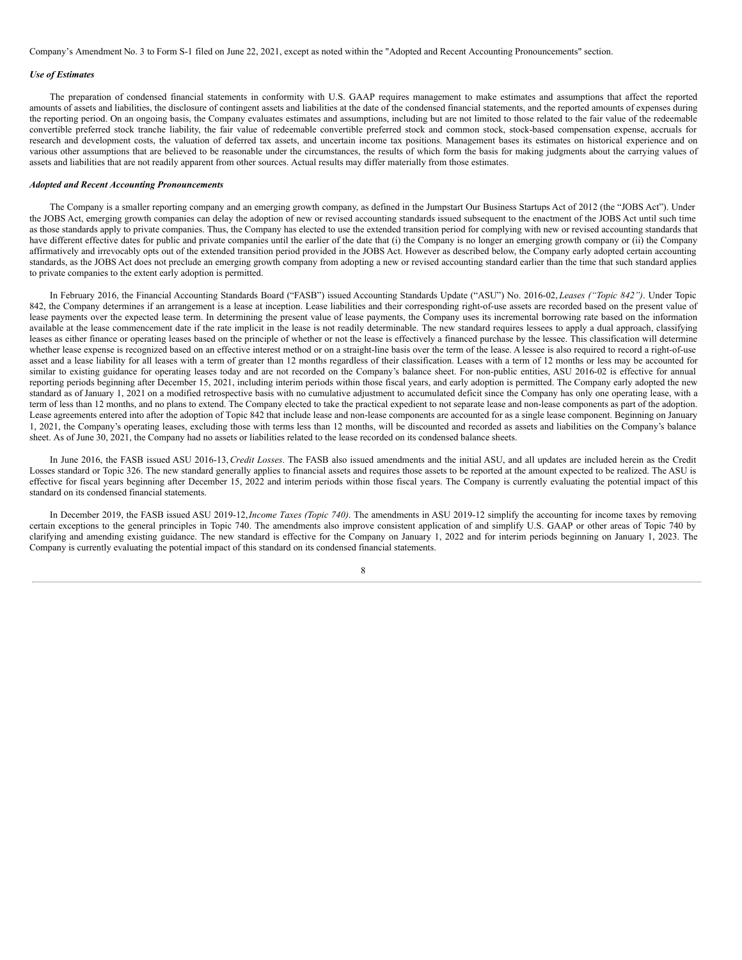Company's Amendment No. 3 to Form S-1 filed on June 22, 2021, except as noted within the "Adopted and Recent Accounting Pronouncements" section.

# *Use of Estimates*

The preparation of condensed financial statements in conformity with U.S. GAAP requires management to make estimates and assumptions that affect the reported amounts of assets and liabilities, the disclosure of contingent assets and liabilities at the date of the condensed financial statements, and the reported amounts of expenses during the reporting period. On an ongoing basis, the Company evaluates estimates and assumptions, including but are not limited to those related to the fair value of the redeemable convertible preferred stock tranche liability, the fair value of redeemable convertible preferred stock and common stock, stock-based compensation expense, accruals for research and development costs, the valuation of deferred tax assets, and uncertain income tax positions. Management bases its estimates on historical experience and on various other assumptions that are believed to be reasonable under the circumstances, the results of which form the basis for making judgments about the carrying values of assets and liabilities that are not readily apparent from other sources. Actual results may differ materially from those estimates.

# *Adopted and Recent Accounting Pronouncements*

The Company is a smaller reporting company and an emerging growth company, as defined in the Jumpstart Our Business Startups Act of 2012 (the "JOBS Act"). Under the JOBS Act, emerging growth companies can delay the adoption of new or revised accounting standards issued subsequent to the enactment of the JOBS Act until such time as those standards apply to private companies. Thus, the Company has elected to use the extended transition period for complying with new or revised accounting standards that have different effective dates for public and private companies until the earlier of the date that (i) the Company is no longer an emerging growth company or (ii) the Company affirmatively and irrevocably opts out of the extended transition period provided in the JOBS Act. However as described below, the Company early adopted certain accounting standards, as the JOBS Act does not preclude an emerging growth company from adopting a new or revised accounting standard earlier than the time that such standard applies to private companies to the extent early adoption is permitted.

In February 2016, the Financial Accounting Standards Board ("FASB") issued Accounting Standards Update ("ASU") No. 2016-02, *Leases ("Topic 842")*. Under Topic 842, the Company determines if an arrangement is a lease at inception. Lease liabilities and their corresponding right-of-use assets are recorded based on the present value of lease payments over the expected lease term. In determining the present value of lease payments, the Company uses its incremental borrowing rate based on the information available at the lease commencement date if the rate implicit in the lease is not readily determinable. The new standard requires lessees to apply a dual approach, classifying leases as either finance or operating leases based on the principle of whether or not the lease is effectively a financed purchase by the lessee. This classification will determine whether lease expense is recognized based on an effective interest method or on a straight-line basis over the term of the lease. A lessee is also required to record a right-of-use asset and a lease liability for all leases with a term of greater than 12 months regardless of their classification. Leases with a term of 12 months or less may be accounted for similar to existing guidance for operating leases today and are not recorded on the Company's balance sheet. For non-public entities, ASU 2016-02 is effective for annual reporting periods beginning after December 15, 2021, including interim periods within those fiscal years, and early adoption is permitted. The Company early adopted the new standard as of January 1, 2021 on a modified retrospective basis with no cumulative adjustment to accumulated deficit since the Company has only one operating lease, with a term of less than 12 months, and no plans to extend. The Company elected to take the practical expedient to not separate lease and non-lease components as part of the adoption. Lease agreements entered into after the adoption of Topic 842 that include lease and non-lease components are accounted for as a single lease component. Beginning on January 1, 2021, the Company's operating leases, excluding those with terms less than 12 months, will be discounted and recorded as assets and liabilities on the Company's balance sheet. As of June 30, 2021, the Company had no assets or liabilities related to the lease recorded on its condensed balance sheets.

In June 2016, the FASB issued ASU 2016-13,*Credit Losses*. The FASB also issued amendments and the initial ASU, and all updates are included herein as the Credit Losses standard or Topic 326. The new standard generally applies to financial assets and requires those assets to be reported at the amount expected to be realized. The ASU is effective for fiscal years beginning after December 15, 2022 and interim periods within those fiscal years. The Company is currently evaluating the potential impact of this standard on its condensed financial statements.

In December 2019, the FASB issued ASU 2019-12,*Income Taxes (Topic 740)*. The amendments in ASU 2019-12 simplify the accounting for income taxes by removing certain exceptions to the general principles in Topic 740. The amendments also improve consistent application of and simplify U.S. GAAP or other areas of Topic 740 by clarifying and amending existing guidance. The new standard is effective for the Company on January 1, 2022 and for interim periods beginning on January 1, 2023. The Company is currently evaluating the potential impact of this standard on its condensed financial statements.

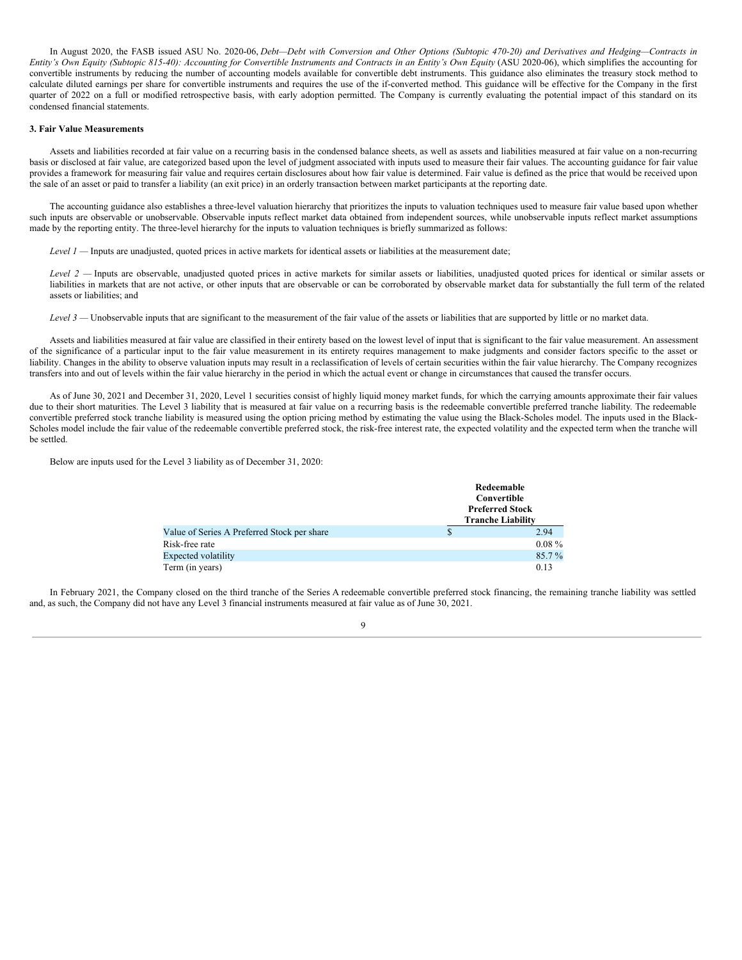In August 2020, the FASB issued ASU No. 2020-06, Debt-Debt with Conversion and Other Options (Subtopic 470-20) and Derivatives and Hedging-Contracts in Entity's Own Equity (Subtopic 815-40): Accounting for Convertible Instruments and Contracts in an Entity's Own Equity (ASU 2020-06), which simplifies the accounting for convertible instruments by reducing the number of accounting models available for convertible debt instruments. This guidance also eliminates the treasury stock method to calculate diluted earnings per share for convertible instruments and requires the use of the if-converted method. This guidance will be effective for the Company in the first quarter of 2022 on a full or modified retrospective basis, with early adoption permitted. The Company is currently evaluating the potential impact of this standard on its condensed financial statements.

# **3. Fair Value Measurements**

Assets and liabilities recorded at fair value on a recurring basis in the condensed balance sheets, as well as assets and liabilities measured at fair value on a non-recurring basis or disclosed at fair value, are categorized based upon the level of judgment associated with inputs used to measure their fair values. The accounting guidance for fair value provides a framework for measuring fair value and requires certain disclosures about how fair value is determined. Fair value is defined as the price that would be received upon the sale of an asset or paid to transfer a liability (an exit price) in an orderly transaction between market participants at the reporting date.

The accounting guidance also establishes a three-level valuation hierarchy that prioritizes the inputs to valuation techniques used to measure fair value based upon whether such inputs are observable or unobservable. Observable inputs reflect market data obtained from independent sources, while unobservable inputs reflect market assumptions made by the reporting entity. The three-level hierarchy for the inputs to valuation techniques is briefly summarized as follows:

*Level 1* — Inputs are unadjusted, quoted prices in active markets for identical assets or liabilities at the measurement date;

*Level* 2 — Inputs are observable, unadjusted quoted prices in active markets for similar assets or liabilities, unadjusted quoted prices for identical or similar assets or liabilities in markets that are not active, or other inputs that are observable or can be corroborated by observable market data for substantially the full term of the related assets or liabilities; and

*Level*  $3$  — Unobservable inputs that are significant to the measurement of the fair value of the assets or liabilities that are supported by little or no market data.

Assets and liabilities measured at fair value are classified in their entirety based on the lowest level of input that is significant to the fair value measurement. An assessment of the significance of a particular input to the fair value measurement in its entirety requires management to make judgments and consider factors specific to the asset or liability. Changes in the ability to observe valuation inputs may result in a reclassification of levels of certain securities within the fair value hierarchy. The Company recognizes transfers into and out of levels within the fair value hierarchy in the period in which the actual event or change in circumstances that caused the transfer occurs.

As of June 30, 2021 and December 31, 2020, Level 1 securities consist of highly liquid money market funds, for which the carrying amounts approximate their fair values due to their short maturities. The Level 3 liability that is measured at fair value on a recurring basis is the redeemable convertible preferred tranche liability. The redeemable convertible preferred stock tranche liability is measured using the option pricing method by estimating the value using the Black-Scholes model. The inputs used in the Black-Scholes model include the fair value of the redeemable convertible preferred stock, the risk-free interest rate, the expected volatility and the expected term when the tranche will be settled.

Below are inputs used for the Level 3 liability as of December 31, 2020:

|                                             | Redeemable<br>Convertible<br><b>Preferred Stock</b><br><b>Tranche Liability</b> |          |  |  |  |
|---------------------------------------------|---------------------------------------------------------------------------------|----------|--|--|--|
| Value of Series A Preferred Stock per share |                                                                                 | 2.94     |  |  |  |
| Risk-free rate                              |                                                                                 | $0.08\%$ |  |  |  |
| <b>Expected volatility</b>                  |                                                                                 | 85.7%    |  |  |  |
| Term (in years)                             |                                                                                 | 0.13     |  |  |  |

In February 2021, the Company closed on the third tranche of the Series A redeemable convertible preferred stock financing, the remaining tranche liability was settled and, as such, the Company did not have any Level 3 financial instruments measured at fair value as of June 30, 2021.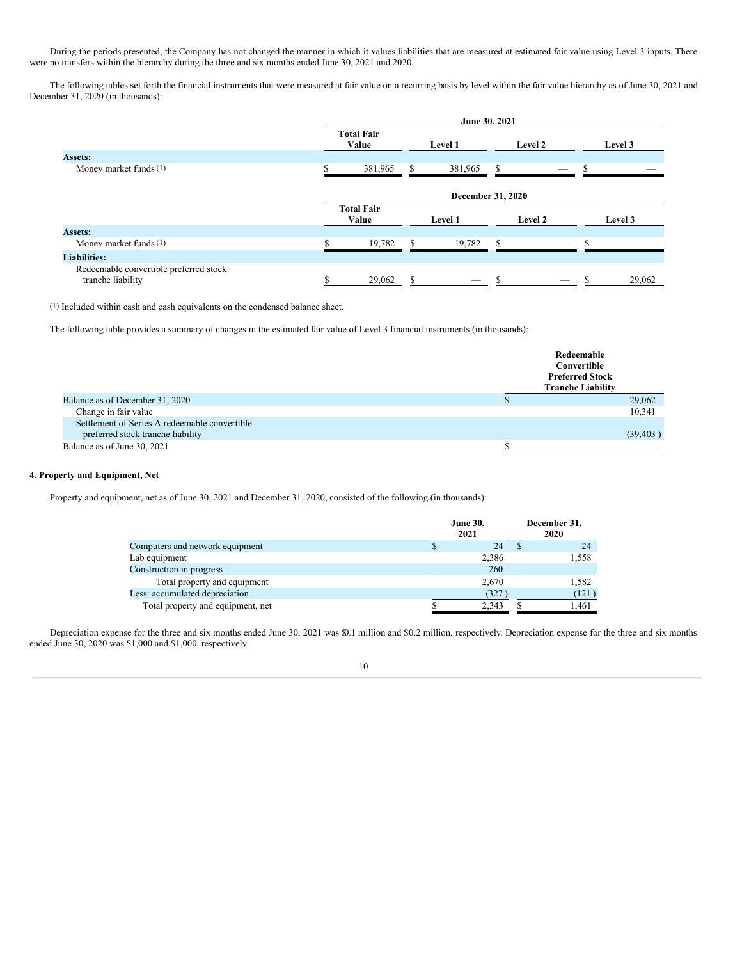During the periods presented, the Company has not changed the manner in which it values liabilities that are measured at estimated fair value using Level 3 inputs. There were no transfers within the hierarchy during the three and six months ended June 30, 2021 and 2020.

The following tables set forth the financial instruments that were measured at fair value on a recurring basis by level within the fair value hierarchy as of June 30, 2021 and December 31, 2020 (in thousands):

|                                        |   | June 30, 2021              |    |                          |     |         |   |         |  |
|----------------------------------------|---|----------------------------|----|--------------------------|-----|---------|---|---------|--|
|                                        |   | <b>Total Fair</b><br>Value |    | Level 1                  |     | Level 2 |   | Level 3 |  |
| <b>Assets:</b>                         |   |                            |    |                          |     |         |   |         |  |
| Money market funds (1)                 |   | 381,965                    |    | 381,965                  | \$. |         |   |         |  |
|                                        |   |                            |    |                          |     |         |   |         |  |
|                                        |   |                            |    | December 31, 2020        |     |         |   |         |  |
|                                        |   | <b>Total Fair</b>          |    |                          |     |         |   |         |  |
|                                        |   | Value                      |    | Level 1                  |     | Level 2 |   | Level 3 |  |
| <b>Assets:</b>                         |   |                            |    |                          |     |         |   |         |  |
| Money market funds $(1)$               | ጦ | 19,782                     | S  | 19,782                   | \$. |         | ¢ |         |  |
| <b>Liabilities:</b>                    |   |                            |    |                          |     |         |   |         |  |
| Redeemable convertible preferred stock |   |                            |    |                          |     |         |   |         |  |
| tranche liability                      |   | 29,062                     | \$ | $\overline{\phantom{a}}$ |     |         |   | 29,062  |  |

(1) Included within cash and cash equivalents on the condensed balance sheet.

The following table provides a summary of changes in the estimated fair value of Level 3 financial instruments (in thousands):

|                                               | Redeemable<br>Convertible<br><b>Preferred Stock</b><br><b>Tranche Liability</b> |           |
|-----------------------------------------------|---------------------------------------------------------------------------------|-----------|
| Balance as of December 31, 2020               |                                                                                 | 29,062    |
| Change in fair value                          |                                                                                 | 10,341    |
| Settlement of Series A redeemable convertible |                                                                                 |           |
| preferred stock tranche liability             |                                                                                 | (39, 403) |
| Balance as of June 30, 2021                   |                                                                                 |           |

# **4. Property and Equipment, Net**

Property and equipment, net as of June 30, 2021 and December 31, 2020, consisted of the following (in thousands):

|                                   | <b>June 30,</b><br>2021 |   | December 31,<br>2020 |
|-----------------------------------|-------------------------|---|----------------------|
| Computers and network equipment   | 24                      | S | 24                   |
| Lab equipment                     | 2,386                   |   | 1,558                |
| Construction in progress          | 260                     |   |                      |
| Total property and equipment      | 2,670                   |   | 1,582                |
| Less: accumulated depreciation    | (327                    |   | (121)                |
| Total property and equipment, net | 2.343                   |   | 1.461                |

Depreciation expense for the three and six months ended June 30, 2021 was \$0.1 million and \$0.2 million, respectively. Depreciation expense for the three and six months ended June 30, 2020 was \$1,000 and \$1,000, respectively.

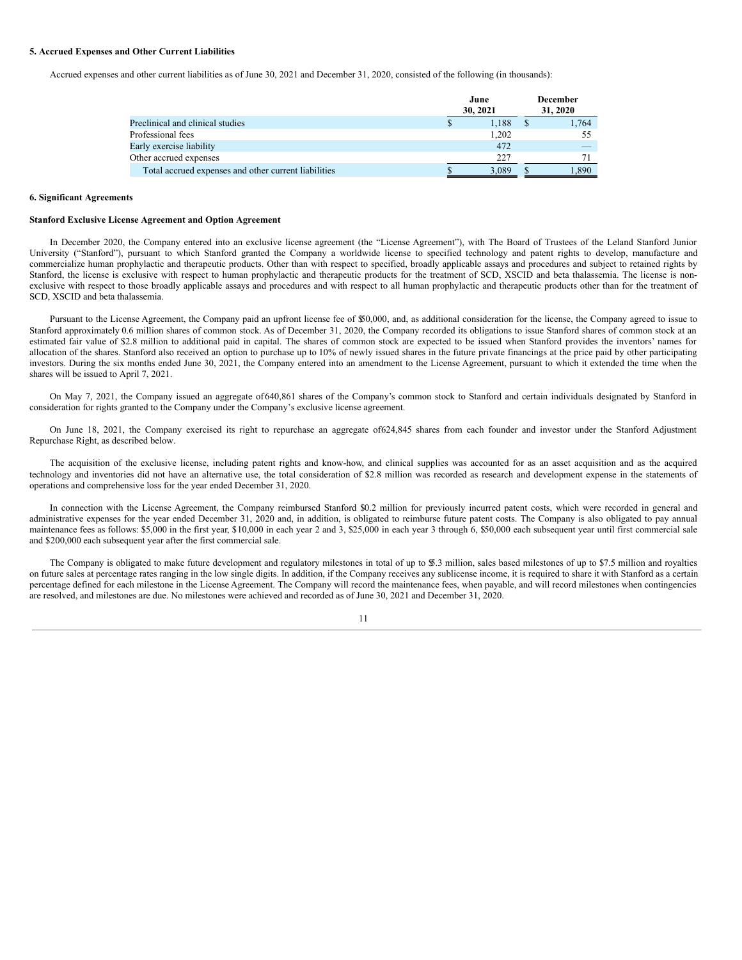# **5. Accrued Expenses and Other Current Liabilities**

Accrued expenses and other current liabilities as of June 30, 2021 and December 31, 2020, consisted of the following (in thousands):

|                                                      | June<br>30, 2021 |       |  | <b>December</b><br>31, 2020 |
|------------------------------------------------------|------------------|-------|--|-----------------------------|
| Preclinical and clinical studies                     | <b>D</b>         | 1.188 |  | 1,764                       |
| Professional fees                                    |                  | 1.202 |  | 55                          |
| Early exercise liability                             |                  | 472   |  |                             |
| Other accrued expenses                               |                  | 227   |  |                             |
| Total accrued expenses and other current liabilities |                  | 3.089 |  | 1.890                       |

#### **6. Significant Agreements**

#### **Stanford Exclusive License Agreement and Option Agreement**

In December 2020, the Company entered into an exclusive license agreement (the "License Agreement"), with The Board of Trustees of the Leland Stanford Junior University ("Stanford"), pursuant to which Stanford granted the Company a worldwide license to specified technology and patent rights to develop, manufacture and commercialize human prophylactic and therapeutic products. Other than with respect to specified, broadly applicable assays and procedures and subject to retained rights by Stanford, the license is exclusive with respect to human prophylactic and therapeutic products for the treatment of SCD, XSCID and beta thalassemia. The license is nonexclusive with respect to those broadly applicable assays and procedures and with respect to all human prophylactic and therapeutic products other than for the treatment of SCD, XSCID and beta thalassemia.

Pursuant to the License Agreement, the Company paid an upfront license fee of \$50,000, and, as additional consideration for the license, the Company agreed to issue to Stanford approximately 0.6 million shares of common stock. As of December 31, 2020, the Company recorded its obligations to issue Stanford shares of common stock at an estimated fair value of \$2.8 million to additional paid in capital. The shares of common stock are expected to be issued when Stanford provides the inventors' names for allocation of the shares. Stanford also received an option to purchase up to 10% of newly issued shares in the future private financings at the price paid by other participating investors. During the six months ended June 30, 2021, the Company entered into an amendment to the License Agreement, pursuant to which it extended the time when the shares will be issued to April 7, 2021.

On May 7, 2021, the Company issued an aggregate of 640,861 shares of the Company's common stock to Stanford and certain individuals designated by Stanford in consideration for rights granted to the Company under the Company's exclusive license agreement.

On June 18, 2021, the Company exercised its right to repurchase an aggregate of624,845 shares from each founder and investor under the Stanford Adjustment Repurchase Right, as described below.

The acquisition of the exclusive license, including patent rights and know-how, and clinical supplies was accounted for as an asset acquisition and as the acquired technology and inventories did not have an alternative use, the total consideration of \$2.8 million was recorded as research and development expense in the statements of operations and comprehensive loss for the year ended December 31, 2020.

In connection with the License Agreement, the Company reimbursed Stanford \$0.2 million for previously incurred patent costs, which were recorded in general and administrative expenses for the year ended December 31, 2020 and, in addition, is obligated to reimburse future patent costs. The Company is also obligated to pay annual maintenance fees as follows: \$5,000 in the first year, \$10,000 in each year 2 and 3, \$25,000 in each year 3 through 6, \$50,000 each subsequent year until first commercial sale and \$200,000 each subsequent year after the first commercial sale.

The Company is obligated to make future development and regulatory milestones in total of up to \$5.3 million, sales based milestones of up to \$7.5 million and royalties on future sales at percentage rates ranging in the low single digits. In addition, if the Company receives any sublicense income, it is required to share it with Stanford as a certain percentage defined for each milestone in the License Agreement. The Company will record the maintenance fees, when payable, and will record milestones when contingencies are resolved, and milestones are due. No milestones were achieved and recorded as of June 30, 2021 and December 31, 2020.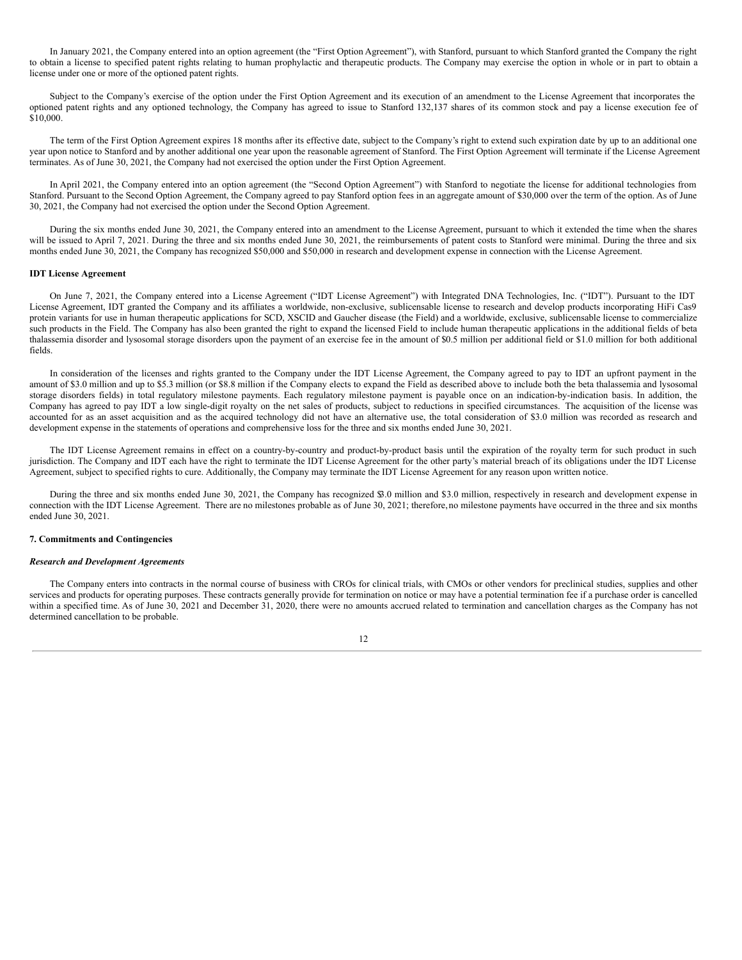In January 2021, the Company entered into an option agreement (the "First Option Agreement"), with Stanford, pursuant to which Stanford granted the Company the right to obtain a license to specified patent rights relating to human prophylactic and therapeutic products. The Company may exercise the option in whole or in part to obtain a license under one or more of the optioned patent rights.

Subject to the Company's exercise of the option under the First Option Agreement and its execution of an amendment to the License Agreement that incorporates the optioned patent rights and any optioned technology, the Company has agreed to issue to Stanford 132,137 shares of its common stock and pay a license execution fee of \$10,000.

The term of the First Option Agreement expires 18 months after its effective date, subject to the Company's right to extend such expiration date by up to an additional one year upon notice to Stanford and by another additional one year upon the reasonable agreement of Stanford. The First Option Agreement will terminate if the License Agreement terminates. As of June 30, 2021, the Company had not exercised the option under the First Option Agreement.

In April 2021, the Company entered into an option agreement (the "Second Option Agreement") with Stanford to negotiate the license for additional technologies from Stanford. Pursuant to the Second Option Agreement, the Company agreed to pay Stanford option fees in an aggregate amount of \$30,000 over the term of the option. As of June 30, 2021, the Company had not exercised the option under the Second Option Agreement.

During the six months ended June 30, 2021, the Company entered into an amendment to the License Agreement, pursuant to which it extended the time when the shares will be issued to April 7, 2021. During the three and six months ended June 30, 2021, the reimbursements of patent costs to Stanford were minimal. During the three and six months ended June 30, 2021, the Company has recognized \$50,000 and \$50,000 in research and development expense in connection with the License Agreement.

# **IDT License Agreement**

On June 7, 2021, the Company entered into a License Agreement ("IDT License Agreement") with Integrated DNA Technologies, Inc. ("IDT"). Pursuant to the IDT License Agreement, IDT granted the Company and its affiliates a worldwide, non-exclusive, sublicensable license to research and develop products incorporating HiFi Cas9 protein variants for use in human therapeutic applications for SCD, XSCID and Gaucher disease (the Field) and a worldwide, exclusive, sublicensable license to commercialize such products in the Field. The Company has also been granted the right to expand the licensed Field to include human therapeutic applications in the additional fields of beta thalassemia disorder and lysosomal storage disorders upon the payment of an exercise fee in the amount of \$0.5 million per additional field or \$1.0 million for both additional fields.

In consideration of the licenses and rights granted to the Company under the IDT License Agreement, the Company agreed to pay to IDT an upfront payment in the amount of \$3.0 million and up to \$5.3 million (or \$8.8 million if the Company elects to expand the Field as described above to include both the beta thalassemia and lysosomal storage disorders fields) in total regulatory milestone payments. Each regulatory milestone payment is payable once on an indication-by-indication basis. In addition, the Company has agreed to pay IDT a low single-digit royalty on the net sales of products, subject to reductions in specified circumstances. The acquisition of the license was accounted for as an asset acquisition and as the acquired technology did not have an alternative use, the total consideration of \$3.0 million was recorded as research and development expense in the statements of operations and comprehensive loss for the three and six months ended June 30, 2021.

The IDT License Agreement remains in effect on a country-by-country and product-by-product basis until the expiration of the royalty term for such product in such jurisdiction. The Company and IDT each have the right to terminate the IDT License Agreement for the other party's material breach of its obligations under the IDT License Agreement, subject to specified rights to cure. Additionally, the Company may terminate the IDT License Agreement for any reason upon written notice.

During the three and six months ended June 30, 2021, the Company has recognized \$3.0 million and \$3.0 million, respectively in research and development expense in connection with the IDT License Agreement. There are no milestones probable as of June 30, 2021; therefore, no milestone payments have occurred in the three and six months ended June 30, 2021.

# **7. Commitments and Contingencies**

# *Research and Development Agreements*

The Company enters into contracts in the normal course of business with CROs for clinical trials, with CMOs or other vendors for preclinical studies, supplies and other services and products for operating purposes. These contracts generally provide for termination on notice or may have a potential termination fee if a purchase order is cancelled within a specified time. As of June 30, 2021 and December 31, 2020, there were no amounts accrued related to termination and cancellation charges as the Company has not determined cancellation to be probable.

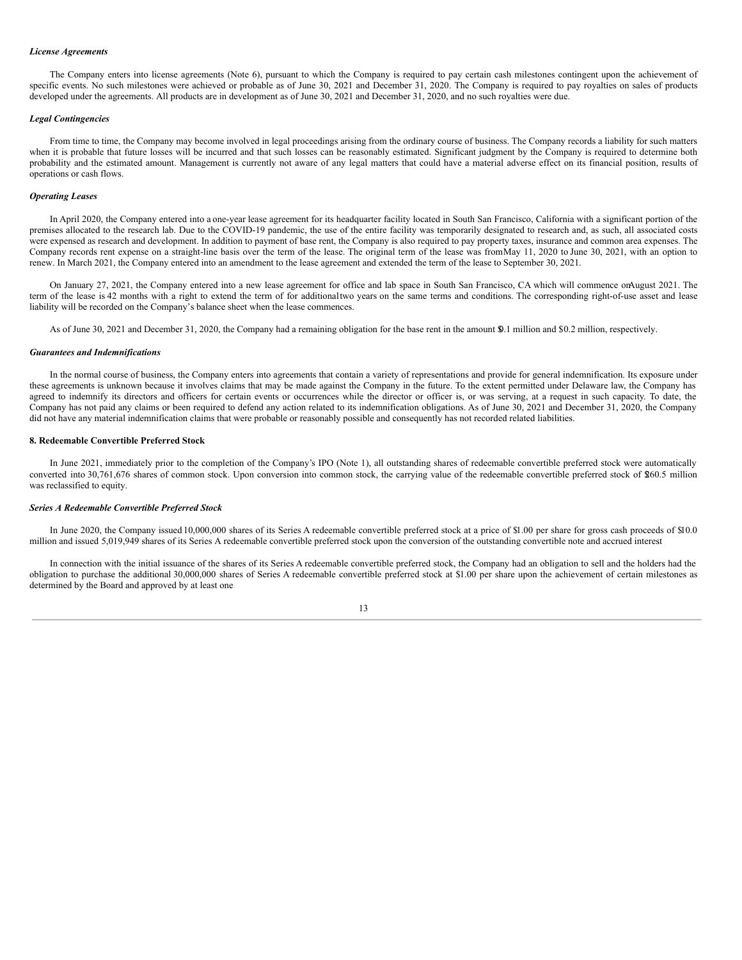# *License Agreements*

The Company enters into license agreements (Note 6), pursuant to which the Company is required to pay certain cash milestones contingent upon the achievement of specific events. No such milestones were achieved or probable as of June 30, 2021 and December 31, 2020. The Company is required to pay royalties on sales of products developed under the agreements. All products are in development as of June 30, 2021 and December 31, 2020, and no such royalties were due.

# *Legal Contingencies*

From time to time, the Company may become involved in legal proceedings arising from the ordinary course of business. The Company records a liability for such matters when it is probable that future losses will be incurred and that such losses can be reasonably estimated. Significant judgment by the Company is required to determine both probability and the estimated amount. Management is currently not aware of any legal matters that could have a material adverse effect on its financial position, results of operations or cash flows.

# *Operating Leases*

In April 2020, the Company entered into a one-year lease agreement for its headquarter facility located in South San Francisco, California with a significant portion of the premises allocated to the research lab. Due to the COVID-19 pandemic, the use of the entire facility was temporarily designated to research and, as such, all associated costs were expensed as research and development. In addition to payment of base rent, the Company is also required to pay property taxes, insurance and common area expenses. The Company records rent expense on a straight-line basis over the term of the lease. The original term of the lease was fromMay 11, 2020 to June 30, 2021, with an option to renew. In March 2021, the Company entered into an amendment to the lease agreement and extended the term of the lease to September 30, 2021.

On January 27, 2021, the Company entered into a new lease agreement for office and lab space in South San Francisco, CA which will commence onAugust 2021. The term of the lease is 42 months with a right to extend the term of for additionaltwo years on the same terms and conditions. The corresponding right-of-use asset and lease liability will be recorded on the Company's balance sheet when the lease commences.

As of June 30, 2021 and December 31, 2020, the Company had a remaining obligation for the base rent in the amount \$0.1 million and \$0.2 million, respectively.

# *Guarantees and Indemnifications*

In the normal course of business, the Company enters into agreements that contain a variety of representations and provide for general indemnification. Its exposure under these agreements is unknown because it involves claims that may be made against the Company in the future. To the extent permitted under Delaware law, the Company has agreed to indemnify its directors and officers for certain events or occurrences while the director or officer is, or was serving, at a request in such capacity. To date, the Company has not paid any claims or been required to defend any action related to its indemnification obligations. As of June 30, 2021 and December 31, 2020, the Company did not have any material indemnification claims that were probable or reasonably possible and consequently has not recorded related liabilities.

#### **8. Redeemable Convertible Preferred Stock**

In June 2021, immediately prior to the completion of the Company's IPO (Note 1), all outstanding shares of redeemable convertible preferred stock were automatically converted into 30,761,676 shares of common stock. Upon conversion into common stock, the carrying value of the redeemable convertible preferred stock of \$60.5 million was reclassified to equity.

#### *Series A Redeemable Convertible Preferred Stock*

In June 2020, the Company issued 10,000,000 shares of its Series A redeemable convertible preferred stock at a price of \$1.00 per share for gross cash proceeds of \$10.0 million and issued 5,019,949 shares of its Series A redeemable convertible preferred stock upon the conversion of the outstanding convertible note and accrued interest

In connection with the initial issuance of the shares of its Series A redeemable convertible preferred stock, the Company had an obligation to sell and the holders had the obligation to purchase the additional 30,000,000 shares of Series A redeemable convertible preferred stock at \$1.00 per share upon the achievement of certain milestones as determined by the Board and approved by at least one

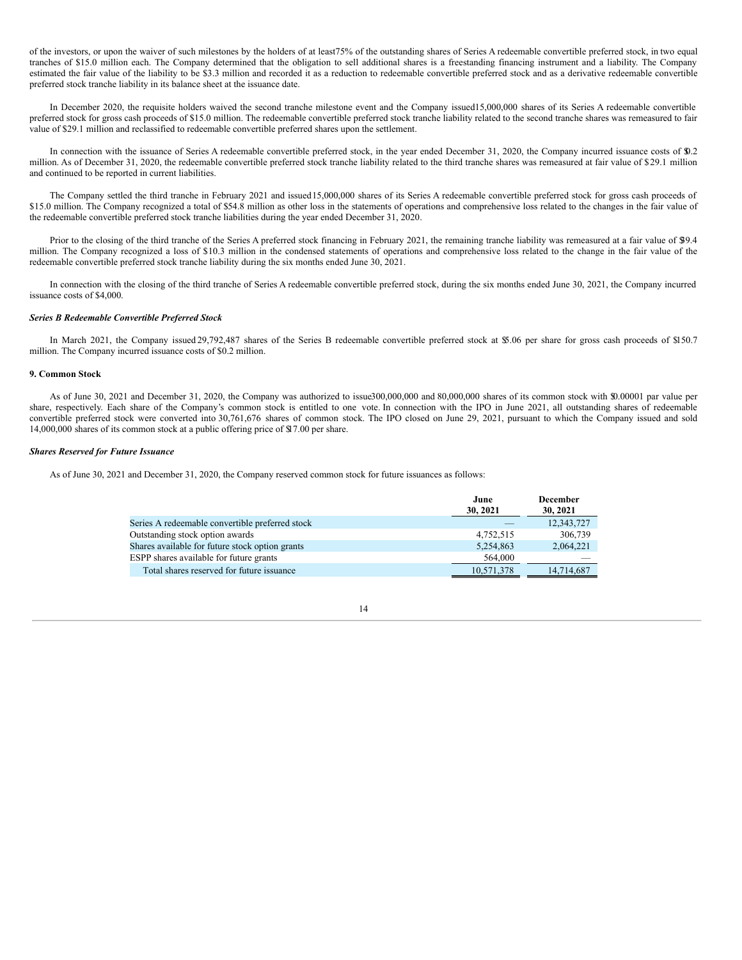of the investors, or upon the waiver of such milestones by the holders of at least75% of the outstanding shares of Series A redeemable convertible preferred stock, in two equal tranches of \$15.0 million each. The Company determined that the obligation to sell additional shares is a freestanding financing instrument and a liability. The Company estimated the fair value of the liability to be \$3.3 million and recorded it as a reduction to redeemable convertible preferred stock and as a derivative redeemable convertible preferred stock tranche liability in its balance sheet at the issuance date.

In December 2020, the requisite holders waived the second tranche milestone event and the Company issued15,000,000 shares of its Series A redeemable convertible preferred stock for gross cash proceeds of \$15.0 million. The redeemable convertible preferred stock tranche liability related to the second tranche shares was remeasured to fair value of \$29.1 million and reclassified to redeemable convertible preferred shares upon the settlement.

In connection with the issuance of Series A redeemable convertible preferred stock, in the year ended December 31, 2020, the Company incurred issuance costs of \$0.2 million. As of December 31, 2020, the redeemable convertible preferred stock tranche liability related to the third tranche shares was remeasured at fair value of \$29.1 million and continued to be reported in current liabilities.

The Company settled the third tranche in February 2021 and issued15,000,000 shares of its Series A redeemable convertible preferred stock for gross cash proceeds of \$15.0 million. The Company recognized a total of \$54.8 million as other loss in the statements of operations and comprehensive loss related to the changes in the fair value of the redeemable convertible preferred stock tranche liabilities during the year ended December 31, 2020.

Prior to the closing of the third tranche of the Series A preferred stock financing in February 2021, the remaining tranche liability was remeasured at a fair value of \$9.4 million. The Company recognized a loss of \$10.3 million in the condensed statements of operations and comprehensive loss related to the change in the fair value of the redeemable convertible preferred stock tranche liability during the six months ended June 30, 2021.

In connection with the closing of the third tranche of Series A redeemable convertible preferred stock, during the six months ended June 30, 2021, the Company incurred issuance costs of \$4,000.

# *Series B Redeemable Convertible Preferred Stock*

In March 2021, the Company issued 29,792,487 shares of the Series B redeemable convertible preferred stock at \$5.06 per share for gross cash proceeds of \$150.7 million. The Company incurred issuance costs of \$0.2 million.

# **9. Common Stock**

As of June 30, 2021 and December 31, 2020, the Company was authorized to issue300,000,000 and 80,000,000 shares of its common stock with \$0.00001 par value per share, respectively. Each share of the Company's common stock is entitled to one vote. In connection with the IPO in June 2021, all outstanding shares of redeemable convertible preferred stock were converted into 30,761,676 shares of common stock. The IPO closed on June 29, 2021, pursuant to which the Company issued and sold 14,000,000 shares of its common stock at a public offering price of \$17.00 per share.

# *Shares Reserved for Future Issuance*

As of June 30, 2021 and December 31, 2020, the Company reserved common stock for future issuances as follows:

|                                                 | June<br>30, 2021 | <b>December</b><br>30, 2021 |
|-------------------------------------------------|------------------|-----------------------------|
| Series A redeemable convertible preferred stock |                  | 12,343,727                  |
| Outstanding stock option awards                 | 4,752,515        | 306,739                     |
| Shares available for future stock option grants | 5,254,863        | 2,064,221                   |
| ESPP shares available for future grants         | 564,000          |                             |
| Total shares reserved for future issuance       | 10,571,378       | 14,714,687                  |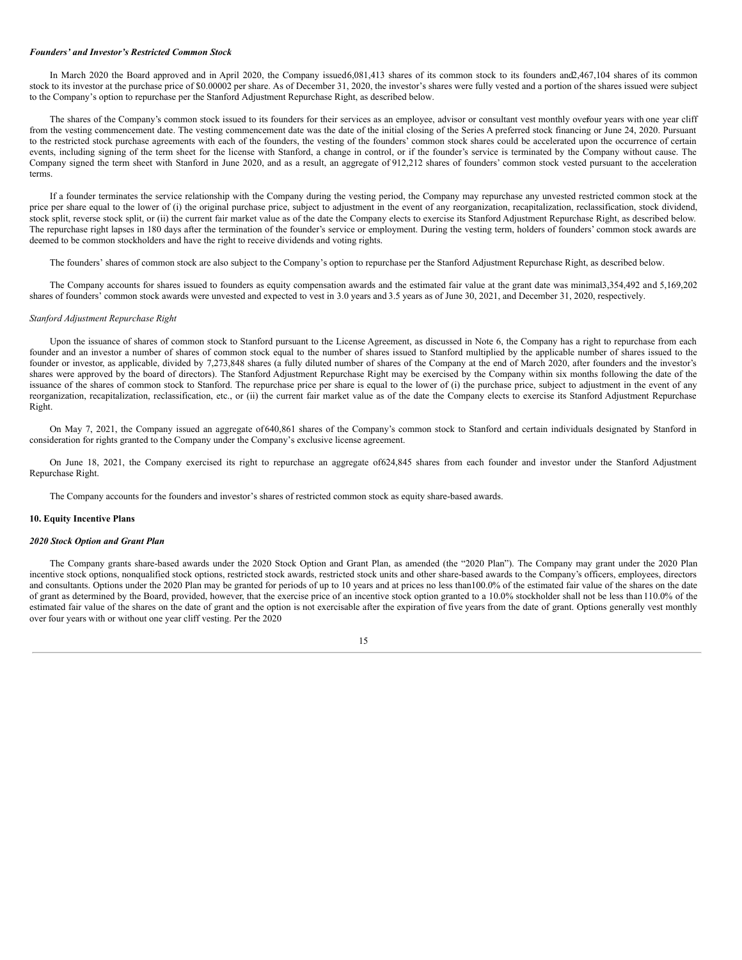# *Founders' and Investor's Restricted Common Stock*

In March 2020 the Board approved and in April 2020, the Company issued6,081,413 shares of its common stock to its founders and2,467,104 shares of its common stock to its investor at the purchase price of \$0.00002 per share. As of December 31, 2020, the investor's shares were fully vested and a portion of the shares issued were subject to the Company's option to repurchase per the Stanford Adjustment Repurchase Right, as described below.

The shares of the Company's common stock issued to its founders for their services as an employee, advisor or consultant vest monthly ovefour years with one year cliff from the vesting commencement date. The vesting commencement date was the date of the initial closing of the Series A preferred stock financing or June 24, 2020. Pursuant to the restricted stock purchase agreements with each of the founders, the vesting of the founders' common stock shares could be accelerated upon the occurrence of certain events, including signing of the term sheet for the license with Stanford, a change in control, or if the founder's service is terminated by the Company without cause. The Company signed the term sheet with Stanford in June 2020, and as a result, an aggregate of 912,212 shares of founders' common stock vested pursuant to the acceleration terms.

If a founder terminates the service relationship with the Company during the vesting period, the Company may repurchase any unvested restricted common stock at the price per share equal to the lower of (i) the original purchase price, subject to adjustment in the event of any reorganization, recapitalization, reclassification, stock dividend, stock split, reverse stock split, or (ii) the current fair market value as of the date the Company elects to exercise its Stanford Adjustment Repurchase Right, as described below. The repurchase right lapses in 180 days after the termination of the founder's service or employment. During the vesting term, holders of founders' common stock awards are deemed to be common stockholders and have the right to receive dividends and voting rights.

The founders' shares of common stock are also subject to the Company's option to repurchase per the Stanford Adjustment Repurchase Right, as described below.

The Company accounts for shares issued to founders as equity compensation awards and the estimated fair value at the grant date was minimal3,354,492 and 5,169,202 shares of founders' common stock awards were unvested and expected to vest in 3.0 years and 3.5 years as of June 30, 2021, and December 31, 2020, respectively.

#### *Stanford Adjustment Repurchase Right*

Upon the issuance of shares of common stock to Stanford pursuant to the License Agreement, as discussed in Note 6, the Company has a right to repurchase from each founder and an investor a number of shares of common stock equal to the number of shares issued to Stanford multiplied by the applicable number of shares issued to the founder or investor, as applicable, divided by 7,273,848 shares (a fully diluted number of shares of the Company at the end of March 2020, after founders and the investor's shares were approved by the board of directors). The Stanford Adjustment Repurchase Right may be exercised by the Company within six months following the date of the issuance of the shares of common stock to Stanford. The repurchase price per share is equal to the lower of (i) the purchase price, subject to adjustment in the event of any reorganization, recapitalization, reclassification, etc., or (ii) the current fair market value as of the date the Company elects to exercise its Stanford Adjustment Repurchase Right.

On May 7, 2021, the Company issued an aggregate of 640,861 shares of the Company's common stock to Stanford and certain individuals designated by Stanford in consideration for rights granted to the Company under the Company's exclusive license agreement.

On June 18, 2021, the Company exercised its right to repurchase an aggregate of624,845 shares from each founder and investor under the Stanford Adjustment Repurchase Right.

The Company accounts for the founders and investor's shares of restricted common stock as equity share-based awards.

# **10. Equity Incentive Plans**

# *2020 Stock Option and Grant Plan*

The Company grants share-based awards under the 2020 Stock Option and Grant Plan, as amended (the "2020 Plan"). The Company may grant under the 2020 Plan incentive stock options, nonqualified stock options, restricted stock awards, restricted stock units and other share-based awards to the Company's officers, employees, directors and consultants. Options under the 2020 Plan may be granted for periods of up to 10 years and at prices no less than100.0% of the estimated fair value of the shares on the date of grant as determined by the Board, provided, however, that the exercise price of an incentive stock option granted to a 10.0% stockholder shall not be less than 110.0% of the estimated fair value of the shares on the date of grant and the option is not exercisable after the expiration of five years from the date of grant. Options generally vest monthly over four years with or without one year cliff vesting. Per the 2020

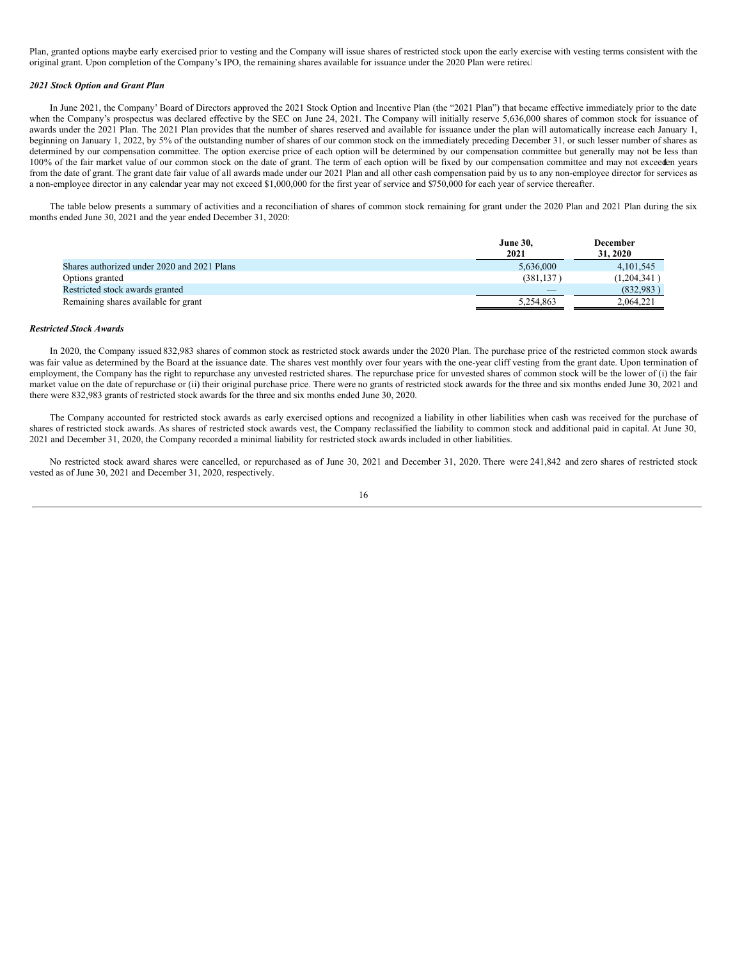Plan, granted options maybe early exercised prior to vesting and the Company will issue shares of restricted stock upon the early exercise with vesting terms consistent with the original grant. Upon completion of the Company's IPO, the remaining shares available for issuance under the 2020 Plan were retired.

# *2021 Stock Option and Grant Plan*

In June 2021, the Company' Board of Directors approved the 2021 Stock Option and Incentive Plan (the "2021 Plan") that became effective immediately prior to the date when the Company's prospectus was declared effective by the SEC on June 24, 2021. The Company will initially reserve 5,636,000 shares of common stock for issuance of awards under the 2021 Plan. The 2021 Plan provides that the number of shares reserved and available for issuance under the plan will automatically increase each January 1, beginning on January 1, 2022, by 5% of the outstanding number of shares of our common stock on the immediately preceding December 31, or such lesser number of shares as determined by our compensation committee. The option exercise price of each option will be determined by our compensation committee but generally may not be less than 100% of the fair market value of our common stock on the date of grant. The term of each option will be fixed by our compensation committee and may not exceeden years from the date of grant. The grant date fair value of all awards made under our 2021 Plan and all other cash compensation paid by us to any non-employee director for services as a non-employee director in any calendar year may not exceed \$1,000,000 for the first year of service and \$750,000 for each year of service thereafter.

The table below presents a summary of activities and a reconciliation of shares of common stock remaining for grant under the 2020 Plan and 2021 Plan during the six months ended June 30, 2021 and the year ended December 31, 2020:

|                                             | <b>June 30,</b><br>2021 | <b>December</b><br>31, 2020 |
|---------------------------------------------|-------------------------|-----------------------------|
| Shares authorized under 2020 and 2021 Plans | 5.636,000               | 4, 101, 545                 |
|                                             |                         |                             |
| Options granted                             | (381, 137)              | (1,204,341)                 |
| Restricted stock awards granted             |                         | (832,983)                   |
| Remaining shares available for grant        | 5.254.863               | 2.064.221                   |
|                                             |                         |                             |

#### *Restricted Stock Awards*

In 2020, the Company issued 832,983 shares of common stock as restricted stock awards under the 2020 Plan. The purchase price of the restricted common stock awards was fair value as determined by the Board at the issuance date. The shares vest monthly over four years with the one-year cliff vesting from the grant date. Upon termination of employment, the Company has the right to repurchase any unvested restricted shares. The repurchase price for unvested shares of common stock will be the lower of (i) the fair market value on the date of repurchase or (ii) their original purchase price. There were no grants of restricted stock awards for the three and six months ended June 30, 2021 and there were 832,983 grants of restricted stock awards for the three and six months ended June 30, 2020.

The Company accounted for restricted stock awards as early exercised options and recognized a liability in other liabilities when cash was received for the purchase of shares of restricted stock awards. As shares of restricted stock awards vest, the Company reclassified the liability to common stock and additional paid in capital. At June 30, 2021 and December 31, 2020, the Company recorded a minimal liability for restricted stock awards included in other liabilities.

No restricted stock award shares were cancelled, or repurchased as of June 30, 2021 and December 31, 2020. There were 241,842 and zero shares of restricted stock vested as of June 30, 2021 and December 31, 2020, respectively.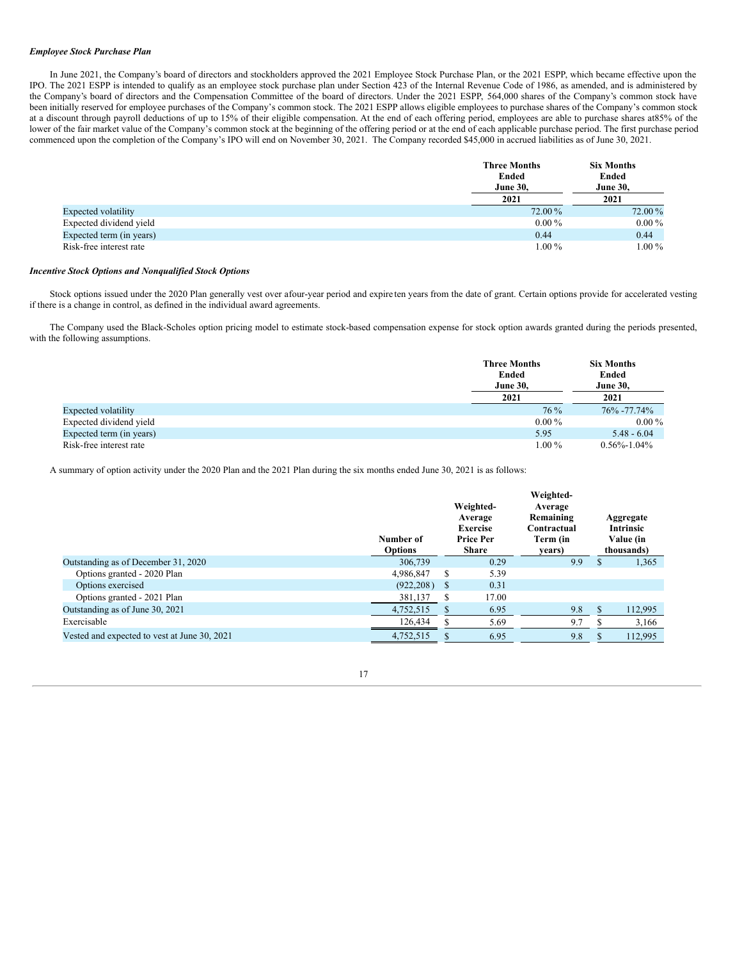# *Employee Stock Purchase Plan*

In June 2021, the Company's board of directors and stockholders approved the 2021 Employee Stock Purchase Plan, or the 2021 ESPP, which became effective upon the IPO. The 2021 ESPP is intended to qualify as an employee stock purchase plan under Section 423 of the Internal Revenue Code of 1986, as amended, and is administered by the Company's board of directors and the Compensation Committee of the board of directors. Under the 2021 ESPP, 564,000 shares of the Company's common stock have been initially reserved for employee purchases of the Company's common stock. The 2021 ESPP allows eligible employees to purchase shares of the Company's common stock at a discount through payroll deductions of up to 15% of their eligible compensation. At the end of each offering period, employees are able to purchase shares at85% of the lower of the fair market value of the Company's common stock at the beginning of the offering period or at the end of each applicable purchase period. The first purchase period commenced upon the completion of the Company's IPO will end on November 30, 2021. The Company recorded \$45,000 in accrued liabilities as of June 30, 2021.

|                            | <b>Three Months</b><br>Ended<br><b>June 30,</b> | <b>Six Months</b><br><b>Ended</b><br><b>June 30,</b> |
|----------------------------|-------------------------------------------------|------------------------------------------------------|
|                            | 2021                                            | 2021                                                 |
| <b>Expected volatility</b> | 72.00 %                                         | 72.00 %                                              |
| Expected dividend yield    | $0.00\%$                                        | $0.00\%$                                             |
| Expected term (in years)   | 0.44                                            | 0.44                                                 |
| Risk-free interest rate    | $1.00\%$                                        | $1.00\%$                                             |

# *Incentive Stock Options and Nonqualified Stock Options*

Stock options issued under the 2020 Plan generally vest over afour-year period and expire ten years from the date of grant. Certain options provide for accelerated vesting if there is a change in control, as defined in the individual award agreements.

The Company used the Black-Scholes option pricing model to estimate stock-based compensation expense for stock option awards granted during the periods presented, with the following assumptions.

|                          | <b>Three Months</b><br>Ended<br><b>June 30,</b> | <b>Six Months</b><br><b>Ended</b><br><b>June 30,</b> |
|--------------------------|-------------------------------------------------|------------------------------------------------------|
|                          | 2021                                            | 2021                                                 |
| Expected volatility      | $76\%$                                          | 76% -77.74%                                          |
| Expected dividend yield  | $0.00\%$                                        | $0.00\%$                                             |
| Expected term (in years) | 5.95                                            | $5.48 - 6.04$                                        |
| Risk-free interest rate  | $1.00\%$                                        | $0.56\% - 1.04\%$                                    |

A summary of option activity under the 2020 Plan and the 2021 Plan during the six months ended June 30, 2021 is as follows:

|                                              | Number of<br><b>Options</b> | Weighted-<br>Average<br><b>Exercise</b><br><b>Price Per</b><br>Share |       | Weighted-<br>Average<br>Remaining<br>Contractual<br>Term (in<br>years) |     | Aggregate<br><b>Intrinsic</b><br>Value (in<br>thousands) |
|----------------------------------------------|-----------------------------|----------------------------------------------------------------------|-------|------------------------------------------------------------------------|-----|----------------------------------------------------------|
| Outstanding as of December 31, 2020          | 306,739                     |                                                                      | 0.29  | 9.9                                                                    |     | 1,365                                                    |
| Options granted - 2020 Plan                  | 4.986.847                   | S                                                                    | 5.39  |                                                                        |     |                                                          |
| Options exercised                            | (922, 208)                  | <sup>\$</sup>                                                        | 0.31  |                                                                        |     |                                                          |
| Options granted - 2021 Plan                  | 381,137                     | S                                                                    | 17.00 |                                                                        |     |                                                          |
| Outstanding as of June 30, 2021              | 4,752,515                   | S                                                                    | 6.95  | 9.8                                                                    | \$. | 112,995                                                  |
| Exercisable                                  | 126,434                     |                                                                      | 5.69  | 9.7                                                                    |     | 3,166                                                    |
| Vested and expected to vest at June 30, 2021 | 4,752,515                   |                                                                      | 6.95  | 9.8                                                                    |     | 112,995                                                  |

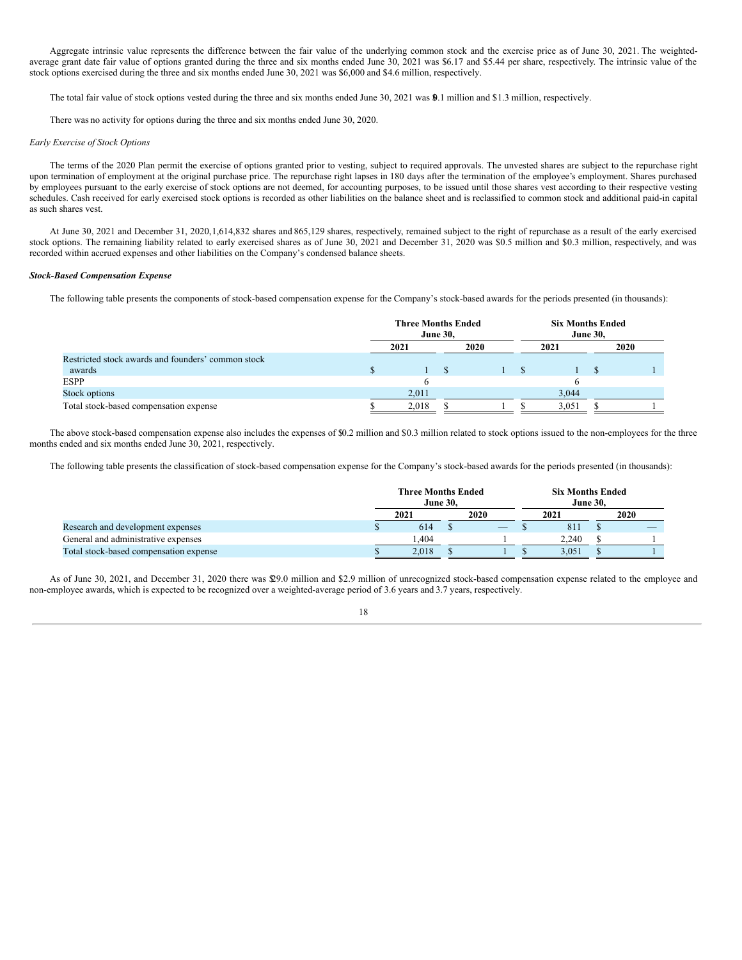Aggregate intrinsic value represents the difference between the fair value of the underlying common stock and the exercise price as of June 30, 2021. The weightedaverage grant date fair value of options granted during the three and six months ended June 30, 2021 was \$6.17 and \$5.44 per share, respectively. The intrinsic value of the stock options exercised during the three and six months ended June 30, 2021 was \$6,000 and \$4.6 million, respectively.

The total fair value of stock options vested during the three and six months ended June 30, 2021 was \$0.1 million and \$1.3 million, respectively.

There was no activity for options during the three and six months ended June 30, 2020.

#### *Early Exercise of Stock Options*

The terms of the 2020 Plan permit the exercise of options granted prior to vesting, subject to required approvals. The unvested shares are subject to the repurchase right upon termination of employment at the original purchase price. The repurchase right lapses in 180 days after the termination of the employee's employment. Shares purchased by employees pursuant to the early exercise of stock options are not deemed, for accounting purposes, to be issued until those shares vest according to their respective vesting schedules. Cash received for early exercised stock options is recorded as other liabilities on the balance sheet and is reclassified to common stock and additional paid-in capital as such shares vest.

At June 30, 2021 and December 31, 2020,1,614,832 shares and 865,129 shares, respectively, remained subject to the right of repurchase as a result of the early exercised stock options. The remaining liability related to early exercised shares as of June 30, 2021 and December 31, 2020 was \$0.5 million and \$0.3 million, respectively, and was recorded within accrued expenses and other liabilities on the Company's condensed balance sheets.

# *Stock-Based Compensation Expense*

The following table presents the components of stock-based compensation expense for the Company's stock-based awards for the periods presented (in thousands):

|                                                    | <b>Three Months Ended</b><br><b>June 30,</b> |       |  | <b>Six Months Ended</b><br><b>June 30.</b> |  |       |  |      |  |
|----------------------------------------------------|----------------------------------------------|-------|--|--------------------------------------------|--|-------|--|------|--|
|                                                    |                                              | 2021  |  | 2020                                       |  | 2021  |  | 2020 |  |
| Restricted stock awards and founders' common stock |                                              |       |  |                                            |  |       |  |      |  |
| awards                                             |                                              |       |  |                                            |  |       |  |      |  |
| <b>ESPP</b>                                        |                                              |       |  |                                            |  |       |  |      |  |
| Stock options                                      |                                              | 2,011 |  |                                            |  | 3.044 |  |      |  |
| Total stock-based compensation expense             |                                              | 2.018 |  |                                            |  | 3,051 |  |      |  |

The above stock-based compensation expense also includes the expenses of \$0.2 million and \$0.3 million related to stock options issued to the non-employees for the three months ended and six months ended June 30, 2021, respectively.

The following table presents the classification of stock-based compensation expense for the Company's stock-based awards for the periods presented (in thousands):

|                                        | <b>Three Months Ended</b><br><b>June 30.</b> |       |  | <b>Six Months Ended</b><br><b>June 30.</b> |  |       |  |      |
|----------------------------------------|----------------------------------------------|-------|--|--------------------------------------------|--|-------|--|------|
|                                        |                                              | 2021  |  | 2020                                       |  | 2021  |  | 2020 |
| Research and development expenses      |                                              | 614   |  | $\overbrace{\hspace{25mm}}^{}$             |  | 811   |  |      |
| General and administrative expenses    |                                              | .404  |  |                                            |  | 2.240 |  |      |
| Total stock-based compensation expense |                                              | 2.018 |  |                                            |  | 3.051 |  |      |

As of June 30, 2021, and December 31, 2020 there was \$29.0 million and \$2.9 million of unrecognized stock-based compensation expense related to the employee and non-employee awards, which is expected to be recognized over a weighted-average period of 3.6 years and 3.7 years, respectively.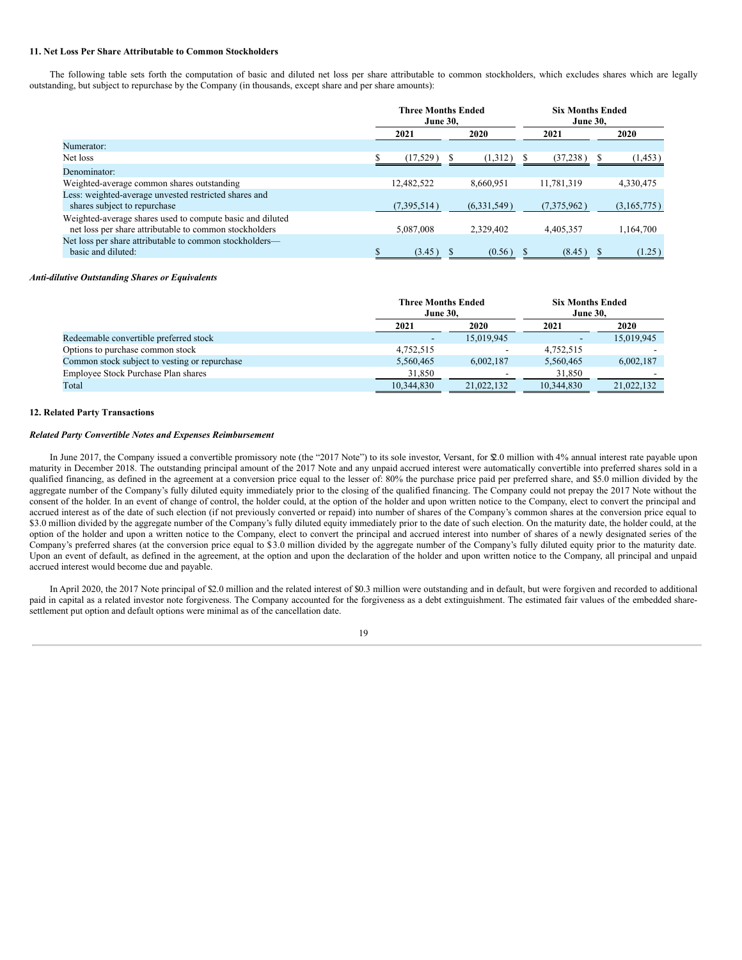# **11. Net Loss Per Share Attributable to Common Stockholders**

The following table sets forth the computation of basic and diluted net loss per share attributable to common stockholders, which excludes shares which are legally outstanding, but subject to repurchase by the Company (in thousands, except share and per share amounts):

|                                                                                                                     | <b>Three Months Ended</b><br><b>June 30.</b> |   |             | <b>Six Months Ended</b><br><b>June 30,</b> |             |    |             |
|---------------------------------------------------------------------------------------------------------------------|----------------------------------------------|---|-------------|--------------------------------------------|-------------|----|-------------|
|                                                                                                                     | 2021                                         |   | 2020        |                                            | 2021        |    | 2020        |
| Numerator:                                                                                                          |                                              |   |             |                                            |             |    |             |
| Net loss                                                                                                            | (17, 529)                                    | S | (1,312)     | -S                                         | (37, 238)   | S. | (1, 453)    |
| Denominator:                                                                                                        |                                              |   |             |                                            |             |    |             |
| Weighted-average common shares outstanding                                                                          | 12,482,522                                   |   | 8,660,951   |                                            | 11,781,319  |    | 4,330,475   |
| Less: weighted-average unvested restricted shares and                                                               |                                              |   |             |                                            |             |    |             |
| shares subject to repurchase                                                                                        | (7,395,514)                                  |   | (6,331,549) |                                            | (7,375,962) |    | (3,165,775) |
| Weighted-average shares used to compute basic and diluted<br>net loss per share attributable to common stockholders | 5,087,008                                    |   | 2,329,402   |                                            | 4,405,357   |    | 1,164,700   |
| Net loss per share attributable to common stockholders-<br>basic and diluted:                                       | (3.45)                                       |   | (0.56)      |                                            | (8.45)      |    | (1.25)      |

#### *Anti-dilutive Outstanding Shares or Equivalents*

|                                               | <b>Three Months Ended</b><br><b>June 30.</b> |            | <b>Six Months Ended</b><br><b>June 30.</b> |            |  |
|-----------------------------------------------|----------------------------------------------|------------|--------------------------------------------|------------|--|
|                                               | 2021                                         | 2020       | 2021                                       | 2020       |  |
| Redeemable convertible preferred stock        | ٠                                            | 15.019.945 |                                            | 15,019,945 |  |
| Options to purchase common stock              | 4,752,515                                    | ٠          | 4,752,515                                  |            |  |
| Common stock subject to vesting or repurchase | 5.560.465                                    | 6.002.187  | 5.560,465                                  | 6,002,187  |  |
| Employee Stock Purchase Plan shares           | 31,850                                       |            | 31,850                                     |            |  |
| Total                                         | 10.344.830                                   | 21.022.132 | 10.344.830                                 | 21,022,132 |  |

# **12. Related Party Transactions**

# *Related Party Convertible Notes and Expenses Reimbursement*

In June 2017, the Company issued a convertible promissory note (the "2017 Note") to its sole investor, Versant, for \$2.0 million with 4% annual interest rate payable upon maturity in December 2018. The outstanding principal amount of the 2017 Note and any unpaid accrued interest were automatically convertible into preferred shares sold in a qualified financing, as defined in the agreement at a conversion price equal to the lesser of: 80% the purchase price paid per preferred share, and \$5.0 million divided by the aggregate number of the Company's fully diluted equity immediately prior to the closing of the qualified financing. The Company could not prepay the 2017 Note without the consent of the holder. In an event of change of control, the holder could, at the option of the holder and upon written notice to the Company, elect to convert the principal and accrued interest as of the date of such election (if not previously converted or repaid) into number of shares of the Company's common shares at the conversion price equal to \$3.0 million divided by the aggregate number of the Company's fully diluted equity immediately prior to the date of such election. On the maturity date, the holder could, at the option of the holder and upon a written notice to the Company, elect to convert the principal and accrued interest into number of shares of a newly designated series of the Company's preferred shares (at the conversion price equal to \$3.0 million divided by the aggregate number of the Company's fully diluted equity prior to the maturity date. Upon an event of default, as defined in the agreement, at the option and upon the declaration of the holder and upon written notice to the Company, all principal and unpaid accrued interest would become due and payable.

In April 2020, the 2017 Note principal of \$2.0 million and the related interest of \$0.3 million were outstanding and in default, but were forgiven and recorded to additional paid in capital as a related investor note forgiveness. The Company accounted for the forgiveness as a debt extinguishment. The estimated fair values of the embedded sharesettlement put option and default options were minimal as of the cancellation date.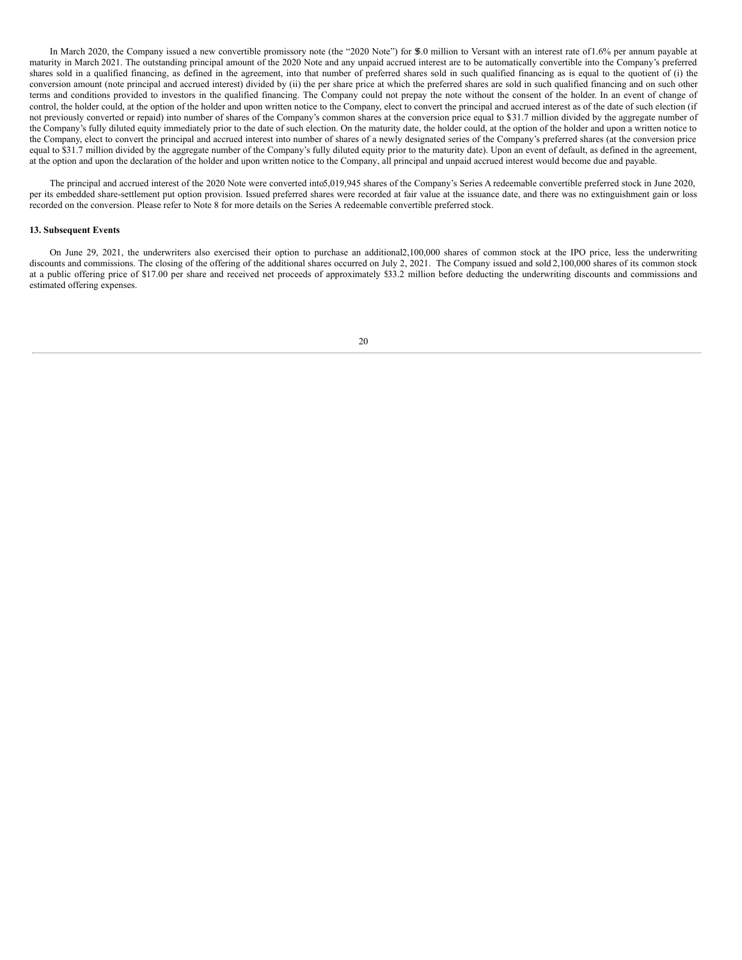In March 2020, the Company issued a new convertible promissory note (the "2020 Note") for \$0.0 million to Versant with an interest rate of 1.6% per annum payable at maturity in March 2021. The outstanding principal amount of the 2020 Note and any unpaid accrued interest are to be automatically convertible into the Company's preferred shares sold in a qualified financing, as defined in the agreement, into that number of preferred shares sold in such qualified financing as is equal to the quotient of (i) the conversion amount (note principal and accrued interest) divided by (ii) the per share price at which the preferred shares are sold in such qualified financing and on such other terms and conditions provided to investors in the qualified financing. The Company could not prepay the note without the consent of the holder. In an event of change of control, the holder could, at the option of the holder and upon written notice to the Company, elect to convert the principal and accrued interest as of the date of such election (if not previously converted or repaid) into number of shares of the Company's common shares at the conversion price equal to \$31.7 million divided by the aggregate number of the Company's fully diluted equity immediately prior to the date of such election. On the maturity date, the holder could, at the option of the holder and upon a written notice to the Company, elect to convert the principal and accrued interest into number of shares of a newly designated series of the Company's preferred shares (at the conversion price equal to \$31.7 million divided by the aggregate number of the Company's fully diluted equity prior to the maturity date). Upon an event of default, as defined in the agreement, at the option and upon the declaration of the holder and upon written notice to the Company, all principal and unpaid accrued interest would become due and payable.

The principal and accrued interest of the 2020 Note were converted into5,019,945 shares of the Company's Series A redeemable convertible preferred stock in June 2020, per its embedded share-settlement put option provision. Issued preferred shares were recorded at fair value at the issuance date, and there was no extinguishment gain or loss recorded on the conversion. Please refer to Note 8 for more details on the Series A redeemable convertible preferred stock.

#### **13. Subsequent Events**

On June 29, 2021, the underwriters also exercised their option to purchase an additional2,100,000 shares of common stock at the IPO price, less the underwriting discounts and commissions. The closing of the offering of the additional shares occurred on July 2, 2021. The Company issued and sold 2,100,000 shares of its common stock at a public offering price of \$17.00 per share and received net proceeds of approximately \$33.2 million before deducting the underwriting discounts and commissions and estimated offering expenses.

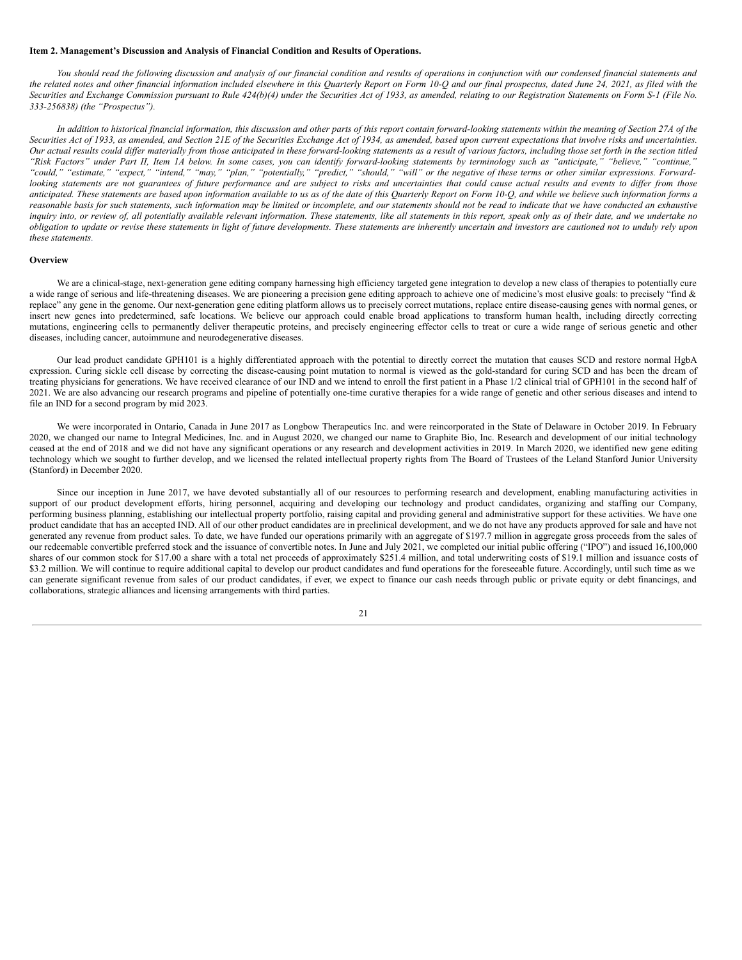# <span id="page-26-0"></span>**Item 2. Management's Discussion and Analysis of Financial Condition and Results of Operations.**

You should read the following discussion and analysis of our financial condition and results of operations in conjunction with our condensed financial statements and the related notes and other financial information included elsewhere in this Quarterly Report on Form 10-O and our final prospectus, dated June 24, 2021, as filed with the Securities and Exchange Commission pursuant to Rule 424(b)(4) under the Securities Act of 1933, as amended, relating to our Registration Statements on Form S-1 (File No. *333-256838) (the "Prospectus").*

In addition to historical financial information, this discussion and other parts of this report contain forward-looking statements within the meaning of Section 27A of the Securities Act of 1933, as amended, and Section 21E of the Securities Exchange Act of 1934, as amended, based upon current expectations that involve risks and uncertainties. Our actual results could differ materially from those anticipated in these forward-looking statements as a result of various factors, including those set forth in the section titled "Risk Factors" under Part II, Item 1A below. In some cases, you can identify forward-looking statements by terminology such as "anticipate," "believe," "continue," "could," "estimate," "expect," "intend," "may," "plan," "potentially," "predict," "should," "will" or the negative of these terms or other similar expressions. Forwardlooking statements are not guarantees of future performance and are subject to risks and uncertainties that could cause actual results and events to differ from those anticipated. These statements are based upon information available to us as of the date of this Quarterly Report on Form 10-Q, and while we believe such information forms a reasonable basis for such statements, such information may be limited or incomplete, and our statements should not be read to indicate that we have conducted an exhaustive inquiry into, or review of, all potentially available relevant information. These statements, like all statements in this report, speak only as of their date, and we undertake no obligation to update or revise these statements in light of future developments. These statements are inherently uncertain and investors are cautioned not to unduly rely upon *these statements.*

#### **Overview**

We are a clinical-stage, next-generation gene editing company harnessing high efficiency targeted gene integration to develop a new class of therapies to potentially cure a wide range of serious and life-threatening diseases. We are pioneering a precision gene editing approach to achieve one of medicine's most elusive goals: to precisely "find & replace" any gene in the genome. Our next-generation gene editing platform allows us to precisely correct mutations, replace entire disease-causing genes with normal genes, or insert new genes into predetermined, safe locations. We believe our approach could enable broad applications to transform human health, including directly correcting mutations, engineering cells to permanently deliver therapeutic proteins, and precisely engineering effector cells to treat or cure a wide range of serious genetic and other diseases, including cancer, autoimmune and neurodegenerative diseases.

Our lead product candidate GPH101 is a highly differentiated approach with the potential to directly correct the mutation that causes SCD and restore normal HgbA expression. Curing sickle cell disease by correcting the disease-causing point mutation to normal is viewed as the gold-standard for curing SCD and has been the dream of treating physicians for generations. We have received clearance of our IND and we intend to enroll the first patient in a Phase 1/2 clinical trial of GPH101 in the second half of 2021. We are also advancing our research programs and pipeline of potentially one-time curative therapies for a wide range of genetic and other serious diseases and intend to file an IND for a second program by mid 2023.

We were incorporated in Ontario, Canada in June 2017 as Longbow Therapeutics Inc. and were reincorporated in the State of Delaware in October 2019. In February 2020, we changed our name to Integral Medicines, Inc. and in August 2020, we changed our name to Graphite Bio, Inc. Research and development of our initial technology ceased at the end of 2018 and we did not have any significant operations or any research and development activities in 2019. In March 2020, we identified new gene editing technology which we sought to further develop, and we licensed the related intellectual property rights from The Board of Trustees of the Leland Stanford Junior University (Stanford) in December 2020.

Since our inception in June 2017, we have devoted substantially all of our resources to performing research and development, enabling manufacturing activities in support of our product development efforts, hiring personnel, acquiring and developing our technology and product candidates, organizing and staffing our Company, performing business planning, establishing our intellectual property portfolio, raising capital and providing general and administrative support for these activities. We have one product candidate that has an accepted IND. All of our other product candidates are in preclinical development, and we do not have any products approved for sale and have not generated any revenue from product sales. To date, we have funded our operations primarily with an aggregate of \$197.7 million in aggregate gross proceeds from the sales of our redeemable convertible preferred stock and the issuance of convertible notes. In June and July 2021, we completed our initial public offering ("IPO") and issued 16,100,000 shares of our common stock for \$17.00 a share with a total net proceeds of approximately \$251.4 million, and total underwriting costs of \$19.1 million and issuance costs of \$3.2 million. We will continue to require additional capital to develop our product candidates and fund operations for the foreseeable future. Accordingly, until such time as we can generate significant revenue from sales of our product candidates, if ever, we expect to finance our cash needs through public or private equity or debt financings, and collaborations, strategic alliances and licensing arrangements with third parties.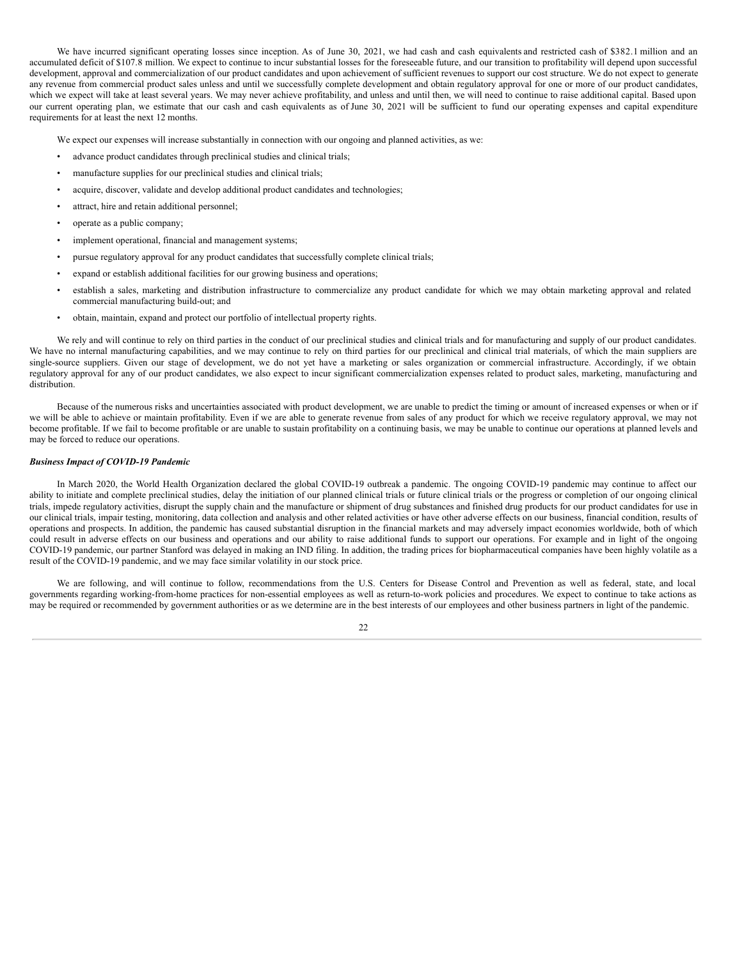We have incurred significant operating losses since inception. As of June 30, 2021, we had cash and cash equivalents and restricted cash of \$382.1 million and an accumulated deficit of \$107.8 million. We expect to continue to incur substantial losses for the foreseeable future, and our transition to profitability will depend upon successful development, approval and commercialization of our product candidates and upon achievement of sufficient revenues to support our cost structure. We do not expect to generate any revenue from commercial product sales unless and until we successfully complete development and obtain regulatory approval for one or more of our product candidates, which we expect will take at least several years. We may never achieve profitability, and unless and until then, we will need to continue to raise additional capital. Based upon our current operating plan, we estimate that our cash and cash equivalents as of June 30, 2021 will be sufficient to fund our operating expenses and capital expenditure requirements for at least the next 12 months.

We expect our expenses will increase substantially in connection with our ongoing and planned activities, as we:

- advance product candidates through preclinical studies and clinical trials;
- manufacture supplies for our preclinical studies and clinical trials;
- acquire, discover, validate and develop additional product candidates and technologies;
- attract, hire and retain additional personnel;
- operate as a public company;
- implement operational, financial and management systems;
- pursue regulatory approval for any product candidates that successfully complete clinical trials;
- expand or establish additional facilities for our growing business and operations;
- establish a sales, marketing and distribution infrastructure to commercialize any product candidate for which we may obtain marketing approval and related commercial manufacturing build-out; and
- obtain, maintain, expand and protect our portfolio of intellectual property rights.

We rely and will continue to rely on third parties in the conduct of our preclinical studies and clinical trials and for manufacturing and supply of our product candidates. We have no internal manufacturing capabilities, and we may continue to rely on third parties for our preclinical and clinical trial materials, of which the main suppliers are single-source suppliers. Given our stage of development, we do not yet have a marketing or sales organization or commercial infrastructure. Accordingly, if we obtain regulatory approval for any of our product candidates, we also expect to incur significant commercialization expenses related to product sales, marketing, manufacturing and distribution.

Because of the numerous risks and uncertainties associated with product development, we are unable to predict the timing or amount of increased expenses or when or if we will be able to achieve or maintain profitability. Even if we are able to generate revenue from sales of any product for which we receive regulatory approval, we may not become profitable. If we fail to become profitable or are unable to sustain profitability on a continuing basis, we may be unable to continue our operations at planned levels and may be forced to reduce our operations.

# *Business Impact of COVID-19 Pandemic*

In March 2020, the World Health Organization declared the global COVID-19 outbreak a pandemic. The ongoing COVID-19 pandemic may continue to affect our ability to initiate and complete preclinical studies, delay the initiation of our planned clinical trials or future clinical trials or the progress or completion of our ongoing clinical trials, impede regulatory activities, disrupt the supply chain and the manufacture or shipment of drug substances and finished drug products for our product candidates for use in our clinical trials, impair testing, monitoring, data collection and analysis and other related activities or have other adverse effects on our business, financial condition, results of operations and prospects. In addition, the pandemic has caused substantial disruption in the financial markets and may adversely impact economies worldwide, both of which could result in adverse effects on our business and operations and our ability to raise additional funds to support our operations. For example and in light of the ongoing COVID-19 pandemic, our partner Stanford was delayed in making an IND filing. In addition, the trading prices for biopharmaceutical companies have been highly volatile as a result of the COVID-19 pandemic, and we may face similar volatility in our stock price.

We are following, and will continue to follow, recommendations from the U.S. Centers for Disease Control and Prevention as well as federal, state, and local governments regarding working-from-home practices for non-essential employees as well as return-to-work policies and procedures. We expect to continue to take actions as may be required or recommended by government authorities or as we determine are in the best interests of our employees and other business partners in light of the pandemic.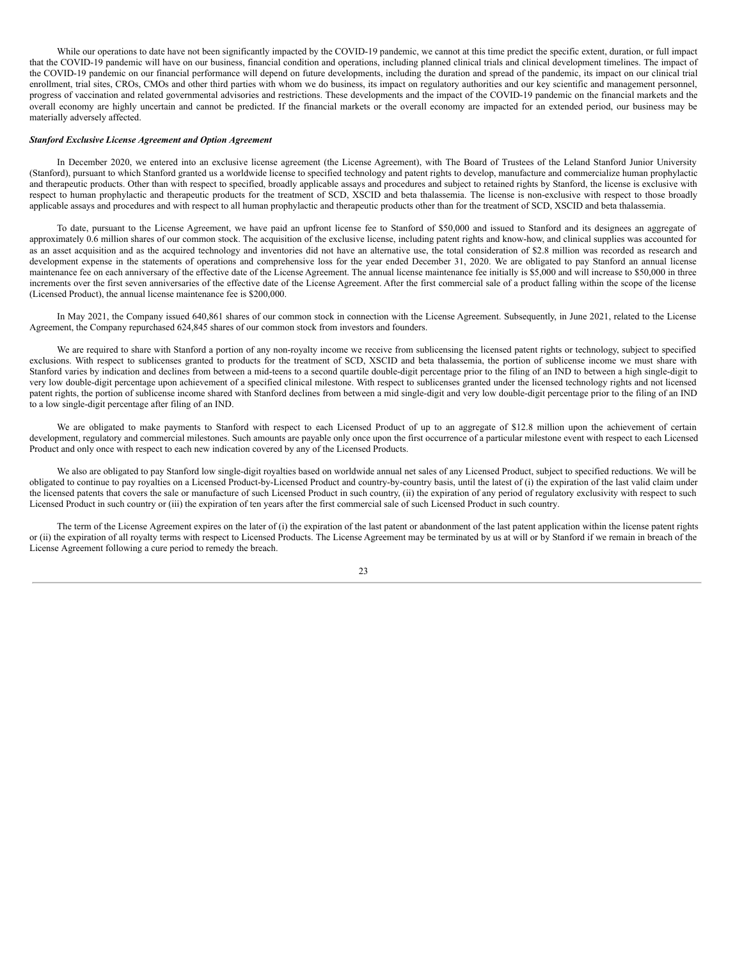While our operations to date have not been significantly impacted by the COVID-19 pandemic, we cannot at this time predict the specific extent, duration, or full impact that the COVID-19 pandemic will have on our business, financial condition and operations, including planned clinical trials and clinical development timelines. The impact of the COVID-19 pandemic on our financial performance will depend on future developments, including the duration and spread of the pandemic, its impact on our clinical trial enrollment, trial sites, CROs, CMOs and other third parties with whom we do business, its impact on regulatory authorities and our key scientific and management personnel, progress of vaccination and related governmental advisories and restrictions. These developments and the impact of the COVID-19 pandemic on the financial markets and the overall economy are highly uncertain and cannot be predicted. If the financial markets or the overall economy are impacted for an extended period, our business may be materially adversely affected.

#### *Stanford Exclusive License Agreement and Option Agreement*

In December 2020, we entered into an exclusive license agreement (the License Agreement), with The Board of Trustees of the Leland Stanford Junior University (Stanford), pursuant to which Stanford granted us a worldwide license to specified technology and patent rights to develop, manufacture and commercialize human prophylactic and therapeutic products. Other than with respect to specified, broadly applicable assays and procedures and subject to retained rights by Stanford, the license is exclusive with respect to human prophylactic and therapeutic products for the treatment of SCD, XSCID and beta thalassemia. The license is non-exclusive with respect to those broadly applicable assays and procedures and with respect to all human prophylactic and therapeutic products other than for the treatment of SCD, XSCID and beta thalassemia.

To date, pursuant to the License Agreement, we have paid an upfront license fee to Stanford of \$50,000 and issued to Stanford and its designees an aggregate of approximately 0.6 million shares of our common stock. The acquisition of the exclusive license, including patent rights and know-how, and clinical supplies was accounted for as an asset acquisition and as the acquired technology and inventories did not have an alternative use, the total consideration of \$2.8 million was recorded as research and development expense in the statements of operations and comprehensive loss for the year ended December 31, 2020. We are obligated to pay Stanford an annual license maintenance fee on each anniversary of the effective date of the License Agreement. The annual license maintenance fee initially is \$5,000 and will increase to \$50,000 in three increments over the first seven anniversaries of the effective date of the License Agreement. After the first commercial sale of a product falling within the scope of the license (Licensed Product), the annual license maintenance fee is \$200,000.

In May 2021, the Company issued 640,861 shares of our common stock in connection with the License Agreement. Subsequently, in June 2021, related to the License Agreement, the Company repurchased 624,845 shares of our common stock from investors and founders.

We are required to share with Stanford a portion of any non-royalty income we receive from sublicensing the licensed patent rights or technology, subject to specified exclusions. With respect to sublicenses granted to products for the treatment of SCD, XSCID and beta thalassemia, the portion of sublicense income we must share with Stanford varies by indication and declines from between a mid-teens to a second quartile double-digit percentage prior to the filing of an IND to between a high single-digit to very low double-digit percentage upon achievement of a specified clinical milestone. With respect to sublicenses granted under the licensed technology rights and not licensed patent rights, the portion of sublicense income shared with Stanford declines from between a mid single-digit and very low double-digit percentage prior to the filing of an IND to a low single-digit percentage after filing of an IND.

We are obligated to make payments to Stanford with respect to each Licensed Product of up to an aggregate of \$12.8 million upon the achievement of certain development, regulatory and commercial milestones. Such amounts are payable only once upon the first occurrence of a particular milestone event with respect to each Licensed Product and only once with respect to each new indication covered by any of the Licensed Products.

We also are obligated to pay Stanford low single-digit royalties based on worldwide annual net sales of any Licensed Product, subject to specified reductions. We will be obligated to continue to pay royalties on a Licensed Product-by-Licensed Product and country-by-country basis, until the latest of (i) the expiration of the last valid claim under the licensed patents that covers the sale or manufacture of such Licensed Product in such country, (ii) the expiration of any period of regulatory exclusivity with respect to such Licensed Product in such country or (iii) the expiration of ten years after the first commercial sale of such Licensed Product in such country.

The term of the License Agreement expires on the later of (i) the expiration of the last patent or abandonment of the last patent application within the license patent rights or (ii) the expiration of all royalty terms with respect to Licensed Products. The License Agreement may be terminated by us at will or by Stanford if we remain in breach of the License Agreement following a cure period to remedy the breach.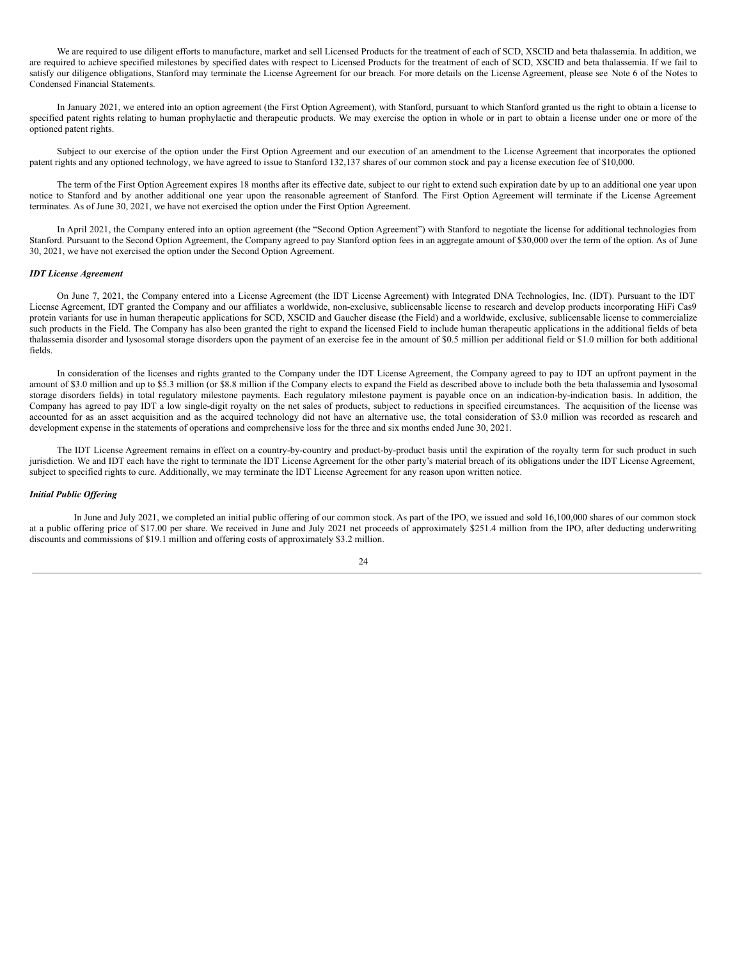We are required to use diligent efforts to manufacture, market and sell Licensed Products for the treatment of each of SCD, XSCID and beta thalassemia. In addition, we are required to achieve specified milestones by specified dates with respect to Licensed Products for the treatment of each of SCD, XSCID and beta thalassemia. If we fail to satisfy our diligence obligations, Stanford may terminate the License Agreement for our breach. For more details on the License Agreement, please see Note 6 of the Notes to Condensed Financial Statements.

In January 2021, we entered into an option agreement (the First Option Agreement), with Stanford, pursuant to which Stanford granted us the right to obtain a license to specified patent rights relating to human prophylactic and therapeutic products. We may exercise the option in whole or in part to obtain a license under one or more of the optioned patent rights.

Subject to our exercise of the option under the First Option Agreement and our execution of an amendment to the License Agreement that incorporates the optioned patent rights and any optioned technology, we have agreed to issue to Stanford 132,137 shares of our common stock and pay a license execution fee of \$10,000.

The term of the First Option Agreement expires 18 months after its effective date, subject to our right to extend such expiration date by up to an additional one year upon notice to Stanford and by another additional one year upon the reasonable agreement of Stanford. The First Option Agreement will terminate if the License Agreement terminates. As of June 30, 2021, we have not exercised the option under the First Option Agreement.

In April 2021, the Company entered into an option agreement (the "Second Option Agreement") with Stanford to negotiate the license for additional technologies from Stanford. Pursuant to the Second Option Agreement, the Company agreed to pay Stanford option fees in an aggregate amount of \$30,000 over the term of the option. As of June 30, 2021, we have not exercised the option under the Second Option Agreement.

#### *IDT License Agreement*

On June 7, 2021, the Company entered into a License Agreement (the IDT License Agreement) with Integrated DNA Technologies, Inc. (IDT). Pursuant to the IDT License Agreement, IDT granted the Company and our affiliates a worldwide, non-exclusive, sublicensable license to research and develop products incorporating HiFi Cas9 protein variants for use in human therapeutic applications for SCD, XSCID and Gaucher disease (the Field) and a worldwide, exclusive, sublicensable license to commercialize such products in the Field. The Company has also been granted the right to expand the licensed Field to include human therapeutic applications in the additional fields of beta thalassemia disorder and lysosomal storage disorders upon the payment of an exercise fee in the amount of \$0.5 million per additional field or \$1.0 million for both additional fields.

In consideration of the licenses and rights granted to the Company under the IDT License Agreement, the Company agreed to pay to IDT an upfront payment in the amount of \$3.0 million and up to \$5.3 million (or \$8.8 million if the Company elects to expand the Field as described above to include both the beta thalassemia and lysosomal storage disorders fields) in total regulatory milestone payments. Each regulatory milestone payment is payable once on an indication-by-indication basis. In addition, the Company has agreed to pay IDT a low single-digit royalty on the net sales of products, subject to reductions in specified circumstances. The acquisition of the license was accounted for as an asset acquisition and as the acquired technology did not have an alternative use, the total consideration of \$3.0 million was recorded as research and development expense in the statements of operations and comprehensive loss for the three and six months ended June 30, 2021.

The IDT License Agreement remains in effect on a country-by-country and product-by-product basis until the expiration of the royalty term for such product in such jurisdiction. We and IDT each have the right to terminate the IDT License Agreement for the other party's material breach of its obligations under the IDT License Agreement, subject to specified rights to cure. Additionally, we may terminate the IDT License Agreement for any reason upon written notice.

# *Initial Public Of ering*

In June and July 2021, we completed an initial public offering of our common stock. As part of the IPO, we issued and sold 16,100,000 shares of our common stock at a public offering price of \$17.00 per share. We received in June and July 2021 net proceeds of approximately \$251.4 million from the IPO, after deducting underwriting discounts and commissions of \$19.1 million and offering costs of approximately \$3.2 million.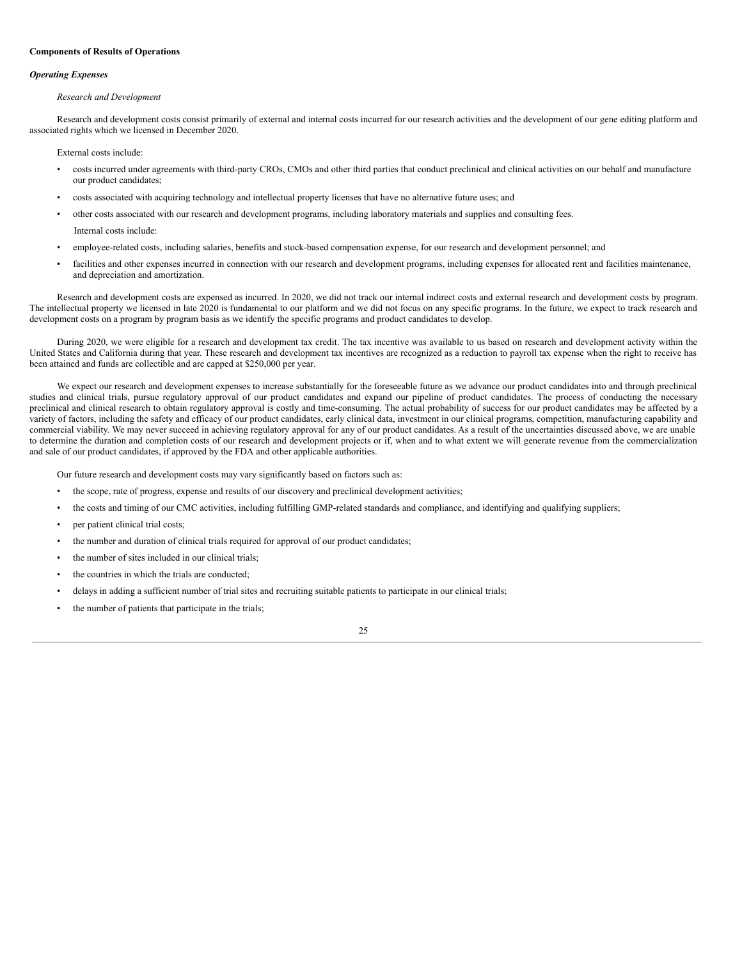# **Components of Results of Operations**

# *Operating Expenses*

#### *Research and Development*

Research and development costs consist primarily of external and internal costs incurred for our research activities and the development of our gene editing platform and associated rights which we licensed in December 2020.

External costs include:

- costs incurred under agreements with third-party CROs, CMOs and other third parties that conduct preclinical and clinical activities on our behalf and manufacture our product candidates;
- costs associated with acquiring technology and intellectual property licenses that have no alternative future uses; and
- other costs associated with our research and development programs, including laboratory materials and supplies and consulting fees.
	- Internal costs include:
- employee-related costs, including salaries, benefits and stock-based compensation expense, for our research and development personnel; and
- facilities and other expenses incurred in connection with our research and development programs, including expenses for allocated rent and facilities maintenance, and depreciation and amortization.

Research and development costs are expensed as incurred. In 2020, we did not track our internal indirect costs and external research and development costs by program. The intellectual property we licensed in late 2020 is fundamental to our platform and we did not focus on any specific programs. In the future, we expect to track research and development costs on a program by program basis as we identify the specific programs and product candidates to develop.

During 2020, we were eligible for a research and development tax credit. The tax incentive was available to us based on research and development activity within the United States and California during that year. These research and development tax incentives are recognized as a reduction to payroll tax expense when the right to receive has been attained and funds are collectible and are capped at \$250,000 per year.

We expect our research and development expenses to increase substantially for the foreseeable future as we advance our product candidates into and through preclinical studies and clinical trials, pursue regulatory approval of our product candidates and expand our pipeline of product candidates. The process of conducting the necessary preclinical and clinical research to obtain regulatory approval is costly and time-consuming. The actual probability of success for our product candidates may be affected by a variety of factors, including the safety and efficacy of our product candidates, early clinical data, investment in our clinical programs, competition, manufacturing capability and commercial viability. We may never succeed in achieving regulatory approval for any of our product candidates. As a result of the uncertainties discussed above, we are unable to determine the duration and completion costs of our research and development projects or if, when and to what extent we will generate revenue from the commercialization and sale of our product candidates, if approved by the FDA and other applicable authorities.

Our future research and development costs may vary significantly based on factors such as:

- the scope, rate of progress, expense and results of our discovery and preclinical development activities;
- the costs and timing of our CMC activities, including fulfilling GMP-related standards and compliance, and identifying and qualifying suppliers;
- per patient clinical trial costs;
- the number and duration of clinical trials required for approval of our product candidates;
- the number of sites included in our clinical trials:
- the countries in which the trials are conducted;
- delays in adding a sufficient number of trial sites and recruiting suitable patients to participate in our clinical trials;
- the number of patients that participate in the trials;

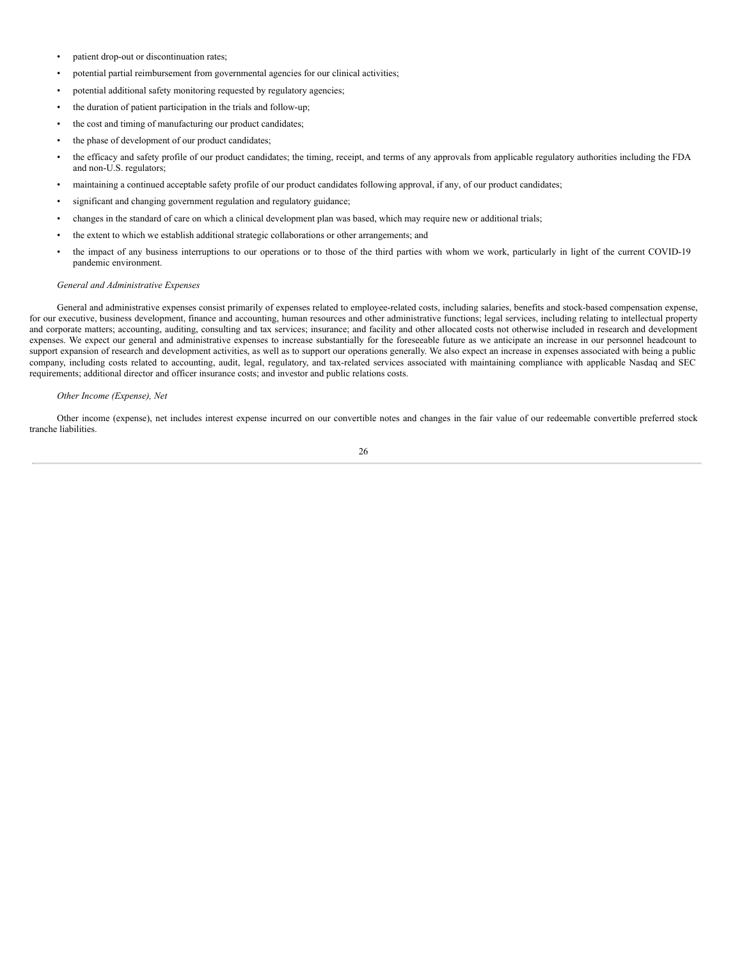- patient drop-out or discontinuation rates;
- potential partial reimbursement from governmental agencies for our clinical activities;
- potential additional safety monitoring requested by regulatory agencies;
- the duration of patient participation in the trials and follow-up;
- the cost and timing of manufacturing our product candidates;
- the phase of development of our product candidates;
- the efficacy and safety profile of our product candidates; the timing, receipt, and terms of any approvals from applicable regulatory authorities including the FDA and non-U.S. regulators;
- maintaining a continued acceptable safety profile of our product candidates following approval, if any, of our product candidates;
- significant and changing government regulation and regulatory guidance;
- changes in the standard of care on which a clinical development plan was based, which may require new or additional trials;
- the extent to which we establish additional strategic collaborations or other arrangements; and
- the impact of any business interruptions to our operations or to those of the third parties with whom we work, particularly in light of the current COVID-19 pandemic environment.

# *General and Administrative Expenses*

General and administrative expenses consist primarily of expenses related to employee-related costs, including salaries, benefits and stock-based compensation expense, for our executive, business development, finance and accounting, human resources and other administrative functions; legal services, including relating to intellectual property and corporate matters; accounting, auditing, consulting and tax services; insurance; and facility and other allocated costs not otherwise included in research and development expenses. We expect our general and administrative expenses to increase substantially for the foreseeable future as we anticipate an increase in our personnel headcount to support expansion of research and development activities, as well as to support our operations generally. We also expect an increase in expenses associated with being a public company, including costs related to accounting, audit, legal, regulatory, and tax-related services associated with maintaining compliance with applicable Nasdaq and SEC requirements; additional director and officer insurance costs; and investor and public relations costs.

#### *Other Income (Expense), Net*

Other income (expense), net includes interest expense incurred on our convertible notes and changes in the fair value of our redeemable convertible preferred stock tranche liabilities.

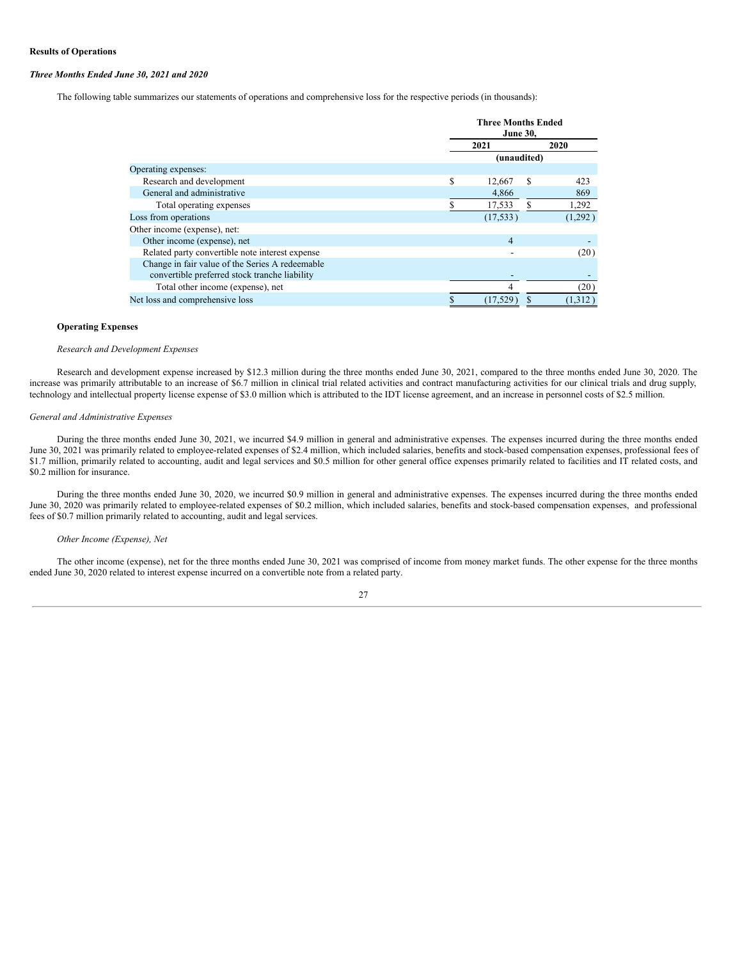#### **Results of Operations**

# *Three Months Ended June 30, 2021 and 2020*

The following table summarizes our statements of operations and comprehensive loss for the respective periods (in thousands):

|                                                 |    | <b>Three Months Ended</b><br><b>June 30,</b> |   |         |  |  |
|-------------------------------------------------|----|----------------------------------------------|---|---------|--|--|
|                                                 |    | 2021<br>2020                                 |   |         |  |  |
|                                                 |    | (unaudited)                                  |   |         |  |  |
| Operating expenses:                             |    |                                              |   |         |  |  |
| Research and development                        | \$ | 12,667                                       | S | 423     |  |  |
| General and administrative                      |    | 4,866                                        |   | 869     |  |  |
| Total operating expenses                        | S  | 17,533                                       | S | 1,292   |  |  |
| Loss from operations                            |    | (17, 533)                                    |   | (1,292) |  |  |
| Other income (expense), net:                    |    |                                              |   |         |  |  |
| Other income (expense), net                     |    | 4                                            |   |         |  |  |
| Related party convertible note interest expense |    | $\overline{\phantom{a}}$                     |   | (20)    |  |  |
| Change in fair value of the Series A redeemable |    |                                              |   |         |  |  |
| convertible preferred stock tranche liability   |    |                                              |   |         |  |  |
| Total other income (expense), net               |    | 4                                            |   | (20)    |  |  |
| Net loss and comprehensive loss                 |    | (17, 529)                                    |   | (1,312) |  |  |
|                                                 |    |                                              |   |         |  |  |

# **Operating Expenses**

#### *Research and Development Expenses*

Research and development expense increased by \$12.3 million during the three months ended June 30, 2021, compared to the three months ended June 30, 2020. The increase was primarily attributable to an increase of \$6.7 million in clinical trial related activities and contract manufacturing activities for our clinical trials and drug supply, technology and intellectual property license expense of \$3.0 million which is attributed to the IDT license agreement, and an increase in personnel costs of \$2.5 million.

# *General and Administrative Expenses*

During the three months ended June 30, 2021, we incurred \$4.9 million in general and administrative expenses. The expenses incurred during the three months ended June 30, 2021 was primarily related to employee-related expenses of \$2.4 million, which included salaries, benefits and stock-based compensation expenses, professional fees of \$1.7 million, primarily related to accounting, audit and legal services and \$0.5 million for other general office expenses primarily related to facilities and IT related costs, and \$0.2 million for insurance.

During the three months ended June 30, 2020, we incurred \$0.9 million in general and administrative expenses. The expenses incurred during the three months ended June 30, 2020 was primarily related to employee-related expenses of \$0.2 million, which included salaries, benefits and stock-based compensation expenses, and professional fees of \$0.7 million primarily related to accounting, audit and legal services.

# *Other Income (Expense), Net*

The other income (expense), net for the three months ended June 30, 2021 was comprised of income from money market funds. The other expense for the three months ended June 30, 2020 related to interest expense incurred on a convertible note from a related party.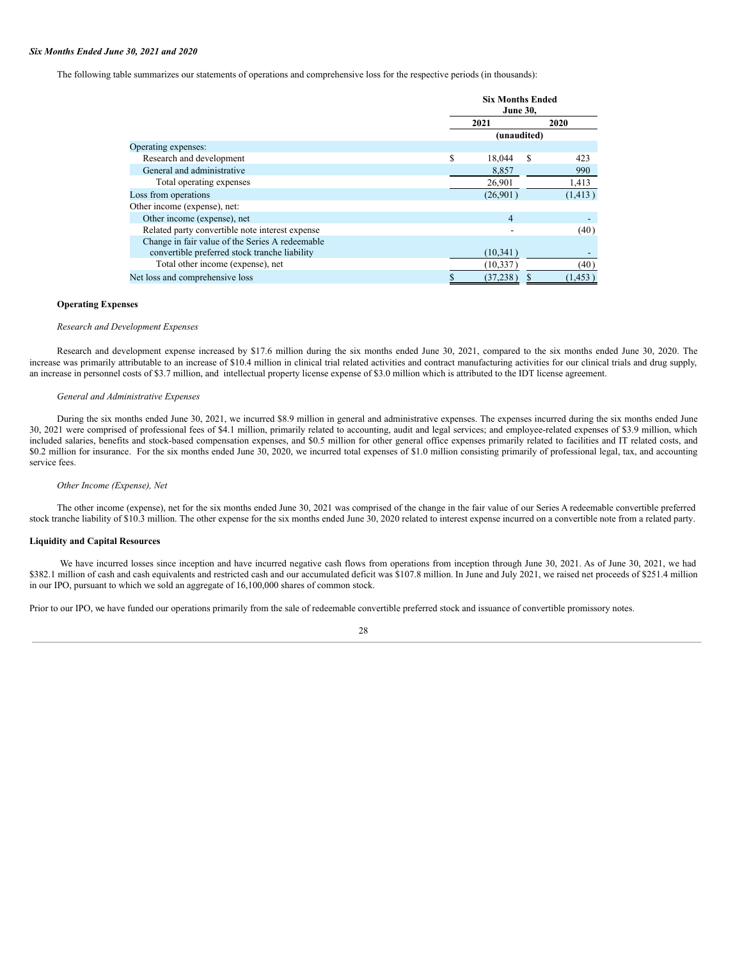# *Six Months Ended June 30, 2021 and 2020*

The following table summarizes our statements of operations and comprehensive loss for the respective periods (in thousands):

|                                                 |   | <b>Six Months Ended</b><br><b>June 30,</b> |   |          |  |  |
|-------------------------------------------------|---|--------------------------------------------|---|----------|--|--|
|                                                 |   | 2021                                       |   | 2020     |  |  |
|                                                 |   | (unaudited)                                |   |          |  |  |
| Operating expenses:                             |   |                                            |   |          |  |  |
| Research and development                        | S | 18,044                                     | S | 423      |  |  |
| General and administrative                      |   | 8,857                                      |   | 990      |  |  |
| Total operating expenses                        |   | 26,901                                     |   | 1,413    |  |  |
| Loss from operations                            |   | (26,901)                                   |   | (1, 413) |  |  |
| Other income (expense), net:                    |   |                                            |   |          |  |  |
| Other income (expense), net                     |   | $\overline{4}$                             |   |          |  |  |
| Related party convertible note interest expense |   |                                            |   | (40)     |  |  |
| Change in fair value of the Series A redeemable |   |                                            |   |          |  |  |
| convertible preferred stock tranche liability   |   | (10, 341)                                  |   |          |  |  |
| Total other income (expense), net               |   | (10, 337)                                  |   | (40)     |  |  |
| Net loss and comprehensive loss                 |   | (37, 238)                                  |   | (1, 453) |  |  |

# **Operating Expenses**

# *Research and Development Expenses*

Research and development expense increased by \$17.6 million during the six months ended June 30, 2021, compared to the six months ended June 30, 2020. The increase was primarily attributable to an increase of \$10.4 million in clinical trial related activities and contract manufacturing activities for our clinical trials and drug supply, an increase in personnel costs of \$3.7 million, and intellectual property license expense of \$3.0 million which is attributed to the IDT license agreement.

#### *General and Administrative Expenses*

During the six months ended June 30, 2021, we incurred \$8.9 million in general and administrative expenses. The expenses incurred during the six months ended June 30, 2021 were comprised of professional fees of \$4.1 million, primarily related to accounting, audit and legal services; and employee-related expenses of \$3.9 million, which included salaries, benefits and stock-based compensation expenses, and \$0.5 million for other general office expenses primarily related to facilities and IT related costs, and \$0.2 million for insurance. For the six months ended June 30, 2020, we incurred total expenses of \$1.0 million consisting primarily of professional legal, tax, and accounting service fees.

#### *Other Income (Expense), Net*

The other income (expense), net for the six months ended June 30, 2021 was comprised of the change in the fair value of our Series A redeemable convertible preferred stock tranche liability of \$10.3 million. The other expense for the six months ended June 30, 2020 related to interest expense incurred on a convertible note from a related party.

# **Liquidity and Capital Resources**

We have incurred losses since inception and have incurred negative cash flows from operations from inception through June 30, 2021. As of June 30, 2021, we had \$382.1 million of cash and cash equivalents and restricted cash and our accumulated deficit was \$107.8 million. In June and July 2021, we raised net proceeds of \$251.4 million in our IPO, pursuant to which we sold an aggregate of 16,100,000 shares of common stock.

Prior to our IPO, we have funded our operations primarily from the sale of redeemable convertible preferred stock and issuance of convertible promissory notes.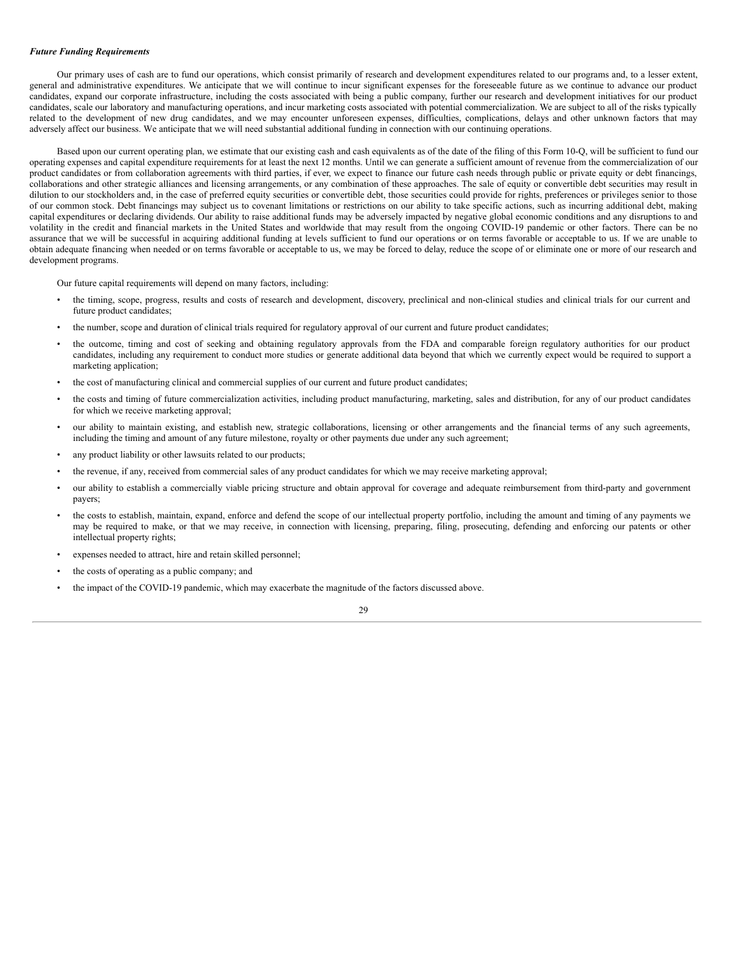# *Future Funding Requirements*

Our primary uses of cash are to fund our operations, which consist primarily of research and development expenditures related to our programs and, to a lesser extent, general and administrative expenditures. We anticipate that we will continue to incur significant expenses for the foreseeable future as we continue to advance our product candidates, expand our corporate infrastructure, including the costs associated with being a public company, further our research and development initiatives for our product candidates, scale our laboratory and manufacturing operations, and incur marketing costs associated with potential commercialization. We are subject to all of the risks typically related to the development of new drug candidates, and we may encounter unforeseen expenses, difficulties, complications, delays and other unknown factors that may adversely affect our business. We anticipate that we will need substantial additional funding in connection with our continuing operations.

Based upon our current operating plan, we estimate that our existing cash and cash equivalents as of the date of the filing of this Form 10-Q, will be sufficient to fund our operating expenses and capital expenditure requirements for at least the next 12 months. Until we can generate a sufficient amount of revenue from the commercialization of our product candidates or from collaboration agreements with third parties, if ever, we expect to finance our future cash needs through public or private equity or debt financings, collaborations and other strategic alliances and licensing arrangements, or any combination of these approaches. The sale of equity or convertible debt securities may result in dilution to our stockholders and, in the case of preferred equity securities or convertible debt, those securities could provide for rights, preferences or privileges senior to those of our common stock. Debt financings may subject us to covenant limitations or restrictions on our ability to take specific actions, such as incurring additional debt, making capital expenditures or declaring dividends. Our ability to raise additional funds may be adversely impacted by negative global economic conditions and any disruptions to and volatility in the credit and financial markets in the United States and worldwide that may result from the ongoing COVID-19 pandemic or other factors. There can be no assurance that we will be successful in acquiring additional funding at levels sufficient to fund our operations or on terms favorable or acceptable to us. If we are unable to obtain adequate financing when needed or on terms favorable or acceptable to us, we may be forced to delay, reduce the scope of or eliminate one or more of our research and development programs.

Our future capital requirements will depend on many factors, including:

- the timing, scope, progress, results and costs of research and development, discovery, preclinical and non-clinical studies and clinical trials for our current and future product candidates;
- the number, scope and duration of clinical trials required for regulatory approval of our current and future product candidates;
- the outcome, timing and cost of seeking and obtaining regulatory approvals from the FDA and comparable foreign regulatory authorities for our product candidates, including any requirement to conduct more studies or generate additional data beyond that which we currently expect would be required to support a marketing application;
- the cost of manufacturing clinical and commercial supplies of our current and future product candidates;
- the costs and timing of future commercialization activities, including product manufacturing, marketing, sales and distribution, for any of our product candidates for which we receive marketing approval;
- our ability to maintain existing, and establish new, strategic collaborations, licensing or other arrangements and the financial terms of any such agreements, including the timing and amount of any future milestone, royalty or other payments due under any such agreement;
- any product liability or other lawsuits related to our products;
- the revenue, if any, received from commercial sales of any product candidates for which we may receive marketing approval;
- our ability to establish a commercially viable pricing structure and obtain approval for coverage and adequate reimbursement from third-party and government payers;
- the costs to establish, maintain, expand, enforce and defend the scope of our intellectual property portfolio, including the amount and timing of any payments we may be required to make, or that we may receive, in connection with licensing, preparing, filing, prosecuting, defending and enforcing our patents or other intellectual property rights;
- expenses needed to attract, hire and retain skilled personnel;
- the costs of operating as a public company; and
- the impact of the COVID-19 pandemic, which may exacerbate the magnitude of the factors discussed above.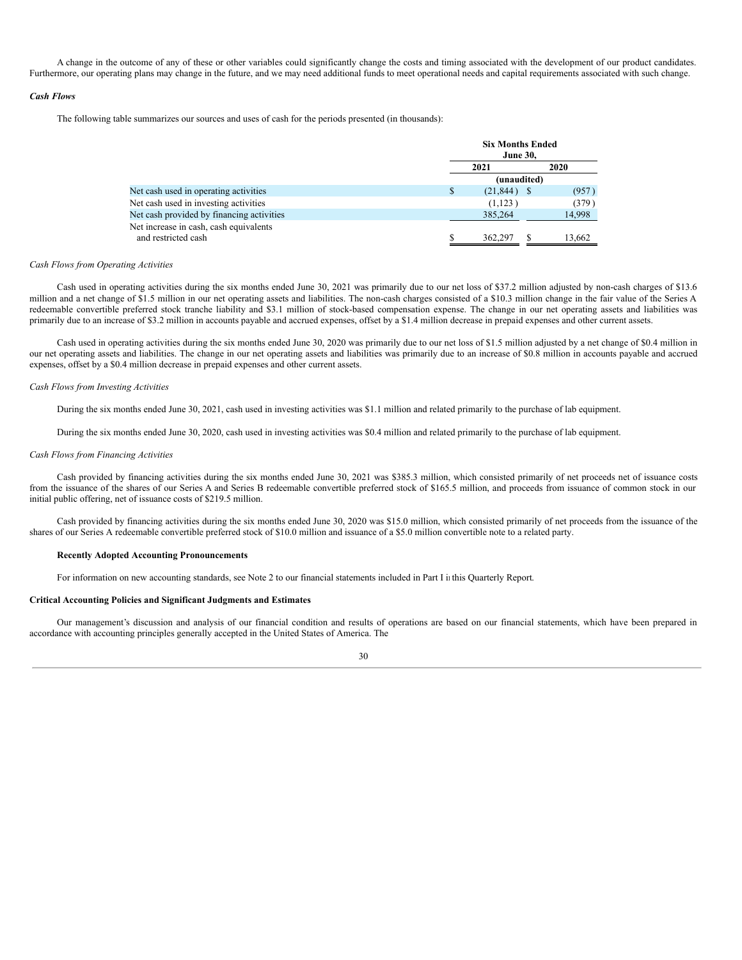A change in the outcome of any of these or other variables could significantly change the costs and timing associated with the development of our product candidates. Furthermore, our operating plans may change in the future, and we may need additional funds to meet operational needs and capital requirements associated with such change.

# *Cash Flows*

The following table summarizes our sources and uses of cash for the periods presented (in thousands):

|                                                               | <b>Six Months Ended</b><br><b>June 30,</b> |        |  |
|---------------------------------------------------------------|--------------------------------------------|--------|--|
|                                                               | 2021                                       | 2020   |  |
|                                                               | (unaudited)                                |        |  |
| Net cash used in operating activities                         | \$<br>(21, 844)<br>- S                     | (957)  |  |
| Net cash used in investing activities                         | (1,123)                                    | (379)  |  |
| Net cash provided by financing activities                     | 385,264                                    | 14,998 |  |
| Net increase in cash, cash equivalents<br>and restricted cash | 362,297<br>S                               | 13,662 |  |

# *Cash Flows from Operating Activities*

Cash used in operating activities during the six months ended June 30, 2021 was primarily due to our net loss of \$37.2 million adjusted by non-cash charges of \$13.6 million and a net change of \$1.5 million in our net operating assets and liabilities. The non-cash charges consisted of a \$10.3 million change in the fair value of the Series A redeemable convertible preferred stock tranche liability and \$3.1 million of stock-based compensation expense. The change in our net operating assets and liabilities was primarily due to an increase of \$3.2 million in accounts payable and accrued expenses, offset by a \$1.4 million decrease in prepaid expenses and other current assets.

Cash used in operating activities during the six months ended June 30, 2020 was primarily due to our net loss of \$1.5 million adjusted by a net change of \$0.4 million in our net operating assets and liabilities. The change in our net operating assets and liabilities was primarily due to an increase of \$0.8 million in accounts payable and accrued expenses, offset by a \$0.4 million decrease in prepaid expenses and other current assets.

# *Cash Flows from Investing Activities*

During the six months ended June 30, 2021, cash used in investing activities was \$1.1 million and related primarily to the purchase of lab equipment.

During the six months ended June 30, 2020, cash used in investing activities was \$0.4 million and related primarily to the purchase of lab equipment.

# *Cash Flows from Financing Activities*

Cash provided by financing activities during the six months ended June 30, 2021 was \$385.3 million, which consisted primarily of net proceeds net of issuance costs from the issuance of the shares of our Series A and Series B redeemable convertible preferred stock of \$165.5 million, and proceeds from issuance of common stock in our initial public offering, net of issuance costs of \$219.5 million.

Cash provided by financing activities during the six months ended June 30, 2020 was \$15.0 million, which consisted primarily of net proceeds from the issuance of the shares of our Series A redeemable convertible preferred stock of \$10.0 million and issuance of a \$5.0 million convertible note to a related party.

#### **Recently Adopted Accounting Pronouncements**

For information on new accounting standards, see Note 2 to our financial statements included in Part I inthis Quarterly Report.

#### **Critical Accounting Policies and Significant Judgments and Estimates**

Our management's discussion and analysis of our financial condition and results of operations are based on our financial statements, which have been prepared in accordance with accounting principles generally accepted in the United States of America. The

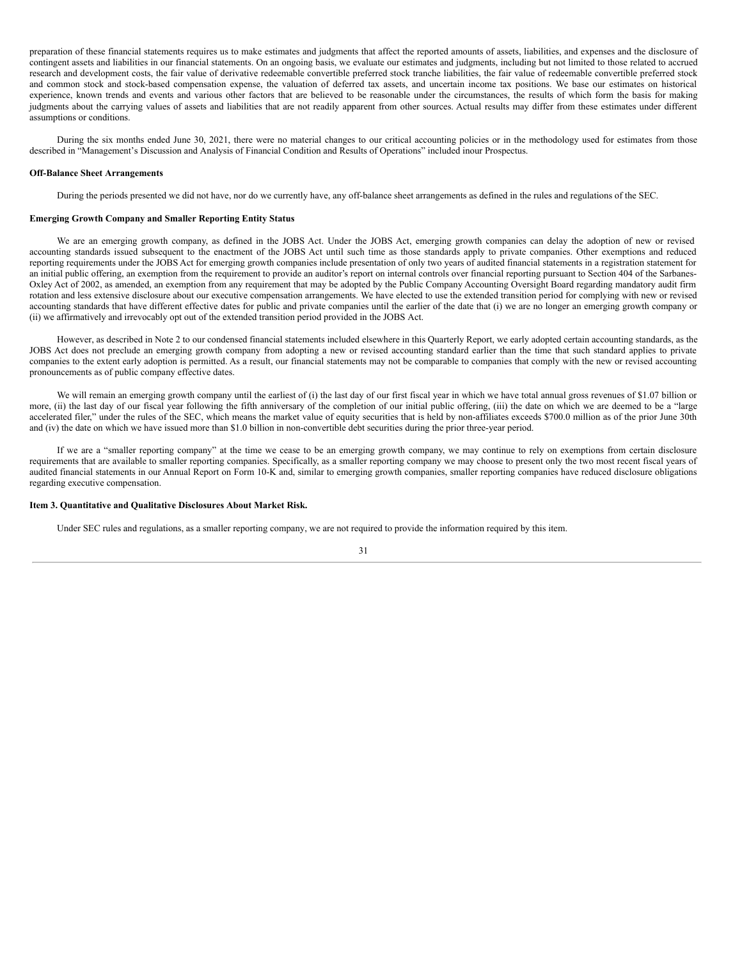preparation of these financial statements requires us to make estimates and judgments that affect the reported amounts of assets, liabilities, and expenses and the disclosure of contingent assets and liabilities in our financial statements. On an ongoing basis, we evaluate our estimates and judgments, including but not limited to those related to accrued research and development costs, the fair value of derivative redeemable convertible preferred stock tranche liabilities, the fair value of redeemable convertible preferred stock and common stock and stock-based compensation expense, the valuation of deferred tax assets, and uncertain income tax positions. We base our estimates on historical experience, known trends and events and various other factors that are believed to be reasonable under the circumstances, the results of which form the basis for making judgments about the carrying values of assets and liabilities that are not readily apparent from other sources. Actual results may differ from these estimates under different assumptions or conditions.

During the six months ended June 30, 2021, there were no material changes to our critical accounting policies or in the methodology used for estimates from those described in "Management's Discussion and Analysis of Financial Condition and Results of Operations" included inour Prospectus.

### **Off-Balance Sheet Arrangements**

During the periods presented we did not have, nor do we currently have, any off-balance sheet arrangements as defined in the rules and regulations of the SEC.

# **Emerging Growth Company and Smaller Reporting Entity Status**

We are an emerging growth company, as defined in the JOBS Act. Under the JOBS Act, emerging growth companies can delay the adoption of new or revised accounting standards issued subsequent to the enactment of the JOBS Act until such time as those standards apply to private companies. Other exemptions and reduced reporting requirements under the JOBS Act for emerging growth companies include presentation of only two years of audited financial statements in a registration statement for an initial public offering, an exemption from the requirement to provide an auditor's report on internal controls over financial reporting pursuant to Section 404 of the Sarbanes-Oxley Act of 2002, as amended, an exemption from any requirement that may be adopted by the Public Company Accounting Oversight Board regarding mandatory audit firm rotation and less extensive disclosure about our executive compensation arrangements. We have elected to use the extended transition period for complying with new or revised accounting standards that have different effective dates for public and private companies until the earlier of the date that (i) we are no longer an emerging growth company or (ii) we affirmatively and irrevocably opt out of the extended transition period provided in the JOBS Act.

However, as described in Note 2 to our condensed financial statements included elsewhere in this Quarterly Report, we early adopted certain accounting standards, as the JOBS Act does not preclude an emerging growth company from adopting a new or revised accounting standard earlier than the time that such standard applies to private companies to the extent early adoption is permitted. As a result, our financial statements may not be comparable to companies that comply with the new or revised accounting pronouncements as of public company effective dates.

We will remain an emerging growth company until the earliest of (i) the last day of our first fiscal year in which we have total annual gross revenues of \$1.07 billion or more, (ii) the last day of our fiscal year following the fifth anniversary of the completion of our initial public offering, (iii) the date on which we are deemed to be a "large accelerated filer," under the rules of the SEC, which means the market value of equity securities that is held by non-affiliates exceeds \$700.0 million as of the prior June 30th and (iv) the date on which we have issued more than \$1.0 billion in non-convertible debt securities during the prior three-year period.

If we are a "smaller reporting company" at the time we cease to be an emerging growth company, we may continue to rely on exemptions from certain disclosure requirements that are available to smaller reporting companies. Specifically, as a smaller reporting company we may choose to present only the two most recent fiscal years of audited financial statements in our Annual Report on Form 10-K and, similar to emerging growth companies, smaller reporting companies have reduced disclosure obligations regarding executive compensation.

# **Item 3. Quantitative and Qualitative Disclosures About Market Risk.**

Under SEC rules and regulations, as a smaller reporting company, we are not required to provide the information required by this item.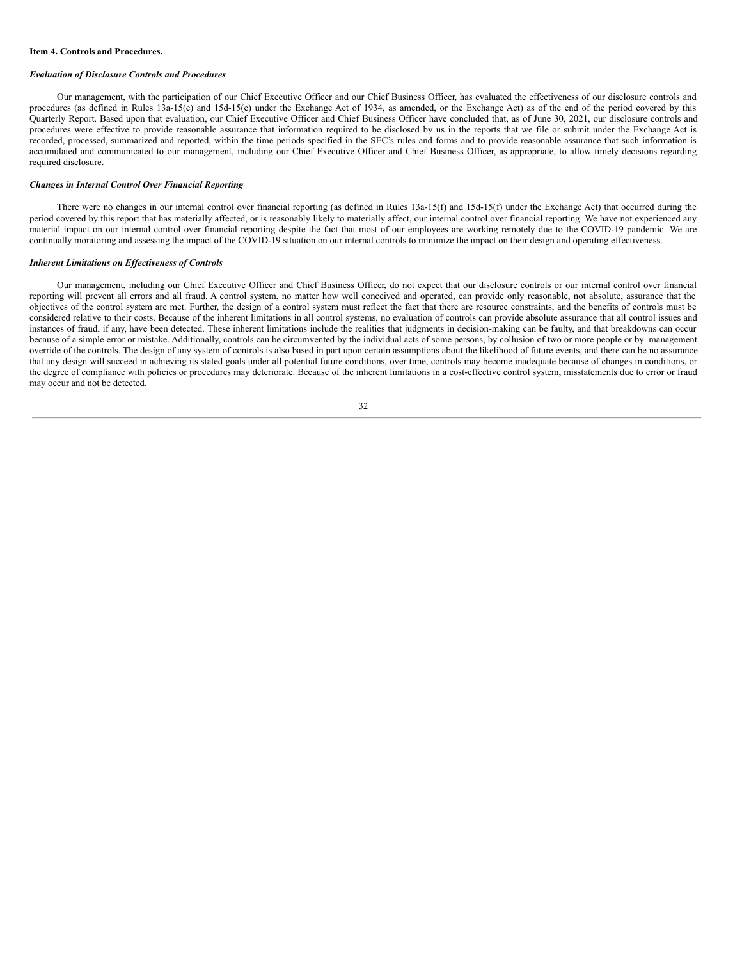# **Item 4. Controls and Procedures.**

#### *Evaluation of Disclosure Controls and Procedures*

Our management, with the participation of our Chief Executive Officer and our Chief Business Officer, has evaluated the effectiveness of our disclosure controls and procedures (as defined in Rules 13a-15(e) and 15d-15(e) under the Exchange Act of 1934, as amended, or the Exchange Act) as of the end of the period covered by this Quarterly Report. Based upon that evaluation, our Chief Executive Officer and Chief Business Officer have concluded that, as of June 30, 2021, our disclosure controls and procedures were effective to provide reasonable assurance that information required to be disclosed by us in the reports that we file or submit under the Exchange Act is recorded, processed, summarized and reported, within the time periods specified in the SEC's rules and forms and to provide reasonable assurance that such information is accumulated and communicated to our management, including our Chief Executive Officer and Chief Business Officer, as appropriate, to allow timely decisions regarding required disclosure.

### *Changes in Internal Control Over Financial Reporting*

There were no changes in our internal control over financial reporting (as defined in Rules 13a-15(f) and 15d-15(f) under the Exchange Act) that occurred during the period covered by this report that has materially affected, or is reasonably likely to materially affect, our internal control over financial reporting. We have not experienced any material impact on our internal control over financial reporting despite the fact that most of our employees are working remotely due to the COVID-19 pandemic. We are continually monitoring and assessing the impact of the COVID-19 situation on our internal controls to minimize the impact on their design and operating effectiveness.

### *Inherent Limitations on Ef ectiveness of Controls*

Our management, including our Chief Executive Officer and Chief Business Officer, do not expect that our disclosure controls or our internal control over financial reporting will prevent all errors and all fraud. A control system, no matter how well conceived and operated, can provide only reasonable, not absolute, assurance that the objectives of the control system are met. Further, the design of a control system must reflect the fact that there are resource constraints, and the benefits of controls must be considered relative to their costs. Because of the inherent limitations in all control systems, no evaluation of controls can provide absolute assurance that all control issues and instances of fraud, if any, have been detected. These inherent limitations include the realities that judgments in decision-making can be faulty, and that breakdowns can occur because of a simple error or mistake. Additionally, controls can be circumvented by the individual acts of some persons, by collusion of two or more people or by management override of the controls. The design of any system of controls is also based in part upon certain assumptions about the likelihood of future events, and there can be no assurance that any design will succeed in achieving its stated goals under all potential future conditions, over time, controls may become inadequate because of changes in conditions, or the degree of compliance with policies or procedures may deteriorate. Because of the inherent limitations in a cost-effective control system, misstatements due to error or fraud may occur and not be detected.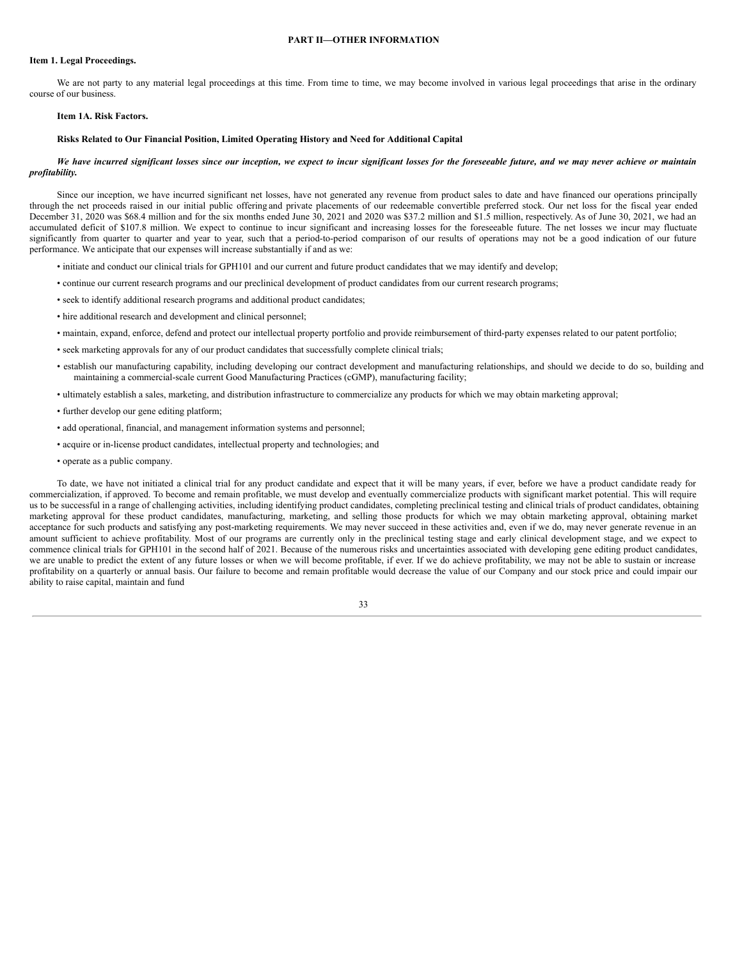# **PART II—OTHER INFORMATION**

### **Item 1. Legal Proceedings.**

We are not party to any material legal proceedings at this time. From time to time, we may become involved in various legal proceedings that arise in the ordinary course of our business.

#### **Item 1A. Risk Factors.**

## **Risks Related to Our Financial Position, Limited Operating History and Need for Additional Capital**

### We have incurred significant losses since our inception, we expect to incur significant losses for the foreseeable future, and we may never achieve or maintain *profitability.*

Since our inception, we have incurred significant net losses, have not generated any revenue from product sales to date and have financed our operations principally through the net proceeds raised in our initial public offering and private placements of our redeemable convertible preferred stock. Our net loss for the fiscal year ended December 31, 2020 was \$68.4 million and for the six months ended June 30, 2021 and 2020 was \$37.2 million and \$1.5 million, respectively. As of June 30, 2021, we had an accumulated deficit of \$107.8 million. We expect to continue to incur significant and increasing losses for the foreseeable future. The net losses we incur may fluctuate significantly from quarter to quarter and year to year, such that a period-to-period comparison of our results of operations may not be a good indication of our future performance. We anticipate that our expenses will increase substantially if and as we:

- initiate and conduct our clinical trials for GPH101 and our current and future product candidates that we may identify and develop;
- continue our current research programs and our preclinical development of product candidates from our current research programs;
- seek to identify additional research programs and additional product candidates;
- hire additional research and development and clinical personnel;
- maintain, expand, enforce, defend and protect our intellectual property portfolio and provide reimbursement of third-party expenses related to our patent portfolio;
- seek marketing approvals for any of our product candidates that successfully complete clinical trials;
- establish our manufacturing capability, including developing our contract development and manufacturing relationships, and should we decide to do so, building and maintaining a commercial-scale current Good Manufacturing Practices (cGMP), manufacturing facility;
- ultimately establish a sales, marketing, and distribution infrastructure to commercialize any products for which we may obtain marketing approval;
- further develop our gene editing platform;
- add operational, financial, and management information systems and personnel;
- acquire or in-license product candidates, intellectual property and technologies; and
- operate as a public company.

To date, we have not initiated a clinical trial for any product candidate and expect that it will be many years, if ever, before we have a product candidate ready for commercialization, if approved. To become and remain profitable, we must develop and eventually commercialize products with significant market potential. This will require us to be successful in a range of challenging activities, including identifying product candidates, completing preclinical testing and clinical trials of product candidates, obtaining marketing approval for these product candidates, manufacturing, marketing, and selling those products for which we may obtain marketing approval, obtaining market acceptance for such products and satisfying any post-marketing requirements. We may never succeed in these activities and, even if we do, may never generate revenue in an amount sufficient to achieve profitability. Most of our programs are currently only in the preclinical testing stage and early clinical development stage, and we expect to commence clinical trials for GPH101 in the second half of 2021. Because of the numerous risks and uncertainties associated with developing gene editing product candidates, we are unable to predict the extent of any future losses or when we will become profitable, if ever. If we do achieve profitability, we may not be able to sustain or increase profitability on a quarterly or annual basis. Our failure to become and remain profitable would decrease the value of our Company and our stock price and could impair our ability to raise capital, maintain and fund

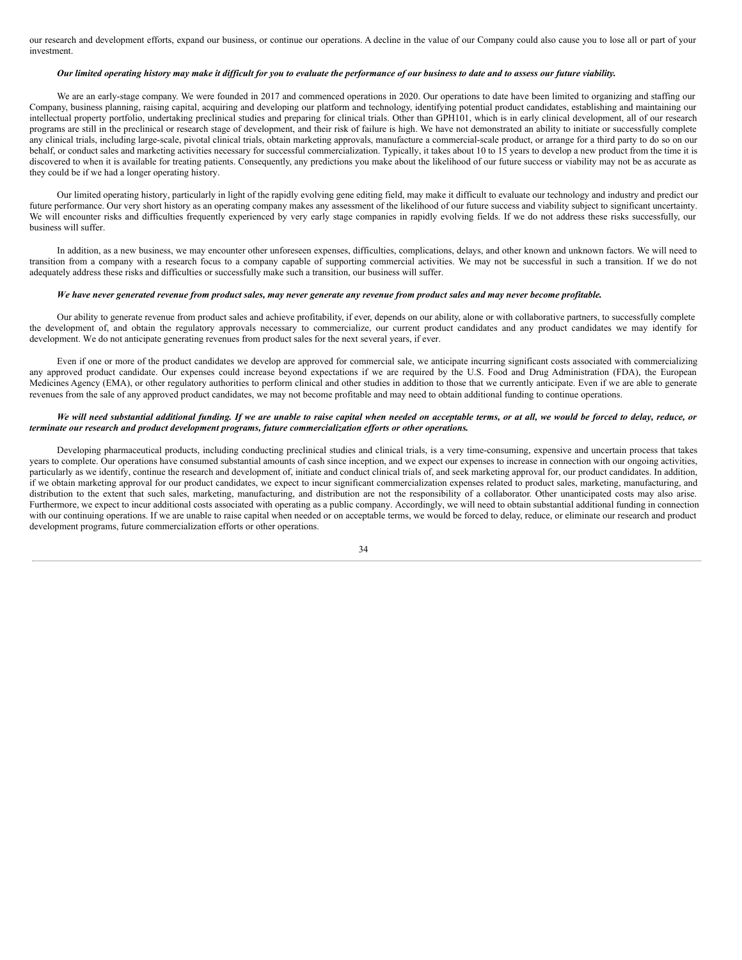our research and development efforts, expand our business, or continue our operations. A decline in the value of our Company could also cause you to lose all or part of your investment.

# Our limited operating history may make it difficult for you to evaluate the performance of our business to date and to assess our future viability.

We are an early-stage company. We were founded in 2017 and commenced operations in 2020. Our operations to date have been limited to organizing and staffing our Company, business planning, raising capital, acquiring and developing our platform and technology, identifying potential product candidates, establishing and maintaining our intellectual property portfolio, undertaking preclinical studies and preparing for clinical trials. Other than GPH101, which is in early clinical development, all of our research programs are still in the preclinical or research stage of development, and their risk of failure is high. We have not demonstrated an ability to initiate or successfully complete any clinical trials, including large-scale, pivotal clinical trials, obtain marketing approvals, manufacture a commercial-scale product, or arrange for a third party to do so on our behalf, or conduct sales and marketing activities necessary for successful commercialization. Typically, it takes about 10 to 15 years to develop a new product from the time it is discovered to when it is available for treating patients. Consequently, any predictions you make about the likelihood of our future success or viability may not be as accurate as they could be if we had a longer operating history.

Our limited operating history, particularly in light of the rapidly evolving gene editing field, may make it difficult to evaluate our technology and industry and predict our future performance. Our very short history as an operating company makes any assessment of the likelihood of our future success and viability subject to significant uncertainty. We will encounter risks and difficulties frequently experienced by very early stage companies in rapidly evolving fields. If we do not address these risks successfully, our business will suffer.

In addition, as a new business, we may encounter other unforeseen expenses, difficulties, complications, delays, and other known and unknown factors. We will need to transition from a company with a research focus to a company capable of supporting commercial activities. We may not be successful in such a transition. If we do not adequately address these risks and difficulties or successfully make such a transition, our business will suffer.

#### We have never generated revenue from product sales, may never generate any revenue from product sales and may never become profitable.

Our ability to generate revenue from product sales and achieve profitability, if ever, depends on our ability, alone or with collaborative partners, to successfully complete the development of, and obtain the regulatory approvals necessary to commercialize, our current product candidates and any product candidates we may identify for development. We do not anticipate generating revenues from product sales for the next several years, if ever.

Even if one or more of the product candidates we develop are approved for commercial sale, we anticipate incurring significant costs associated with commercializing any approved product candidate. Our expenses could increase beyond expectations if we are required by the U.S. Food and Drug Administration (FDA), the European Medicines Agency (EMA), or other regulatory authorities to perform clinical and other studies in addition to those that we currently anticipate. Even if we are able to generate revenues from the sale of any approved product candidates, we may not become profitable and may need to obtain additional funding to continue operations.

#### We will need substantial additional funding. If we are unable to raise capital when needed on acceptable terms, or at all, we would be forced to delay, reduce, or *terminate our research and product development programs, future commercialization ef orts or other operations.*

Developing pharmaceutical products, including conducting preclinical studies and clinical trials, is a very time-consuming, expensive and uncertain process that takes years to complete. Our operations have consumed substantial amounts of cash since inception, and we expect our expenses to increase in connection with our ongoing activities, particularly as we identify, continue the research and development of, initiate and conduct clinical trials of, and seek marketing approval for, our product candidates. In addition, if we obtain marketing approval for our product candidates, we expect to incur significant commercialization expenses related to product sales, marketing, manufacturing, and distribution to the extent that such sales, marketing, manufacturing, and distribution are not the responsibility of a collaborator. Other unanticipated costs may also arise. Furthermore, we expect to incur additional costs associated with operating as a public company. Accordingly, we will need to obtain substantial additional funding in connection with our continuing operations. If we are unable to raise capital when needed or on acceptable terms, we would be forced to delay, reduce, or eliminate our research and product development programs, future commercialization efforts or other operations.

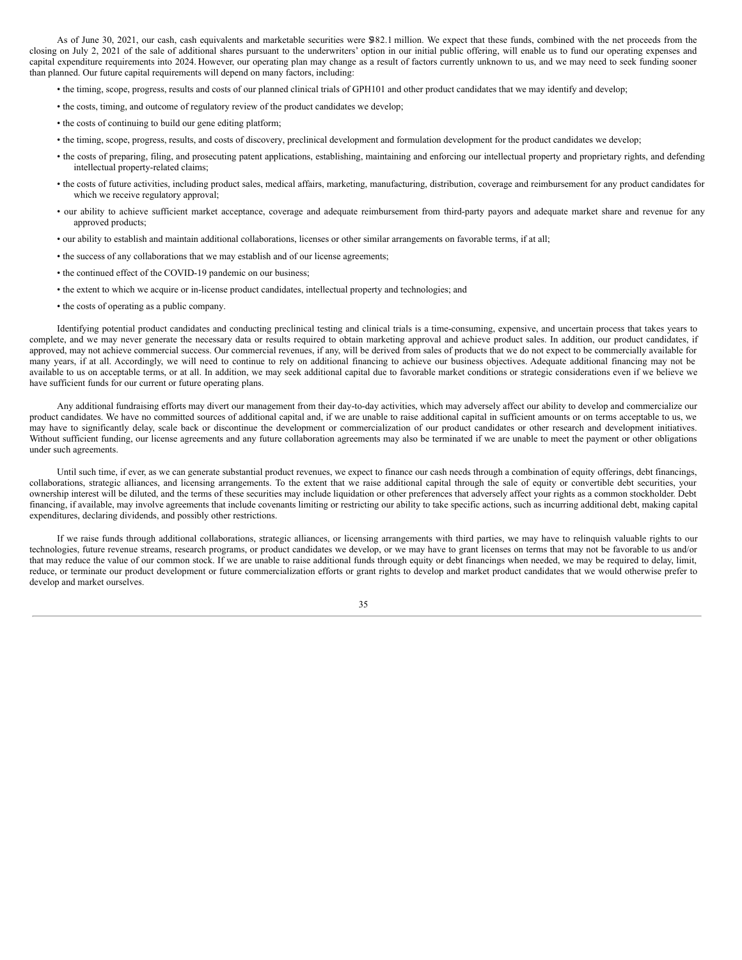As of June 30, 2021, our cash, cash equivalents and marketable securities were \$382.1 million. We expect that these funds, combined with the net proceeds from the closing on July 2, 2021 of the sale of additional shares pursuant to the underwriters' option in our initial public offering, will enable us to fund our operating expenses and capital expenditure requirements into 2024. However, our operating plan may change as a result of factors currently unknown to us, and we may need to seek funding sooner than planned. Our future capital requirements will depend on many factors, including:

• the timing, scope, progress, results and costs of our planned clinical trials of GPH101 and other product candidates that we may identify and develop;

- the costs, timing, and outcome of regulatory review of the product candidates we develop;
- the costs of continuing to build our gene editing platform;
- the timing, scope, progress, results, and costs of discovery, preclinical development and formulation development for the product candidates we develop;
- the costs of preparing, filing, and prosecuting patent applications, establishing, maintaining and enforcing our intellectual property and proprietary rights, and defending intellectual property-related claims;
- the costs of future activities, including product sales, medical affairs, marketing, manufacturing, distribution, coverage and reimbursement for any product candidates for which we receive regulatory approval;
- our ability to achieve sufficient market acceptance, coverage and adequate reimbursement from third-party payors and adequate market share and revenue for any approved products;
- our ability to establish and maintain additional collaborations, licenses or other similar arrangements on favorable terms, if at all;
- the success of any collaborations that we may establish and of our license agreements;
- the continued effect of the COVID-19 pandemic on our business;
- the extent to which we acquire or in-license product candidates, intellectual property and technologies; and
- the costs of operating as a public company.

Identifying potential product candidates and conducting preclinical testing and clinical trials is a time-consuming, expensive, and uncertain process that takes years to complete, and we may never generate the necessary data or results required to obtain marketing approval and achieve product sales. In addition, our product candidates, if approved, may not achieve commercial success. Our commercial revenues, if any, will be derived from sales of products that we do not expect to be commercially available for many years, if at all. Accordingly, we will need to continue to rely on additional financing to achieve our business objectives. Adequate additional financing may not be available to us on acceptable terms, or at all. In addition, we may seek additional capital due to favorable market conditions or strategic considerations even if we believe we have sufficient funds for our current or future operating plans.

Any additional fundraising efforts may divert our management from their day-to-day activities, which may adversely affect our ability to develop and commercialize our product candidates. We have no committed sources of additional capital and, if we are unable to raise additional capital in sufficient amounts or on terms acceptable to us, we may have to significantly delay, scale back or discontinue the development or commercialization of our product candidates or other research and development initiatives. Without sufficient funding, our license agreements and any future collaboration agreements may also be terminated if we are unable to meet the payment or other obligations under such agreements.

Until such time, if ever, as we can generate substantial product revenues, we expect to finance our cash needs through a combination of equity offerings, debt financings, collaborations, strategic alliances, and licensing arrangements. To the extent that we raise additional capital through the sale of equity or convertible debt securities, your ownership interest will be diluted, and the terms of these securities may include liquidation or other preferences that adversely affect your rights as a common stockholder. Debt financing, if available, may involve agreements that include covenants limiting or restricting our ability to take specific actions, such as incurring additional debt, making capital expenditures, declaring dividends, and possibly other restrictions.

If we raise funds through additional collaborations, strategic alliances, or licensing arrangements with third parties, we may have to relinquish valuable rights to our technologies, future revenue streams, research programs, or product candidates we develop, or we may have to grant licenses on terms that may not be favorable to us and/or that may reduce the value of our common stock. If we are unable to raise additional funds through equity or debt financings when needed, we may be required to delay, limit, reduce, or terminate our product development or future commercialization efforts or grant rights to develop and market product candidates that we would otherwise prefer to develop and market ourselves.

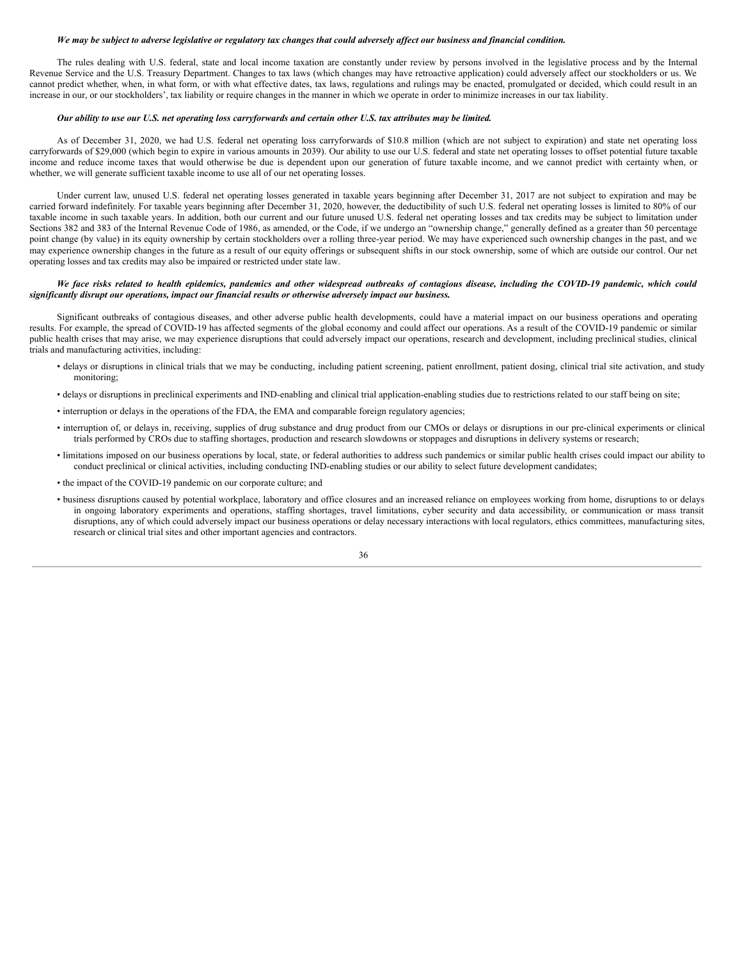#### We may be subject to adverse legislative or regulatory tax changes that could adversely affect our business and financial condition.

The rules dealing with U.S. federal, state and local income taxation are constantly under review by persons involved in the legislative process and by the Internal Revenue Service and the U.S. Treasury Department. Changes to tax laws (which changes may have retroactive application) could adversely affect our stockholders or us. We cannot predict whether, when, in what form, or with what effective dates, tax laws, regulations and rulings may be enacted, promulgated or decided, which could result in an increase in our, or our stockholders', tax liability or require changes in the manner in which we operate in order to minimize increases in our tax liability.

### Our ability to use our U.S. net operating loss carryforwards and certain other U.S. tax attributes may be limited.

As of December 31, 2020, we had U.S. federal net operating loss carryforwards of \$10.8 million (which are not subject to expiration) and state net operating loss carryforwards of \$29,000 (which begin to expire in various amounts in 2039). Our ability to use our U.S. federal and state net operating losses to offset potential future taxable income and reduce income taxes that would otherwise be due is dependent upon our generation of future taxable income, and we cannot predict with certainty when, or whether, we will generate sufficient taxable income to use all of our net operating losses.

Under current law, unused U.S. federal net operating losses generated in taxable years beginning after December 31, 2017 are not subject to expiration and may be carried forward indefinitely. For taxable years beginning after December 31, 2020, however, the deductibility of such U.S. federal net operating losses is limited to 80% of our taxable income in such taxable years. In addition, both our current and our future unused U.S. federal net operating losses and tax credits may be subject to limitation under Sections 382 and 383 of the Internal Revenue Code of 1986, as amended, or the Code, if we undergo an "ownership change," generally defined as a greater than 50 percentage point change (by value) in its equity ownership by certain stockholders over a rolling three-year period. We may have experienced such ownership changes in the past, and we may experience ownership changes in the future as a result of our equity offerings or subsequent shifts in our stock ownership, some of which are outside our control. Our net operating losses and tax credits may also be impaired or restricted under state law.

#### We face risks related to health epidemics, pandemics and other widespread outbreaks of contagious disease, including the COVID-19 pandemic, which could *significantly disrupt our operations, impact our financial results or otherwise adversely impact our business.*

Significant outbreaks of contagious diseases, and other adverse public health developments, could have a material impact on our business operations and operating results. For example, the spread of COVID-19 has affected segments of the global economy and could affect our operations. As a result of the COVID-19 pandemic or similar public health crises that may arise, we may experience disruptions that could adversely impact our operations, research and development, including preclinical studies, clinical trials and manufacturing activities, including:

- delays or disruptions in clinical trials that we may be conducting, including patient screening, patient enrollment, patient dosing, clinical trial site activation, and study monitoring;
- delays or disruptions in preclinical experiments and IND-enabling and clinical trial application-enabling studies due to restrictions related to our staff being on site;
- interruption or delays in the operations of the FDA, the EMA and comparable foreign regulatory agencies;
- interruption of, or delays in, receiving, supplies of drug substance and drug product from our CMOs or delays or disruptions in our pre-clinical experiments or clinical trials performed by CROs due to staffing shortages, production and research slowdowns or stoppages and disruptions in delivery systems or research;
- limitations imposed on our business operations by local, state, or federal authorities to address such pandemics or similar public health crises could impact our ability to conduct preclinical or clinical activities, including conducting IND-enabling studies or our ability to select future development candidates;
- the impact of the COVID-19 pandemic on our corporate culture; and
- business disruptions caused by potential workplace, laboratory and office closures and an increased reliance on employees working from home, disruptions to or delays in ongoing laboratory experiments and operations, staffing shortages, travel limitations, cyber security and data accessibility, or communication or mass transit disruptions, any of which could adversely impact our business operations or delay necessary interactions with local regulators, ethics committees, manufacturing sites, research or clinical trial sites and other important agencies and contractors.

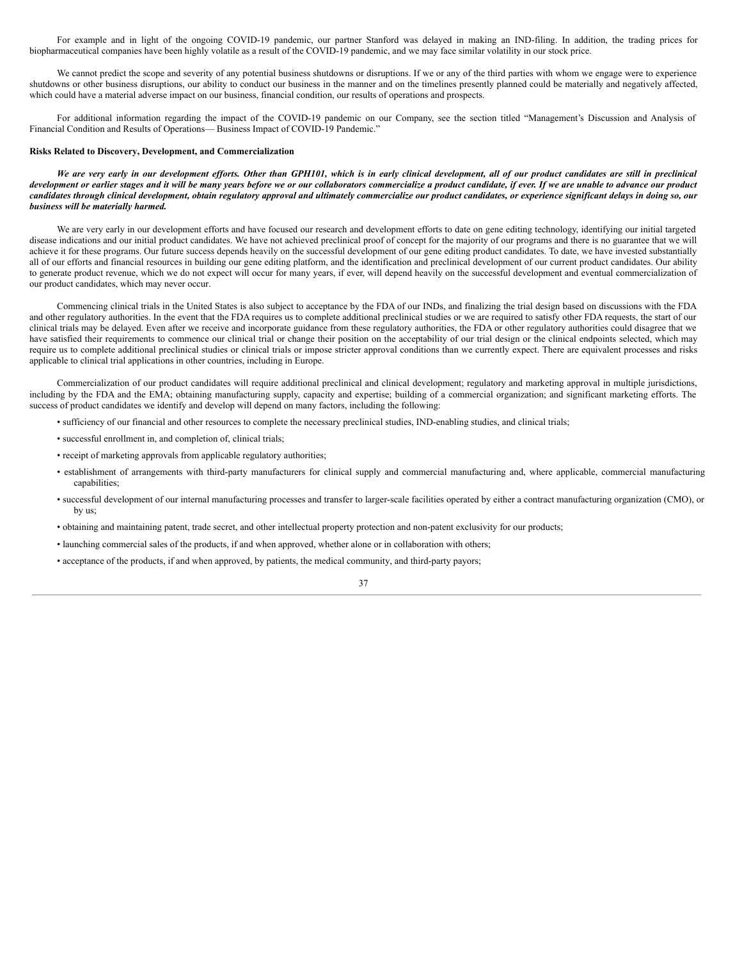For example and in light of the ongoing COVID-19 pandemic, our partner Stanford was delayed in making an IND-filing. In addition, the trading prices for biopharmaceutical companies have been highly volatile as a result of the COVID-19 pandemic, and we may face similar volatility in our stock price.

We cannot predict the scope and severity of any potential business shutdowns or disruptions. If we or any of the third parties with whom we engage were to experience shutdowns or other business disruptions, our ability to conduct our business in the manner and on the timelines presently planned could be materially and negatively affected, which could have a material adverse impact on our business, financial condition, our results of operations and prospects.

For additional information regarding the impact of the COVID-19 pandemic on our Company, see the section titled "Management's Discussion and Analysis of Financial Condition and Results of Operations— Business Impact of COVID-19 Pandemic."

## **Risks Related to Discovery, Development, and Commercialization**

We are very early in our development efforts. Other than GPH101, which is in early clinical development, all of our product candidates are still in preclinical development or earlier stages and it will be many years before we or our collaborators commercialize a product candidate, if ever. If we are unable to advance our product candidates through clinical development, obtain regulatory approval and ultimately commercialize our product candidates, or experience significant delays in doing so, our *business will be materially harmed.*

We are very early in our development efforts and have focused our research and development efforts to date on gene editing technology, identifying our initial targeted disease indications and our initial product candidates. We have not achieved preclinical proof of concept for the majority of our programs and there is no guarantee that we will achieve it for these programs. Our future success depends heavily on the successful development of our gene editing product candidates. To date, we have invested substantially all of our efforts and financial resources in building our gene editing platform, and the identification and preclinical development of our current product candidates. Our ability to generate product revenue, which we do not expect will occur for many years, if ever, will depend heavily on the successful development and eventual commercialization of our product candidates, which may never occur.

Commencing clinical trials in the United States is also subject to acceptance by the FDA of our INDs, and finalizing the trial design based on discussions with the FDA and other regulatory authorities. In the event that the FDA requires us to complete additional preclinical studies or we are required to satisfy other FDA requests, the start of our clinical trials may be delayed. Even after we receive and incorporate guidance from these regulatory authorities, the FDA or other regulatory authorities could disagree that we have satisfied their requirements to commence our clinical trial or change their position on the acceptability of our trial design or the clinical endpoints selected, which may require us to complete additional preclinical studies or clinical trials or impose stricter approval conditions than we currently expect. There are equivalent processes and risks applicable to clinical trial applications in other countries, including in Europe.

Commercialization of our product candidates will require additional preclinical and clinical development; regulatory and marketing approval in multiple jurisdictions, including by the FDA and the EMA; obtaining manufacturing supply, capacity and expertise; building of a commercial organization; and significant marketing efforts. The success of product candidates we identify and develop will depend on many factors, including the following:

- sufficiency of our financial and other resources to complete the necessary preclinical studies, IND-enabling studies, and clinical trials;
- successful enrollment in, and completion of, clinical trials;
- receipt of marketing approvals from applicable regulatory authorities;
- establishment of arrangements with third-party manufacturers for clinical supply and commercial manufacturing and, where applicable, commercial manufacturing capabilities;
- successful development of our internal manufacturing processes and transfer to larger-scale facilities operated by either a contract manufacturing organization (CMO), or by us;
- obtaining and maintaining patent, trade secret, and other intellectual property protection and non-patent exclusivity for our products;
- launching commercial sales of the products, if and when approved, whether alone or in collaboration with others;
- acceptance of the products, if and when approved, by patients, the medical community, and third-party payors;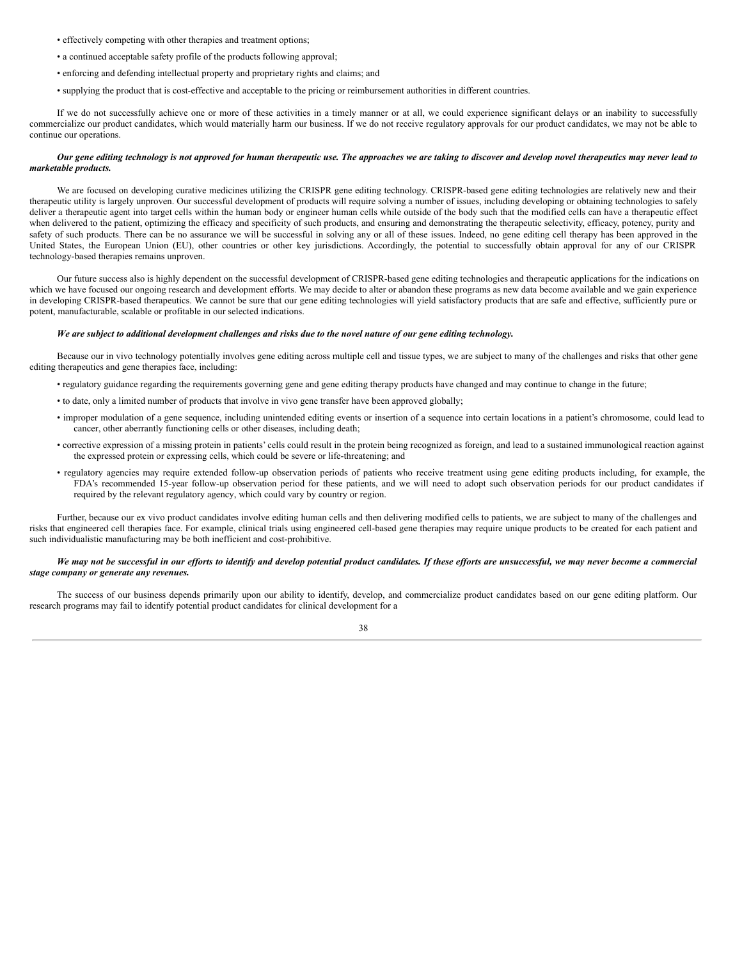- effectively competing with other therapies and treatment options;
- a continued acceptable safety profile of the products following approval;
- enforcing and defending intellectual property and proprietary rights and claims; and
- supplying the product that is cost-effective and acceptable to the pricing or reimbursement authorities in different countries.

If we do not successfully achieve one or more of these activities in a timely manner or at all, we could experience significant delays or an inability to successfully commercialize our product candidates, which would materially harm our business. If we do not receive regulatory approvals for our product candidates, we may not be able to continue our operations.

### Our gene editing technology is not approved for human therapeutic use. The approaches we are taking to discover and develop novel therapeutics may never lead to *marketable products.*

We are focused on developing curative medicines utilizing the CRISPR gene editing technology. CRISPR-based gene editing technologies are relatively new and their therapeutic utility is largely unproven. Our successful development of products will require solving a number of issues, including developing or obtaining technologies to safely deliver a therapeutic agent into target cells within the human body or engineer human cells while outside of the body such that the modified cells can have a therapeutic effect when delivered to the patient, optimizing the efficacy and specificity of such products, and ensuring and demonstrating the therapeutic selectivity, efficacy, potency, purity and safety of such products. There can be no assurance we will be successful in solving any or all of these issues. Indeed, no gene editing cell therapy has been approved in the United States, the European Union (EU), other countries or other key jurisdictions. Accordingly, the potential to successfully obtain approval for any of our CRISPR technology-based therapies remains unproven.

Our future success also is highly dependent on the successful development of CRISPR-based gene editing technologies and therapeutic applications for the indications on which we have focused our ongoing research and development efforts. We may decide to alter or abandon these programs as new data become available and we gain experience in developing CRISPR-based therapeutics. We cannot be sure that our gene editing technologies will yield satisfactory products that are safe and effective, sufficiently pure or potent, manufacturable, scalable or profitable in our selected indications.

#### We are subject to additional development challenges and risks due to the novel nature of our gene editing technology.

Because our in vivo technology potentially involves gene editing across multiple cell and tissue types, we are subject to many of the challenges and risks that other gene editing therapeutics and gene therapies face, including:

- regulatory guidance regarding the requirements governing gene and gene editing therapy products have changed and may continue to change in the future;
- to date, only a limited number of products that involve in vivo gene transfer have been approved globally;
- improper modulation of a gene sequence, including unintended editing events or insertion of a sequence into certain locations in a patient's chromosome, could lead to cancer, other aberrantly functioning cells or other diseases, including death;
- corrective expression of a missing protein in patients' cells could result in the protein being recognized as foreign, and lead to a sustained immunological reaction against the expressed protein or expressing cells, which could be severe or life-threatening; and
- regulatory agencies may require extended follow-up observation periods of patients who receive treatment using gene editing products including, for example, the FDA's recommended 15-year follow-up observation period for these patients, and we will need to adopt such observation periods for our product candidates if required by the relevant regulatory agency, which could vary by country or region.

Further, because our ex vivo product candidates involve editing human cells and then delivering modified cells to patients, we are subject to many of the challenges and risks that engineered cell therapies face. For example, clinical trials using engineered cell-based gene therapies may require unique products to be created for each patient and such individualistic manufacturing may be both inefficient and cost-prohibitive.

#### We may not be successful in our efforts to identify and develop potential product candidates. If these efforts are unsuccessful, we may never become a commercial *stage company or generate any revenues.*

The success of our business depends primarily upon our ability to identify, develop, and commercialize product candidates based on our gene editing platform. Our research programs may fail to identify potential product candidates for clinical development for a

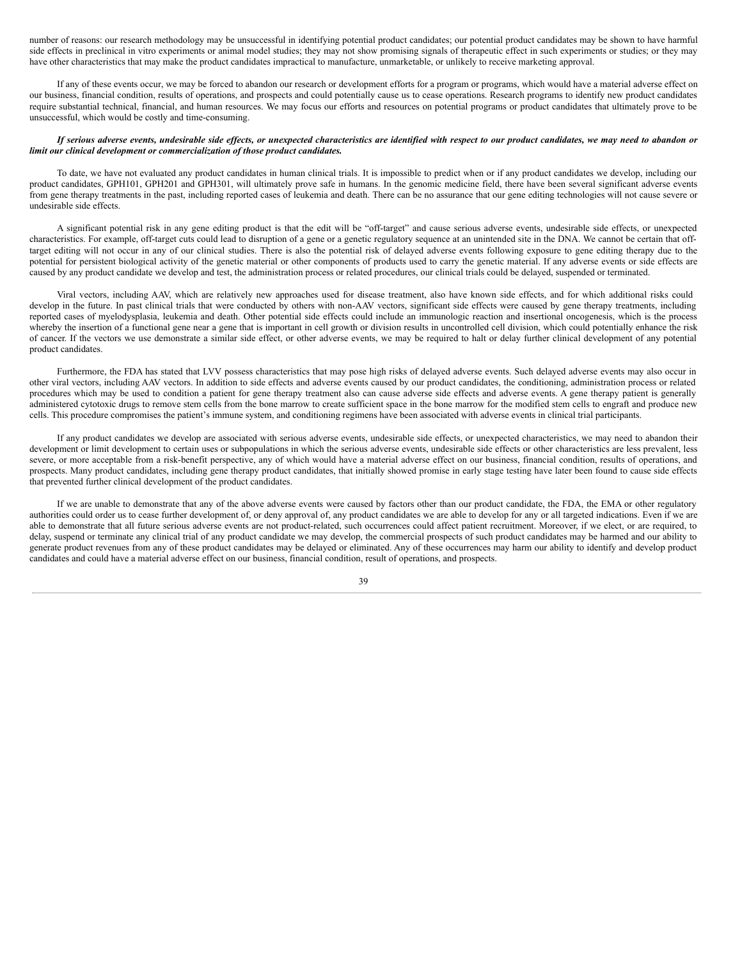number of reasons: our research methodology may be unsuccessful in identifying potential product candidates; our potential product candidates may be shown to have harmful side effects in preclinical in vitro experiments or animal model studies; they may not show promising signals of therapeutic effect in such experiments or studies; or they may have other characteristics that may make the product candidates impractical to manufacture, unmarketable, or unlikely to receive marketing approval.

If any of these events occur, we may be forced to abandon our research or development efforts for a program or programs, which would have a material adverse effect on our business, financial condition, results of operations, and prospects and could potentially cause us to cease operations. Research programs to identify new product candidates require substantial technical, financial, and human resources. We may focus our efforts and resources on potential programs or product candidates that ultimately prove to be unsuccessful, which would be costly and time-consuming.

#### If serious adverse events, undesirable side effects, or unexpected characteristics are identified with respect to our product candidates, we may need to abandon or *limit our clinical development or commercialization of those product candidates.*

To date, we have not evaluated any product candidates in human clinical trials. It is impossible to predict when or if any product candidates we develop, including our product candidates, GPH101, GPH201 and GPH301, will ultimately prove safe in humans. In the genomic medicine field, there have been several significant adverse events from gene therapy treatments in the past, including reported cases of leukemia and death. There can be no assurance that our gene editing technologies will not cause severe or undesirable side effects.

A significant potential risk in any gene editing product is that the edit will be "off-target" and cause serious adverse events, undesirable side effects, or unexpected characteristics. For example, off-target cuts could lead to disruption of a gene or a genetic regulatory sequence at an unintended site in the DNA. We cannot be certain that offtarget editing will not occur in any of our clinical studies. There is also the potential risk of delayed adverse events following exposure to gene editing therapy due to the potential for persistent biological activity of the genetic material or other components of products used to carry the genetic material. If any adverse events or side effects are caused by any product candidate we develop and test, the administration process or related procedures, our clinical trials could be delayed, suspended or terminated.

Viral vectors, including AAV, which are relatively new approaches used for disease treatment, also have known side effects, and for which additional risks could develop in the future. In past clinical trials that were conducted by others with non-AAV vectors, significant side effects were caused by gene therapy treatments, including reported cases of myelodysplasia, leukemia and death. Other potential side effects could include an immunologic reaction and insertional oncogenesis, which is the process whereby the insertion of a functional gene near a gene that is important in cell growth or division results in uncontrolled cell division, which could potentially enhance the risk of cancer. If the vectors we use demonstrate a similar side effect, or other adverse events, we may be required to halt or delay further clinical development of any potential product candidates.

Furthermore, the FDA has stated that LVV possess characteristics that may pose high risks of delayed adverse events. Such delayed adverse events may also occur in other viral vectors, including AAV vectors. In addition to side effects and adverse events caused by our product candidates, the conditioning, administration process or related procedures which may be used to condition a patient for gene therapy treatment also can cause adverse side effects and adverse events. A gene therapy patient is generally administered cytotoxic drugs to remove stem cells from the bone marrow to create sufficient space in the bone marrow for the modified stem cells to engraft and produce new cells. This procedure compromises the patient's immune system, and conditioning regimens have been associated with adverse events in clinical trial participants.

If any product candidates we develop are associated with serious adverse events, undesirable side effects, or unexpected characteristics, we may need to abandon their development or limit development to certain uses or subpopulations in which the serious adverse events, undesirable side effects or other characteristics are less prevalent, less severe, or more acceptable from a risk-benefit perspective, any of which would have a material adverse effect on our business, financial condition, results of operations, and prospects. Many product candidates, including gene therapy product candidates, that initially showed promise in early stage testing have later been found to cause side effects that prevented further clinical development of the product candidates.

If we are unable to demonstrate that any of the above adverse events were caused by factors other than our product candidate, the FDA, the EMA or other regulatory authorities could order us to cease further development of, or deny approval of, any product candidates we are able to develop for any or all targeted indications. Even if we are able to demonstrate that all future serious adverse events are not product-related, such occurrences could affect patient recruitment. Moreover, if we elect, or are required, to delay, suspend or terminate any clinical trial of any product candidate we may develop, the commercial prospects of such product candidates may be harmed and our ability to generate product revenues from any of these product candidates may be delayed or eliminated. Any of these occurrences may harm our ability to identify and develop product candidates and could have a material adverse effect on our business, financial condition, result of operations, and prospects.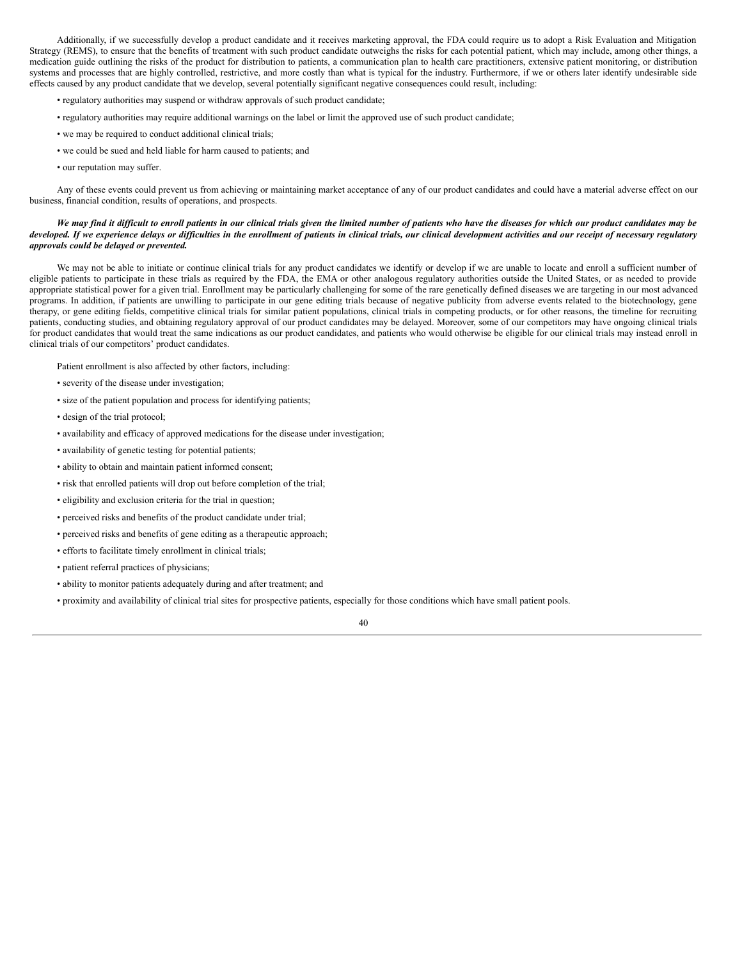Additionally, if we successfully develop a product candidate and it receives marketing approval, the FDA could require us to adopt a Risk Evaluation and Mitigation Strategy (REMS), to ensure that the benefits of treatment with such product candidate outweighs the risks for each potential patient, which may include, among other things, a medication guide outlining the risks of the product for distribution to patients, a communication plan to health care practitioners, extensive patient monitoring, or distribution systems and processes that are highly controlled, restrictive, and more costly than what is typical for the industry. Furthermore, if we or others later identify undesirable side effects caused by any product candidate that we develop, several potentially significant negative consequences could result, including:

- regulatory authorities may suspend or withdraw approvals of such product candidate;
- regulatory authorities may require additional warnings on the label or limit the approved use of such product candidate;
- we may be required to conduct additional clinical trials;
- we could be sued and held liable for harm caused to patients; and
- our reputation may suffer.

Any of these events could prevent us from achieving or maintaining market acceptance of any of our product candidates and could have a material adverse effect on our business, financial condition, results of operations, and prospects.

#### We may find it difficult to enroll patients in our clinical trials given the limited number of patients who have the diseases for which our product candidates may be developed. If we experience delays or difficulties in the enrollment of patients in clinical trials, our clinical development activities and our receipt of necessary regulatory *approvals could be delayed or prevented.*

We may not be able to initiate or continue clinical trials for any product candidates we identify or develop if we are unable to locate and enroll a sufficient number of eligible patients to participate in these trials as required by the FDA, the EMA or other analogous regulatory authorities outside the United States, or as needed to provide appropriate statistical power for a given trial. Enrollment may be particularly challenging for some of the rare genetically defined diseases we are targeting in our most advanced programs. In addition, if patients are unwilling to participate in our gene editing trials because of negative publicity from adverse events related to the biotechnology, gene therapy, or gene editing fields, competitive clinical trials for similar patient populations, clinical trials in competing products, or for other reasons, the timeline for recruiting patients, conducting studies, and obtaining regulatory approval of our product candidates may be delayed. Moreover, some of our competitors may have ongoing clinical trials for product candidates that would treat the same indications as our product candidates, and patients who would otherwise be eligible for our clinical trials may instead enroll in clinical trials of our competitors' product candidates.

Patient enrollment is also affected by other factors, including:

- severity of the disease under investigation;
- size of the patient population and process for identifying patients;
- design of the trial protocol;
- availability and efficacy of approved medications for the disease under investigation;
- availability of genetic testing for potential patients;
- ability to obtain and maintain patient informed consent;
- risk that enrolled patients will drop out before completion of the trial;
- eligibility and exclusion criteria for the trial in question;
- perceived risks and benefits of the product candidate under trial;
- perceived risks and benefits of gene editing as a therapeutic approach;
- efforts to facilitate timely enrollment in clinical trials;
- patient referral practices of physicians;
- ability to monitor patients adequately during and after treatment; and
- proximity and availability of clinical trial sites for prospective patients, especially for those conditions which have small patient pools.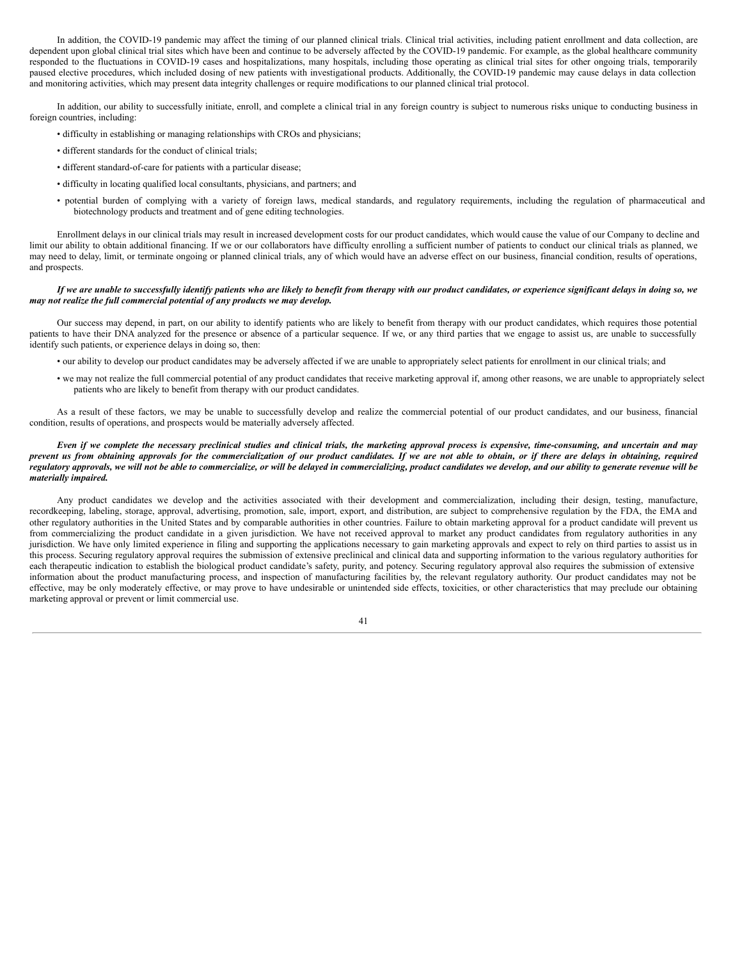In addition, the COVID-19 pandemic may affect the timing of our planned clinical trials. Clinical trial activities, including patient enrollment and data collection, are dependent upon global clinical trial sites which have been and continue to be adversely affected by the COVID-19 pandemic. For example, as the global healthcare community responded to the fluctuations in COVID-19 cases and hospitalizations, many hospitals, including those operating as clinical trial sites for other ongoing trials, temporarily paused elective procedures, which included dosing of new patients with investigational products. Additionally, the COVID-19 pandemic may cause delays in data collection and monitoring activities, which may present data integrity challenges or require modifications to our planned clinical trial protocol.

In addition, our ability to successfully initiate, enroll, and complete a clinical trial in any foreign country is subject to numerous risks unique to conducting business in foreign countries, including:

- difficulty in establishing or managing relationships with CROs and physicians;
- different standards for the conduct of clinical trials;
- different standard-of-care for patients with a particular disease;
- difficulty in locating qualified local consultants, physicians, and partners; and
- potential burden of complying with a variety of foreign laws, medical standards, and regulatory requirements, including the regulation of pharmaceutical and biotechnology products and treatment and of gene editing technologies.

Enrollment delays in our clinical trials may result in increased development costs for our product candidates, which would cause the value of our Company to decline and limit our ability to obtain additional financing. If we or our collaborators have difficulty enrolling a sufficient number of patients to conduct our clinical trials as planned, we may need to delay, limit, or terminate ongoing or planned clinical trials, any of which would have an adverse effect on our business, financial condition, results of operations, and prospects.

#### If we are unable to successfully identify patients who are likely to benefit from therapy with our product candidates, or experience significant delays in doing so, we *may not realize the full commercial potential of any products we may develop.*

Our success may depend, in part, on our ability to identify patients who are likely to benefit from therapy with our product candidates, which requires those potential patients to have their DNA analyzed for the presence or absence of a particular sequence. If we, or any third parties that we engage to assist us, are unable to successfully identify such patients, or experience delays in doing so, then:

- our ability to develop our product candidates may be adversely affected if we are unable to appropriately select patients for enrollment in our clinical trials; and
- we may not realize the full commercial potential of any product candidates that receive marketing approval if, among other reasons, we are unable to appropriately select patients who are likely to benefit from therapy with our product candidates.

As a result of these factors, we may be unable to successfully develop and realize the commercial potential of our product candidates, and our business, financial condition, results of operations, and prospects would be materially adversely affected.

### Even if we complete the necessary preclinical studies and clinical trials, the marketing approval process is expensive, time-consuming, and uncertain and may prevent us from obtaining approvals for the commercialization of our product candidates. If we are not able to obtain, or if there are delays in obtaining, required regulatory approvals, we will not be able to commercialize, or will be delayed in commercializing, product candidates we develop, and our ability to generate revenue will be *materially impaired.*

Any product candidates we develop and the activities associated with their development and commercialization, including their design, testing, manufacture, recordkeeping, labeling, storage, approval, advertising, promotion, sale, import, export, and distribution, are subject to comprehensive regulation by the FDA, the EMA and other regulatory authorities in the United States and by comparable authorities in other countries. Failure to obtain marketing approval for a product candidate will prevent us from commercializing the product candidate in a given jurisdiction. We have not received approval to market any product candidates from regulatory authorities in any jurisdiction. We have only limited experience in filing and supporting the applications necessary to gain marketing approvals and expect to rely on third parties to assist us in this process. Securing regulatory approval requires the submission of extensive preclinical and clinical data and supporting information to the various regulatory authorities for each therapeutic indication to establish the biological product candidate's safety, purity, and potency. Securing regulatory approval also requires the submission of extensive information about the product manufacturing process, and inspection of manufacturing facilities by, the relevant regulatory authority. Our product candidates may not be effective, may be only moderately effective, or may prove to have undesirable or unintended side effects, toxicities, or other characteristics that may preclude our obtaining marketing approval or prevent or limit commercial use.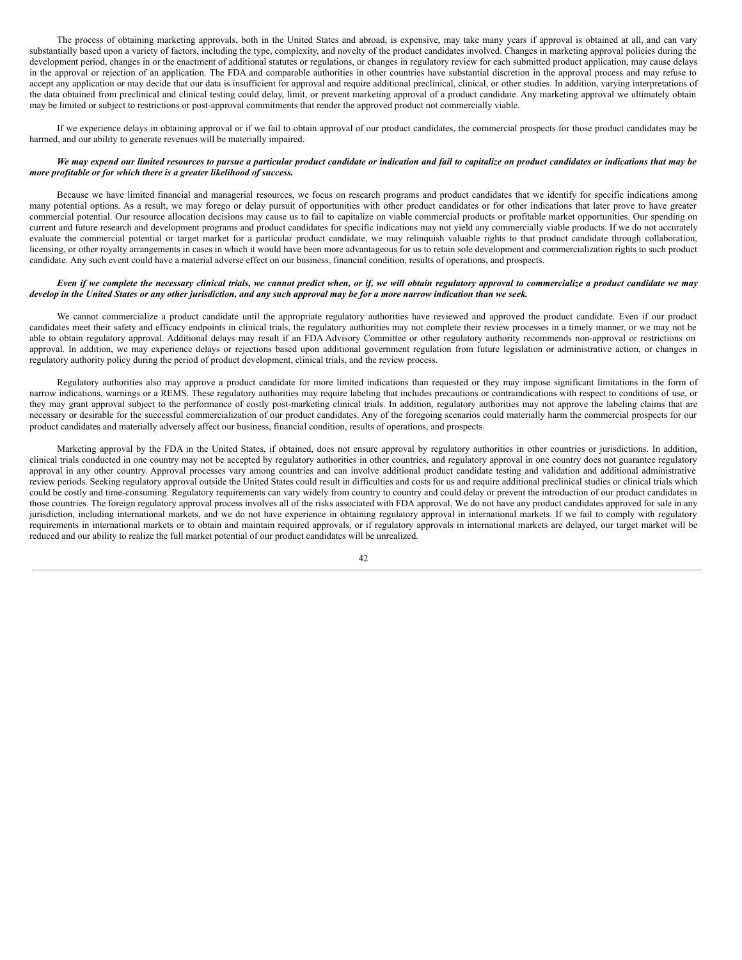The process of obtaining marketing approvals, both in the United States and abroad, is expensive, may take many years if approval is obtained at all, and can vary substantially based upon a variety of factors, including the type, complexity, and novelty of the product candidates involved. Changes in marketing approval policies during the development period, changes in or the enactment of additional statutes or regulations, or changes in regulatory review for each submitted product application, may cause delays in the approval or rejection of an application. The FDA and comparable authorities in other countries have substantial discretion in the approval process and may refuse to accept any application or may decide that our data is insufficient for approval and require additional preclinical, clinical, or other studies. In addition, varying interpretations of the data obtained from preclinical and clinical testing could delay, limit, or prevent marketing approval of a product candidate. Any marketing approval we ultimately obtain may be limited or subject to restrictions or post-approval commitments that render the approved product not commercially viable.

If we experience delays in obtaining approval or if we fail to obtain approval of our product candidates, the commercial prospects for those product candidates may be harmed, and our ability to generate revenues will be materially impaired.

### We may expend our limited resources to pursue a particular product candidate or indication and fail to capitalize on product candidates or indications that may be *more profitable or for which there is a greater likelihood of success.*

Because we have limited financial and managerial resources, we focus on research programs and product candidates that we identify for specific indications among many potential options. As a result, we may forego or delay pursuit of opportunities with other product candidates or for other indications that later prove to have greater commercial potential. Our resource allocation decisions may cause us to fail to capitalize on viable commercial products or profitable market opportunities. Our spending on current and future research and development programs and product candidates for specific indications may not yield any commercially viable products. If we do not accurately evaluate the commercial potential or target market for a particular product candidate, we may relinquish valuable rights to that product candidate through collaboration, licensing, or other royalty arrangements in cases in which it would have been more advantageous for us to retain sole development and commercialization rights to such product candidate. Any such event could have a material adverse effect on our business, financial condition, results of operations, and prospects.

#### Even if we complete the necessary clinical trials, we cannot predict when, or if, we will obtain regulatory approval to commercialize a product candidate we may develop in the United States or any other jurisdiction, and any such approval may be for a more narrow indication than we seek.

We cannot commercialize a product candidate until the appropriate regulatory authorities have reviewed and approved the product candidate. Even if our product candidates meet their safety and efficacy endpoints in clinical trials, the regulatory authorities may not complete their review processes in a timely manner, or we may not be able to obtain regulatory approval. Additional delays may result if an FDA Advisory Committee or other regulatory authority recommends non-approval or restrictions on approval. In addition, we may experience delays or rejections based upon additional government regulation from future legislation or administrative action, or changes in regulatory authority policy during the period of product development, clinical trials, and the review process.

Regulatory authorities also may approve a product candidate for more limited indications than requested or they may impose significant limitations in the form of narrow indications, warnings or a REMS. These regulatory authorities may require labeling that includes precautions or contraindications with respect to conditions of use, or they may grant approval subject to the performance of costly post-marketing clinical trials. In addition, regulatory authorities may not approve the labeling claims that are necessary or desirable for the successful commercialization of our product candidates. Any of the foregoing scenarios could materially harm the commercial prospects for our product candidates and materially adversely affect our business, financial condition, results of operations, and prospects.

Marketing approval by the FDA in the United States, if obtained, does not ensure approval by regulatory authorities in other countries or jurisdictions. In addition, clinical trials conducted in one country may not be accepted by regulatory authorities in other countries, and regulatory approval in one country does not guarantee regulatory approval in any other country. Approval processes vary among countries and can involve additional product candidate testing and validation and additional administrative review periods. Seeking regulatory approval outside the United States could result in difficulties and costs for us and require additional preclinical studies or clinical trials which could be costly and time-consuming. Regulatory requirements can vary widely from country to country and could delay or prevent the introduction of our product candidates in those countries. The foreign regulatory approval process involves all of the risks associated with FDA approval. We do not have any product candidates approved for sale in any jurisdiction, including international markets, and we do not have experience in obtaining regulatory approval in international markets. If we fail to comply with regulatory requirements in international markets or to obtain and maintain required approvals, or if regulatory approvals in international markets are delayed, our target market will be reduced and our ability to realize the full market potential of our product candidates will be unrealized.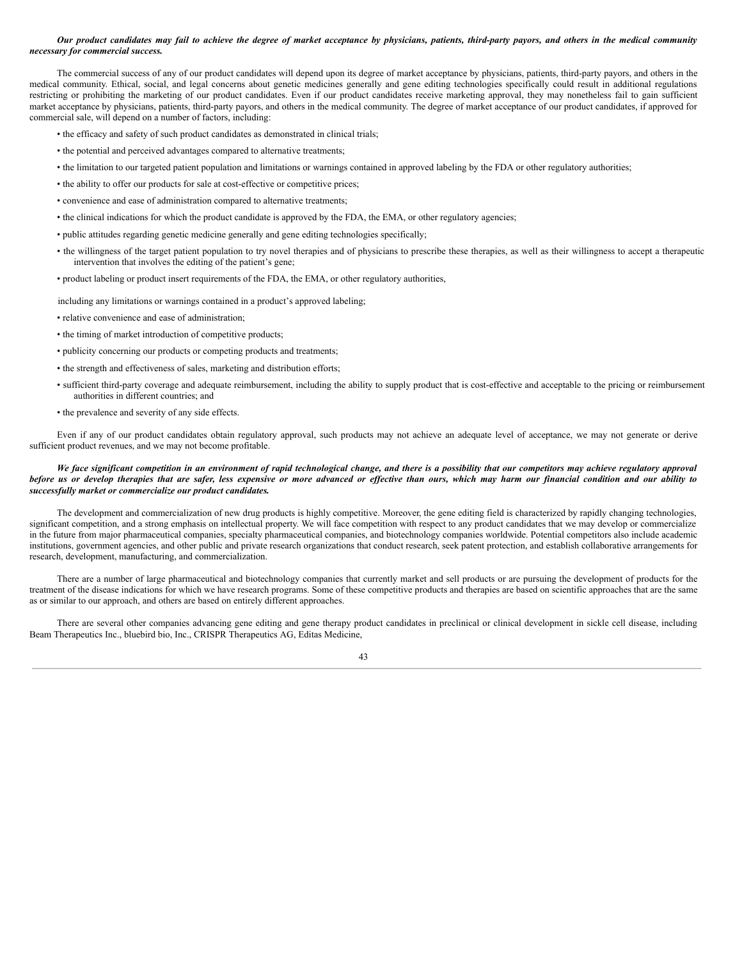## Our product candidates may fail to achieve the degree of market acceptance by physicians, patients, third-party payors, and others in the medical community *necessary for commercial success.*

The commercial success of any of our product candidates will depend upon its degree of market acceptance by physicians, patients, third-party payors, and others in the medical community. Ethical, social, and legal concerns about genetic medicines generally and gene editing technologies specifically could result in additional regulations restricting or prohibiting the marketing of our product candidates. Even if our product candidates receive marketing approval, they may nonetheless fail to gain sufficient market acceptance by physicians, patients, third-party payors, and others in the medical community. The degree of market acceptance of our product candidates, if approved for commercial sale, will depend on a number of factors, including:

- the efficacy and safety of such product candidates as demonstrated in clinical trials;
- the potential and perceived advantages compared to alternative treatments;
- the limitation to our targeted patient population and limitations or warnings contained in approved labeling by the FDA or other regulatory authorities;
- the ability to offer our products for sale at cost-effective or competitive prices;
- convenience and ease of administration compared to alternative treatments;
- the clinical indications for which the product candidate is approved by the FDA, the EMA, or other regulatory agencies;
- public attitudes regarding genetic medicine generally and gene editing technologies specifically;
- the willingness of the target patient population to try novel therapies and of physicians to prescribe these therapies, as well as their willingness to accept a therapeutic intervention that involves the editing of the patient's gene;
- product labeling or product insert requirements of the FDA, the EMA, or other regulatory authorities,

including any limitations or warnings contained in a product's approved labeling;

- relative convenience and ease of administration;
- the timing of market introduction of competitive products;
- publicity concerning our products or competing products and treatments;
- the strength and effectiveness of sales, marketing and distribution efforts;
- sufficient third-party coverage and adequate reimbursement, including the ability to supply product that is cost-effective and acceptable to the pricing or reimbursement authorities in different countries; and
- the prevalence and severity of any side effects.

Even if any of our product candidates obtain regulatory approval, such products may not achieve an adequate level of acceptance, we may not generate or derive sufficient product revenues, and we may not become profitable.

## We face significant competition in an environment of rapid technological change, and there is a possibility that our competitors may achieve regulatory approval before us or develop therapies that are safer, less expensive or more advanced or effective than ours, which may harm our financial condition and our ability to *successfully market or commercialize our product candidates.*

The development and commercialization of new drug products is highly competitive. Moreover, the gene editing field is characterized by rapidly changing technologies, significant competition, and a strong emphasis on intellectual property. We will face competition with respect to any product candidates that we may develop or commercialize in the future from major pharmaceutical companies, specialty pharmaceutical companies, and biotechnology companies worldwide. Potential competitors also include academic institutions, government agencies, and other public and private research organizations that conduct research, seek patent protection, and establish collaborative arrangements for research, development, manufacturing, and commercialization.

There are a number of large pharmaceutical and biotechnology companies that currently market and sell products or are pursuing the development of products for the treatment of the disease indications for which we have research programs. Some of these competitive products and therapies are based on scientific approaches that are the same as or similar to our approach, and others are based on entirely different approaches.

There are several other companies advancing gene editing and gene therapy product candidates in preclinical or clinical development in sickle cell disease, including Beam Therapeutics Inc., bluebird bio, Inc., CRISPR Therapeutics AG, Editas Medicine,

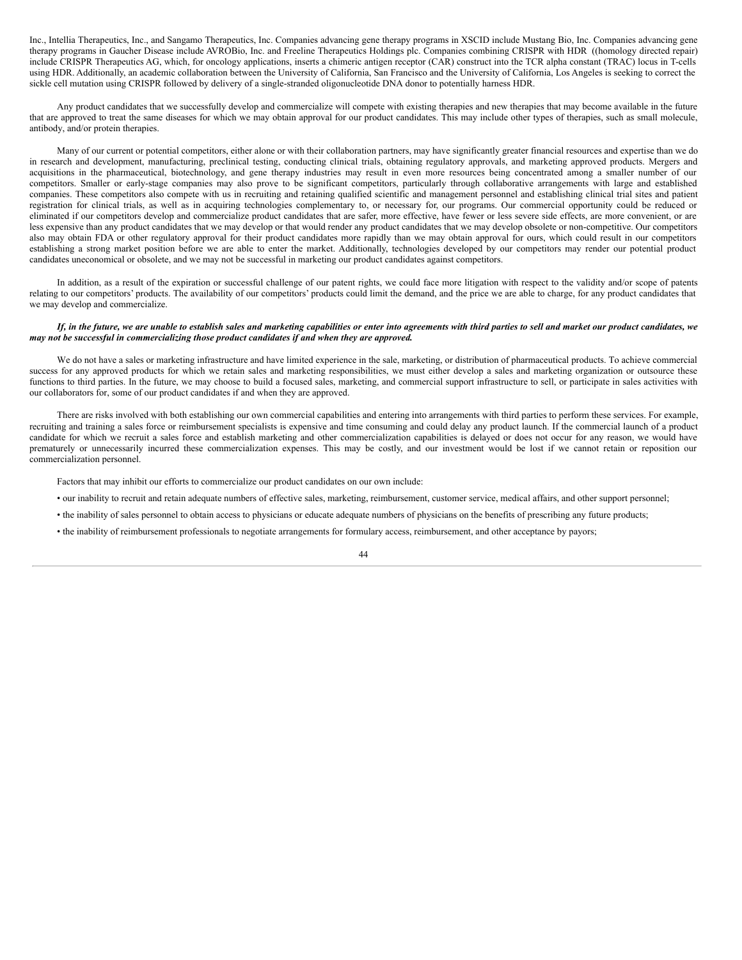Inc., Intellia Therapeutics, Inc., and Sangamo Therapeutics, Inc. Companies advancing gene therapy programs in XSCID include Mustang Bio, Inc. Companies advancing gene therapy programs in Gaucher Disease include AVROBio, Inc. and Freeline Therapeutics Holdings plc. Companies combining CRISPR with HDR ((homology directed repair) include CRISPR Therapeutics AG, which, for oncology applications, inserts a chimeric antigen receptor (CAR) construct into the TCR alpha constant (TRAC) locus in T-cells using HDR. Additionally, an academic collaboration between the University of California, San Francisco and the University of California, Los Angeles is seeking to correct the sickle cell mutation using CRISPR followed by delivery of a single-stranded oligonucleotide DNA donor to potentially harness HDR.

Any product candidates that we successfully develop and commercialize will compete with existing therapies and new therapies that may become available in the future that are approved to treat the same diseases for which we may obtain approval for our product candidates. This may include other types of therapies, such as small molecule, antibody, and/or protein therapies.

Many of our current or potential competitors, either alone or with their collaboration partners, may have significantly greater financial resources and expertise than we do in research and development, manufacturing, preclinical testing, conducting clinical trials, obtaining regulatory approvals, and marketing approved products. Mergers and acquisitions in the pharmaceutical, biotechnology, and gene therapy industries may result in even more resources being concentrated among a smaller number of our competitors. Smaller or early-stage companies may also prove to be significant competitors, particularly through collaborative arrangements with large and established companies. These competitors also compete with us in recruiting and retaining qualified scientific and management personnel and establishing clinical trial sites and patient registration for clinical trials, as well as in acquiring technologies complementary to, or necessary for, our programs. Our commercial opportunity could be reduced or eliminated if our competitors develop and commercialize product candidates that are safer, more effective, have fewer or less severe side effects, are more convenient, or are less expensive than any product candidates that we may develop or that would render any product candidates that we may develop obsolete or non-competitive. Our competitors also may obtain FDA or other regulatory approval for their product candidates more rapidly than we may obtain approval for ours, which could result in our competitors establishing a strong market position before we are able to enter the market. Additionally, technologies developed by our competitors may render our potential product candidates uneconomical or obsolete, and we may not be successful in marketing our product candidates against competitors.

In addition, as a result of the expiration or successful challenge of our patent rights, we could face more litigation with respect to the validity and/or scope of patents relating to our competitors' products. The availability of our competitors' products could limit the demand, and the price we are able to charge, for any product candidates that we may develop and commercialize.

## If, in the future, we are unable to establish sales and marketing capabilities or enter into agreements with third parties to sell and market our product candidates, we *may not be successful in commercializing those product candidates if and when they are approved.*

We do not have a sales or marketing infrastructure and have limited experience in the sale, marketing, or distribution of pharmaceutical products. To achieve commercial success for any approved products for which we retain sales and marketing responsibilities, we must either develop a sales and marketing organization or outsource these functions to third parties. In the future, we may choose to build a focused sales, marketing, and commercial support infrastructure to sell, or participate in sales activities with our collaborators for, some of our product candidates if and when they are approved.

There are risks involved with both establishing our own commercial capabilities and entering into arrangements with third parties to perform these services. For example, recruiting and training a sales force or reimbursement specialists is expensive and time consuming and could delay any product launch. If the commercial launch of a product candidate for which we recruit a sales force and establish marketing and other commercialization capabilities is delayed or does not occur for any reason, we would have prematurely or unnecessarily incurred these commercialization expenses. This may be costly, and our investment would be lost if we cannot retain or reposition our commercialization personnel.

Factors that may inhibit our efforts to commercialize our product candidates on our own include:

- our inability to recruit and retain adequate numbers of effective sales, marketing, reimbursement, customer service, medical affairs, and other support personnel;
- the inability of sales personnel to obtain access to physicians or educate adequate numbers of physicians on the benefits of prescribing any future products;
- the inability of reimbursement professionals to negotiate arrangements for formulary access, reimbursement, and other acceptance by payors;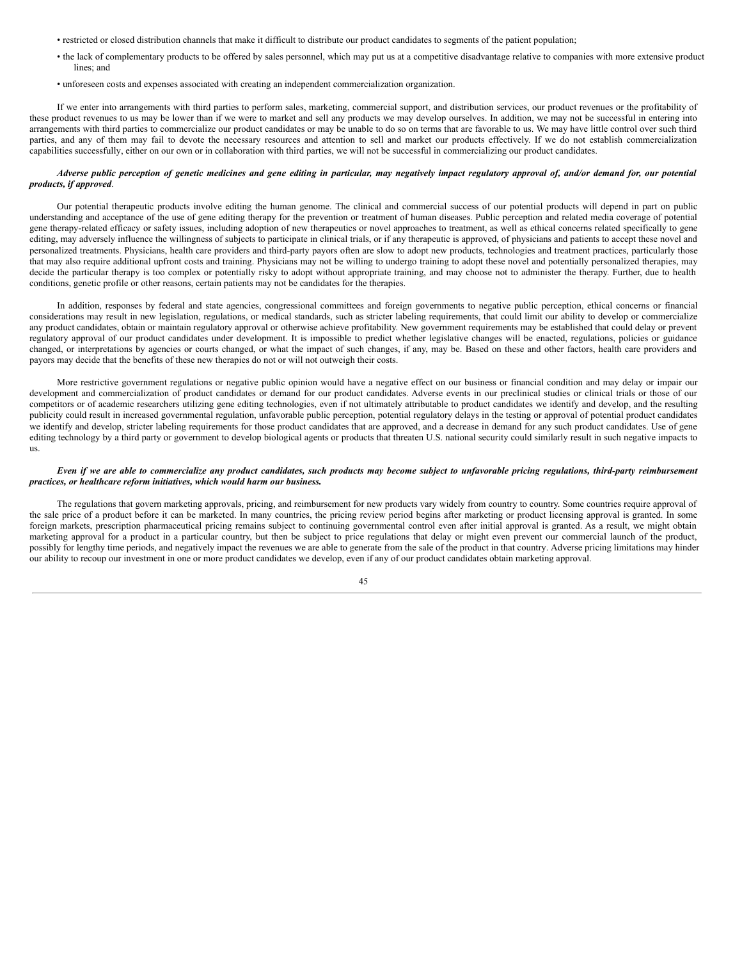- restricted or closed distribution channels that make it difficult to distribute our product candidates to segments of the patient population;
- the lack of complementary products to be offered by sales personnel, which may put us at a competitive disadvantage relative to companies with more extensive product lines; and
- unforeseen costs and expenses associated with creating an independent commercialization organization.

If we enter into arrangements with third parties to perform sales, marketing, commercial support, and distribution services, our product revenues or the profitability of these product revenues to us may be lower than if we were to market and sell any products we may develop ourselves. In addition, we may not be successful in entering into arrangements with third parties to commercialize our product candidates or may be unable to do so on terms that are favorable to us. We may have little control over such third parties, and any of them may fail to devote the necessary resources and attention to sell and market our products effectively. If we do not establish commercialization capabilities successfully, either on our own or in collaboration with third parties, we will not be successful in commercializing our product candidates.

### Adverse public perception of genetic medicines and gene editing in particular, may negatively impact regulatory approval of, and/or demand for, our potential *products, if approved*.

Our potential therapeutic products involve editing the human genome. The clinical and commercial success of our potential products will depend in part on public understanding and acceptance of the use of gene editing therapy for the prevention or treatment of human diseases. Public perception and related media coverage of potential gene therapy-related efficacy or safety issues, including adoption of new therapeutics or novel approaches to treatment, as well as ethical concerns related specifically to gene editing, may adversely influence the willingness of subjects to participate in clinical trials, or if any therapeutic is approved, of physicians and patients to accept these novel and personalized treatments. Physicians, health care providers and third-party payors often are slow to adopt new products, technologies and treatment practices, particularly those that may also require additional upfront costs and training. Physicians may not be willing to undergo training to adopt these novel and potentially personalized therapies, may decide the particular therapy is too complex or potentially risky to adopt without appropriate training, and may choose not to administer the therapy. Further, due to health conditions, genetic profile or other reasons, certain patients may not be candidates for the therapies.

In addition, responses by federal and state agencies, congressional committees and foreign governments to negative public perception, ethical concerns or financial considerations may result in new legislation, regulations, or medical standards, such as stricter labeling requirements, that could limit our ability to develop or commercialize any product candidates, obtain or maintain regulatory approval or otherwise achieve profitability. New government requirements may be established that could delay or prevent regulatory approval of our product candidates under development. It is impossible to predict whether legislative changes will be enacted, regulations, policies or guidance changed, or interpretations by agencies or courts changed, or what the impact of such changes, if any, may be. Based on these and other factors, health care providers and payors may decide that the benefits of these new therapies do not or will not outweigh their costs.

More restrictive government regulations or negative public opinion would have a negative effect on our business or financial condition and may delay or impair our development and commercialization of product candidates or demand for our product candidates. Adverse events in our preclinical studies or clinical trials or those of our competitors or of academic researchers utilizing gene editing technologies, even if not ultimately attributable to product candidates we identify and develop, and the resulting publicity could result in increased governmental regulation, unfavorable public perception, potential regulatory delays in the testing or approval of potential product candidates we identify and develop, stricter labeling requirements for those product candidates that are approved, and a decrease in demand for any such product candidates. Use of gene editing technology by a third party or government to develop biological agents or products that threaten U.S. national security could similarly result in such negative impacts to us.

#### Even if we are able to commercialize any product candidates, such products may become subject to unfavorable pricing regulations, third-party reimbursement *practices, or healthcare reform initiatives, which would harm our business.*

The regulations that govern marketing approvals, pricing, and reimbursement for new products vary widely from country to country. Some countries require approval of the sale price of a product before it can be marketed. In many countries, the pricing review period begins after marketing or product licensing approval is granted. In some foreign markets, prescription pharmaceutical pricing remains subject to continuing governmental control even after initial approval is granted. As a result, we might obtain marketing approval for a product in a particular country, but then be subject to price regulations that delay or might even prevent our commercial launch of the product, possibly for lengthy time periods, and negatively impact the revenues we are able to generate from the sale of the product in that country. Adverse pricing limitations may hinder our ability to recoup our investment in one or more product candidates we develop, even if any of our product candidates obtain marketing approval.

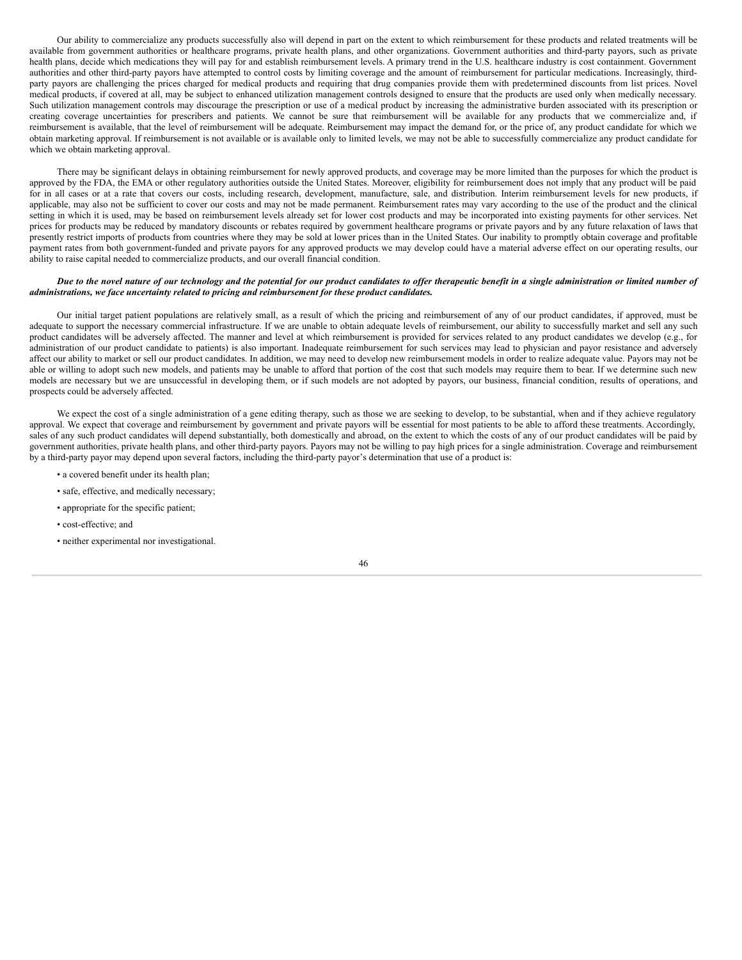Our ability to commercialize any products successfully also will depend in part on the extent to which reimbursement for these products and related treatments will be available from government authorities or healthcare programs, private health plans, and other organizations. Government authorities and third-party payors, such as private health plans, decide which medications they will pay for and establish reimbursement levels. A primary trend in the U.S. healthcare industry is cost containment. Government authorities and other third-party payors have attempted to control costs by limiting coverage and the amount of reimbursement for particular medications. Increasingly, thirdparty payors are challenging the prices charged for medical products and requiring that drug companies provide them with predetermined discounts from list prices. Novel medical products, if covered at all, may be subject to enhanced utilization management controls designed to ensure that the products are used only when medically necessary. Such utilization management controls may discourage the prescription or use of a medical product by increasing the administrative burden associated with its prescription or creating coverage uncertainties for prescribers and patients. We cannot be sure that reimbursement will be available for any products that we commercialize and, if reimbursement is available, that the level of reimbursement will be adequate. Reimbursement may impact the demand for, or the price of, any product candidate for which we obtain marketing approval. If reimbursement is not available or is available only to limited levels, we may not be able to successfully commercialize any product candidate for which we obtain marketing approval.

There may be significant delays in obtaining reimbursement for newly approved products, and coverage may be more limited than the purposes for which the product is approved by the FDA, the EMA or other regulatory authorities outside the United States. Moreover, eligibility for reimbursement does not imply that any product will be paid for in all cases or at a rate that covers our costs, including research, development, manufacture, sale, and distribution. Interim reimbursement levels for new products, if applicable, may also not be sufficient to cover our costs and may not be made permanent. Reimbursement rates may vary according to the use of the product and the clinical setting in which it is used, may be based on reimbursement levels already set for lower cost products and may be incorporated into existing payments for other services. Net prices for products may be reduced by mandatory discounts or rebates required by government healthcare programs or private payors and by any future relaxation of laws that presently restrict imports of products from countries where they may be sold at lower prices than in the United States. Our inability to promptly obtain coverage and profitable payment rates from both government-funded and private payors for any approved products we may develop could have a material adverse effect on our operating results, our ability to raise capital needed to commercialize products, and our overall financial condition.

### Due to the novel nature of our technology and the potential for our product candidates to offer therapeutic benefit in a single administration or limited number of *administrations, we face uncertainty related to pricing and reimbursement for these product candidates.*

Our initial target patient populations are relatively small, as a result of which the pricing and reimbursement of any of our product candidates, if approved, must be adequate to support the necessary commercial infrastructure. If we are unable to obtain adequate levels of reimbursement, our ability to successfully market and sell any such product candidates will be adversely affected. The manner and level at which reimbursement is provided for services related to any product candidates we develop (e.g., for administration of our product candidate to patients) is also important. Inadequate reimbursement for such services may lead to physician and payor resistance and adversely affect our ability to market or sell our product candidates. In addition, we may need to develop new reimbursement models in order to realize adequate value. Payors may not be able or willing to adopt such new models, and patients may be unable to afford that portion of the cost that such models may require them to bear. If we determine such new models are necessary but we are unsuccessful in developing them, or if such models are not adopted by payors, our business, financial condition, results of operations, and prospects could be adversely affected.

We expect the cost of a single administration of a gene editing therapy, such as those we are seeking to develop, to be substantial, when and if they achieve regulatory approval. We expect that coverage and reimbursement by government and private payors will be essential for most patients to be able to afford these treatments. Accordingly, sales of any such product candidates will depend substantially, both domestically and abroad, on the extent to which the costs of any of our product candidates will be paid by government authorities, private health plans, and other third-party payors. Payors may not be willing to pay high prices for a single administration. Coverage and reimbursement by a third-party payor may depend upon several factors, including the third-party payor's determination that use of a product is:

- a covered benefit under its health plan;
- safe, effective, and medically necessary;
- appropriate for the specific patient;
- cost-effective; and
- neither experimental nor investigational.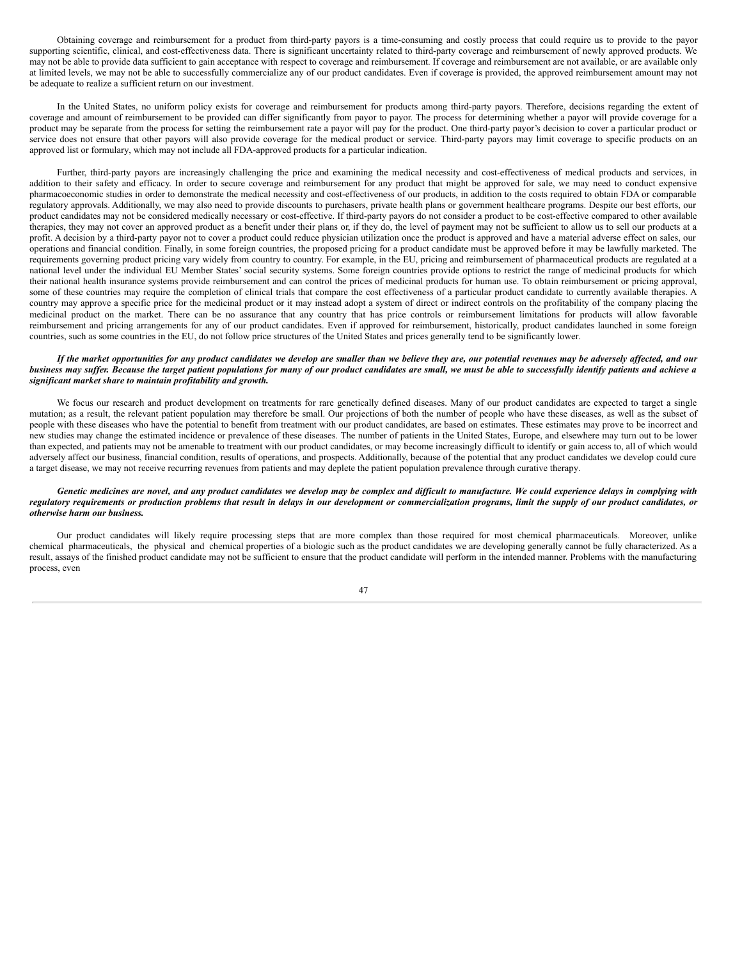Obtaining coverage and reimbursement for a product from third-party payors is a time-consuming and costly process that could require us to provide to the payor supporting scientific, clinical, and cost-effectiveness data. There is significant uncertainty related to third-party coverage and reimbursement of newly approved products. We may not be able to provide data sufficient to gain acceptance with respect to coverage and reimbursement. If coverage and reimbursement are not available, or are available only at limited levels, we may not be able to successfully commercialize any of our product candidates. Even if coverage is provided, the approved reimbursement amount may not be adequate to realize a sufficient return on our investment.

In the United States, no uniform policy exists for coverage and reimbursement for products among third-party payors. Therefore, decisions regarding the extent of coverage and amount of reimbursement to be provided can differ significantly from payor to payor. The process for determining whether a payor will provide coverage for a product may be separate from the process for setting the reimbursement rate a payor will pay for the product. One third-party payor's decision to cover a particular product or service does not ensure that other payors will also provide coverage for the medical product or service. Third-party payors may limit coverage to specific products on an approved list or formulary, which may not include all FDA-approved products for a particular indication.

Further, third-party payors are increasingly challenging the price and examining the medical necessity and cost-effectiveness of medical products and services, in addition to their safety and efficacy. In order to secure coverage and reimbursement for any product that might be approved for sale, we may need to conduct expensive pharmacoeconomic studies in order to demonstrate the medical necessity and cost-effectiveness of our products, in addition to the costs required to obtain FDA or comparable regulatory approvals. Additionally, we may also need to provide discounts to purchasers, private health plans or government healthcare programs. Despite our best efforts, our product candidates may not be considered medically necessary or cost-effective. If third-party payors do not consider a product to be cost-effective compared to other available therapies, they may not cover an approved product as a benefit under their plans or, if they do, the level of payment may not be sufficient to allow us to sell our products at a profit. A decision by a third-party payor not to cover a product could reduce physician utilization once the product is approved and have a material adverse effect on sales, our operations and financial condition. Finally, in some foreign countries, the proposed pricing for a product candidate must be approved before it may be lawfully marketed. The requirements governing product pricing vary widely from country to country. For example, in the EU, pricing and reimbursement of pharmaceutical products are regulated at a national level under the individual EU Member States' social security systems. Some foreign countries provide options to restrict the range of medicinal products for which their national health insurance systems provide reimbursement and can control the prices of medicinal products for human use. To obtain reimbursement or pricing approval, some of these countries may require the completion of clinical trials that compare the cost effectiveness of a particular product candidate to currently available therapies. A country may approve a specific price for the medicinal product or it may instead adopt a system of direct or indirect controls on the profitability of the company placing the medicinal product on the market. There can be no assurance that any country that has price controls or reimbursement limitations for products will allow favorable reimbursement and pricing arrangements for any of our product candidates. Even if approved for reimbursement, historically, product candidates launched in some foreign countries, such as some countries in the EU, do not follow price structures of the United States and prices generally tend to be significantly lower.

## If the market opportunities for any product candidates we develop are smaller than we believe they are, our potential revenues may be adversely affected, and our business may suffer. Because the target patient populations for many of our product candidates are small, we must be able to successfully identify patients and achieve a *significant market share to maintain profitability and growth.*

We focus our research and product development on treatments for rare genetically defined diseases. Many of our product candidates are expected to target a single mutation; as a result, the relevant patient population may therefore be small. Our projections of both the number of people who have these diseases, as well as the subset of people with these diseases who have the potential to benefit from treatment with our product candidates, are based on estimates. These estimates may prove to be incorrect and new studies may change the estimated incidence or prevalence of these diseases. The number of patients in the United States, Europe, and elsewhere may turn out to be lower than expected, and patients may not be amenable to treatment with our product candidates, or may become increasingly difficult to identify or gain access to, all of which would adversely affect our business, financial condition, results of operations, and prospects. Additionally, because of the potential that any product candidates we develop could cure a target disease, we may not receive recurring revenues from patients and may deplete the patient population prevalence through curative therapy.

## Genetic medicines are novel, and any product candidates we develop may be complex and difficult to manufacture. We could experience delays in complying with regulatory requirements or production problems that result in delays in our development or commercialization programs, limit the supply of our product candidates, or *otherwise harm our business.*

Our product candidates will likely require processing steps that are more complex than those required for most chemical pharmaceuticals. Moreover, unlike chemical pharmaceuticals, the physical and chemical properties of a biologic such as the product candidates we are developing generally cannot be fully characterized. As a result, assays of the finished product candidate may not be sufficient to ensure that the product candidate will perform in the intended manner. Problems with the manufacturing process, even

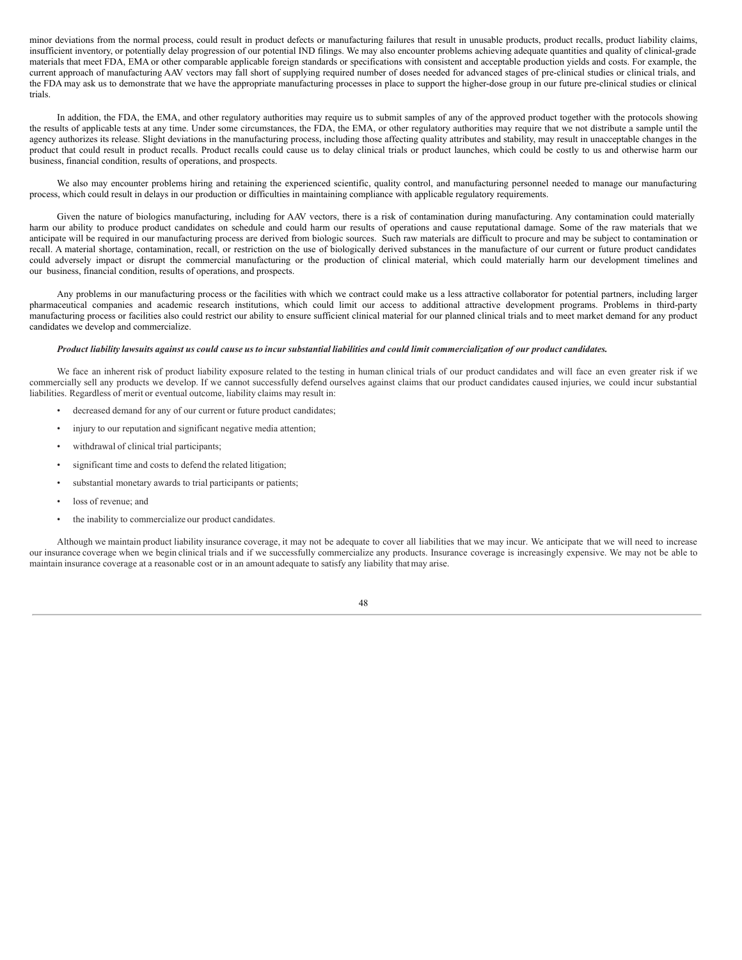minor deviations from the normal process, could result in product defects or manufacturing failures that result in unusable products, product recalls, product liability claims, insufficient inventory, or potentially delay progression of our potential IND filings. We may also encounter problems achieving adequate quantities and quality of clinical-grade materials that meet FDA, EMA or other comparable applicable foreign standards or specifications with consistent and acceptable production yields and costs. For example, the current approach of manufacturing AAV vectors may fall short of supplying required number of doses needed for advanced stages of pre-clinical studies or clinical trials, and the FDA may ask us to demonstrate that we have the appropriate manufacturing processes in place to support the higher-dose group in our future pre-clinical studies or clinical trials.

In addition, the FDA, the EMA, and other regulatory authorities may require us to submit samples of any of the approved product together with the protocols showing the results of applicable tests at any time. Under some circumstances, the FDA, the EMA, or other regulatory authorities may require that we not distribute a sample until the agency authorizes its release. Slight deviations in the manufacturing process, including those affecting quality attributes and stability, may result in unacceptable changes in the product that could result in product recalls. Product recalls could cause us to delay clinical trials or product launches, which could be costly to us and otherwise harm our business, financial condition, results of operations, and prospects.

We also may encounter problems hiring and retaining the experienced scientific, quality control, and manufacturing personnel needed to manage our manufacturing process, which could result in delays in our production or difficulties in maintaining compliance with applicable regulatory requirements.

Given the nature of biologics manufacturing, including for AAV vectors, there is a risk of contamination during manufacturing. Any contamination could materially harm our ability to produce product candidates on schedule and could harm our results of operations and cause reputational damage. Some of the raw materials that we anticipate will be required in our manufacturing process are derived from biologic sources. Such raw materials are difficult to procure and may be subject to contamination or recall. A material shortage, contamination, recall, or restriction on the use of biologically derived substances in the manufacture of our current or future product candidates could adversely impact or disrupt the commercial manufacturing or the production of clinical material, which could materially harm our development timelines and our business, financial condition, results of operations, and prospects.

Any problems in our manufacturing process or the facilities with which we contract could make us a less attractive collaborator for potential partners, including larger pharmaceutical companies and academic research institutions, which could limit our access to additional attractive development programs. Problems in third-party manufacturing process or facilities also could restrict our ability to ensure sufficient clinical material for our planned clinical trials and to meet market demand for any product candidates we develop and commercialize.

### Product liability lawsuits against us could cause us to incur substantial liabilities and could limit commercialization of our product candidates.

We face an inherent risk of product liability exposure related to the testing in human clinical trials of our product candidates and will face an even greater risk if we commercially sell any products we develop. If we cannot successfully defend ourselves against claims that our product candidates caused injuries, we could incur substantial liabilities. Regardless of merit or eventual outcome, liability claims may result in:

- decreased demand for any of our current or future product candidates;
- injury to our reputation and significant negative media attention;
- withdrawal of clinical trial participants;
- significant time and costs to defend the related litigation;
- substantial monetary awards to trial participants or patients;
- loss of revenue; and
- the inability to commercialize our product candidates.

Although we maintain product liability insurance coverage, it may not be adequate to cover all liabilities that we may incur. We anticipate that we will need to increase our insurance coverage when we begin clinical trials and if we successfully commercialize any products. Insurance coverage is increasingly expensive. We may not be able to maintain insurance coverage at a reasonable cost or in an amount adequate to satisfy any liability thatmay arise.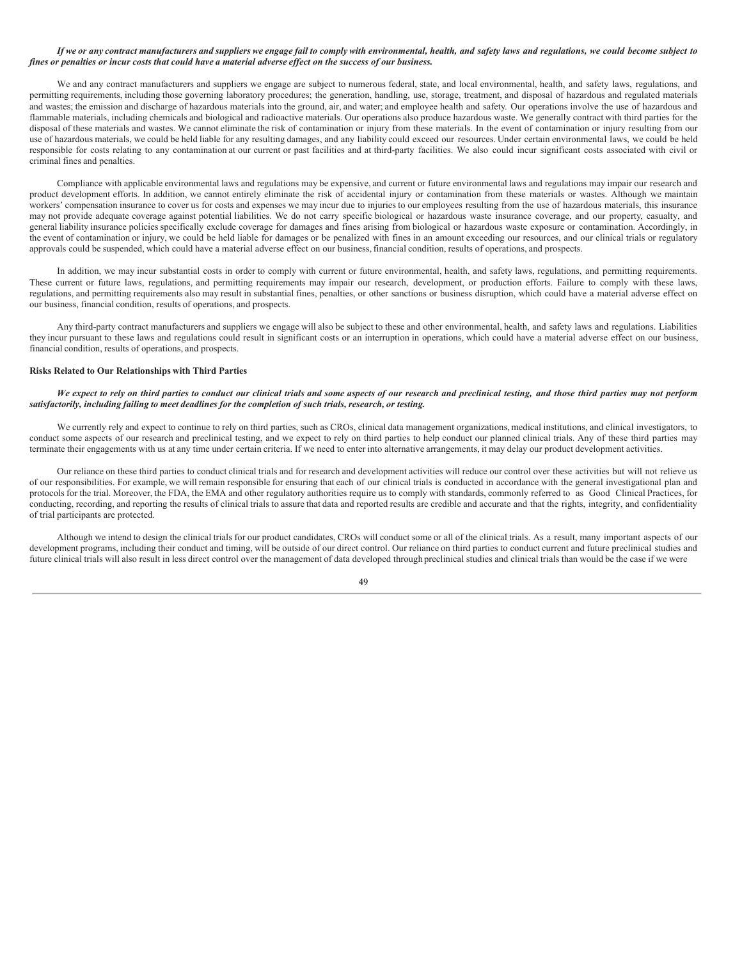## If we or any contract manufacturers and suppliers we engage fail to comply with environmental, health, and safety laws and regulations, we could become subject to fines or penalties or incur costs that could have a material adverse effect on the success of our business.

We and any contract manufacturers and suppliers we engage are subject to numerous federal, state, and local environmental, health, and safety laws, regulations, and permitting requirements, including those governing laboratory procedures; the generation, handling, use, storage, treatment, and disposal of hazardous and regulated materials and wastes; the emission and discharge of hazardous materials into the ground, air, and water; and employee health and safety. Our operations involve the use of hazardous and flammable materials, including chemicals and biological and radioactive materials. Our operations also produce hazardous waste. We generally contract with third parties for the disposal of these materials and wastes. We cannot eliminate the risk of contamination or injury from these materials. In the event of contamination or injury resulting from our use of hazardous materials, we could be held liable for any resulting damages, and any liability could exceed our resources. Under certain environmental laws, we could be held responsible for costs relating to any contamination at our current or past facilities and at third-party facilities. We also could incur significant costs associated with civil or criminal fines and penalties.

Compliance with applicable environmental laws and regulations may be expensive, and current or future environmental laws and regulations may impair our research and product development efforts. In addition, we cannot entirely eliminate the risk of accidental injury or contamination from these materials or wastes. Although we maintain workers' compensation insurance to cover us for costs and expenses we may incur due to injuries to our employees resulting from the use of hazardous materials, this insurance may not provide adequate coverage against potential liabilities. We do not carry specific biological or hazardous waste insurance coverage, and our property, casualty, and general liability insurance policies specifically exclude coverage for damages and fines arising from biological or hazardous waste exposure or contamination. Accordingly, in the event of contamination or injury, we could be held liable for damages or be penalized with fines in an amount exceeding our resources, and our clinical trials or regulatory approvals could be suspended, which could have a material adverse effect on our business,financial condition, results of operations, and prospects.

In addition, we may incur substantial costs in order to comply with current or future environmental, health, and safety laws, regulations, and permitting requirements. These current or future laws, regulations, and permitting requirements may impair our research, development, or production efforts. Failure to comply with these laws, regulations, and permitting requirements also may result in substantial fines, penalties, or other sanctions or business disruption, which could have a material adverse effect on our business, financial condition, results of operations, and prospects.

Any third-party contract manufacturers and suppliers we engage will also be subject to these and other environmental, health, and safety laws and regulations. Liabilities they incur pursuant to these laws and regulations could result in significant costs or an interruption in operations, which could have a material adverse effect on our business, financial condition, results of operations, and prospects.

# **Risks Related to Our Relationships with Third Parties**

## We expect to rely on third parties to conduct our clinical trials and some aspects of our research and preclinical testing, and those third parties may not perform *satisfactorily, including failing to meet deadlines for the completion of such trials, research, or testing.*

We currently rely and expect to continue to rely on third parties, such as CROs, clinical data management organizations, medical institutions, and clinical investigators, to conduct some aspects of our research and preclinical testing, and we expect to rely on third parties to help conduct our planned clinical trials. Any of these third parties may terminate their engagements with us at any time under certain criteria. If we need to enter into alternative arrangements, it may delay our product development activities.

Our reliance on these third parties to conduct clinical trials and for research and development activities will reduce our control over these activities but will not relieve us of our responsibilities. For example, we will remain responsible for ensuring that each of our clinical trials is conducted in accordance with the general investigational plan and protocols for the trial. Moreover, the FDA, the EMA and other regulatory authorities require us to comply with standards, commonly referred to as Good Clinical Practices, for conducting, recording, and reporting the results of clinical trials to assure that data and reported results are credible and accurate and that the rights, integrity, and confidentiality of trial participants are protected.

Although we intend to design the clinical trials for our product candidates, CROs will conduct some or all of the clinical trials. As a result, many important aspects of our development programs, including their conduct and timing, will be outside of our direct control. Our reliance on third parties to conduct current and future preclinical studies and future clinical trials will also result in less direct control over the management of data developed through preclinical studies and clinical trials than would be the case if we were

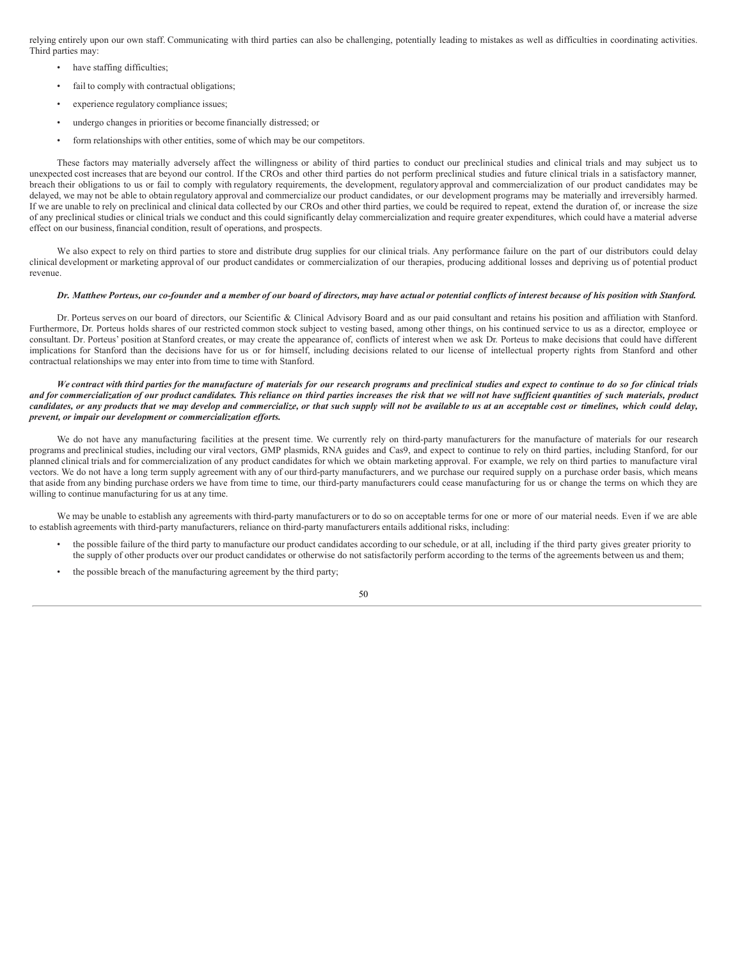relying entirely upon our own staff. Communicating with third parties can also be challenging, potentially leading to mistakes as well as difficulties in coordinating activities. Third parties may:

- have staffing difficulties;
- fail to comply with contractual obligations;
- experience regulatory compliance issues;
- undergo changes in priorities or become financially distressed; or
- form relationships with other entities, some of which may be our competitors.

These factors may materially adversely affect the willingness or ability of third parties to conduct our preclinical studies and clinical trials and may subject us to unexpected cost increases that are beyond our control. If the CROs and other third parties do not perform preclinical studies and future clinical trials in a satisfactory manner, breach their obligations to us or fail to comply with regulatory requirements, the development, regulatory approval and commercialization of our product candidates may be delayed, we may not be able to obtain regulatory approval and commercialize our product candidates, or our development programs may be materially and irreversibly harmed. If we are unable to rely on preclinical and clinical data collected by our CROs and other third parties, we could be required to repeat, extend the duration of, or increase the size of any preclinical studies or clinical trials we conduct and this could significantly delay commercialization and require greater expenditures, which could have a material adverse effect on our business,financial condition, result of operations, and prospects.

We also expect to rely on third parties to store and distribute drug supplies for our clinical trials. Any performance failure on the part of our distributors could delay clinical development or marketing approval of our product candidates or commercialization of our therapies, producing additional losses and depriving us of potential product revenue.

## Dr. Matthew Porteus, our co-founder and a member of our board of directors, may have actual or potential conflicts of interest because of his position with Stanford.

Dr. Porteus serves on our board of directors, our Scientific & Clinical Advisory Board and as our paid consultant and retains his position and affiliation with Stanford. Furthermore, Dr. Porteus holds shares of our restricted common stock subject to vesting based, among other things, on his continued service to us as a director, employee or consultant. Dr. Porteus' position at Stanford creates, or may create the appearance of, conflicts of interest when we ask Dr. Porteus to make decisions that could have different implications for Stanford than the decisions have for us or for himself, including decisions related to our license of intellectual property rights from Stanford and other contractual relationships we may enter into from time to time with Stanford.

We contract with third parties for the manufacture of materials for our research programs and preclinical studies and expect to continue to do so for clinical trials and for commercialization of our product candidates. This reliance on third parties increases the risk that we will not have sufficient quantities of such materials, product candidates, or any products that we may develop and commercialize, or that such supply will not be available to us at an acceptable cost or timelines, which could delay, *prevent, or impair our development or commercialization ef orts.*

We do not have any manufacturing facilities at the present time. We currently rely on third-party manufacturers for the manufacture of materials for our research programs and preclinical studies, including our viral vectors, GMP plasmids, RNA guides and Cas9, and expect to continue to rely on third parties, including Stanford, for our planned clinical trials and for commercialization of any product candidates for which we obtain marketing approval. For example, we rely on third parties to manufacture viral vectors. We do not have a long term supply agreement with any of our third-party manufacturers, and we purchase our required supply on a purchase order basis, which means that aside from any binding purchase orders we have from time to time, our third-party manufacturers could cease manufacturing for us or change the terms on which they are willing to continue manufacturing for us at any time.

We may be unable to establish any agreements with third-party manufacturers or to do so on acceptable terms for one or more of our material needs. Even if we are able to establish agreements with third-party manufacturers, reliance on third-party manufacturers entails additional risks, including:

- the possible failure of the third party to manufacture our product candidates according to our schedule, or at all, including if the third party gives greater priority to the supply of other products over our product candidates or otherwise do not satisfactorily perform according to the terms of the agreements between us and them;
- the possible breach of the manufacturing agreement by the third party;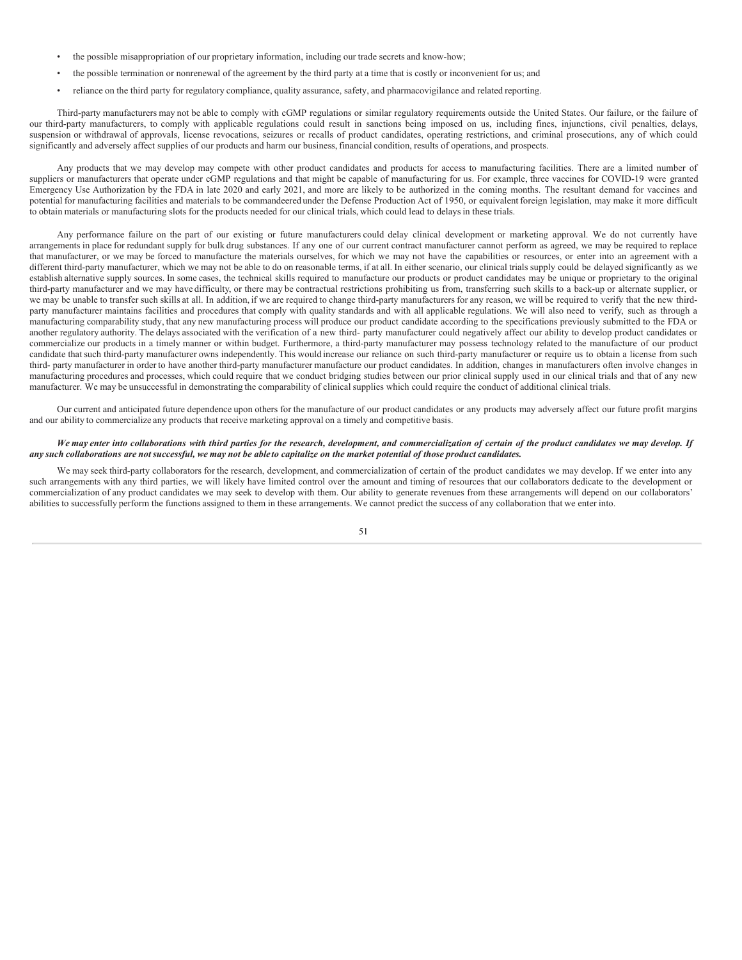- the possible misappropriation of our proprietary information, including our trade secrets and know-how;
- the possible termination or nonrenewal of the agreement by the third party at a time that is costly or inconvenient for us; and
- reliance on the third party for regulatory compliance, quality assurance, safety, and pharmacovigilance and related reporting.

Third-party manufacturers may not be able to comply with cGMP regulations or similar regulatory requirements outside the United States. Our failure, or the failure of our third-party manufacturers, to comply with applicable regulations could result in sanctions being imposed on us, including fines, injunctions, civil penalties, delays, suspension or withdrawal of approvals, license revocations, seizures or recalls of product candidates, operating restrictions, and criminal prosecutions, any of which could significantly and adversely affect supplies of our products and harm our business, financial condition, results of operations, and prospects.

Any products that we may develop may compete with other product candidates and products for access to manufacturing facilities. There are a limited number of suppliers or manufacturers that operate under cGMP regulations and that might be capable of manufacturing for us. For example, three vaccines for COVID-19 were granted Emergency Use Authorization by the FDA in late 2020 and early 2021, and more are likely to be authorized in the coming months. The resultant demand for vaccines and potential for manufacturing facilities and materials to be commandeered under the Defense Production Act of 1950, or equivalent foreign legislation, may make it more difficult to obtain materials or manufacturing slots for the products needed for our clinical trials, which could lead to delaysin these trials.

Any performance failure on the part of our existing or future manufacturers could delay clinical development or marketing approval. We do not currently have arrangements in place for redundant supply for bulk drug substances. If any one of our current contract manufacturer cannot perform as agreed, we may be required to replace that manufacturer, or we may be forced to manufacture the materials ourselves, for which we may not have the capabilities or resources, or enter into an agreement with a different third-party manufacturer, which we may not be able to do on reasonable terms, if at all. In either scenario, our clinical trials supply could be delayed significantly as we establish alternative supply sources. In some cases, the technical skills required to manufacture our products or product candidates may be unique or proprietary to the original third-party manufacturer and we may have difficulty, or there may be contractual restrictions prohibiting us from, transferring such skills to a back-up or alternate supplier, or we may be unable to transfer such skills at all. In addition, if we are required to change third-party manufacturers for any reason, we will be required to verify that the new thirdparty manufacturer maintains facilities and procedures that comply with quality standards and with all applicable regulations. We will also need to verify, such as through a manufacturing comparability study, that any new manufacturing process will produce our product candidate according to the specifications previously submitted to the FDA or another regulatory authority. The delays associated with the verification of a new third- party manufacturer could negatively affect our ability to develop product candidates or commercialize our products in a timely manner or within budget. Furthermore, a third-party manufacturer may possess technology related to the manufacture of our product candidate that such third-party manufacturer owns independently. This would increase our reliance on such third-party manufacturer or require us to obtain a license from such third- party manufacturer in order to have another third-party manufacturer manufacture our product candidates. In addition, changes in manufacturers often involve changes in manufacturing procedures and processes, which could require that we conduct bridging studies between our prior clinical supply used in our clinical trials and that of any new manufacturer. We may be unsuccessful in demonstrating the comparability of clinical supplies which could require the conduct of additional clinical trials.

Our current and anticipated future dependence upon others for the manufacture of our product candidates or any products may adversely affect our future profit margins and our ability to commercialize any products that receive marketing approval on a timely and competitive basis.

### We may enter into collaborations with third parties for the research, development, and commercialization of certain of the product candidates we may develop. If any such collaborations are not successful, we may not be able to capitalize on the market potential of those product candidates.

We may seek third-party collaborators for the research, development, and commercialization of certain of the product candidates we may develop. If we enter into any such arrangements with any third parties, we will likely have limited control over the amount and timing of resources that our collaborators dedicate to the development or commercialization of any product candidates we may seek to develop with them. Our ability to generate revenues from these arrangements will depend on our collaborators' abilities to successfully perform the functions assigned to them in these arrangements. We cannot predict the success of any collaboration that we enter into.

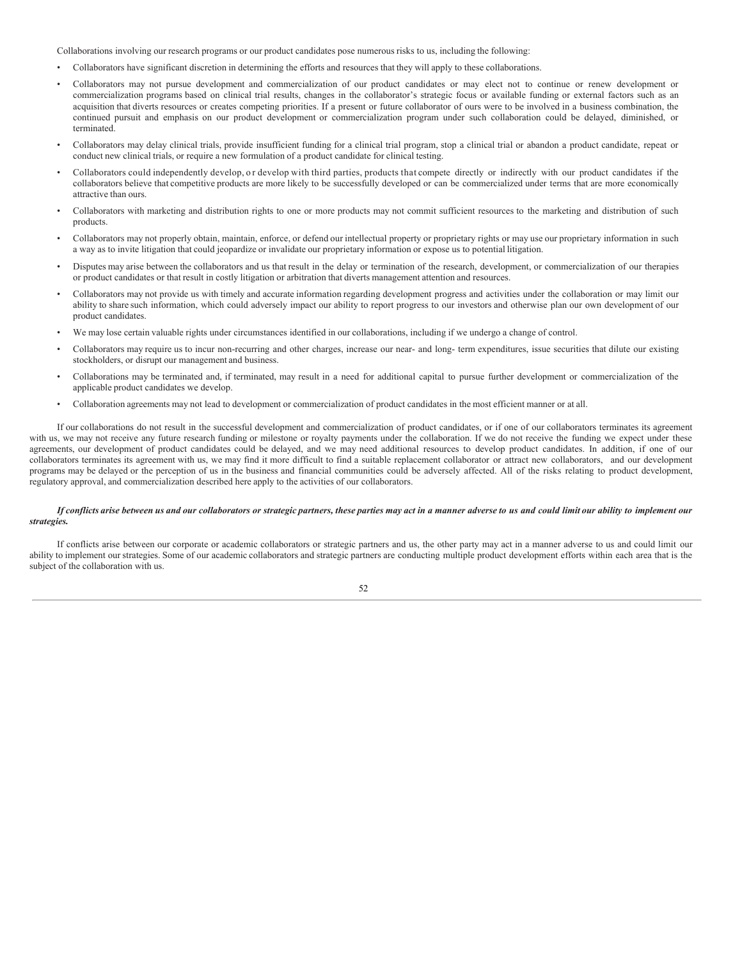Collaborations involving our research programs or our product candidates pose numerous risks to us, including the following:

- Collaborators have significant discretion in determining the efforts and resources that they will apply to these collaborations.
- Collaborators may not pursue development and commercialization of our product candidates or may elect not to continue or renew development or commercialization programs based on clinical trial results, changes in the collaborator's strategic focus or available funding or external factors such as an acquisition that diverts resources or creates competing priorities. If a present or future collaborator of ours were to be involved in a business combination, the continued pursuit and emphasis on our product development or commercialization program under such collaboration could be delayed, diminished, or terminated.
- Collaborators may delay clinical trials, provide insufficient funding for a clinical trial program, stop a clinical trial or abandon a product candidate, repeat or conduct new clinical trials, or require a new formulation of a product candidate for clinical testing.
- Collaborators could independently develop, o r develop with third parties, products that compete directly or indirectly with our product candidates if the collaborators believe that competitive products are more likely to be successfully developed or can be commercialized under terms that are more economically attractive than ours.
- Collaborators with marketing and distribution rights to one or more products may not commit sufficient resources to the marketing and distribution of such products.
- Collaborators may not properly obtain, maintain, enforce, or defend our intellectual property or proprietary rights or may use our proprietary information in such a way as to invite litigation that could jeopardize or invalidate our proprietary information or expose us to potential litigation.
- Disputes may arise between the collaborators and us that result in the delay or termination of the research, development, or commercialization of our therapies or product candidates or that result in costly litigation or arbitration that diverts management attention and resources.
- Collaborators may not provide us with timely and accurate information regarding development progress and activities under the collaboration or may limit our ability to share such information, which could adversely impact our ability to report progress to our investors and otherwise plan our own development of our product candidates.
- We may lose certain valuable rights under circumstances identified in our collaborations, including if we undergo a change of control.
- Collaborators may require us to incur non-recurring and other charges, increase our near- and long- term expenditures, issue securities that dilute our existing stockholders, or disrupt our management and business.
- Collaborations may be terminated and, if terminated, may result in a need for additional capital to pursue further development or commercialization of the applicable product candidates we develop.
- Collaboration agreements may not lead to development or commercialization of product candidates in the most efficient manner or at all.

If our collaborations do not result in the successful development and commercialization of product candidates, or if one of our collaborators terminates its agreement with us, we may not receive any future research funding or milestone or royalty payments under the collaboration. If we do not receive the funding we expect under these agreements, our development of product candidates could be delayed, and we may need additional resources to develop product candidates. In addition, if one of our collaborators terminates its agreement with us, we may find it more difficult to find a suitable replacement collaborator or attract new collaborators, and our development programs may be delayed or the perception of us in the business and financial communities could be adversely affected. All of the risks relating to product development, regulatory approval, and commercialization described here apply to the activities of our collaborators.

#### If conflicts arise between us and our collaborators or strategic partners, these parties may act in a manner adverse to us and could limit our ability to implement our *strategies.*

If conflicts arise between our corporate or academic collaborators or strategic partners and us, the other party may act in a manner adverse to us and could limit our ability to implement our strategies. Some of our academic collaborators and strategic partners are conducting multiple product development efforts within each area that is the subject of the collaboration with us.

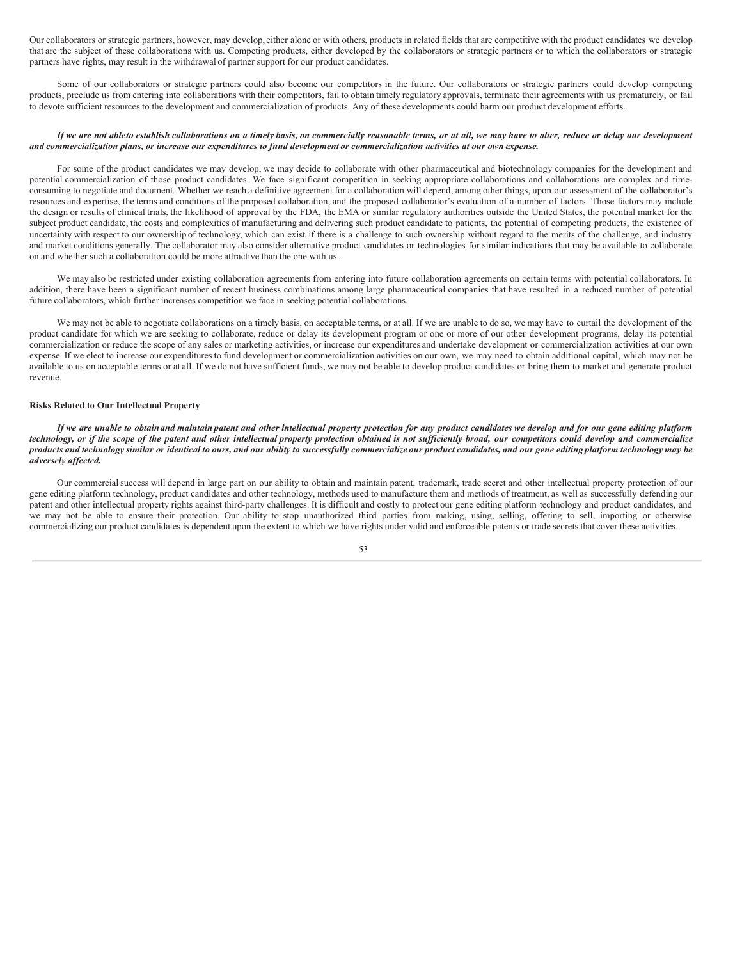Our collaborators or strategic partners, however, may develop, either alone or with others, products in related fields that are competitive with the product candidates we develop that are the subject of these collaborations with us. Competing products, either developed by the collaborators or strategic partners or to which the collaborators or strategic partners have rights, may result in the withdrawal of partner support for our product candidates.

Some of our collaborators or strategic partners could also become our competitors in the future. Our collaborators or strategic partners could develop competing products, preclude us from entering into collaborations with their competitors, fail to obtain timely regulatory approvals, terminate their agreements with us prematurely, or fail to devote sufficient resources to the development and commercialization of products. Any of these developments could harm our product development efforts.

## If we are not ableto establish collaborations on a timely basis, on commercially reasonable terms, or at all, we may have to alter, reduce or delay our development and commercialization plans, or increase our expenditures to fund development or commercialization activities at our own expense.

For some of the product candidates we may develop, we may decide to collaborate with other pharmaceutical and biotechnology companies for the development and potential commercialization of those product candidates. We face significant competition in seeking appropriate collaborations and collaborations are complex and timeconsuming to negotiate and document. Whether we reach a definitive agreement for a collaboration will depend, among other things, upon our assessment of the collaborator's resources and expertise, the terms and conditions of the proposed collaboration, and the proposed collaborator's evaluation of a number of factors. Those factors may include the design or results of clinical trials, the likelihood of approval by the FDA, the EMA or similar regulatory authorities outside the United States, the potential market for the subject product candidate, the costs and complexities of manufacturing and delivering such product candidate to patients, the potential of competing products, the existence of uncertainty with respect to our ownership of technology, which can exist if there is a challenge to such ownership without regard to the merits of the challenge, and industry and market conditions generally. The collaborator may also consider alternative product candidates or technologies for similar indications that may be available to collaborate on and whether such a collaboration could be more attractive than the one with us.

We may also be restricted under existing collaboration agreements from entering into future collaboration agreements on certain terms with potential collaborators. In addition, there have been a significant number of recent business combinations among large pharmaceutical companies that have resulted in a reduced number of potential future collaborators, which further increases competition we face in seeking potential collaborations.

We may not be able to negotiate collaborations on a timely basis, on acceptable terms, or at all. If we are unable to do so, we may have to curtail the development of the product candidate for which we are seeking to collaborate, reduce or delay its development program or one or more of our other development programs, delay its potential commercialization or reduce the scope of any sales or marketing activities, or increase our expenditures and undertake development or commercialization activities at our own expense. If we elect to increase our expenditures to fund development or commercialization activities on our own, we may need to obtain additional capital, which may not be available to us on acceptable terms or at all. If we do not have sufficient funds, we may not be able to develop product candidates or bring them to market and generate product revenue.

## **Risks Related to Our Intellectual Property**

If we are unable to obtain and maintain patent and other intellectual property protection for any product candidates we develop and for our gene editing platform technology, or if the scope of the patent and other intellectual property protection obtained is not sufficiently broad, our competitors could develop and commercialize products and technology similar or identical to ours, and our ability to successfully commercialize our product candidates, and our gene editing platform technology may be *adversely af ected.*

Our commercialsuccess will depend in large part on our ability to obtain and maintain patent, trademark, trade secret and other intellectual property protection of our gene editing platform technology, product candidates and other technology, methods used to manufacture them and methods of treatment, as well as successfully defending our patent and other intellectual property rights against third-party challenges. It is difficult and costly to protect our gene editing platform technology and product candidates, and we may not be able to ensure their protection. Our ability to stop unauthorized third parties from making, using, selling, offering to sell, importing or otherwise commercializing our product candidates is dependent upon the extent to which we have rights under valid and enforceable patents or trade secrets that cover these activities.

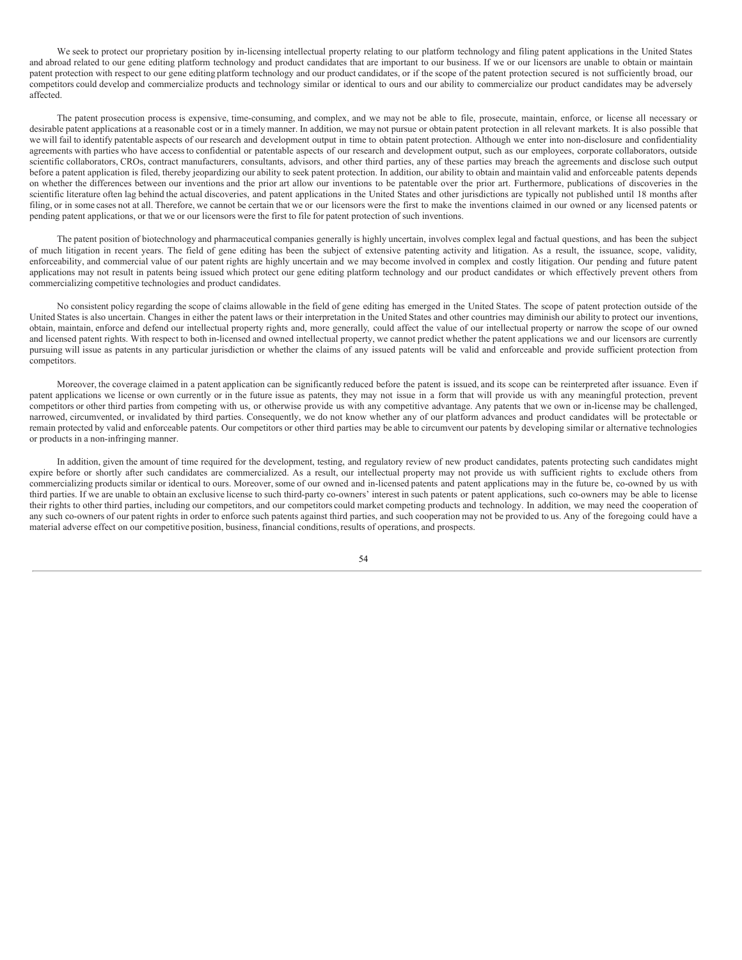We seek to protect our proprietary position by in-licensing intellectual property relating to our platform technology and filing patent applications in the United States and abroad related to our gene editing platform technology and product candidates that are important to our business. If we or our licensors are unable to obtain or maintain patent protection with respect to our gene editing platform technology and our product candidates, or if the scope of the patent protection secured is not sufficiently broad, our competitors could develop and commercialize products and technology similar or identical to ours and our ability to commercialize our product candidates may be adversely affected.

The patent prosecution process is expensive, time-consuming, and complex, and we may not be able to file, prosecute, maintain, enforce, or license all necessary or desirable patent applications at a reasonable cost or in a timely manner. In addition, we may not pursue or obtain patent protection in all relevant markets. It is also possible that we will fail to identify patentable aspects of our research and development output in time to obtain patent protection. Although we enter into non-disclosure and confidentiality agreements with parties who have accessto confidential or patentable aspects of our research and development output, such as our employees, corporate collaborators, outside scientific collaborators, CROs, contract manufacturers, consultants, advisors, and other third parties, any of these parties may breach the agreements and disclose such output before a patent application is filed, thereby jeopardizing our ability to seek patent protection. In addition, our ability to obtain and maintain valid and enforceable patents depends on whether the differences between our inventions and the prior art allow our inventions to be patentable over the prior art. Furthermore, publications of discoveries in the scientific literature often lag behind the actual discoveries, and patent applications in the United States and other jurisdictions are typically not published until 18 months after filing, or in some cases not at all. Therefore, we cannot be certain that we or our licensors were the first to make the inventions claimed in our owned or any licensed patents or pending patent applications, or that we or our licensors were the first to file for patent protection of such inventions.

The patent position of biotechnology and pharmaceutical companies generally is highly uncertain, involves complex legal and factual questions, and has been the subject of much litigation in recent years. The field of gene editing has been the subject of extensive patenting activity and litigation. As a result, the issuance, scope, validity, enforceability, and commercial value of our patent rights are highly uncertain and we may become involved in complex and costly litigation. Our pending and future patent applications may not result in patents being issued which protect our gene editing platform technology and our product candidates or which effectively prevent others from commercializing competitive technologies and product candidates.

No consistent policy regarding the scope of claims allowable in the field of gene editing has emerged in the United States. The scope of patent protection outside of the United States is also uncertain. Changes in either the patent laws or their interpretation in the United States and other countries may diminish our ability to protect our inventions, obtain, maintain, enforce and defend our intellectual property rights and, more generally, could affect the value of our intellectual property or narrow the scope of our owned and licensed patent rights. With respect to both in-licensed and owned intellectual property, we cannot predict whether the patent applications we and our licensors are currently pursuing will issue as patents in any particular jurisdiction or whether the claims of any issued patents will be valid and enforceable and provide sufficient protection from competitors.

Moreover, the coverage claimed in a patent application can be significantly reduced before the patent is issued, and its scope can be reinterpreted after issuance. Even if patent applications we license or own currently or in the future issue as patents, they may not issue in a form that will provide us with any meaningful protection, prevent competitors or other third parties from competing with us, or otherwise provide us with any competitive advantage. Any patents that we own or in-license may be challenged, narrowed, circumvented, or invalidated by third parties. Consequently, we do not know whether any of our platform advances and product candidates will be protectable or remain protected by valid and enforceable patents. Our competitors or other third parties may be able to circumvent our patents by developing similar or alternative technologies or products in a non-infringing manner.

In addition, given the amount of time required for the development, testing, and regulatory review of new product candidates, patents protecting such candidates might expire before or shortly after such candidates are commercialized. As a result, our intellectual property may not provide us with sufficient rights to exclude others from commercializing products similar or identical to ours. Moreover, some of our owned and in-licensed patents and patent applications may in the future be, co-owned by us with third parties. If we are unable to obtain an exclusive license to such third-party co-owners' interest in such patents or patent applications, such co-owners may be able to license their rights to other third parties, including our competitors, and our competitors could market competing products and technology. In addition, we may need the cooperation of any such co-owners of our patent rights in order to enforce such patents against third parties, and such cooperation may not be provided to us. Any of the foregoing could have a material adverse effect on our competitive position, business, financial conditions,results of operations, and prospects.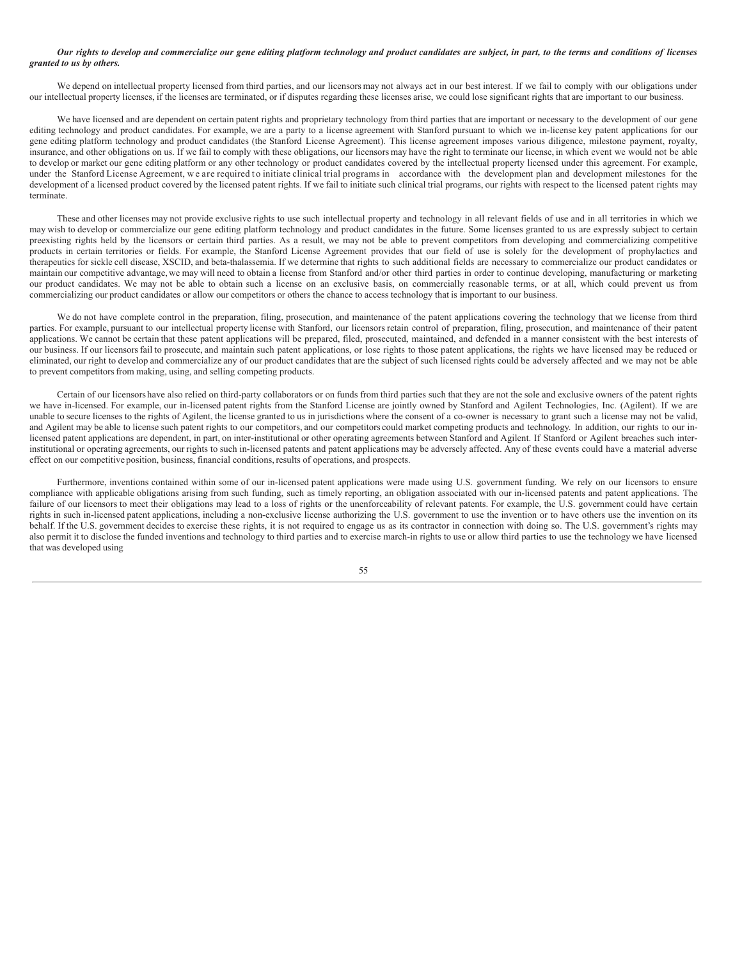## Our rights to develop and commercialize our gene editing platform technology and product candidates are subject, in part, to the terms and conditions of licenses *granted to us by others.*

We depend on intellectual property licensed from third parties, and our licensors may not always act in our best interest. If we fail to comply with our obligations under our intellectual property licenses, if the licenses are terminated, or if disputes regarding these licenses arise, we could lose significant rights that are important to our business.

We have licensed and are dependent on certain patent rights and proprietary technology from third parties that are important or necessary to the development of our gene editing technology and product candidates. For example, we are a party to a license agreement with Stanford pursuant to which we in-license key patent applications for our gene editing platform technology and product candidates (the Stanford License Agreement). This license agreement imposes various diligence, milestone payment, royalty, insurance, and other obligations on us. If we fail to comply with these obligations, our licensors may have the right to terminate our license, in which event we would not be able to develop or market our gene editing platform or any other technology or product candidates covered by the intellectual property licensed under this agreement. For example, under the Stanford License Agreement, we are required to initiate clinical trial programs in accordance with the development plan and development milestones for the development of a licensed product covered by the licensed patent rights. If we fail to initiate such clinical trial programs, our rights with respect to the licensed patent rights may terminate.

These and other licenses may not provide exclusive rights to use such intellectual property and technology in all relevant fields of use and in all territories in which we may wish to develop or commercialize our gene editing platform technology and product candidates in the future. Some licenses granted to us are expressly subject to certain preexisting rights held by the licensors or certain third parties. As a result, we may not be able to prevent competitors from developing and commercializing competitive products in certain territories or fields. For example, the Stanford License Agreement provides that our field of use is solely for the development of prophylactics and therapeutics for sickle cell disease, XSCID, and beta-thalassemia. If we determine that rights to such additional fields are necessary to commercialize our product candidates or maintain our competitive advantage, we may will need to obtain a license from Stanford and/or other third parties in order to continue developing, manufacturing or marketing our product candidates. We may not be able to obtain such a license on an exclusive basis, on commercially reasonable terms, or at all, which could prevent us from commercializing our product candidates or allow our competitors or others the chance to access technology that is important to our business.

We do not have complete control in the preparation, filing, prosecution, and maintenance of the patent applications covering the technology that we license from third parties. For example, pursuant to our intellectual property license with Stanford, our licensors retain control of preparation, filing, prosecution, and maintenance of their patent applications. We cannot be certain that these patent applications will be prepared, filed, prosecuted, maintained, and defended in a manner consistent with the best interests of our business. If our licensorsfail to prosecute, and maintain such patent applications, or lose rights to those patent applications, the rights we have licensed may be reduced or eliminated, our right to develop and commercialize any of our product candidates that are the subject of such licensed rights could be adversely affected and we may not be able to prevent competitors from making, using, and selling competing products.

Certain of our licensors have also relied on third-party collaborators or on funds from third parties such that they are not the sole and exclusive owners of the patent rights we have in-licensed. For example, our in-licensed patent rights from the Stanford License are jointly owned by Stanford and Agilent Technologies, Inc. (Agilent). If we are unable to secure licenses to the rights of Agilent, the license granted to us in jurisdictions where the consent of a co-owner is necessary to grant such a license may not be valid, and Agilent may be able to license such patent rights to our competitors, and our competitors could market competing products and technology. In addition, our rights to our inlicensed patent applications are dependent, in part, on inter-institutional or other operating agreements between Stanford and Agilent. If Stanford or Agilent breaches such interinstitutional or operating agreements, our rights to such in-licensed patents and patent applications may be adversely affected. Any of these events could have a material adverse effect on our competitive position, business, financial conditions,results of operations, and prospects.

Furthermore, inventions contained within some of our in-licensed patent applications were made using U.S. government funding. We rely on our licensors to ensure compliance with applicable obligations arising from such funding, such as timely reporting, an obligation associated with our in-licensed patents and patent applications. The failure of our licensors to meet their obligations may lead to a loss of rights or the unenforceability of relevant patents. For example, the U.S. government could have certain rights in such in-licensed patent applications, including a non-exclusive license authorizing the U.S. government to use the invention or to have others use the invention on its behalf. If the U.S. government decides to exercise these rights, it is not required to engage us as its contractor in connection with doing so. The U.S. government's rights may also permit it to disclose the funded inventions and technology to third parties and to exercise march-in rights to use or allow third parties to use the technology we have licensed that was developed using

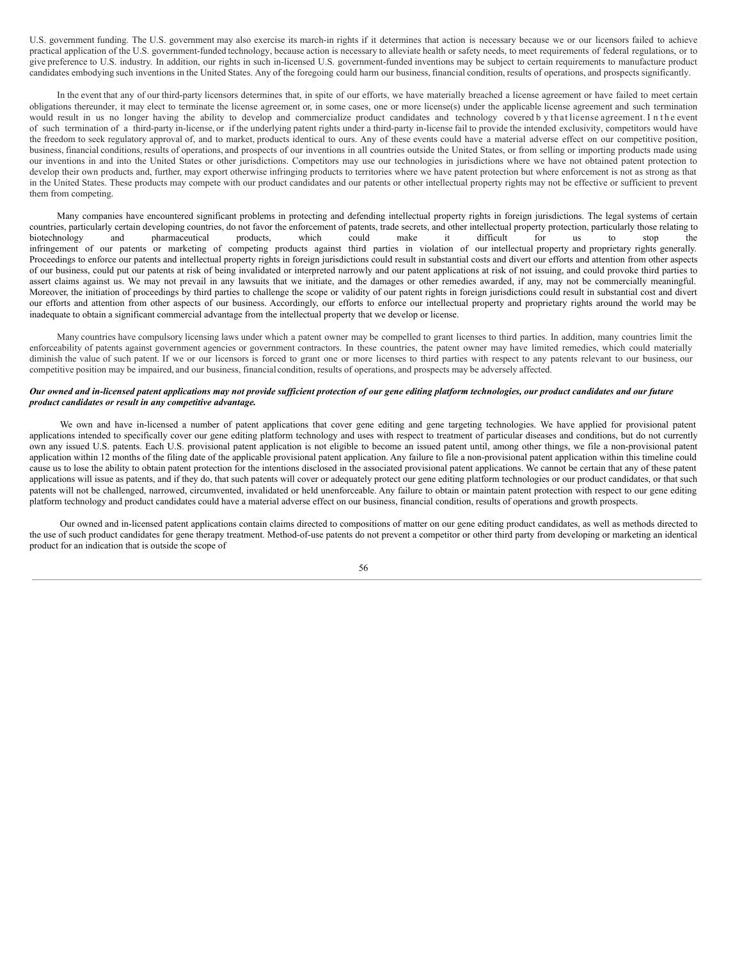U.S. government funding. The U.S. government may also exercise its march-in rights if it determines that action is necessary because we or our licensors failed to achieve practical application of the U.S. government-funded technology, because action is necessary to alleviate health or safety needs, to meet requirements of federal regulations, or to give preference to U.S. industry. In addition, our rights in such in-licensed U.S. government-funded inventions may be subject to certain requirements to manufacture product candidates embodying such inventions in the United States. Any of the foregoing could harm our business, financial condition, results of operations, and prospects significantly.

In the event that any of our third-party licensors determines that, in spite of our efforts, we have materially breached a license agreement or have failed to meet certain obligations thereunder, it may elect to terminate the license agreement or, in some cases, one or more license(s) under the applicable license agreement and such termination would result in us no longer having the ability to develop and commercialize product candidates and technology covered by that license agreement. In the event of such termination of a third-party in-license, or if the underlying patent rights under a third-party in-license fail to provide the intended exclusivity, competitors would have the freedom to seek regulatory approval of, and to market, products identical to ours. Any of these events could have a material adverse effect on our competitive position, business, financial conditions, results of operations, and prospects of our inventions in all countries outside the United States, or from selling or importing products made using our inventions in and into the United States or other jurisdictions. Competitors may use our technologies in jurisdictions where we have not obtained patent protection to develop their own products and, further, may export otherwise infringing products to territories where we have patent protection but where enforcement is not as strong as that in the United States. These products may compete with our product candidates and our patents or other intellectual property rights may not be effective or sufficient to prevent them from competing.

Many companies have encountered significant problems in protecting and defending intellectual property rights in foreign jurisdictions. The legal systems of certain countries, particularly certain developing countries, do not favor the enforcement of patents, trade secrets, and other intellectual property protection, particularly those relating to biotechnology and pharmaceutical products, which could make it difficult for us to stop the infringement of our patents or marketing of competing products against third parties in violation of our intellectual property and proprietary rights generally. Proceedings to enforce our patents and intellectual property rights in foreign jurisdictions could result in substantial costs and divert our efforts and attention from other aspects of our business, could put our patents at risk of being invalidated or interpreted narrowly and our patent applications at risk of not issuing, and could provoke third parties to assert claims against us. We may not prevail in any lawsuits that we initiate, and the damages or other remedies awarded, if any, may not be commercially meaningful. Moreover, the initiation of proceedings by third parties to challenge the scope or validity of our patent rights in foreign jurisdictions could result in substantial cost and divert our efforts and attention from other aspects of our business. Accordingly, our efforts to enforce our intellectual property and proprietary rights around the world may be inadequate to obtain a significant commercial advantage from the intellectual property that we develop or license.

Many countries have compulsory licensing laws under which a patent owner may be compelled to grant licenses to third parties. In addition, many countries limit the enforceability of patents against government agencies or government contractors. In these countries, the patent owner may have limited remedies, which could materially diminish the value of such patent. If we or our licensors is forced to grant one or more licenses to third parties with respect to any patents relevant to our business, our competitive position may be impaired, and our business, financial condition, results of operations, and prospects may be adversely affected.

## Our owned and in-licensed patent applications may not provide sufficient protection of our gene editing platform technologies, our product candidates and our future *product candidates or result in any competitive advantage.*

We own and have in-licensed a number of patent applications that cover gene editing and gene targeting technologies. We have applied for provisional patent applications intended to specifically cover our gene editing platform technology and uses with respect to treatment of particular diseases and conditions, but do not currently own any issued U.S. patents. Each U.S. provisional patent application is not eligible to become an issued patent until, among other things, we file a non-provisional patent application within 12 months of the filing date of the applicable provisional patent application. Any failure to file a non-provisional patent application within this timeline could cause us to lose the ability to obtain patent protection for the intentions disclosed in the associated provisional patent applications. We cannot be certain that any of these patent applications will issue as patents, and if they do, that such patents will cover or adequately protect our gene editing platform technologies or our product candidates, or that such patents will not be challenged, narrowed, circumvented, invalidated or held unenforceable. Any failure to obtain or maintain patent protection with respect to our gene editing platform technology and product candidates could have a material adverse effect on our business, financial condition, results of operations and growth prospects.

Our owned and in-licensed patent applications contain claims directed to compositions of matter on our gene editing product candidates, as well as methods directed to the use of such product candidates for gene therapy treatment. Method-of-use patents do not prevent a competitor or other third party from developing or marketing an identical product for an indication that is outside the scope of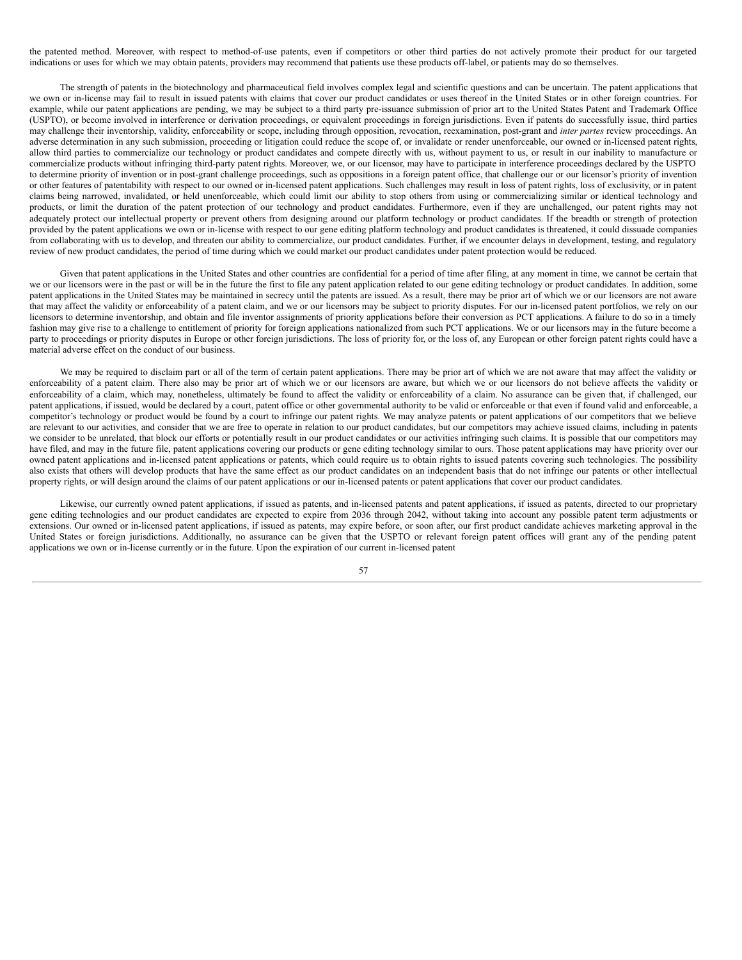the patented method. Moreover, with respect to method-of-use patents, even if competitors or other third parties do not actively promote their product for our targeted indications or uses for which we may obtain patents, providers may recommend that patients use these products off-label, or patients may do so themselves.

The strength of patents in the biotechnology and pharmaceutical field involves complex legal and scientific questions and can be uncertain. The patent applications that we own or in-license may fail to result in issued patents with claims that cover our product candidates or uses thereof in the United States or in other foreign countries. For example, while our patent applications are pending, we may be subject to a third party pre-issuance submission of prior art to the United States Patent and Trademark Office (USPTO), or become involved in interference or derivation proceedings, or equivalent proceedings in foreign jurisdictions. Even if patents do successfully issue, third parties may challenge their inventorship, validity, enforceability or scope, including through opposition, revocation, reexamination, post-grant and *inter partes* review proceedings. An adverse determination in any such submission, proceeding or litigation could reduce the scope of, or invalidate or render unenforceable, our owned or in-licensed patent rights, allow third parties to commercialize our technology or product candidates and compete directly with us, without payment to us, or result in our inability to manufacture or commercialize products without infringing third-party patent rights. Moreover, we, or our licensor, may have to participate in interference proceedings declared by the USPTO to determine priority of invention or in post-grant challenge proceedings, such as oppositions in a foreign patent office, that challenge our or our licensor's priority of invention or other features of patentability with respect to our owned or in-licensed patent applications. Such challenges may result in loss of patent rights, loss of exclusivity, or in patent claims being narrowed, invalidated, or held unenforceable, which could limit our ability to stop others from using or commercializing similar or identical technology and products, or limit the duration of the patent protection of our technology and product candidates. Furthermore, even if they are unchallenged, our patent rights may not adequately protect our intellectual property or prevent others from designing around our platform technology or product candidates. If the breadth or strength of protection provided by the patent applications we own or in-license with respect to our gene editing platform technology and product candidates is threatened, it could dissuade companies from collaborating with us to develop, and threaten our ability to commercialize, our product candidates. Further, if we encounter delays in development, testing, and regulatory review of new product candidates, the period of time during which we could market our product candidates under patent protection would be reduced.

Given that patent applications in the United States and other countries are confidential for a period of time after filing, at any moment in time, we cannot be certain that we or our licensors were in the past or will be in the future the first to file any patent application related to our gene editing technology or product candidates. In addition, some patent applications in the United States may be maintained in secrecy until the patents are issued. As a result, there may be prior art of which we or our licensors are not aware that may affect the validity or enforceability of a patent claim, and we or our licensors may be subject to priority disputes. For our in-licensed patent portfolios, we rely on our licensors to determine inventorship, and obtain and file inventor assignments of priority applications before their conversion as PCT applications. A failure to do so in a timely fashion may give rise to a challenge to entitlement of priority for foreign applications nationalized from such PCT applications. We or our licensors may in the future become a party to proceedings or priority disputes in Europe or other foreign jurisdictions. The loss of priority for, or the loss of, any European or other foreign patent rights could have a material adverse effect on the conduct of our business.

We may be required to disclaim part or all of the term of certain patent applications. There may be prior art of which we are not aware that may affect the validity or enforceability of a patent claim. There also may be prior art of which we or our licensors are aware, but which we or our licensors do not believe affects the validity or enforceability of a claim, which may, nonetheless, ultimately be found to affect the validity or enforceability of a claim. No assurance can be given that, if challenged, our patent applications, if issued, would be declared by a court, patent office or other governmental authority to be valid or enforceable or that even if found valid and enforceable, a competitor's technology or product would be found by a court to infringe our patent rights. We may analyze patents or patent applications of our competitors that we believe are relevant to our activities, and consider that we are free to operate in relation to our product candidates, but our competitors may achieve issued claims, including in patents we consider to be unrelated, that block our efforts or potentially result in our product candidates or our activities infringing such claims. It is possible that our competitors may have filed, and may in the future file, patent applications covering our products or gene editing technology similar to ours. Those patent applications may have priority over our owned patent applications and in-licensed patent applications or patents, which could require us to obtain rights to issued patents covering such technologies. The possibility also exists that others will develop products that have the same effect as our product candidates on an independent basis that do not infringe our patents or other intellectual property rights, or will design around the claims of our patent applications or our in-licensed patents or patent applications that cover our product candidates.

Likewise, our currently owned patent applications, if issued as patents, and in-licensed patents and patent applications, if issued as patents, directed to our proprietary gene editing technologies and our product candidates are expected to expire from 2036 through 2042, without taking into account any possible patent term adjustments or extensions. Our owned or in-licensed patent applications, if issued as patents, may expire before, or soon after, our first product candidate achieves marketing approval in the United States or foreign jurisdictions. Additionally, no assurance can be given that the USPTO or relevant foreign patent offices will grant any of the pending patent applications we own or in-license currently or in the future. Upon the expiration of our current in-licensed patent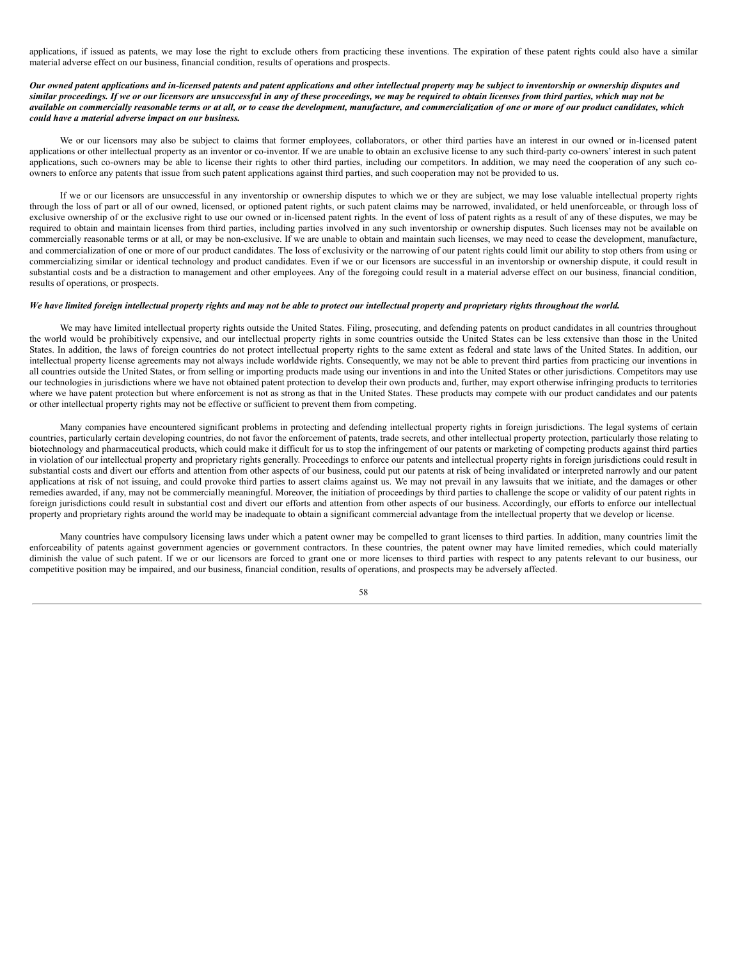applications, if issued as patents, we may lose the right to exclude others from practicing these inventions. The expiration of these patent rights could also have a similar material adverse effect on our business, financial condition, results of operations and prospects.

## Our owned patent applications and in-licensed patents and patent applications and other intellectual property may be subject to inventorship or ownership disputes and similar proceedings. If we or our licensors are unsuccessful in any of these proceedings, we may be required to obtain licenses from third parties, which may not be available on commercially reasonable terms or at all, or to cease the development, manufacture, and commercialization of one or more of our product candidates, which *could have a material adverse impact on our business.*

We or our licensors may also be subject to claims that former employees, collaborators, or other third parties have an interest in our owned or in-licensed patent applications or other intellectual property as an inventor or co-inventor. If we are unable to obtain an exclusive license to any such third-party co-owners' interest in such patent applications, such co-owners may be able to license their rights to other third parties, including our competitors. In addition, we may need the cooperation of any such coowners to enforce any patents that issue from such patent applications against third parties, and such cooperation may not be provided to us.

If we or our licensors are unsuccessful in any inventorship or ownership disputes to which we or they are subject, we may lose valuable intellectual property rights through the loss of part or all of our owned, licensed, or optioned patent rights, or such patent claims may be narrowed, invalidated, or held unenforceable, or through loss of exclusive ownership of or the exclusive right to use our owned or in-licensed patent rights. In the event of loss of patent rights as a result of any of these disputes, we may be required to obtain and maintain licenses from third parties, including parties involved in any such inventorship or ownership disputes. Such licenses may not be available on commercially reasonable terms or at all, or may be non-exclusive. If we are unable to obtain and maintain such licenses, we may need to cease the development, manufacture, and commercialization of one or more of our product candidates. The loss of exclusivity or the narrowing of our patent rights could limit our ability to stop others from using or commercializing similar or identical technology and product candidates. Even if we or our licensors are successful in an inventorship or ownership dispute, it could result in substantial costs and be a distraction to management and other employees. Any of the foregoing could result in a material adverse effect on our business, financial condition, results of operations, or prospects.

# We have limited foreign intellectual property rights and may not be able to protect our intellectual property and proprietary rights throughout the world.

We may have limited intellectual property rights outside the United States. Filing, prosecuting, and defending patents on product candidates in all countries throughout the world would be prohibitively expensive, and our intellectual property rights in some countries outside the United States can be less extensive than those in the United States. In addition, the laws of foreign countries do not protect intellectual property rights to the same extent as federal and state laws of the United States. In addition, our intellectual property license agreements may not always include worldwide rights. Consequently, we may not be able to prevent third parties from practicing our inventions in all countries outside the United States, or from selling or importing products made using our inventions in and into the United States or other jurisdictions. Competitors may use our technologies in jurisdictions where we have not obtained patent protection to develop their own products and, further, may export otherwise infringing products to territories where we have patent protection but where enforcement is not as strong as that in the United States. These products may compete with our product candidates and our patents or other intellectual property rights may not be effective or sufficient to prevent them from competing.

Many companies have encountered significant problems in protecting and defending intellectual property rights in foreign jurisdictions. The legal systems of certain countries, particularly certain developing countries, do not favor the enforcement of patents, trade secrets, and other intellectual property protection, particularly those relating to biotechnology and pharmaceutical products, which could make it difficult for us to stop the infringement of our patents or marketing of competing products against third parties in violation of our intellectual property and proprietary rights generally. Proceedings to enforce our patents and intellectual property rights in foreign jurisdictions could result in substantial costs and divert our efforts and attention from other aspects of our business, could put our patents at risk of being invalidated or interpreted narrowly and our patent applications at risk of not issuing, and could provoke third parties to assert claims against us. We may not prevail in any lawsuits that we initiate, and the damages or other remedies awarded, if any, may not be commercially meaningful. Moreover, the initiation of proceedings by third parties to challenge the scope or validity of our patent rights in foreign jurisdictions could result in substantial cost and divert our efforts and attention from other aspects of our business. Accordingly, our efforts to enforce our intellectual property and proprietary rights around the world may be inadequate to obtain a significant commercial advantage from the intellectual property that we develop or license.

Many countries have compulsory licensing laws under which a patent owner may be compelled to grant licenses to third parties. In addition, many countries limit the enforceability of patents against government agencies or government contractors. In these countries, the patent owner may have limited remedies, which could materially diminish the value of such patent. If we or our licensors are forced to grant one or more licenses to third parties with respect to any patents relevant to our business, our competitive position may be impaired, and our business, financial condition, results of operations, and prospects may be adversely affected.

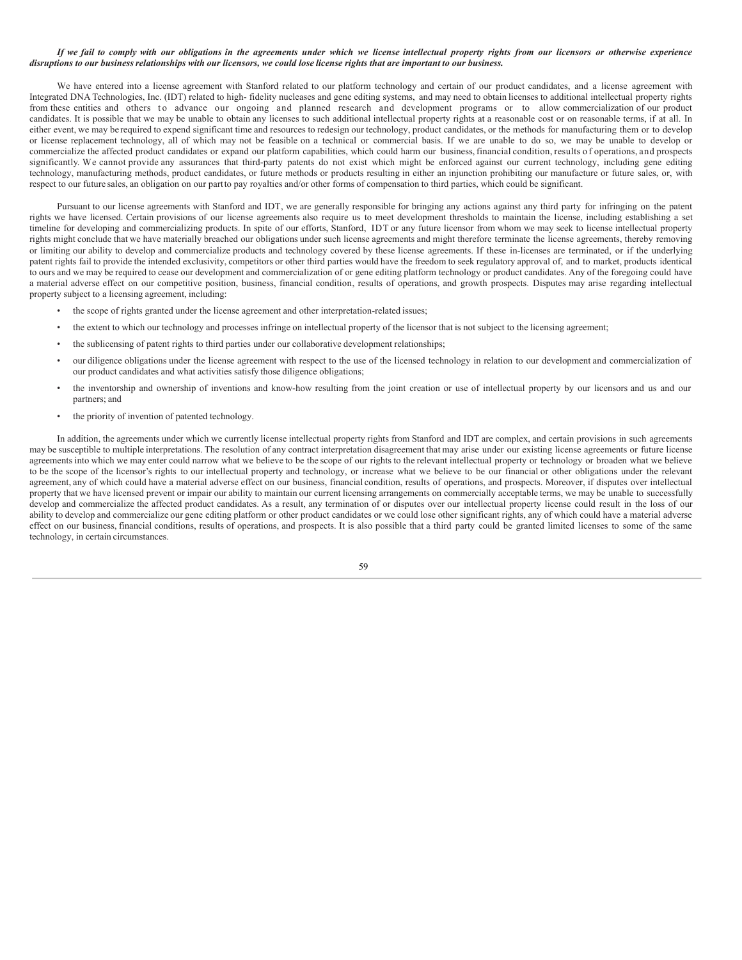## If we fail to comply with our obligations in the agreements under which we license intellectual property rights from our licensors or otherwise experience disruptions to our business relationships with our licensors, we could lose license rights that are important to our business.

We have entered into a license agreement with Stanford related to our platform technology and certain of our product candidates, and a license agreement with Integrated DNA Technologies, Inc. (IDT) related to high- fidelity nucleases and gene editing systems, and may need to obtain licenses to additional intellectual property rights from these entities and others to advance our ongoing and planned research and development programs or to allow commercialization of our product candidates. It is possible that we may be unable to obtain any licenses to such additional intellectual property rights at a reasonable cost or on reasonable terms, if at all. In either event, we may be required to expend significant time and resources to redesign our technology, product candidates, or the methods for manufacturing them or to develop or license replacement technology, all of which may not be feasible on a technical or commercial basis. If we are unable to do so, we may be unable to develop or commercialize the affected product candidates or expand our platform capabilities, which could harm our business, financial condition, results o f operations, and prospects significantly. We cannot provide any assurances that third-party patents do not exist which might be enforced against our current technology, including gene editing technology, manufacturing methods, product candidates, or future methods or products resulting in either an injunction prohibiting our manufacture or future sales, or, with respect to our future sales, an obligation on our partto pay royalties and/or other forms of compensation to third parties, which could be significant.

Pursuant to our license agreements with Stanford and IDT, we are generally responsible for bringing any actions against any third party for infringing on the patent rights we have licensed. Certain provisions of our license agreements also require us to meet development thresholds to maintain the license, including establishing a set timeline for developing and commercializing products. In spite of our efforts, Stanford, IDT or any future licensor from whom we may seek to license intellectual property rights might conclude that we have materially breached our obligations under such license agreements and might therefore terminate the license agreements, thereby removing or limiting our ability to develop and commercialize products and technology covered by these license agreements. If these in-licenses are terminated, or if the underlying patent rights fail to provide the intended exclusivity, competitors or other third parties would have the freedom to seek regulatory approval of, and to market, products identical to ours and we may be required to cease our development and commercialization of or gene editing platform technology or product candidates. Any of the foregoing could have a material adverse effect on our competitive position, business, financial condition, results of operations, and growth prospects. Disputes may arise regarding intellectual property subject to a licensing agreement, including:

- the scope of rights granted under the license agreement and other interpretation-related issues;
- the extent to which our technology and processes infringe on intellectual property of the licensor that is not subject to the licensing agreement;
- the sublicensing of patent rights to third parties under our collaborative development relationships;
- our diligence obligations under the license agreement with respect to the use of the licensed technology in relation to our development and commercialization of our product candidates and what activities satisfy those diligence obligations;
- the inventorship and ownership of inventions and know-how resulting from the joint creation or use of intellectual property by our licensors and us and our partners; and
- the priority of invention of patented technology.

In addition, the agreements under which we currently license intellectual property rights from Stanford and IDT are complex, and certain provisions in such agreements may be susceptible to multiple interpretations. The resolution of any contract interpretation disagreement that may arise under our existing license agreements or future license agreements into which we may enter could narrow what we believe to be the scope of our rights to the relevant intellectual property or technology or broaden what we believe to be the scope of the licensor's rights to our intellectual property and technology, or increase what we believe to be our financial or other obligations under the relevant agreement, any of which could have a material adverse effect on our business, financial condition, results of operations, and prospects. Moreover, if disputes over intellectual property that we have licensed prevent or impair our ability to maintain our current licensing arrangements on commercially acceptable terms, we may be unable to successfully develop and commercialize the affected product candidates. As a result, any termination of or disputes over our intellectual property license could result in the loss of our ability to develop and commercialize our gene editing platform or other product candidates or we could lose other significant rights, any of which could have a material adverse effect on our business, financial conditions, results of operations, and prospects. It is also possible that a third party could be granted limited licenses to some of the same technology, in certain circumstances.

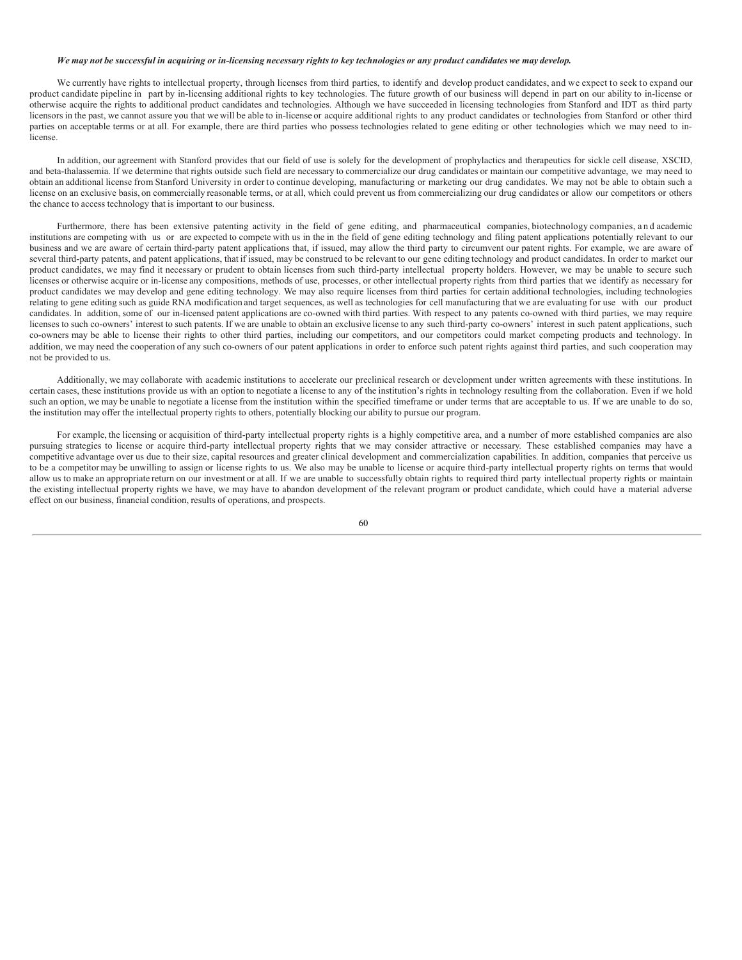## We may not be successful in acquiring or in-licensing necessary rights to key technologies or any product candidates we may develop.

We currently have rights to intellectual property, through licenses from third parties, to identify and develop product candidates, and we expect to seek to expand our product candidate pipeline in part by in-licensing additional rights to key technologies. The future growth of our business will depend in part on our ability to in-license or otherwise acquire the rights to additional product candidates and technologies. Although we have succeeded in licensing technologies from Stanford and IDT as third party licensors in the past, we cannot assure you that we will be able to in-license or acquire additional rights to any product candidates or technologies from Stanford or other third parties on acceptable terms or at all. For example, there are third parties who possess technologies related to gene editing or other technologies which we may need to inlicense.

In addition, our agreement with Stanford provides that our field of use is solely for the development of prophylactics and therapeutics for sickle cell disease, XSCID, and beta-thalassemia. If we determine that rights outside such field are necessary to commercialize our drug candidates or maintain our competitive advantage, we may need to obtain an additional license from Stanford University in order to continue developing, manufacturing or marketing our drug candidates. We may not be able to obtain such a license on an exclusive basis, on commercially reasonable terms, or at all, which could prevent us from commercializing our drug candidates or allow our competitors or others the chance to access technology that is important to our business.

Furthermore, there has been extensive patenting activity in the field of gene editing, and pharmaceutical companies, biotechnology companies, and academic institutions are competing with us or are expected to compete with us in the in the field of gene editing technology and filing patent applications potentially relevant to our business and we are aware of certain third-party patent applications that, if issued, may allow the third party to circumvent our patent rights. For example, we are aware of several third-party patents, and patent applications, that if issued, may be construed to be relevant to our gene editing technology and product candidates. In order to market our product candidates, we may find it necessary or prudent to obtain licenses from such third-party intellectual property holders. However, we may be unable to secure such licenses or otherwise acquire or in-license any compositions, methods of use, processes, or other intellectual property rights from third parties that we identify as necessary for product candidates we may develop and gene editing technology. We may also require licenses from third parties for certain additional technologies, including technologies relating to gene editing such as guide RNA modification and target sequences, as well as technologies for cell manufacturing that we are evaluating for use with our product candidates. In addition, some of our in-licensed patent applications are co-owned with third parties. With respect to any patents co-owned with third parties, we may require licenses to such co-owners' interest to such patents. If we are unable to obtain an exclusive license to any such third-party co-owners' interest in such patent applications, such co-owners may be able to license their rights to other third parties, including our competitors, and our competitors could market competing products and technology. In addition, we may need the cooperation of any such co-owners of our patent applications in order to enforce such patent rights against third parties, and such cooperation may not be provided to us.

Additionally, we may collaborate with academic institutions to accelerate our preclinical research or development under written agreements with these institutions. In certain cases, these institutions provide us with an option to negotiate a license to any of the institution's rights in technology resulting from the collaboration. Even if we hold such an option, we may be unable to negotiate a license from the institution within the specified timeframe or under terms that are acceptable to us. If we are unable to do so, the institution may offer the intellectual property rights to others, potentially blocking our ability to pursue our program.

For example, the licensing or acquisition of third-party intellectual property rights is a highly competitive area, and a number of more established companies are also pursuing strategies to license or acquire third-party intellectual property rights that we may consider attractive or necessary. These established companies may have a competitive advantage over us due to their size, capital resources and greater clinical development and commercialization capabilities. In addition, companies that perceive us to be a competitormay be unwilling to assign or license rights to us. We also may be unable to license or acquire third-party intellectual property rights on terms that would allow us to make an appropriate return on our investment or at all. If we are unable to successfully obtain rights to required third party intellectual property rights or maintain the existing intellectual property rights we have, we may have to abandon development of the relevant program or product candidate, which could have a material adverse effect on our business, financial condition, results of operations, and prospects.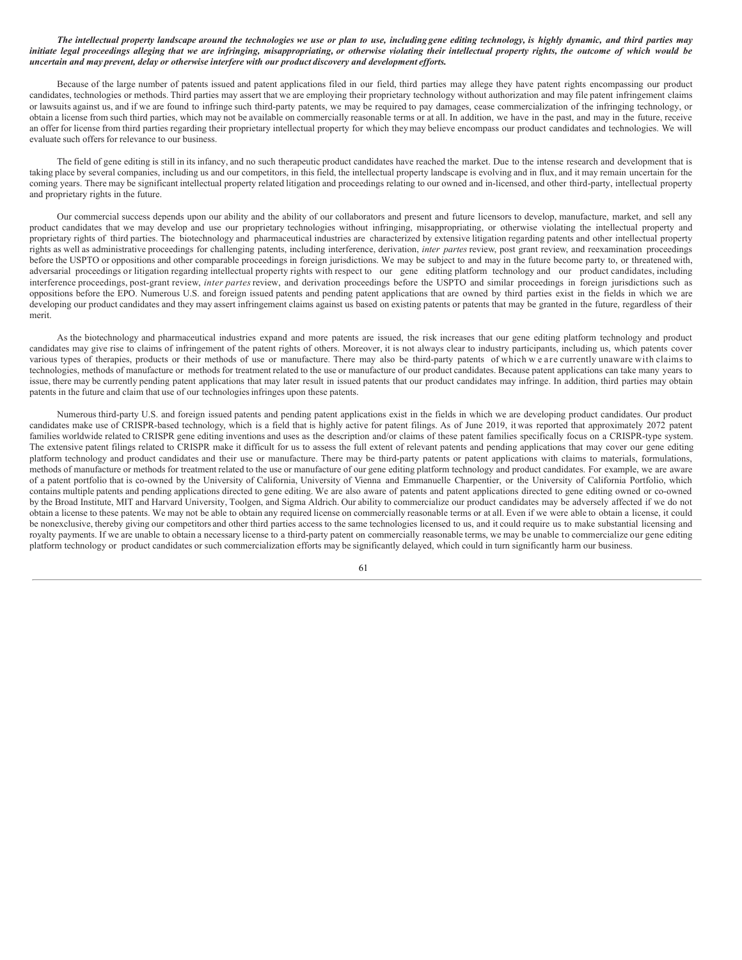### The intellectual property landscape around the technologies we use or plan to use, including gene editing technology, is highly dynamic, and third parties may initiate legal proceedings alleging that we are infringing, misappropriating, or otherwise violating their intellectual property rights, the outcome of which would be *uncertain and may prevent, delay or otherwise interfere with our product discovery and development ef orts.*

Because of the large number of patents issued and patent applications filed in our field, third parties may allege they have patent rights encompassing our product candidates, technologies or methods. Third parties may assert that we are employing their proprietary technology without authorization and may file patent infringement claims or lawsuits against us, and if we are found to infringe such third-party patents, we may be required to pay damages, cease commercialization of the infringing technology, or obtain a license from such third parties, which may not be available on commercially reasonable terms or at all. In addition, we have in the past, and may in the future, receive an offer for license from third parties regarding their proprietary intellectual property for which theymay believe encompass our product candidates and technologies. We will evaluate such offers for relevance to our business.

The field of gene editing is still in its infancy, and no such therapeutic product candidates have reached the market. Due to the intense research and development that is taking place by several companies, including us and our competitors, in this field, the intellectual property landscape is evolving and in flux, and it may remain uncertain for the coming years. There may be significant intellectual property related litigation and proceedings relating to our owned and in-licensed, and other third-party, intellectual property and proprietary rights in the future.

Our commercial success depends upon our ability and the ability of our collaborators and present and future licensors to develop, manufacture, market, and sell any product candidates that we may develop and use our proprietary technologies without infringing, misappropriating, or otherwise violating the intellectual property and proprietary rights of third parties. The biotechnology and pharmaceutical industries are characterized by extensive litigation regarding patents and other intellectual property rights as well as administrative proceedings for challenging patents, including interference, derivation, *inter partes* review, post grant review, and reexamination proceedings before the USPTO or oppositions and other comparable proceedings in foreign jurisdictions. We may be subject to and may in the future become party to, or threatened with, adversarial proceedings or litigation regarding intellectual property rights with respect to our gene editing platform technology and our product candidates, including interference proceedings, post-grant review, *inter partes* review, and derivation proceedings before the USPTO and similar proceedings in foreign jurisdictions such as oppositions before the EPO. Numerous U.S. and foreign issued patents and pending patent applications that are owned by third parties exist in the fields in which we are developing our product candidates and they may assert infringement claims against us based on existing patents or patents that may be granted in the future, regardless of their merit.

As the biotechnology and pharmaceutical industries expand and more patents are issued, the risk increases that our gene editing platform technology and product candidates may give rise to claims of infringement of the patent rights of others. Moreover, it is not always clear to industry participants, including us, which patents cover various types of therapies, products or their methods of use or manufacture. There may also be third-party patents of which w e are currently unaware with claims to technologies, methods of manufacture or methods for treatment related to the use or manufacture of our product candidates. Because patent applications can take many years to issue, there may be currently pending patent applications that may later result in issued patents that our product candidates may infringe. In addition, third parties may obtain patents in the future and claim that use of our technologiesinfringes upon these patents.

Numerous third-party U.S. and foreign issued patents and pending patent applications exist in the fields in which we are developing product candidates. Our product candidates make use of CRISPR-based technology, which is a field that is highly active for patent filings. As of June 2019, it was reported that approximately 2072 patent families worldwide related to CRISPR gene editing inventions and uses as the description and/or claims of these patent families specifically focus on a CRISPR-type system. The extensive patent filings related to CRISPR make it difficult for us to assess the full extent of relevant patents and pending applications that may cover our gene editing platform technology and product candidates and their use or manufacture. There may be third-party patents or patent applications with claims to materials, formulations, methods of manufacture or methods for treatment related to the use or manufacture of our gene editing platform technology and product candidates. For example, we are aware of a patent portfolio that is co-owned by the University of California, University of Vienna and Emmanuelle Charpentier, or the University of California Portfolio, which contains multiple patents and pending applications directed to gene editing. We are also aware of patents and patent applications directed to gene editing owned or co-owned by the Broad Institute, MIT and Harvard University, Toolgen, and Sigma Aldrich. Our ability to commercialize our product candidates may be adversely affected if we do not obtain a license to these patents. We may not be able to obtain any required license on commercially reasonable terms or at all. Even if we were able to obtain a license, it could be nonexclusive, thereby giving our competitors and other third parties access to the same technologies licensed to us, and it could require us to make substantial licensing and royalty payments. If we are unable to obtain a necessary license to a third-party patent on commercially reasonable terms, we may be unable to commercialize our gene editing platform technology or product candidates or such commercialization efforts may be significantly delayed, which could in turn significantly harm our business.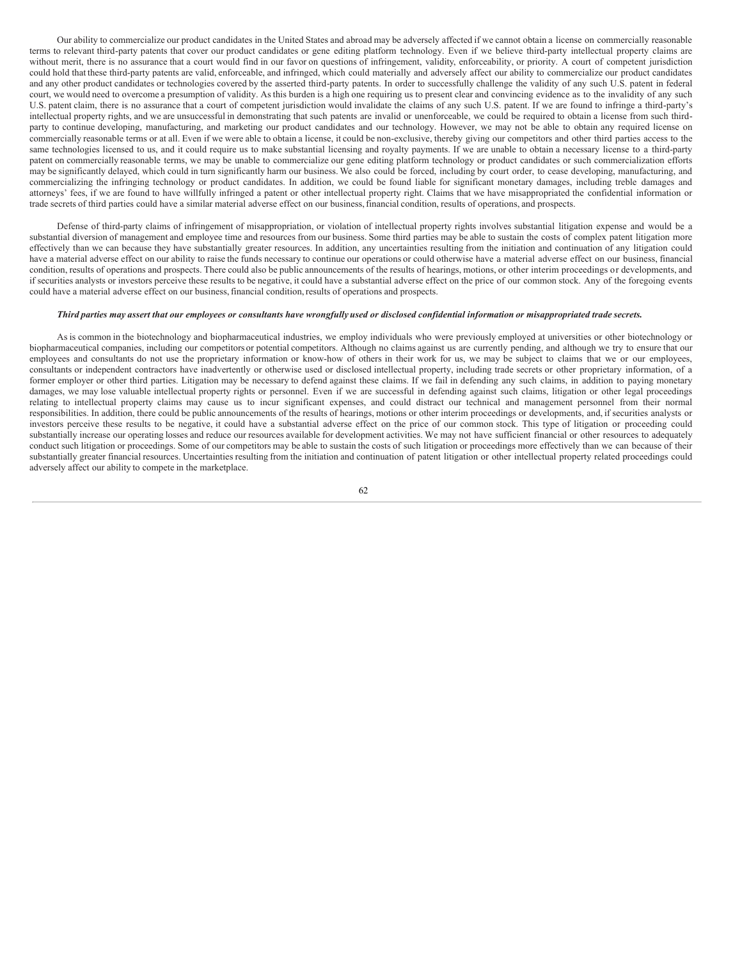Our ability to commercialize our product candidates in the United States and abroad may be adversely affected if we cannot obtain a license on commercially reasonable terms to relevant third-party patents that cover our product candidates or gene editing platform technology. Even if we believe third-party intellectual property claims are without merit, there is no assurance that a court would find in our favor on questions of infringement, validity, enforceability, or priority. A court of competent jurisdiction could hold that these third-party patents are valid, enforceable, and infringed, which could materially and adversely affect our ability to commercialize our product candidates and any other product candidates or technologies covered by the asserted third-party patents. In order to successfully challenge the validity of any such U.S. patent in federal court, we would need to overcome a presumption of validity. As this burden is a high one requiring us to present clear and convincing evidence as to the invalidity of any such U.S. patent claim, there is no assurance that a court of competent jurisdiction would invalidate the claims of any such U.S. patent. If we are found to infringe a third-party's intellectual property rights, and we are unsuccessful in demonstrating that such patents are invalid or unenforceable, we could be required to obtain a license from such thirdparty to continue developing, manufacturing, and marketing our product candidates and our technology. However, we may not be able to obtain any required license on commercially reasonable terms or at all. Even if we were able to obtain a license, it could be non-exclusive, thereby giving our competitors and other third parties access to the same technologies licensed to us, and it could require us to make substantial licensing and royalty payments. If we are unable to obtain a necessary license to a third-party patent on commercially reasonable terms, we may be unable to commercialize our gene editing platform technology or product candidates or such commercialization efforts may be significantly delayed, which could in turn significantly harm our business. We also could be forced, including by court order, to cease developing, manufacturing, and commercializing the infringing technology or product candidates. In addition, we could be found liable for significant monetary damages, including treble damages and attorneys' fees, if we are found to have willfully infringed a patent or other intellectual property right. Claims that we have misappropriated the confidential information or trade secrets of third parties could have a similar material adverse effect on our business,financial condition, results of operations, and prospects.

Defense of third-party claims of infringement of misappropriation, or violation of intellectual property rights involves substantial litigation expense and would be a substantial diversion of management and employee time and resources from our business. Some third parties may be able to sustain the costs of complex patent litigation more effectively than we can because they have substantially greater resources. In addition, any uncertainties resulting from the initiation and continuation of any litigation could have a material adverse effect on our ability to raise the funds necessary to continue our operations or could otherwise have a material adverse effect on our business, financial condition, results of operations and prospects. There could also be public announcements of the results of hearings, motions, or other interim proceedings or developments, and if securities analysts or investors perceive these results to be negative, it could have a substantial adverse effect on the price of our common stock. Any of the foregoing events could have a material adverse effect on our business, financial condition, results of operations and prospects.

## Third parties may assert that our employees or consultants have wrongfully used or disclosed confidential information or misappropriated trade secrets.

As is common in the biotechnology and biopharmaceutical industries, we employ individuals who were previously employed at universities or other biotechnology or biopharmaceutical companies, including our competitors or potential competitors. Although no claims against us are currently pending, and although we try to ensure that our employees and consultants do not use the proprietary information or know-how of others in their work for us, we may be subject to claims that we or our employees, consultants or independent contractors have inadvertently or otherwise used or disclosed intellectual property, including trade secrets or other proprietary information, of a former employer or other third parties. Litigation may be necessary to defend against these claims. If we fail in defending any such claims, in addition to paying monetary damages, we may lose valuable intellectual property rights or personnel. Even if we are successful in defending against such claims, litigation or other legal proceedings relating to intellectual property claims may cause us to incur significant expenses, and could distract our technical and management personnel from their normal responsibilities. In addition, there could be public announcements of the results of hearings, motions or other interim proceedings or developments, and, if securities analysts or investors perceive these results to be negative, it could have a substantial adverse effect on the price of our common stock. This type of litigation or proceeding could substantially increase our operating losses and reduce our resources available for development activities. We may not have sufficient financial or other resources to adequately conduct such litigation or proceedings. Some of our competitors may be able to sustain the costs of such litigation or proceedings more effectively than we can because of their substantially greater financial resources. Uncertainties resulting from the initiation and continuation of patent litigation or other intellectual property related proceedings could adversely affect our ability to compete in the marketplace.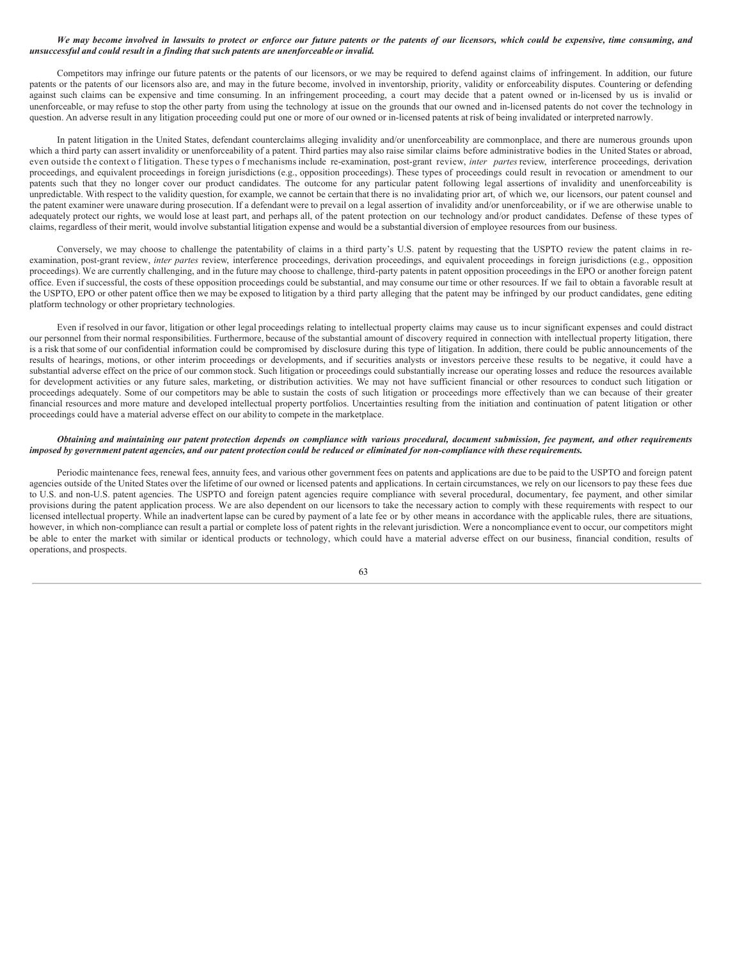### We may become involved in lawsuits to protect or enforce our future patents or the patents of our licensors, which could be expensive, time consuming, and *unsuccessful and could result in a finding that such patents are unenforceable or invalid.*

Competitors may infringe our future patents or the patents of our licensors, or we may be required to defend against claims of infringement. In addition, our future patents or the patents of our licensors also are, and may in the future become, involved in inventorship, priority, validity or enforceability disputes. Countering or defending against such claims can be expensive and time consuming. In an infringement proceeding, a court may decide that a patent owned or in-licensed by us is invalid or unenforceable, or may refuse to stop the other party from using the technology at issue on the grounds that our owned and in-licensed patents do not cover the technology in question. An adverse result in any litigation proceeding could put one or more of our owned or in-licensed patents at risk of being invalidated or interpreted narrowly.

In patent litigation in the United States, defendant counterclaims alleging invalidity and/or unenforceability are commonplace, and there are numerous grounds upon which a third party can assert invalidity or unenforceability of a patent. Third parties may also raise similar claims before administrative bodies in the United States or abroad, even outside the context o f litigation. These types o f mechanisms include re-examination, post-grant review, *inter partes* review, interference proceedings, derivation proceedings, and equivalent proceedings in foreign jurisdictions (e.g., opposition proceedings). These types of proceedings could result in revocation or amendment to our patents such that they no longer cover our product candidates. The outcome for any particular patent following legal assertions of invalidity and unenforceability is unpredictable. With respect to the validity question, for example, we cannot be certain that there is no invalidating prior art, of which we, our licensors, our patent counsel and the patent examiner were unaware during prosecution. If a defendant were to prevail on a legal assertion of invalidity and/or unenforceability, or if we are otherwise unable to adequately protect our rights, we would lose at least part, and perhaps all, of the patent protection on our technology and/or product candidates. Defense of these types of claims, regardless of their merit, would involve substantial litigation expense and would be a substantial diversion of employee resources from our business.

Conversely, we may choose to challenge the patentability of claims in a third party's U.S. patent by requesting that the USPTO review the patent claims in reexamination, post-grant review, *inter partes* review, interference proceedings, derivation proceedings, and equivalent proceedings in foreign jurisdictions (e.g., opposition proceedings). We are currently challenging, and in the future may choose to challenge, third-party patents in patent opposition proceedings in the EPO or another foreign patent office. Even if successful, the costs of these opposition proceedings could be substantial, and may consume our time or other resources. If we fail to obtain a favorable result at the USPTO, EPO or other patent office then we may be exposed to litigation by a third party alleging that the patent may be infringed by our product candidates, gene editing platform technology or other proprietary technologies.

Even if resolved in our favor, litigation or other legal proceedings relating to intellectual property claims may cause us to incur significant expenses and could distract our personnel from their normal responsibilities. Furthermore, because of the substantial amount of discovery required in connection with intellectual property litigation, there is a risk that some of our confidential information could be compromised by disclosure during this type of litigation. In addition, there could be public announcements of the results of hearings, motions, or other interim proceedings or developments, and if securities analysts or investors perceive these results to be negative, it could have a substantial adverse effect on the price of our common stock. Such litigation or proceedings could substantially increase our operating losses and reduce the resources available for development activities or any future sales, marketing, or distribution activities. We may not have sufficient financial or other resources to conduct such litigation or proceedings adequately. Some of our competitors may be able to sustain the costs of such litigation or proceedings more effectively than we can because of their greater financial resources and more mature and developed intellectual property portfolios. Uncertainties resulting from the initiation and continuation of patent litigation or other proceedings could have a material adverse effect on our ability to compete in the marketplace.

### Obtaining and maintaining our patent protection depends on compliance with various procedural, document submission, fee payment, and other requirements imposed by government patent agencies, and our patent protection could be reduced or eliminated for non-compliance with these requirements.

Periodic maintenance fees, renewal fees, annuity fees, and various other government fees on patents and applications are due to be paid to the USPTO and foreign patent agencies outside of the United States over the lifetime of our owned or licensed patents and applications. In certain circumstances, we rely on our licensorsto pay these fees due to U.S. and non-U.S. patent agencies. The USPTO and foreign patent agencies require compliance with several procedural, documentary, fee payment, and other similar provisions during the patent application process. We are also dependent on our licensors to take the necessary action to comply with these requirements with respect to our licensed intellectual property. While an inadvertent lapse can be cured by payment of a late fee or by other means in accordance with the applicable rules, there are situations, however, in which non-compliance can result a partial or complete loss of patent rights in the relevant jurisdiction. Were a noncompliance event to occur, our competitors might be able to enter the market with similar or identical products or technology, which could have a material adverse effect on our business, financial condition, results of operations, and prospects.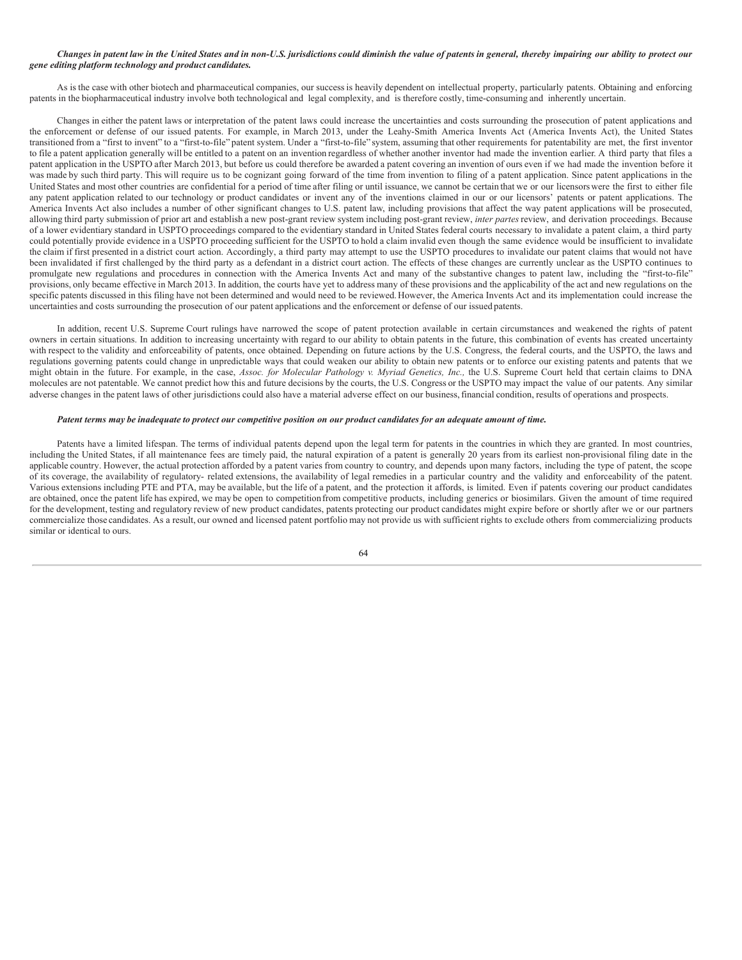## Changes in patent law in the United States and in non-U.S. jurisdictions could diminish the value of patents in general, thereby impairing our ability to protect our *gene editing platform technology and product candidates.*

As is the case with other biotech and pharmaceutical companies, our success is heavily dependent on intellectual property, particularly patents. Obtaining and enforcing patents in the biopharmaceutical industry involve both technological and legal complexity, and is therefore costly, time-consuming and inherently uncertain.

Changes in either the patent laws or interpretation of the patent laws could increase the uncertainties and costs surrounding the prosecution of patent applications and the enforcement or defense of our issued patents. For example, in March 2013, under the Leahy-Smith America Invents Act (America Invents Act), the United States transitioned from a "first to invent" to a "first-to-file" patent system. Under a "first-to-file" system, assuming that other requirements for patentability are met, the first inventor to file a patent application generally will be entitled to a patent on an invention regardless of whether another inventor had made the invention earlier. A third party that files a patent application in the USPTO after March 2013, but before us could therefore be awarded a patent covering an invention of ours even if we had made the invention before it was made by such third party. This will require us to be cognizant going forward of the time from invention to filing of a patent application. Since patent applications in the United States and most other countries are confidential for a period of time after filing or until issuance, we cannot be certain that we or our licensors were the first to either file any patent application related to our technology or product candidates or invent any of the inventions claimed in our or our licensors' patents or patent applications. The America Invents Act also includes a number of other significant changes to U.S. patent law, including provisions that affect the way patent applications will be prosecuted, allowing third party submission of prior art and establish a new post-grant review system including post-grant review, *inter partes* review, and derivation proceedings. Because of a lower evidentiary standard in USPTO proceedings compared to the evidentiary standard in United States federal courts necessary to invalidate a patent claim, a third party could potentially provide evidence in a USPTO proceeding sufficient for the USPTO to hold a claim invalid even though the same evidence would be insufficient to invalidate the claim if first presented in a district court action. Accordingly, a third party may attempt to use the USPTO procedures to invalidate our patent claims that would not have been invalidated if first challenged by the third party as a defendant in a district court action. The effects of these changes are currently unclear as the USPTO continues to promulgate new regulations and procedures in connection with the America Invents Act and many of the substantive changes to patent law, including the "first-to-file" provisions, only became effective in March 2013. In addition, the courts have yet to address many of these provisions and the applicability of the act and new regulations on the specific patents discussed in this filing have not been determined and would need to be reviewed. However, the America Invents Act and its implementation could increase the uncertainties and costs surrounding the prosecution of our patent applications and the enforcement or defense of our issued patents.

In addition, recent U.S. Supreme Court rulings have narrowed the scope of patent protection available in certain circumstances and weakened the rights of patent owners in certain situations. In addition to increasing uncertainty with regard to our ability to obtain patents in the future, this combination of events has created uncertainty with respect to the validity and enforceability of patents, once obtained. Depending on future actions by the U.S. Congress, the federal courts, and the USPTO, the laws and regulations governing patents could change in unpredictable ways that could weaken our ability to obtain new patents or to enforce our existing patents and patents that we might obtain in the future. For example, in the case, *Assoc. for Molecular Pathology v. Myriad Genetics, Inc.,* the U.S. Supreme Court held that certain claims to DNA molecules are not patentable. We cannot predict how this and future decisions by the courts, the U.S. Congress or the USPTO may impact the value of our patents. Any similar adverse changes in the patent laws of other jurisdictions could also have a material adverse effect on our business, financial condition, results of operations and prospects.

## Patent terms may be inadequate to protect our competitive position on our product candidates for an adequate amount of time.

Patents have a limited lifespan. The terms of individual patents depend upon the legal term for patents in the countries in which they are granted. In most countries, including the United States, if all maintenance fees are timely paid, the natural expiration of a patent is generally 20 years from its earliest non-provisional filing date in the applicable country. However, the actual protection afforded by a patent varies from country to country, and depends upon many factors, including the type of patent, the scope of its coverage, the availability of regulatory- related extensions, the availability of legal remedies in a particular country and the validity and enforceability of the patent. Various extensions including PTE and PTA, may be available, but the life of a patent, and the protection it affords, is limited. Even if patents covering our product candidates are obtained, once the patent life has expired, we may be open to competition from competitive products, including generics or biosimilars. Given the amount of time required for the development, testing and regulatory review of new product candidates, patents protecting our product candidates might expire before or shortly after we or our partners commercialize those candidates. As a result, our owned and licensed patent portfolio may not provide us with sufficient rights to exclude others from commercializing products similar or identical to ours.

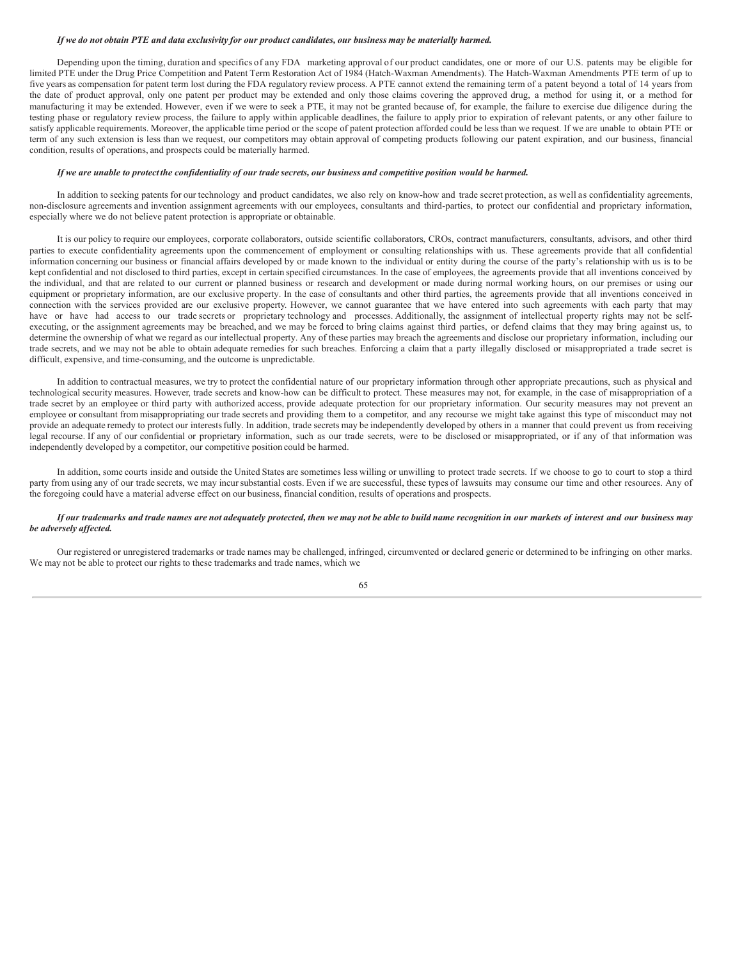#### If we do not obtain PTE and data exclusivity for our product candidates, our business may be materially harmed.

Depending upon the timing, duration and specifics of any FDA marketing approval of our product candidates, one or more of our U.S. patents may be eligible for limited PTE under the Drug Price Competition and Patent Term Restoration Act of 1984 (Hatch-Waxman Amendments). The Hatch-Waxman Amendments PTE term of up to five years as compensation for patent term lost during the FDA regulatory review process. A PTE cannot extend the remaining term of a patent beyond a total of 14 years from the date of product approval, only one patent per product may be extended and only those claims covering the approved drug, a method for using it, or a method for manufacturing it may be extended. However, even if we were to seek a PTE, it may not be granted because of, for example, the failure to exercise due diligence during the testing phase or regulatory review process, the failure to apply within applicable deadlines, the failure to apply prior to expiration of relevant patents, or any other failure to satisfy applicable requirements. Moreover, the applicable time period or the scope of patent protection afforded could be less than we request. If we are unable to obtain PTE or term of any such extension is less than we request, our competitors may obtain approval of competing products following our patent expiration, and our business, financial condition, results of operations, and prospects could be materially harmed.

## If we are unable to protectthe confidentiality of our trade secrets, our business and competitive position would be harmed.

In addition to seeking patents for our technology and product candidates, we also rely on know-how and trade secret protection, as well as confidentiality agreements, non-disclosure agreements and invention assignment agreements with our employees, consultants and third-parties, to protect our confidential and proprietary information, especially where we do not believe patent protection is appropriate or obtainable.

It is our policy to require our employees, corporate collaborators, outside scientific collaborators, CROs, contract manufacturers, consultants, advisors, and other third parties to execute confidentiality agreements upon the commencement of employment or consulting relationships with us. These agreements provide that all confidential information concerning our business or financial affairs developed by or made known to the individual or entity during the course of the party's relationship with us is to be kept confidential and not disclosed to third parties, except in certain specified circumstances. In the case of employees, the agreements provide that all inventions conceived by the individual, and that are related to our current or planned business or research and development or made during normal working hours, on our premises or using our equipment or proprietary information, are our exclusive property. In the case of consultants and other third parties, the agreements provide that all inventions conceived in connection with the services provided are our exclusive property. However, we cannot guarantee that we have entered into such agreements with each party that may have or have had access to our trade secrets or proprietary technology and processes. Additionally, the assignment of intellectual property rights may not be selfexecuting, or the assignment agreements may be breached, and we may be forced to bring claims against third parties, or defend claims that they may bring against us, to determine the ownership of what we regard as our intellectual property. Any of these parties may breach the agreements and disclose our proprietary information, including our trade secrets, and we may not be able to obtain adequate remedies for such breaches. Enforcing a claim that a party illegally disclosed or misappropriated a trade secret is difficult, expensive, and time-consuming, and the outcome is unpredictable.

In addition to contractual measures, we try to protect the confidential nature of our proprietary information through other appropriate precautions, such as physical and technological security measures. However, trade secrets and know-how can be difficult to protect. These measures may not, for example, in the case of misappropriation of a trade secret by an employee or third party with authorized access, provide adequate protection for our proprietary information. Our security measures may not prevent an employee or consultant from misappropriating our trade secrets and providing them to a competitor, and any recourse we might take against this type of misconduct may not provide an adequate remedy to protect our interestsfully. In addition, trade secrets may be independently developed by others in a manner that could prevent us from receiving legal recourse. If any of our confidential or proprietary information, such as our trade secrets, were to be disclosed or misappropriated, or if any of that information was independently developed by a competitor, our competitive position could be harmed.

In addition, some courts inside and outside the United States are sometimes less willing or unwilling to protect trade secrets. If we choose to go to court to stop a third party from using any of our trade secrets, we may incursubstantial costs. Even if we are successful, these types of lawsuits may consume our time and other resources. Any of the foregoing could have a material adverse effect on our business, financial condition, results of operations and prospects.

# If our trademarks and trade names are not adequately protected, then we may not be able to build name recognition in our markets of interest and our business may *be adversely af ected.*

Our registered or unregistered trademarks or trade names may be challenged, infringed, circumvented or declared generic or determined to be infringing on other marks. We may not be able to protect our rights to these trademarks and trade names, which we

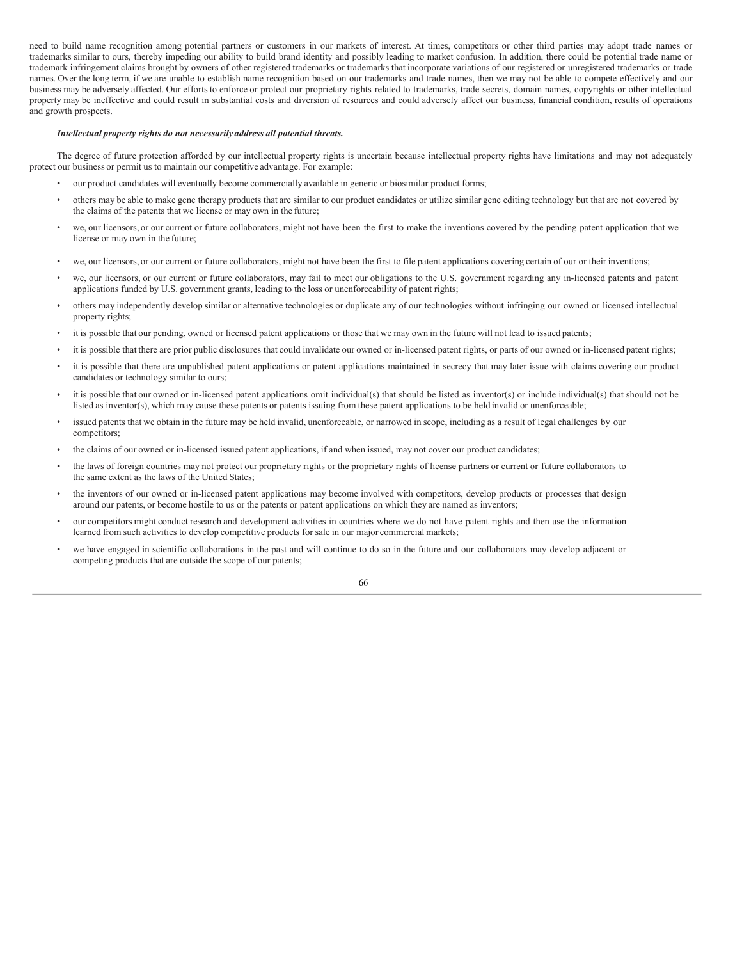need to build name recognition among potential partners or customers in our markets of interest. At times, competitors or other third parties may adopt trade names or trademarks similar to ours, thereby impeding our ability to build brand identity and possibly leading to market confusion. In addition, there could be potential trade name or trademark infringement claims brought by owners of other registered trademarks or trademarks that incorporate variations of our registered or unregistered trademarks or trade names. Over the long term, if we are unable to establish name recognition based on our trademarks and trade names, then we may not be able to compete effectively and our business may be adversely affected. Our efforts to enforce or protect our proprietary rights related to trademarks, trade secrets, domain names, copyrights or other intellectual property may be ineffective and could result in substantial costs and diversion of resources and could adversely affect our business, financial condition, results of operations and growth prospects.

#### *Intellectual property rights do not necessarily address all potential threats.*

The degree of future protection afforded by our intellectual property rights is uncertain because intellectual property rights have limitations and may not adequately protect our business or permit us to maintain our competitive advantage. For example:

- our product candidates will eventually become commercially available in generic or biosimilar product forms;
- others may be able to make gene therapy products that are similar to our product candidates or utilize similar gene editing technology but that are not covered by the claims of the patents that we license or may own in the future;
- we, our licensors, or our current or future collaborators, might not have been the first to make the inventions covered by the pending patent application that we license or may own in the future;
- we, our licensors, or our current or future collaborators, might not have been the first to file patent applications covering certain of our or their inventions;
- we, our licensors, or our current or future collaborators, may fail to meet our obligations to the U.S. government regarding any in-licensed patents and patent applications funded by U.S. government grants, leading to the loss or unenforceability of patent rights;
- others may independently develop similar or alternative technologies or duplicate any of our technologies without infringing our owned or licensed intellectual property rights;
- it is possible that our pending, owned or licensed patent applications or those that we may own in the future will not lead to issued patents;
- it is possible that there are prior public disclosures that could invalidate our owned or in-licensed patent rights, or parts of our owned or in-licensed patent rights;
- it is possible that there are unpublished patent applications or patent applications maintained in secrecy that may later issue with claims covering our product candidates or technology similar to ours;
- it is possible that our owned or in-licensed patent applications omit individual(s) that should be listed as inventor(s) or include individual(s) that should not be listed as inventor(s), which may cause these patents or patents issuing from these patent applications to be held invalid or unenforceable;
- issued patents that we obtain in the future may be held invalid, unenforceable, or narrowed in scope, including as a result of legal challenges by our competitors;
- the claims of our owned or in-licensed issued patent applications, if and when issued, may not cover our product candidates;
- the laws of foreign countries may not protect our proprietary rights or the proprietary rights of license partners or current or future collaborators to the same extent as the laws of the United States;
- the inventors of our owned or in-licensed patent applications may become involved with competitors, develop products or processes that design around our patents, or become hostile to us or the patents or patent applications on which they are named as inventors;
- our competitors might conduct research and development activities in countries where we do not have patent rights and then use the information learned from such activities to develop competitive products for sale in our major commercial markets;
- we have engaged in scientific collaborations in the past and will continue to do so in the future and our collaborators may develop adjacent or competing products that are outside the scope of our patents;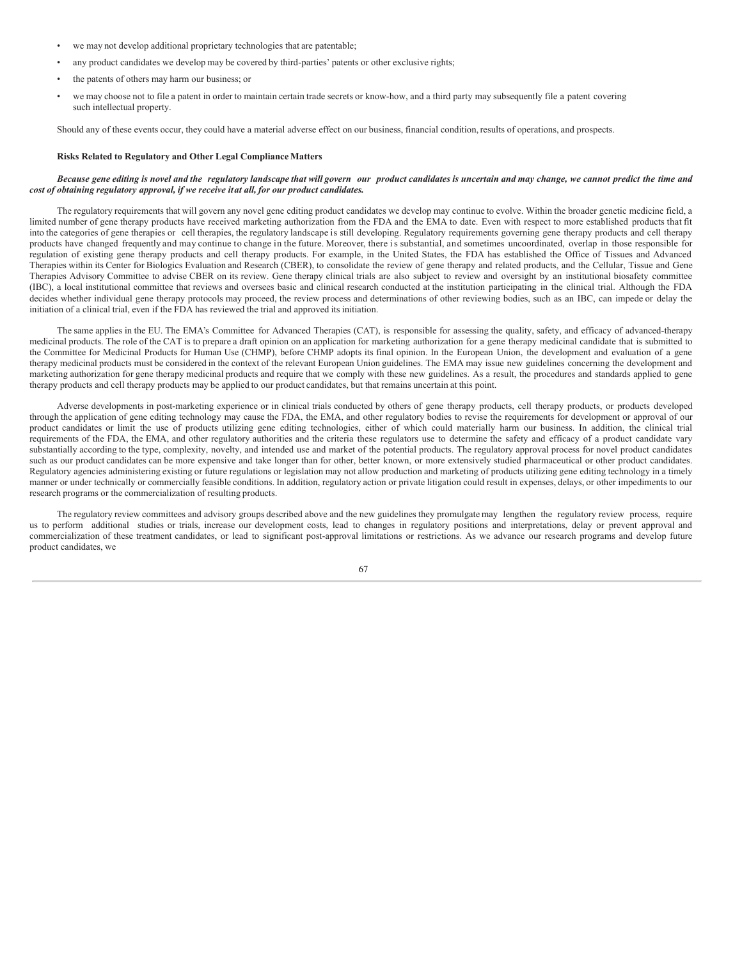- we may not develop additional proprietary technologies that are patentable;
- any product candidates we develop may be covered by third-parties' patents or other exclusive rights;
- the patents of others may harm our business; or
- we may choose not to file a patent in order to maintain certain trade secrets or know-how, and a third party may subsequently file a patent covering such intellectual property.

Should any of these events occur, they could have a material adverse effect on our business, financial condition,results of operations, and prospects.

### **Risks Related to Regulatory and Other Legal Compliance Matters**

## Because gene editing is novel and the regulatory landscape that will govern our product candidates is uncertain and may change, we cannot predict the time and *cost of obtaining regulatory approval, if we receive itat all, for our product candidates.*

The regulatory requirements that will govern any novel gene editing product candidates we develop may continue to evolve. Within the broader genetic medicine field, a limited number of gene therapy products have received marketing authorization from the FDA and the EMA to date. Even with respect to more established products that fit into the categories of gene therapies or cell therapies, the regulatory landscape is still developing. Regulatory requirements governing gene therapy products and cell therapy products have changed frequently and may continue to change in the future. Moreover, there is substantial, and sometimes uncoordinated, overlap in those responsible for regulation of existing gene therapy products and cell therapy products. For example, in the United States, the FDA has established the Office of Tissues and Advanced Therapies within its Center for Biologics Evaluation and Research (CBER), to consolidate the review of gene therapy and related products, and the Cellular, Tissue and Gene Therapies Advisory Committee to advise CBER on its review. Gene therapy clinical trials are also subject to review and oversight by an institutional biosafety committee (IBC), a local institutional committee that reviews and oversees basic and clinical research conducted at the institution participating in the clinical trial. Although the FDA decides whether individual gene therapy protocols may proceed, the review process and determinations of other reviewing bodies, such as an IBC, can impede or delay the initiation of a clinical trial, even if the FDA has reviewed the trial and approved its initiation.

The same applies in the EU. The EMA's Committee for Advanced Therapies (CAT), is responsible for assessing the quality, safety, and efficacy of advanced-therapy medicinal products. The role of the CAT is to prepare a draft opinion on an application for marketing authorization for a gene therapy medicinal candidate that is submitted to the Committee for Medicinal Products for Human Use (CHMP), before CHMP adopts its final opinion. In the European Union, the development and evaluation of a gene therapy medicinal products must be considered in the context of the relevant European Union guidelines. The EMA may issue new guidelines concerning the development and marketing authorization for gene therapy medicinal products and require that we comply with these new guidelines. As a result, the procedures and standards applied to gene therapy products and cell therapy products may be applied to our product candidates, but that remains uncertain at this point.

Adverse developments in post-marketing experience or in clinical trials conducted by others of gene therapy products, cell therapy products, or products developed through the application of gene editing technology may cause the FDA, the EMA, and other regulatory bodies to revise the requirements for development or approval of our product candidates or limit the use of products utilizing gene editing technologies, either of which could materially harm our business. In addition, the clinical trial requirements of the FDA, the EMA, and other regulatory authorities and the criteria these regulators use to determine the safety and efficacy of a product candidate vary substantially according to the type, complexity, novelty, and intended use and market of the potential products. The regulatory approval process for novel product candidates such as our product candidates can be more expensive and take longer than for other, better known, or more extensively studied pharmaceutical or other product candidates. Regulatory agencies administering existing or future regulations or legislation may not allow production and marketing of products utilizing gene editing technology in a timely manner or under technically or commercially feasible conditions. In addition, regulatory action or private litigation could result in expenses, delays, or other impediments to our research programs or the commercialization of resulting products.

The regulatory review committees and advisory groups described above and the new guidelines they promulgate may lengthen the regulatory review process, require us to perform additional studies or trials, increase our development costs, lead to changes in regulatory positions and interpretations, delay or prevent approval and commercialization of these treatment candidates, or lead to significant post-approval limitations or restrictions. As we advance our research programs and develop future product candidates, we

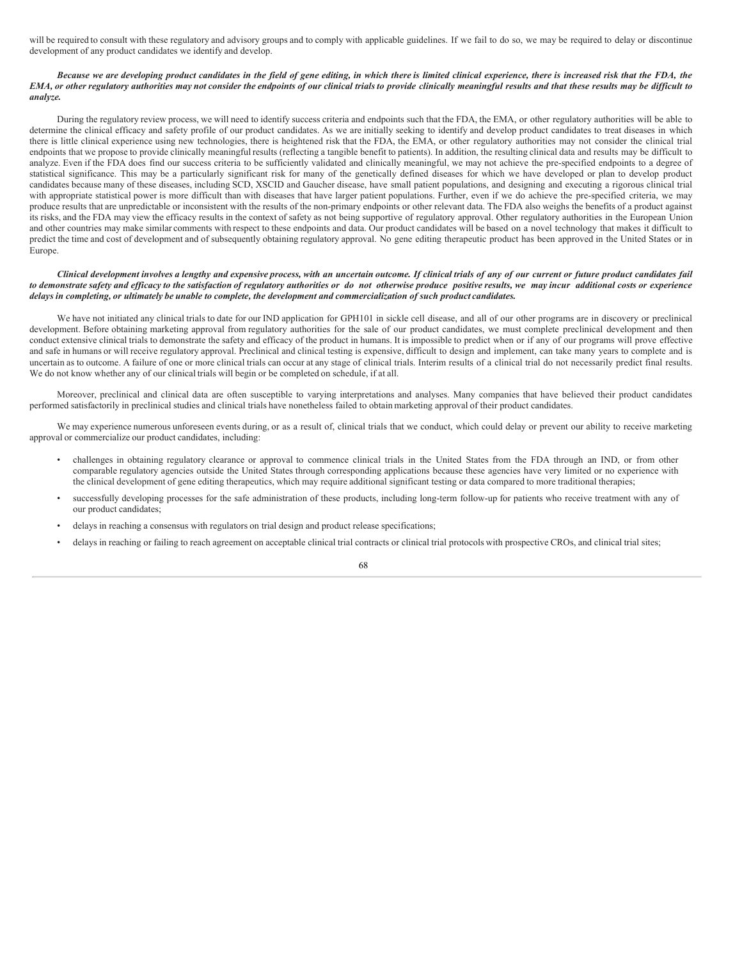will be required to consult with these regulatory and advisory groups and to comply with applicable guidelines. If we fail to do so, we may be required to delay or discontinue development of any product candidates we identify and develop.

#### Because we are developing product candidates in the field of gene editing, in which there is limited clinical experience, there is increased risk that the FDA, the EMA, or other regulatory authorities may not consider the endpoints of our clinical trials to provide clinically meaningful results and that these results may be difficult to *analyze.*

During the regulatory review process, we will need to identify success criteria and endpoints such that the FDA, the EMA, or other regulatory authorities will be able to determine the clinical efficacy and safety profile of our product candidates. As we are initially seeking to identify and develop product candidates to treat diseases in which there is little clinical experience using new technologies, there is heightened risk that the FDA, the EMA, or other regulatory authorities may not consider the clinical trial endpoints that we propose to provide clinically meaningful results (reflecting a tangible benefit to patients). In addition, the resulting clinical data and results may be difficult to analyze. Even if the FDA does find our success criteria to be sufficiently validated and clinically meaningful, we may not achieve the pre-specified endpoints to a degree of statistical significance. This may be a particularly significant risk for many of the genetically defined diseases for which we have developed or plan to develop product candidates because many of these diseases, including SCD, XSCID and Gaucher disease, have small patient populations, and designing and executing a rigorous clinical trial with appropriate statistical power is more difficult than with diseases that have larger patient populations. Further, even if we do achieve the pre-specified criteria, we may produce results that are unpredictable or inconsistent with the results of the non-primary endpoints or other relevant data. The FDA also weighs the benefits of a product against its risks, and the FDA may view the efficacy results in the context of safety as not being supportive of regulatory approval. Other regulatory authorities in the European Union and other countries may make similar comments with respect to these endpoints and data. Our product candidates will be based on a novel technology that makes it difficult to predict the time and cost of development and of subsequently obtaining regulatory approval. No gene editing therapeutic product has been approved in the United States or in Europe.

#### Clinical development involves a lengthy and expensive process, with an uncertain outcome. If clinical trials of any of our current or future product candidates fail to demonstrate safety and efficacy to the satisfaction of regulatory authorities or do not otherwise produce positive results, we may incur additional costs or experience delays in completing, or ultimately be unable to complete, the development and commercialization of such product candidates.

We have not initiated any clinical trials to date for our IND application for GPH101 in sickle cell disease, and all of our other programs are in discovery or preclinical development. Before obtaining marketing approval from regulatory authorities for the sale of our product candidates, we must complete preclinical development and then conduct extensive clinical trials to demonstrate the safety and efficacy of the product in humans. It is impossible to predict when or if any of our programs will prove effective and safe in humans or will receive regulatory approval. Preclinical and clinical testing is expensive, difficult to design and implement, can take many years to complete and is uncertain as to outcome. A failure of one or more clinical trials can occur at any stage of clinical trials. Interim results of a clinical trial do not necessarily predict final results. We do not know whether any of our clinical trials will begin or be completed on schedule, if at all.

Moreover, preclinical and clinical data are often susceptible to varying interpretations and analyses. Many companies that have believed their product candidates performed satisfactorily in preclinical studies and clinical trials have nonetheless failed to obtain marketing approval of their product candidates.

We may experience numerous unforeseen events during, or as a result of, clinical trials that we conduct, which could delay or prevent our ability to receive marketing approval or commercialize our product candidates, including:

- challenges in obtaining regulatory clearance or approval to commence clinical trials in the United States from the FDA through an IND, or from other comparable regulatory agencies outside the United States through corresponding applications because these agencies have very limited or no experience with the clinical development of gene editing therapeutics, which may require additional significant testing or data compared to more traditional therapies;
- successfully developing processes for the safe administration of these products, including long-term follow-up for patients who receive treatment with any of our product candidates;
- delays in reaching a consensus with regulators on trial design and product release specifications;
- delays in reaching or failing to reach agreement on acceptable clinical trial contracts or clinical trial protocols with prospective CROs, and clinical trial sites;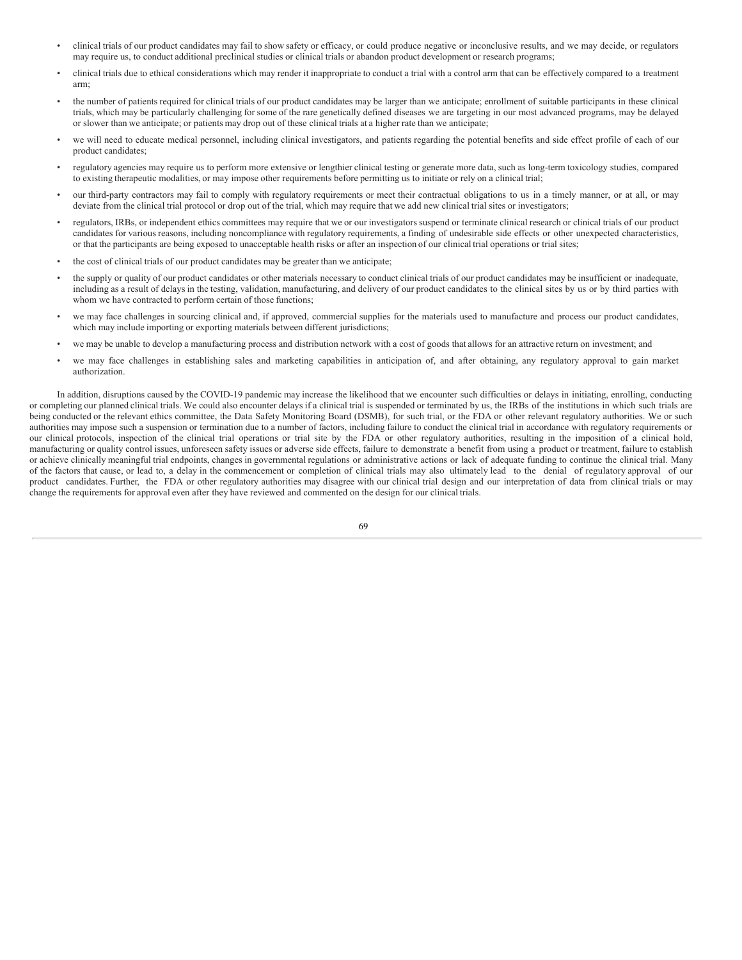- clinical trials of our product candidates may fail to show safety or efficacy, or could produce negative or inconclusive results, and we may decide, or regulators may require us, to conduct additional preclinical studies or clinical trials or abandon product development or research programs;
- clinical trials due to ethical considerations which may render it inappropriate to conduct a trial with a control arm that can be effectively compared to a treatment arm;
- the number of patients required for clinical trials of our product candidates may be larger than we anticipate; enrollment of suitable participants in these clinical trials, which may be particularly challenging for some of the rare genetically defined diseases we are targeting in our most advanced programs, may be delayed or slower than we anticipate; or patients may drop out of these clinical trials at a higher rate than we anticipate;
- we will need to educate medical personnel, including clinical investigators, and patients regarding the potential benefits and side effect profile of each of our product candidates;
- regulatory agencies may require us to perform more extensive or lengthier clinical testing or generate more data, such as long-term toxicology studies, compared to existing therapeutic modalities, or may impose other requirements before permitting us to initiate or rely on a clinical trial;
- our third-party contractors may fail to comply with regulatory requirements or meet their contractual obligations to us in a timely manner, or at all, or may deviate from the clinical trial protocol or drop out of the trial, which may require that we add new clinical trial sites or investigators;
- regulators, IRBs, or independent ethics committees may require that we or our investigators suspend or terminate clinical research or clinical trials of our product candidates for various reasons, including noncompliance with regulatory requirements, a finding of undesirable side effects or other unexpected characteristics, or that the participants are being exposed to unacceptable health risks or after an inspection of our clinical trial operations or trial sites;
- the cost of clinical trials of our product candidates may be greater than we anticipate;
- the supply or quality of our product candidates or other materials necessary to conduct clinical trials of our product candidates may be insufficient or inadequate, including as a result of delays in the testing, validation, manufacturing, and delivery of our product candidates to the clinical sites by us or by third parties with whom we have contracted to perform certain of those functions;
- we may face challenges in sourcing clinical and, if approved, commercial supplies for the materials used to manufacture and process our product candidates, which may include importing or exporting materials between different jurisdictions;
- we may be unable to develop a manufacturing process and distribution network with a cost of goods that allows for an attractive return on investment; and
- we may face challenges in establishing sales and marketing capabilities in anticipation of, and after obtaining, any regulatory approval to gain market authorization.

In addition, disruptions caused by the COVID-19 pandemic may increase the likelihood that we encounter such difficulties or delays in initiating, enrolling, conducting or completing our planned clinical trials. We could also encounter delays if a clinical trial is suspended or terminated by us, the IRBs of the institutions in which such trials are being conducted or the relevant ethics committee, the Data Safety Monitoring Board (DSMB), for such trial, or the FDA or other relevant regulatory authorities. We or such authorities may impose such a suspension or termination due to a number of factors, including failure to conduct the clinical trial in accordance with regulatory requirements or our clinical protocols, inspection of the clinical trial operations or trial site by the FDA or other regulatory authorities, resulting in the imposition of a clinical hold, manufacturing or quality control issues, unforeseen safety issues or adverse side effects, failure to demonstrate a benefit from using a product or treatment, failure to establish or achieve clinically meaningful trial endpoints, changes in governmental regulations or administrative actions or lack of adequate funding to continue the clinical trial. Many of the factors that cause, or lead to, a delay in the commencement or completion of clinical trials may also ultimately lead to the denial of regulatory approval of our product candidates. Further, the FDA or other regulatory authorities may disagree with our clinical trial design and our interpretation of data from clinical trials or may change the requirements for approval even after they have reviewed and commented on the design for our clinical trials.

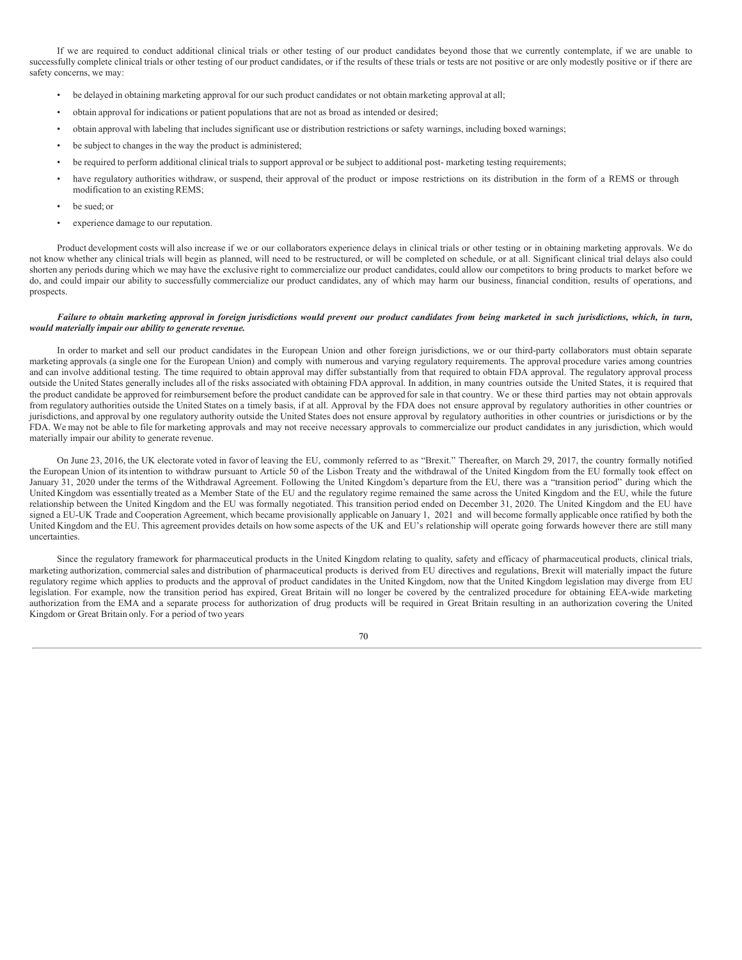If we are required to conduct additional clinical trials or other testing of our product candidates beyond those that we currently contemplate, if we are unable to successfully complete clinical trials or other testing of our product candidates, or if the results of these trials or tests are not positive or are only modestly positive or if there are safety concerns, we may:

- be delayed in obtaining marketing approval for our such product candidates or not obtain marketing approval at all;
- obtain approval for indications or patient populations that are not as broad as intended or desired;
- obtain approval with labeling that includes significant use or distribution restrictions or safety warnings, including boxed warnings;
- be subject to changes in the way the product is administered;
- be required to perform additional clinical trials to support approval or be subject to additional post- marketing testing requirements;
- have regulatory authorities withdraw, or suspend, their approval of the product or impose restrictions on its distribution in the form of a REMS or through modification to an existingREMS;
- be sued; or
- experience damage to our reputation.

Product development costs will also increase if we or our collaborators experience delays in clinical trials or other testing or in obtaining marketing approvals. We do not know whether any clinical trials will begin as planned, will need to be restructured, or will be completed on schedule, or at all. Significant clinical trial delays also could shorten any periods during which we may have the exclusive right to commercialize our product candidates, could allow our competitors to bring products to market before we do, and could impair our ability to successfully commercialize our product candidates, any of which may harm our business, financial condition, results of operations, and prospects.

## Failure to obtain marketing approval in foreign jurisdictions would prevent our product candidates from being marketed in such jurisdictions, which, in turn, *would materially impair our ability to generate revenue.*

In order to market and sell our product candidates in the European Union and other foreign jurisdictions, we or our third-party collaborators must obtain separate marketing approvals (a single one for the European Union) and comply with numerous and varying regulatory requirements. The approval procedure varies among countries and can involve additional testing. The time required to obtain approval may differ substantially from that required to obtain FDA approval. The regulatory approval process outside the United States generally includes all of the risks associated with obtaining FDA approval. In addition, in many countries outside the United States, it is required that the product candidate be approved for reimbursement before the product candidate can be approved for sale in that country. We or these third parties may not obtain approvals from regulatory authorities outside the United States on a timely basis, if at all. Approval by the FDA does not ensure approval by regulatory authorities in other countries or jurisdictions, and approval by one regulatory authority outside the United States does not ensure approval by regulatory authorities in other countries or jurisdictions or by the FDA. We may not be able to file for marketing approvals and may not receive necessary approvals to commercialize our product candidates in any jurisdiction, which would materially impair our ability to generate revenue.

On June 23, 2016, the UK electorate voted in favor of leaving the EU, commonly referred to as "Brexit." Thereafter, on March 29, 2017, the country formally notified the European Union of itsintention to withdraw pursuant to Article 50 of the Lisbon Treaty and the withdrawal of the United Kingdom from the EU formally took effect on January 31, 2020 under the terms of the Withdrawal Agreement. Following the United Kingdom's departure from the EU, there was a "transition period" during which the United Kingdom was essentially treated as a Member State of the EU and the regulatory regime remained the same across the United Kingdom and the EU, while the future relationship between the United Kingdom and the EU was formally negotiated. This transition period ended on December 31, 2020. The United Kingdom and the EU have signed a EU-UK Trade and Cooperation Agreement, which became provisionally applicable on January 1, 2021 and will become formally applicable once ratified by both the United Kingdom and the EU. This agreement provides details on how some aspects of the UK and EU's relationship will operate going forwards however there are still many uncertainties.

Since the regulatory framework for pharmaceutical products in the United Kingdom relating to quality, safety and efficacy of pharmaceutical products, clinical trials, marketing authorization, commercial sales and distribution of pharmaceutical products is derived from EU directives and regulations, Brexit will materially impact the future regulatory regime which applies to products and the approval of product candidates in the United Kingdom, now that the United Kingdom legislation may diverge from EU legislation. For example, now the transition period has expired, Great Britain will no longer be covered by the centralized procedure for obtaining EEA-wide marketing authorization from the EMA and a separate process for authorization of drug products will be required in Great Britain resulting in an authorization covering the United Kingdom or Great Britain only. For a period of two years

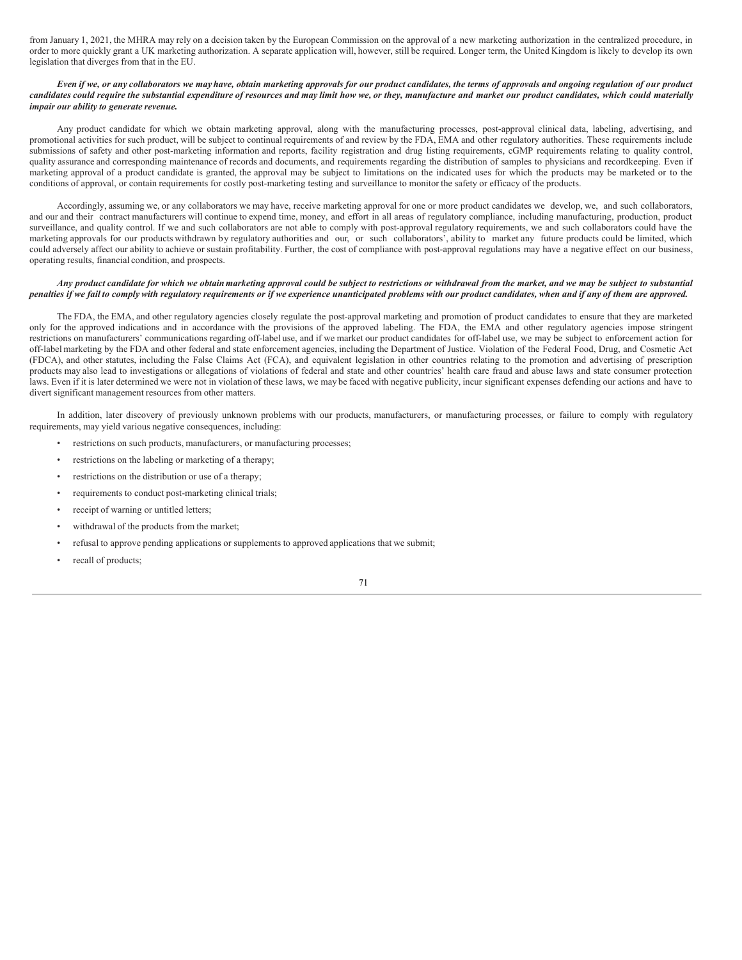from January 1, 2021, the MHRA may rely on a decision taken by the European Commission on the approval of a new marketing authorization in the centralized procedure, in order to more quickly grant a UK marketing authorization. A separate application will, however, still be required. Longer term, the United Kingdom is likely to develop its own legislation that diverges from that in the EU.

## Even if we, or any collaborators we may have, obtain marketing approvals for our product candidates, the terms of approvals and ongoing regulation of our product candidates could require the substantial expenditure of resources and may limit how we, or they, manufacture and market our product candidates, which could materially *impair our ability to generate revenue.*

Any product candidate for which we obtain marketing approval, along with the manufacturing processes, post-approval clinical data, labeling, advertising, and promotional activities for such product, will be subject to continual requirements of and review by the FDA, EMA and other regulatory authorities. These requirements include submissions of safety and other post-marketing information and reports, facility registration and drug listing requirements, cGMP requirements relating to quality control, quality assurance and corresponding maintenance of records and documents, and requirements regarding the distribution of samples to physicians and recordkeeping. Even if marketing approval of a product candidate is granted, the approval may be subject to limitations on the indicated uses for which the products may be marketed or to the conditions of approval, or contain requirements for costly post-marketing testing and surveillance to monitor the safety or efficacy of the products.

Accordingly, assuming we, or any collaborators we may have, receive marketing approval for one or more product candidates we develop, we, and such collaborators, and our and their contract manufacturers will continue to expend time, money, and effort in all areas of regulatory compliance, including manufacturing, production, product surveillance, and quality control. If we and such collaborators are not able to comply with post-approval regulatory requirements, we and such collaborators could have the marketing approvals for our products withdrawn by regulatory authorities and our, or such collaborators', ability to market any future products could be limited, which could adversely affect our ability to achieve or sustain profitability. Further, the cost of compliance with post-approval regulations may have a negative effect on our business, operating results, financial condition, and prospects.

#### Any product candidate for which we obtain marketing approval could be subject to restrictions or withdrawal from the market, and we may be subject to substantial penalties if we fail to comply with regulatory requirements or if we experience unanticipated problems with our product candidates, when and if any of them are approved.

The FDA, the EMA, and other regulatory agencies closely regulate the post-approval marketing and promotion of product candidates to ensure that they are marketed only for the approved indications and in accordance with the provisions of the approved labeling. The FDA, the EMA and other regulatory agencies impose stringent restrictions on manufacturers' communications regarding off-label use, and if we market our product candidates for off-label use, we may be subject to enforcement action for off-label marketing by the FDA and other federal and state enforcement agencies, including the Department of Justice. Violation of the Federal Food, Drug, and Cosmetic Act (FDCA), and other statutes, including the False Claims Act (FCA), and equivalent legislation in other countries relating to the promotion and advertising of prescription products may also lead to investigations or allegations of violations of federal and state and other countries' health care fraud and abuse laws and state consumer protection laws. Even if it is later determined we were not in violation of these laws, we may be faced with negative publicity, incur significant expenses defending our actions and have to divert significant management resources from other matters.

In addition, later discovery of previously unknown problems with our products, manufacturers, or manufacturing processes, or failure to comply with regulatory requirements, may yield various negative consequences, including:

- restrictions on such products, manufacturers, or manufacturing processes;
- restrictions on the labeling or marketing of a therapy;
- restrictions on the distribution or use of a therapy;
- requirements to conduct post-marketing clinical trials;
- receipt of warning or untitled letters;
- withdrawal of the products from the market;
- refusal to approve pending applications or supplements to approved applications that we submit;
- recall of products;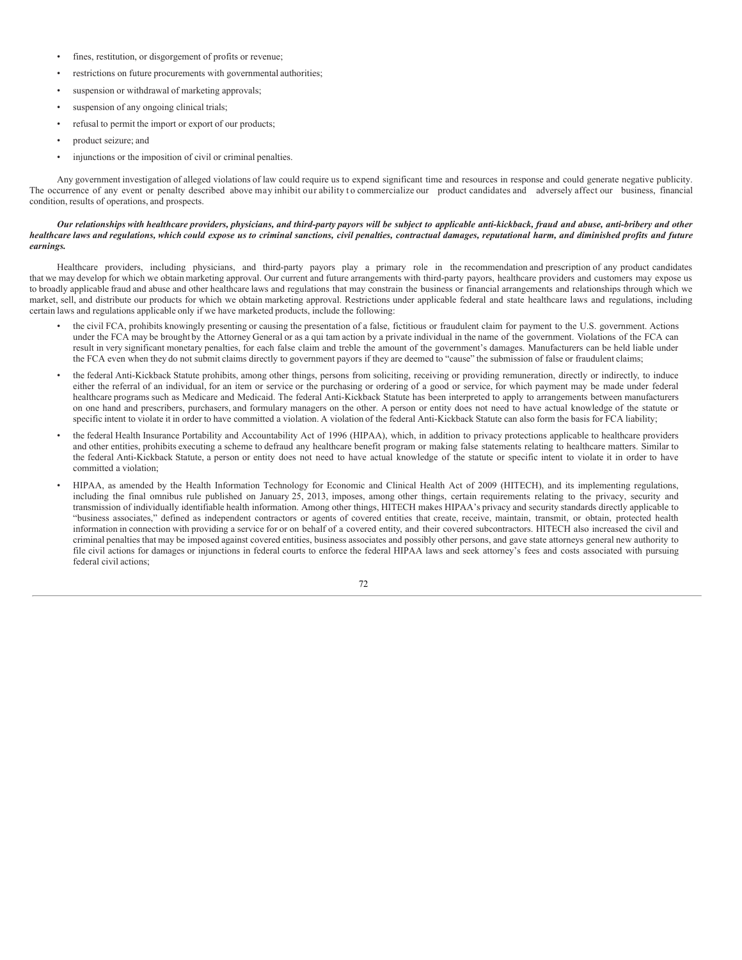- fines, restitution, or disgorgement of profits or revenue;
- restrictions on future procurements with governmental authorities;
- suspension or withdrawal of marketing approvals;
- suspension of any ongoing clinical trials;
- refusal to permit the import or export of our products;
- product seizure; and
- injunctions or the imposition of civil or criminal penalties.

Any government investigation of alleged violations of law could require us to expend significant time and resources in response and could generate negative publicity. The occurrence of any event or penalty described above may inhibit our ability to commercialize our product candidates and adversely affect our business, financial condition, results of operations, and prospects.

#### Our relationships with healthcare providers, physicians, and third-party payors will be subject to applicable anti-kickback, fraud and abuse, anti-bribery and other healthcare laws and regulations, which could expose us to criminal sanctions, civil penalties, contractual damages, reputational harm, and diminished profits and future *earnings.*

Healthcare providers, including physicians, and third-party payors play a primary role in the recommendation and prescription of any product candidates that we may develop for which we obtain marketing approval. Our current and future arrangements with third-party payors, healthcare providers and customers may expose us to broadly applicable fraud and abuse and other healthcare laws and regulations that may constrain the business or financial arrangements and relationships through which we market, sell, and distribute our products for which we obtain marketing approval. Restrictions under applicable federal and state healthcare laws and regulations, including certain laws and regulations applicable only if we have marketed products, include the following:

- the civil FCA, prohibits knowingly presenting or causing the presentation of a false, fictitious or fraudulent claim for payment to the U.S. government. Actions under the FCA may be brought by the Attorney General or as a qui tam action by a private individual in the name of the government. Violations of the FCA can result in very significant monetary penalties, for each false claim and treble the amount of the government's damages. Manufacturers can be held liable under the FCA even when they do not submit claims directly to government payors if they are deemed to "cause" the submission of false or fraudulent claims;
- the federal Anti-Kickback Statute prohibits, among other things, persons from soliciting, receiving or providing remuneration, directly or indirectly, to induce either the referral of an individual, for an item or service or the purchasing or ordering of a good or service, for which payment may be made under federal healthcare programs such as Medicare and Medicaid. The federal Anti-Kickback Statute has been interpreted to apply to arrangements between manufacturers on one hand and prescribers, purchasers, and formulary managers on the other. A person or entity does not need to have actual knowledge of the statute or specific intent to violate it in order to have committed a violation. A violation of the federal Anti-Kickback Statute can also form the basis for FCA liability;
- the federal Health Insurance Portability and Accountability Act of 1996 (HIPAA), which, in addition to privacy protections applicable to healthcare providers and other entities, prohibits executing a scheme to defraud any healthcare benefit program or making false statements relating to healthcare matters. Similar to the federal Anti-Kickback Statute, a person or entity does not need to have actual knowledge of the statute or specific intent to violate it in order to have committed a violation;
- HIPAA, as amended by the Health Information Technology for Economic and Clinical Health Act of 2009 (HITECH), and its implementing regulations, including the final omnibus rule published on January 25, 2013, imposes, among other things, certain requirements relating to the privacy, security and transmission of individually identifiable health information. Among other things, HITECH makes HIPAA's privacy and security standards directly applicable to "business associates," defined as independent contractors or agents of covered entities that create, receive, maintain, transmit, or obtain, protected health information in connection with providing a service for or on behalf of a covered entity, and their covered subcontractors. HITECH also increased the civil and criminal penalties that may be imposed against covered entities, business associates and possibly other persons, and gave state attorneys general new authority to file civil actions for damages or injunctions in federal courts to enforce the federal HIPAA laws and seek attorney's fees and costs associated with pursuing federal civil actions;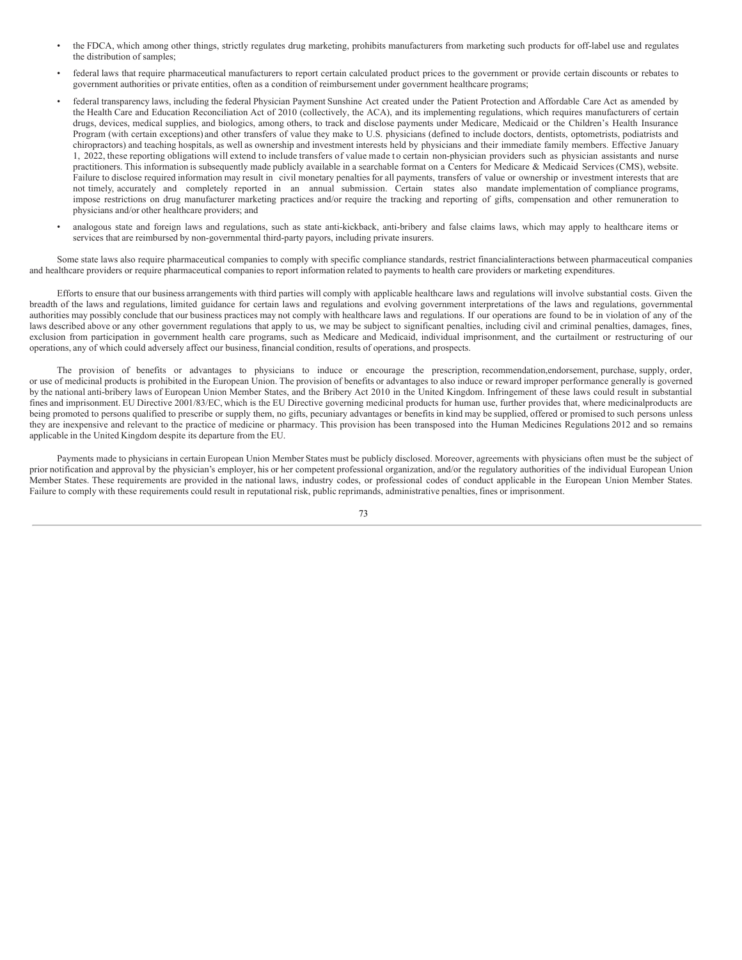- the FDCA, which among other things, strictly regulates drug marketing, prohibits manufacturers from marketing such products for off-label use and regulates the distribution of samples;
- federal laws that require pharmaceutical manufacturers to report certain calculated product prices to the government or provide certain discounts or rebates to government authorities or private entities, often as a condition of reimbursement under government healthcare programs;
- federal transparency laws, including the federal Physician Payment Sunshine Act created under the Patient Protection and Affordable Care Act as amended by the Health Care and Education Reconciliation Act of 2010 (collectively, the ACA), and its implementing regulations, which requires manufacturers of certain drugs, devices, medical supplies, and biologics, among others, to track and disclose payments under Medicare, Medicaid or the Children's Health Insurance Program (with certain exceptions) and other transfers of value they make to U.S. physicians (defined to include doctors, dentists, optometrists, podiatrists and chiropractors) and teaching hospitals, as well as ownership and investment interests held by physicians and their immediate family members. Effective January 1, 2022, these reporting obligations will extend to include transfers of value made t o certain non-physician providers such as physician assistants and nurse practitioners. This information is subsequently made publicly available in a searchable format on a Centers for Medicare & Medicaid Services (CMS), website. Failure to disclose required information may result in civil monetary penalties for all payments, transfers of value or ownership or investment interests that are not timely, accurately and completely reported in an annual submission. Certain states also mandate implementation of compliance programs, impose restrictions on drug manufacturer marketing practices and/or require the tracking and reporting of gifts, compensation and other remuneration to physicians and/or other healthcare providers; and
- analogous state and foreign laws and regulations, such as state anti-kickback, anti-bribery and false claims laws, which may apply to healthcare items or services that are reimbursed by non-governmental third-party payors, including private insurers.

Some state laws also require pharmaceutical companies to comply with specific compliance standards, restrict financialinteractions between pharmaceutical companies and healthcare providers or require pharmaceutical companies to report information related to payments to health care providers or marketing expenditures.

Efforts to ensure that our business arrangements with third parties will comply with applicable healthcare laws and regulations will involve substantial costs. Given the breadth of the laws and regulations, limited guidance for certain laws and regulations and evolving government interpretations of the laws and regulations, governmental authorities may possibly conclude that our business practices may not comply with healthcare laws and regulations. If our operations are found to be in violation of any of the laws described above or any other government regulations that apply to us, we may be subject to significant penalties, including civil and criminal penalties, damages, fines, exclusion from participation in government health care programs, such as Medicare and Medicaid, individual imprisonment, and the curtailment or restructuring of our operations, any of which could adversely affect our business, financial condition, results of operations, and prospects.

The provision of benefits or advantages to physicians to induce or encourage the prescription, recommendation,endorsement, purchase, supply, order, or use of medicinal products is prohibited in the European Union. The provision of benefits or advantages to also induce or reward improper performance generally is governed by the national anti-bribery laws of European Union Member States, and the Bribery Act 2010 in the United Kingdom. Infringement of these laws could result in substantial fines and imprisonment. EU Directive 2001/83/EC, which is the EU Directive governing medicinal products for human use, further provides that, where medicinalproducts are being promoted to persons qualified to prescribe or supply them, no gifts, pecuniary advantages or benefits in kind may be supplied, offered or promised to such persons unless they are inexpensive and relevant to the practice of medicine or pharmacy. This provision has been transposed into the Human Medicines Regulations 2012 and so remains applicable in the United Kingdom despite its departure from the EU.

Payments made to physicians in certain European Union Member States must be publicly disclosed. Moreover, agreements with physicians often must be the subject of prior notification and approval by the physician's employer, his or her competent professional organization, and/or the regulatory authorities of the individual European Union Member States. These requirements are provided in the national laws, industry codes, or professional codes of conduct applicable in the European Union Member States. Failure to comply with these requirements could result in reputational risk, public reprimands, administrative penalties, fines or imprisonment.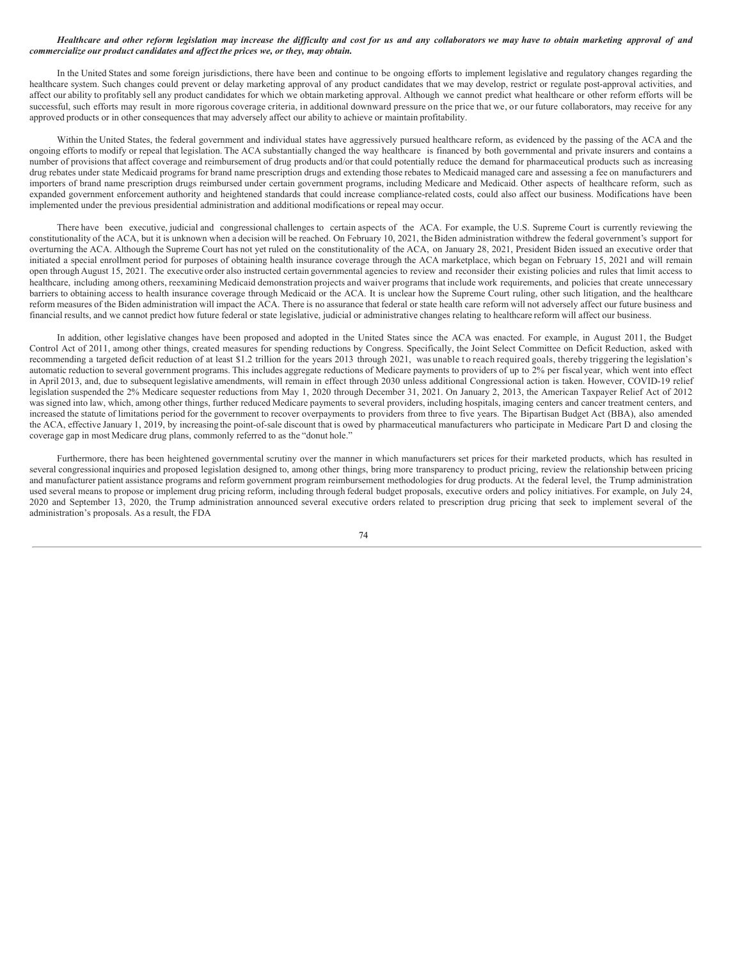#### Healthcare and other reform legislation may increase the difficulty and cost for us and any collaborators we may have to obtain marketing approval of and *commercialize our product candidates and af ect the prices we, or they, may obtain.*

In the United States and some foreign jurisdictions, there have been and continue to be ongoing efforts to implement legislative and regulatory changes regarding the healthcare system. Such changes could prevent or delay marketing approval of any product candidates that we may develop, restrict or regulate post-approval activities, and affect our ability to profitably sell any product candidates for which we obtain marketing approval. Although we cannot predict what healthcare or other reform efforts will be successful, such efforts may result in more rigorous coverage criteria, in additional downward pressure on the price that we, or our future collaborators, may receive for any approved products or in other consequences that may adversely affect our ability to achieve or maintain profitability.

Within the United States, the federal government and individual states have aggressively pursued healthcare reform, as evidenced by the passing of the ACA and the ongoing efforts to modify or repeal that legislation. The ACA substantially changed the way healthcare is financed by both governmental and private insurers and contains a number of provisions that affect coverage and reimbursement of drug products and/or that could potentially reduce the demand for pharmaceutical products such as increasing drug rebates under state Medicaid programs for brand name prescription drugs and extending those rebates to Medicaid managed care and assessing a fee on manufacturers and importers of brand name prescription drugs reimbursed under certain government programs, including Medicare and Medicaid. Other aspects of healthcare reform, such as expanded government enforcement authority and heightened standards that could increase compliance-related costs, could also affect our business. Modifications have been implemented under the previous presidential administration and additional modifications or repeal may occur.

There have been executive, judicial and congressional challenges to certain aspects of the ACA. For example, the U.S. Supreme Court is currently reviewing the constitutionality of the ACA, but it is unknown when a decision will be reached. On February 10, 2021, the Biden administration withdrew the federal government's support for overturning the ACA. Although the Supreme Court has not yet ruled on the constitutionality of the ACA, on January 28, 2021, President Biden issued an executive order that initiated a special enrollment period for purposes of obtaining health insurance coverage through the ACA marketplace, which began on February 15, 2021 and will remain open through August 15, 2021. The executive order also instructed certain governmental agencies to review and reconsider their existing policies and rules that limit access to healthcare, including among others, reexamining Medicaid demonstration projects and waiver programs that include work requirements, and policies that create unnecessary barriers to obtaining access to health insurance coverage through Medicaid or the ACA. It is unclear how the Supreme Court ruling, other such litigation, and the healthcare reform measures of the Biden administration will impact the ACA. There is no assurance that federal or state health care reform will not adversely affect our future business and financial results, and we cannot predict how future federal or state legislative, judicial or administrative changes relating to healthcare reform will affect our business.

In addition, other legislative changes have been proposed and adopted in the United States since the ACA was enacted. For example, in August 2011, the Budget Control Act of 2011, among other things, created measures for spending reductions by Congress. Specifically, the Joint Select Committee on Deficit Reduction, asked with recommending a targeted deficit reduction of at least \$1.2 trillion for the years 2013 through 2021, was unable to reach required goals, thereby triggering the legislation's automatic reduction to several government programs. This includes aggregate reductions of Medicare payments to providers of up to 2% per fiscal year, which went into effect in April 2013, and, due to subsequent legislative amendments, will remain in effect through 2030 unless additional Congressional action is taken. However, COVID-19 relief legislation suspended the 2% Medicare sequester reductions from May 1, 2020 through December 31, 2021. On January 2, 2013, the American Taxpayer Relief Act of 2012 was signed into law, which, among other things, further reduced Medicare payments to several providers, including hospitals, imaging centers and cancer treatment centers, and increased the statute of limitations period for the government to recover overpayments to providers from three to five years. The Bipartisan Budget Act (BBA), also amended the ACA, effective January 1, 2019, by increasing the point-of-sale discount that is owed by pharmaceutical manufacturers who participate in Medicare Part D and closing the coverage gap in most Medicare drug plans, commonly referred to as the "donut hole."

Furthermore, there has been heightened governmental scrutiny over the manner in which manufacturers set prices for their marketed products, which has resulted in several congressional inquiries and proposed legislation designed to, among other things, bring more transparency to product pricing, review the relationship between pricing and manufacturer patient assistance programs and reform government program reimbursement methodologies for drug products. At the federal level, the Trump administration used several means to propose or implement drug pricing reform, including through federal budget proposals, executive orders and policy initiatives. For example, on July 24, 2020 and September 13, 2020, the Trump administration announced several executive orders related to prescription drug pricing that seek to implement several of the administration's proposals. As a result, the FDA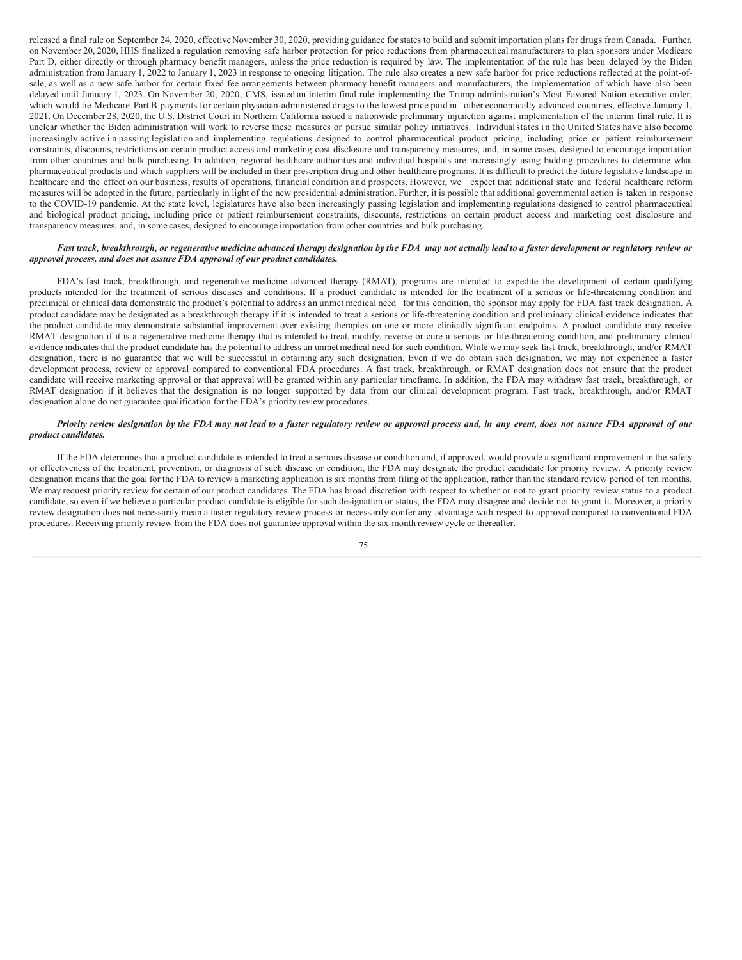released a final rule on September 24, 2020, effective November 30, 2020, providing guidance for states to build and submit importation plans for drugs from Canada. Further, on November 20, 2020, HHS finalized a regulation removing safe harbor protection for price reductions from pharmaceutical manufacturers to plan sponsors under Medicare Part D, either directly or through pharmacy benefit managers, unless the price reduction is required by law. The implementation of the rule has been delayed by the Biden administration from January 1, 2022 to January 1, 2023 in response to ongoing litigation. The rule also creates a new safe harbor for price reductions reflected at the point-ofsale, as well as a new safe harbor for certain fixed fee arrangements between pharmacy benefit managers and manufacturers, the implementation of which have also been delayed until January 1, 2023. On November 20, 2020, CMS, issued an interim final rule implementing the Trump administration's Most Favored Nation executive order, which would tie Medicare Part B payments for certain physician-administered drugs to the lowest price paid in other economically advanced countries, effective January 1, 2021. On December 28, 2020, the U.S. District Court in Northern California issued a nationwide preliminary injunction against implementation of the interim final rule. It is unclear whether the Biden administration will work to reverse these measures or pursue similar policy initiatives. Individual states in the United States have also become increasingly active in passing legislation and implementing regulations designed to control pharmaceutical product pricing, including price or patient reimbursement constraints, discounts, restrictions on certain product access and marketing cost disclosure and transparency measures, and, in some cases, designed to encourage importation from other countries and bulk purchasing. In addition, regional healthcare authorities and individual hospitals are increasingly using bidding procedures to determine what pharmaceutical products and which suppliers will be included in their prescription drug and other healthcare programs. It is difficult to predict the future legislative landscape in healthcare and the effect on our business, results of operations, financial condition and prospects. However, we expect that additional state and federal healthcare reform measures will be adopted in the future, particularly in light of the new presidential administration. Further, it is possible that additional governmental action is taken in response to the COVID-19 pandemic. At the state level, legislatures have also been increasingly passing legislation and implementing regulations designed to control pharmaceutical and biological product pricing, including price or patient reimbursement constraints, discounts, restrictions on certain product access and marketing cost disclosure and transparency measures, and, in some cases, designed to encourage importation from other countries and bulk purchasing.

#### Fast track, breakthrough, or regenerative medicine advanced therapy designation by the FDA may not actually lead to a faster development or regulatory review or *approval process, and does not assure FDA approval of our product candidates.*

FDA's fast track, breakthrough, and regenerative medicine advanced therapy (RMAT), programs are intended to expedite the development of certain qualifying products intended for the treatment of serious diseases and conditions. If a product candidate is intended for the treatment of a serious or life-threatening condition and preclinical or clinical data demonstrate the product's potential to address an unmet medical need for this condition, the sponsor may apply for FDA fast track designation. A product candidate may be designated as a breakthrough therapy if it is intended to treat a serious or life-threatening condition and preliminary clinical evidence indicates that the product candidate may demonstrate substantial improvement over existing therapies on one or more clinically significant endpoints. A product candidate may receive RMAT designation if it is a regenerative medicine therapy that is intended to treat, modify, reverse or cure a serious or life-threatening condition, and preliminary clinical evidence indicates that the product candidate has the potential to address an unmet medical need for such condition. While we may seek fast track, breakthrough, and/or RMAT designation, there is no guarantee that we will be successful in obtaining any such designation. Even if we do obtain such designation, we may not experience a faster development process, review or approval compared to conventional FDA procedures. A fast track, breakthrough, or RMAT designation does not ensure that the product candidate will receive marketing approval or that approval will be granted within any particular timeframe. In addition, the FDA may withdraw fast track, breakthrough, or RMAT designation if it believes that the designation is no longer supported by data from our clinical development program. Fast track, breakthrough, and/or RMAT designation alone do not guarantee qualification for the FDA's priority review procedures.

## Priority review designation by the FDA may not lead to a faster regulatory review or approval process and, in any event, does not assure FDA approval of our *product candidates.*

If the FDA determines that a product candidate is intended to treat a serious disease or condition and, if approved, would provide a significant improvement in the safety or effectiveness of the treatment, prevention, or diagnosis of such disease or condition, the FDA may designate the product candidate for priority review. A priority review designation means that the goal for the FDA to review a marketing application is six months from filing of the application, rather than the standard review period of ten months. We may request priority review for certain of our product candidates. The FDA has broad discretion with respect to whether or not to grant priority review status to a product candidate, so even if we believe a particular product candidate is eligible for such designation or status, the FDA may disagree and decide not to grant it. Moreover, a priority review designation does not necessarily mean a faster regulatory review process or necessarily confer any advantage with respect to approval compared to conventional FDA procedures. Receiving priority review from the FDA does not guarantee approval within the six-month review cycle or thereafter.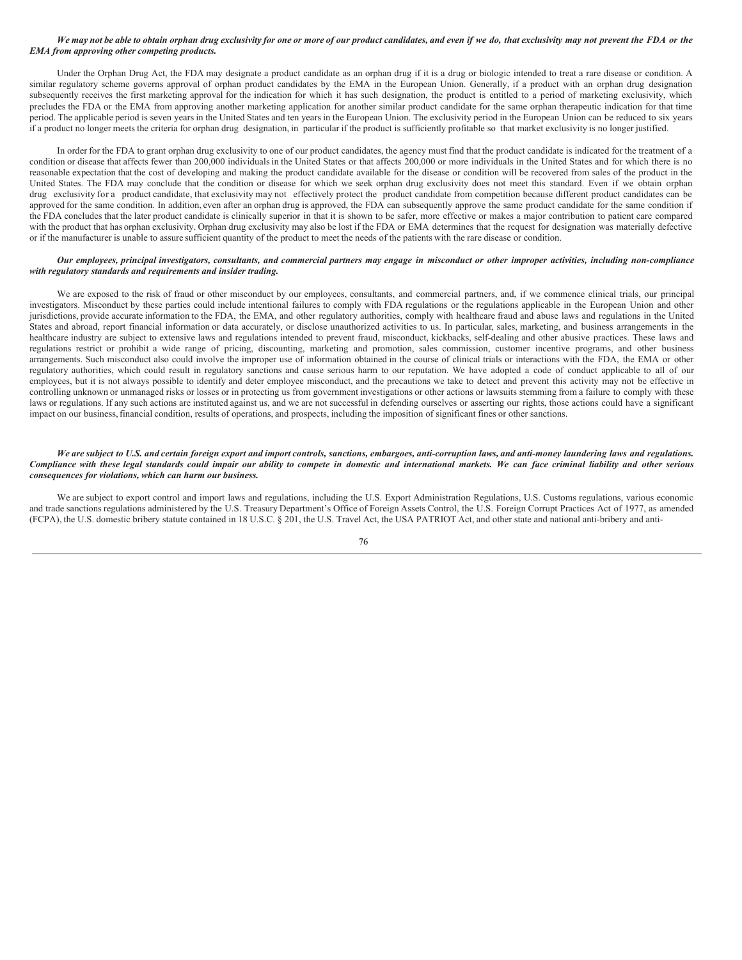#### We may not be able to obtain orphan drug exclusivity for one or more of our product candidates, and even if we do, that exclusivity may not prevent the FDA or the *EMA from approving other competing products.*

Under the Orphan Drug Act, the FDA may designate a product candidate as an orphan drug if it is a drug or biologic intended to treat a rare disease or condition. A similar regulatory scheme governs approval of orphan product candidates by the EMA in the European Union. Generally, if a product with an orphan drug designation subsequently receives the first marketing approval for the indication for which it has such designation, the product is entitled to a period of marketing exclusivity, which precludes the FDA or the EMA from approving another marketing application for another similar product candidate for the same orphan therapeutic indication for that time period. The applicable period is seven years in the United States and ten years in the European Union. The exclusivity period in the European Union can be reduced to six years if a product no longer meets the criteria for orphan drug designation, in particular if the product is sufficiently profitable so that market exclusivity is no longer justified.

In order for the FDA to grant orphan drug exclusivity to one of our product candidates, the agency must find that the product candidate is indicated for the treatment of a condition or disease that affects fewer than 200,000 individualsin the United States or that affects 200,000 or more individuals in the United States and for which there is no reasonable expectation that the cost of developing and making the product candidate available for the disease or condition will be recovered from sales of the product in the United States. The FDA may conclude that the condition or disease for which we seek orphan drug exclusivity does not meet this standard. Even if we obtain orphan drug exclusivity for a product candidate, that exclusivity may not effectively protect the product candidate from competition because different product candidates can be approved for the same condition. In addition, even after an orphan drug is approved, the FDA can subsequently approve the same product candidate for the same condition if the FDA concludes that the later product candidate is clinically superior in that it is shown to be safer, more effective or makes a major contribution to patient care compared with the product that has orphan exclusivity. Orphan drug exclusivity may also be lost if the FDA or EMA determines that the request for designation was materially defective or if the manufacturer is unable to assure sufficient quantity of the product to meet the needs of the patients with the rare disease or condition.

## Our employees, principal investigators, consultants, and commercial partners may engage in misconduct or other improper activities, including non-compliance *with regulatory standards and requirements and insider trading.*

We are exposed to the risk of fraud or other misconduct by our employees, consultants, and commercial partners, and, if we commence clinical trials, our principal investigators. Misconduct by these parties could include intentional failures to comply with FDA regulations or the regulations applicable in the European Union and other jurisdictions, provide accurate information to the FDA, the EMA, and other regulatory authorities, comply with healthcare fraud and abuse laws and regulations in the United States and abroad, report financial information or data accurately, or disclose unauthorized activities to us. In particular, sales, marketing, and business arrangements in the healthcare industry are subject to extensive laws and regulations intended to prevent fraud, misconduct, kickbacks, self-dealing and other abusive practices. These laws and regulations restrict or prohibit a wide range of pricing, discounting, marketing and promotion, sales commission, customer incentive programs, and other business arrangements. Such misconduct also could involve the improper use of information obtained in the course of clinical trials or interactions with the FDA, the EMA or other regulatory authorities, which could result in regulatory sanctions and cause serious harm to our reputation. We have adopted a code of conduct applicable to all of our employees, but it is not always possible to identify and deter employee misconduct, and the precautions we take to detect and prevent this activity may not be effective in controlling unknown or unmanaged risks or losses or in protecting us from government investigations or other actions or lawsuits stemming from a failure to comply with these laws or regulations. If any such actions are instituted against us, and we are not successful in defending ourselves or asserting our rights, those actions could have a significant impact on our business,financial condition, results of operations, and prospects, including the imposition of significant fines or other sanctions.

#### We are subject to U.S. and certain foreign export and import controls, sanctions, embargoes, anti-corruption laws, and anti-money laundering laws and regulations. Compliance with these legal standards could impair our ability to compete in domestic and international markets. We can face criminal liability and other serious *consequences for violations, which can harm our business.*

We are subject to export control and import laws and regulations, including the U.S. Export Administration Regulations, U.S. Customs regulations, various economic and trade sanctions regulations administered by the U.S. Treasury Department's Office of Foreign Assets Control, the U.S. Foreign Corrupt Practices Act of 1977, as amended (FCPA), the U.S. domestic bribery statute contained in 18 U.S.C. § 201, the U.S. Travel Act, the USA PATRIOT Act, and other state and national anti-bribery and anti-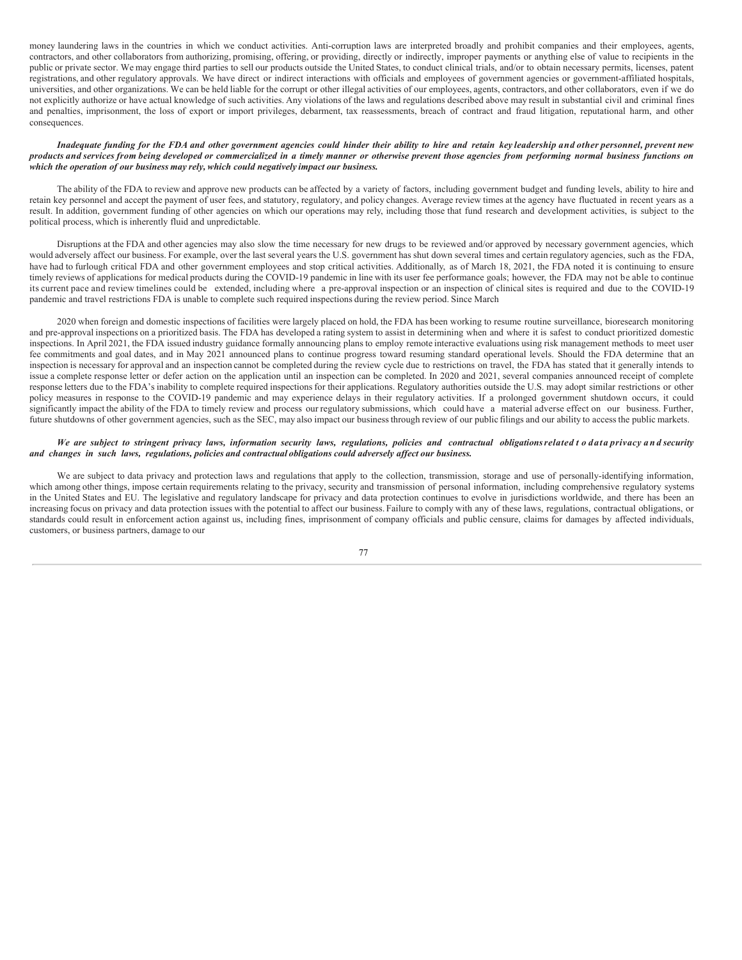money laundering laws in the countries in which we conduct activities. Anti-corruption laws are interpreted broadly and prohibit companies and their employees, agents, contractors, and other collaborators from authorizing, promising, offering, or providing, directly or indirectly, improper payments or anything else of value to recipients in the public or private sector. We may engage third parties to sell our products outside the United States, to conduct clinical trials, and/or to obtain necessary permits, licenses, patent registrations, and other regulatory approvals. We have direct or indirect interactions with officials and employees of government agencies or government-affiliated hospitals, universities, and other organizations. We can be held liable for the corrupt or other illegal activities of our employees, agents, contractors, and other collaborators, even if we do not explicitly authorize or have actual knowledge of such activities. Any violations of the laws and regulations described above may result in substantial civil and criminal fines and penalties, imprisonment, the loss of export or import privileges, debarment, tax reassessments, breach of contract and fraud litigation, reputational harm, and other consequences.

#### Inadequate funding for the FDA and other government agencies could hinder their ability to hire and retain key leadership and other personnel, prevent new products and services from being developed or commercialized in a timely manner or otherwise prevent those agencies from performing normal business functions on *which the operation of our business may rely, which could negatively impact our business.*

The ability of the FDA to review and approve new products can be affected by a variety of factors, including government budget and funding levels, ability to hire and retain key personnel and accept the payment of user fees, and statutory, regulatory, and policy changes. Average review times at the agency have fluctuated in recent years as a result. In addition, government funding of other agencies on which our operations may rely, including those that fund research and development activities, is subject to the political process, which is inherently fluid and unpredictable.

Disruptions at the FDA and other agencies may also slow the time necessary for new drugs to be reviewed and/or approved by necessary government agencies, which would adversely affect our business. For example, over the last several years the U.S. government has shut down several times and certain regulatory agencies, such as the FDA, have had to furlough critical FDA and other government employees and stop critical activities. Additionally, as of March 18, 2021, the FDA noted it is continuing to ensure timely reviews of applications for medical products during the COVID-19 pandemic in line with its user fee performance goals; however, the FDA may not be able to continue its current pace and review timelines could be extended, including where a pre-approval inspection or an inspection of clinical sites is required and due to the COVID-19 pandemic and travel restrictions FDA is unable to complete such required inspections during the review period. Since March

2020 when foreign and domestic inspections of facilities were largely placed on hold, the FDA has been working to resume routine surveillance, bioresearch monitoring and pre-approval inspections on a prioritized basis. The FDA has developed a rating system to assist in determining when and where it is safest to conduct prioritized domestic inspections. In April 2021, the FDA issued industry guidance formally announcing plans to employ remote interactive evaluations using risk management methods to meet user fee commitments and goal dates, and in May 2021 announced plans to continue progress toward resuming standard operational levels. Should the FDA determine that an inspection is necessary for approval and an inspection cannot be completed during the review cycle due to restrictions on travel, the FDA has stated that it generally intends to issue a complete response letter or defer action on the application until an inspection can be completed. In 2020 and 2021, several companies announced receipt of complete response letters due to the FDA's inability to complete required inspections for their applications. Regulatory authorities outside the U.S. may adopt similar restrictions or other policy measures in response to the COVID-19 pandemic and may experience delays in their regulatory activities. If a prolonged government shutdown occurs, it could significantly impact the ability of the FDA to timely review and process our regulatory submissions, which could have a material adverse effect on our business. Further, future shutdowns of other government agencies, such as the SEC, may also impact our business through review of our public filings and our ability to access the public markets.

### We are subject to stringent privacy laws, information security laws, regulations, policies and contractual obligations related to data privacy and security *and changes in such laws, regulations, policies and contractual obligations could adversely af ect our business.*

We are subject to data privacy and protection laws and regulations that apply to the collection, transmission, storage and use of personally-identifying information, which among other things, impose certain requirements relating to the privacy, security and transmission of personal information, including comprehensive regulatory systems in the United States and EU. The legislative and regulatory landscape for privacy and data protection continues to evolve in jurisdictions worldwide, and there has been an increasing focus on privacy and data protection issues with the potential to affect our business. Failure to comply with any of these laws, regulations, contractual obligations, or standards could result in enforcement action against us, including fines, imprisonment of company officials and public censure, claims for damages by affected individuals, customers, or business partners, damage to our

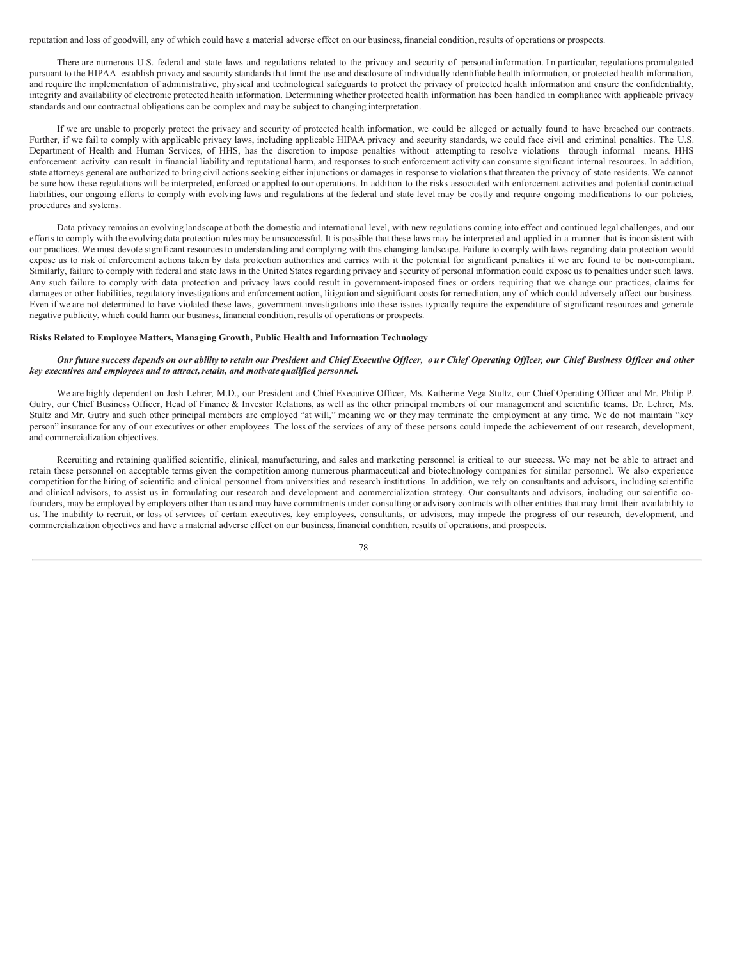reputation and loss of goodwill, any of which could have a material adverse effect on our business,financial condition, results of operations or prospects.

There are numerous U.S. federal and state laws and regulations related to the privacy and security of personal information. In particular, regulations promulgated pursuant to the HIPAA establish privacy and security standards that limit the use and disclosure of individually identifiable health information, or protected health information, and require the implementation of administrative, physical and technological safeguards to protect the privacy of protected health information and ensure the confidentiality, integrity and availability of electronic protected health information. Determining whether protected health information has been handled in compliance with applicable privacy standards and our contractual obligations can be complex and may be subject to changing interpretation.

If we are unable to properly protect the privacy and security of protected health information, we could be alleged or actually found to have breached our contracts. Further, if we fail to comply with applicable privacy laws, including applicable HIPAA privacy and security standards, we could face civil and criminal penalties. The U.S. Department of Health and Human Services, of HHS, has the discretion to impose penalties without attempting to resolve violations through informal means. HHS enforcement activity can result in financial liability and reputational harm, and responses to such enforcement activity can consume significant internal resources. In addition, state attorneys general are authorized to bring civil actions seeking either injunctions or damagesin response to violations that threaten the privacy of state residents. We cannot be sure how these regulations will be interpreted, enforced or applied to our operations. In addition to the risks associated with enforcement activities and potential contractual liabilities, our ongoing efforts to comply with evolving laws and regulations at the federal and state level may be costly and require ongoing modifications to our policies, procedures and systems.

Data privacy remains an evolving landscape at both the domestic and international level, with new regulations coming into effect and continued legal challenges, and our efforts to comply with the evolving data protection rules may be unsuccessful. It is possible that these laws may be interpreted and applied in a manner that is inconsistent with our practices. We must devote significant resources to understanding and complying with this changing landscape. Failure to comply with laws regarding data protection would expose us to risk of enforcement actions taken by data protection authorities and carries with it the potential for significant penalties if we are found to be non-compliant. Similarly, failure to comply with federal and state laws in the United States regarding privacy and security of personal information could expose us to penalties under such laws. Any such failure to comply with data protection and privacy laws could result in government-imposed fines or orders requiring that we change our practices, claims for damages or other liabilities, regulatory investigations and enforcement action, litigation and significant costs for remediation, any of which could adversely affect our business. Even if we are not determined to have violated these laws, government investigations into these issues typically require the expenditure of significant resources and generate negative publicity, which could harm our business, financial condition, results of operations or prospects.

## **Risks Related to Employee Matters, Managing Growth, Public Health and Information Technology**

#### Our future success depends on our ability to retain our President and Chief Executive Officer, our Chief Operating Officer, our Chief Business Officer and other *key executives* and *employees* and *to attract, retain, and motivate qualified personnel.*

We are highly dependent on Josh Lehrer, M.D., our President and Chief Executive Officer, Ms. Katherine Vega Stultz, our Chief Operating Officer and Mr. Philip P. Gutry, our Chief Business Officer, Head of Finance & Investor Relations, as well as the other principal members of our management and scientific teams. Dr. Lehrer, Ms. Stultz and Mr. Gutry and such other principal members are employed "at will," meaning we or they may terminate the employment at any time. We do not maintain "key person" insurance for any of our executives or other employees. The loss of the services of any of these persons could impede the achievement of our research, development, and commercialization objectives.

Recruiting and retaining qualified scientific, clinical, manufacturing, and sales and marketing personnel is critical to our success. We may not be able to attract and retain these personnel on acceptable terms given the competition among numerous pharmaceutical and biotechnology companies for similar personnel. We also experience competition for the hiring of scientific and clinical personnel from universities and research institutions. In addition, we rely on consultants and advisors, including scientific and clinical advisors, to assist us in formulating our research and development and commercialization strategy. Our consultants and advisors, including our scientific cofounders, may be employed by employers other than us and may have commitments under consulting or advisory contracts with other entities that may limit their availability to us. The inability to recruit, or loss of services of certain executives, key employees, consultants, or advisors, may impede the progress of our research, development, and commercialization objectives and have a material adverse effect on our business,financial condition, results of operations, and prospects.

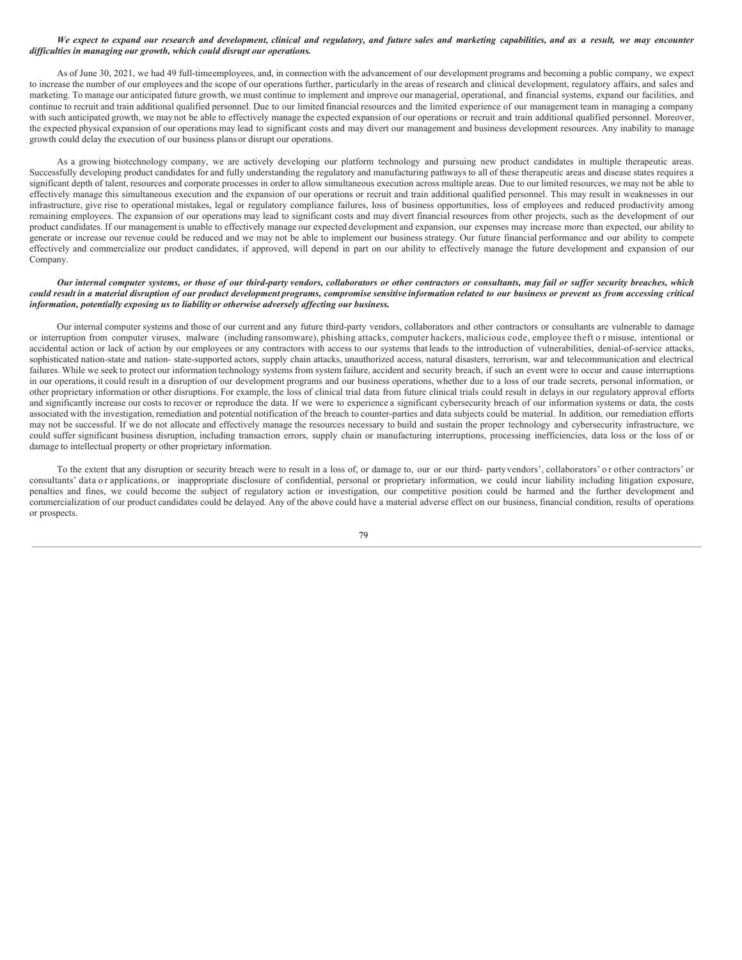## We expect to expand our research and development, clinical and regulatory, and future sales and marketing capabilities, and as a result, we may encounter *dif iculties in managing our growth, which could disrupt our operations.*

As of June 30, 2021, we had 49 full-timeemployees, and, in connection with the advancement of our development programs and becoming a public company, we expect to increase the number of our employees and the scope of our operations further, particularly in the areas of research and clinical development, regulatory affairs, and sales and marketing. To manage our anticipated future growth, we must continue to implement and improve our managerial, operational, and financial systems, expand our facilities, and continue to recruit and train additional qualified personnel. Due to our limited financial resources and the limited experience of our management team in managing a company with such anticipated growth, we may not be able to effectively manage the expected expansion of our operations or recruit and train additional qualified personnel. Moreover, the expected physical expansion of our operations may lead to significant costs and may divert our management and business development resources. Any inability to manage growth could delay the execution of our business plans or disrupt our operations.

As a growing biotechnology company, we are actively developing our platform technology and pursuing new product candidates in multiple therapeutic areas. Successfully developing product candidates for and fully understanding the regulatory and manufacturing pathways to all of these therapeutic areas and disease states requires a significant depth of talent, resources and corporate processes in order to allow simultaneous execution across multiple areas. Due to our limited resources, we may not be able to effectively manage this simultaneous execution and the expansion of our operations or recruit and train additional qualified personnel. This may result in weaknesses in our infrastructure, give rise to operational mistakes, legal or regulatory compliance failures, loss of business opportunities, loss of employees and reduced productivity among remaining employees. The expansion of our operations may lead to significant costs and may divert financial resources from other projects, such as the development of our product candidates. If our management is unable to effectively manage our expected development and expansion, our expenses may increase more than expected, our ability to generate or increase our revenue could be reduced and we may not be able to implement our business strategy. Our future financial performance and our ability to compete effectively and commercialize our product candidates, if approved, will depend in part on our ability to effectively manage the future development and expansion of our Company.

## Our internal computer systems, or those of our third-party vendors, collaborators or other contractors or consultants, may fail or suffer security breaches, which could result in a material disruption of our product development programs, compromise sensitive information related to our business or prevent us from accessing critical *information, potentially exposing us to liability or otherwise adversely af ecting our business.*

Our internal computer systems and those of our current and any future third-party vendors, collaborators and other contractors or consultants are vulnerable to damage or interruption from computer viruses, malware (including ransomware), phishing attacks, computer hackers, malicious code, employee theft o r misuse, intentional or accidental action or lack of action by our employees or any contractors with access to our systems that leads to the introduction of vulnerabilities, denial-of-service attacks, sophisticated nation-state and nation- state-supported actors, supply chain attacks, unauthorized access, natural disasters, terrorism, war and telecommunication and electrical failures. While we seek to protect our information technology systems from system failure, accident and security breach, if such an event were to occur and cause interruptions in our operations, it could result in a disruption of our development programs and our business operations, whether due to a loss of our trade secrets, personal information, or other proprietary information or other disruptions. For example, the loss of clinical trial data from future clinical trials could result in delays in our regulatory approval efforts and significantly increase our costs to recover or reproduce the data. If we were to experience a significant cybersecurity breach of our information systems or data, the costs associated with the investigation, remediation and potential notification of the breach to counter-parties and data subjects could be material. In addition, our remediation efforts may not be successful. If we do not allocate and effectively manage the resources necessary to build and sustain the proper technology and cybersecurity infrastructure, we could suffer significant business disruption, including transaction errors, supply chain or manufacturing interruptions, processing inefficiencies, data loss or the loss of or damage to intellectual property or other proprietary information.

To the extent that any disruption or security breach were to result in a loss of, or damage to, our or our third- partyvendors', collaborators' or other contractors' or consultants' data or applications, or inappropriate disclosure of confidential, personal or proprietary information, we could incur liability including litigation exposure, penalties and fines, we could become the subject of regulatory action or investigation, our competitive position could be harmed and the further development and commercialization of our product candidates could be delayed. Any of the above could have a material adverse effect on our business, financial condition, results of operations or prospects.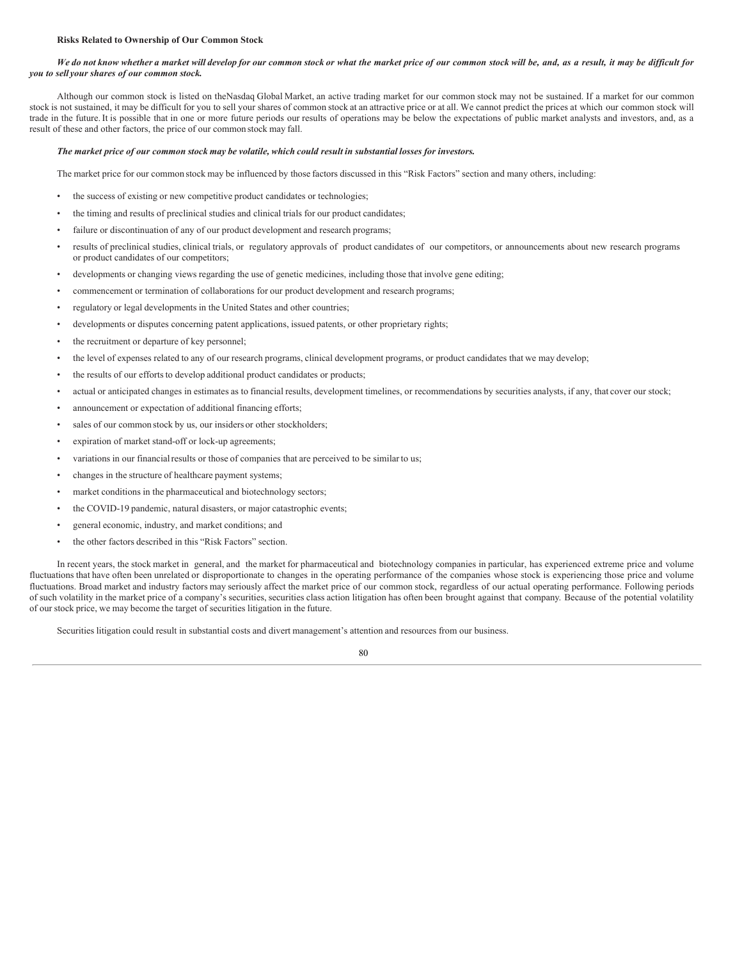## **Risks Related to Ownership of Our Common Stock**

## We do not know whether a market will develop for our common stock or what the market price of our common stock will be, and, as a result, it may be difficult for *you to sell your shares of our common stock.*

Although our common stock is listed on theNasdaq Global Market, an active trading market for our common stock may not be sustained. If a market for our common stock is not sustained, it may be difficult for you to sell your shares of common stock at an attractive price or at all. We cannot predict the prices at which our common stock will trade in the future.It is possible that in one or more future periods our results of operations may be below the expectations of public market analysts and investors, and, as a result of these and other factors, the price of our common stock may fall.

#### The market price of our common stock may be volatile, which could result in substantial losses for investors.

The market price for our common stock may be influenced by those factors discussed in this "Risk Factors" section and many others, including:

- the success of existing or new competitive product candidates or technologies;
- the timing and results of preclinical studies and clinical trials for our product candidates;
- failure or discontinuation of any of our product development and research programs;
- results of preclinical studies, clinical trials, or regulatory approvals of product candidates of our competitors, or announcements about new research programs or product candidates of our competitors;
- developments or changing views regarding the use of genetic medicines, including those that involve gene editing;
- commencement or termination of collaborations for our product development and research programs;
- regulatory or legal developments in the United States and other countries;
- developments or disputes concerning patent applications, issued patents, or other proprietary rights;
- the recruitment or departure of key personnel;
- the level of expenses related to any of our research programs, clinical development programs, or product candidates that we may develop;
- the results of our efforts to develop additional product candidates or products;
- actual or anticipated changes in estimates as to financial results, development timelines, or recommendations by securities analysts, if any, that cover our stock;
- announcement or expectation of additional financing efforts;
- sales of our common stock by us, our insiders or other stockholders;
- expiration of market stand-off or lock-up agreements;
- variations in our financial results or those of companies that are perceived to be similar to us;
- changes in the structure of healthcare payment systems;
- market conditions in the pharmaceutical and biotechnology sectors;
- the COVID-19 pandemic, natural disasters, or major catastrophic events;
- general economic, industry, and market conditions; and
- the other factors described in this "Risk Factors" section.

In recent years, the stock market in general, and the market for pharmaceutical and biotechnology companies in particular, has experienced extreme price and volume fluctuations that have often been unrelated or disproportionate to changes in the operating performance of the companies whose stock is experiencing those price and volume fluctuations. Broad market and industry factors may seriously affect the market price of our common stock, regardless of our actual operating performance. Following periods of such volatility in the market price of a company's securities, securities class action litigation has often been brought against that company. Because of the potential volatility of our stock price, we may become the target of securities litigation in the future.

Securities litigation could result in substantial costs and divert management's attention and resources from our business.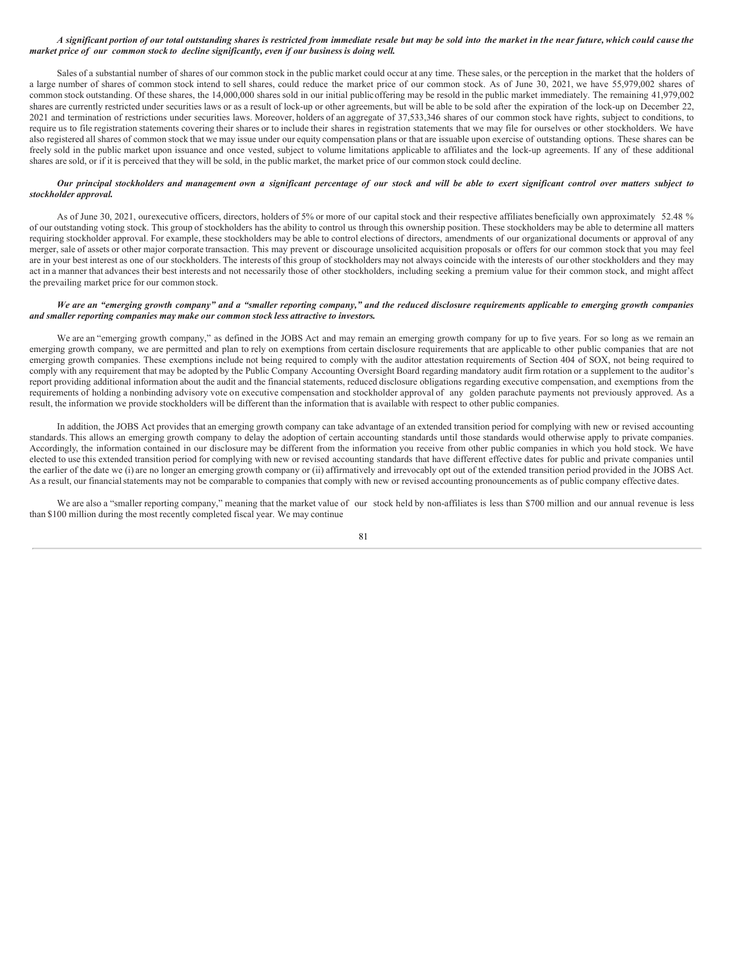## A significant portion of our total outstanding shares is restricted from immediate resale but may be sold into the market in the near future, which could cause the *market price of our common stock to decline significantly, even if our business is doing well.*

Sales of a substantial number of shares of our common stock in the public market could occur at any time. These sales, or the perception in the market that the holders of a large number of shares of common stock intend to sell shares, could reduce the market price of our common stock. As of June 30, 2021, we have 55,979,002 shares of common stock outstanding. Of these shares, the 14,000,000 shares sold in our initial publicoffering may be resold in the public market immediately. The remaining 41,979,002 shares are currently restricted under securities laws or as a result of lock-up or other agreements, but will be able to be sold after the expiration of the lock-up on December 22, 2021 and termination of restrictions under securities laws. Moreover, holders of an aggregate of 37,533,346 shares of our common stock have rights, subject to conditions, to require us to file registration statements covering their shares or to include their shares in registration statements that we may file for ourselves or other stockholders. We have also registered all shares of common stock that we may issue under our equity compensation plans or that are issuable upon exercise of outstanding options. These shares can be freely sold in the public market upon issuance and once vested, subject to volume limitations applicable to affiliates and the lock-up agreements. If any of these additional shares are sold, or if it is perceived that they will be sold, in the public market, the market price of our common stock could decline.

## Our principal stockholders and management own a significant percentage of our stock and will be able to exert significant control over matters subject to *stockholder approval.*

As of June 30, 2021, ourexecutive officers, directors, holders of 5% or more of our capital stock and their respective affiliates beneficially own approximately 52.48 % of our outstanding voting stock. This group of stockholders has the ability to control us through this ownership position. These stockholders may be able to determine all matters requiring stockholder approval. For example, these stockholders may be able to control elections of directors, amendments of our organizational documents or approval of any merger, sale of assets or other major corporate transaction. This may prevent or discourage unsolicited acquisition proposals or offers for our common stock that you may feel are in your best interest as one of our stockholders. The interests of this group of stockholders may not always coincide with the interests of our other stockholders and they may act in a manner that advances their best interests and not necessarily those of other stockholders, including seeking a premium value for their common stock, and might affect the prevailing market price for our common stock.

## We are an "emerging growth company" and a "smaller reporting company," and the reduced disclosure requirements applicable to emerging growth companies *and smaller reporting companies may make our common stock less attractive to investors.*

We are an "emerging growth company," as defined in the JOBS Act and may remain an emerging growth company for up to five years. For so long as we remain an emerging growth company, we are permitted and plan to rely on exemptions from certain disclosure requirements that are applicable to other public companies that are not emerging growth companies. These exemptions include not being required to comply with the auditor attestation requirements of Section 404 of SOX, not being required to comply with any requirement that may be adopted by the Public Company Accounting Oversight Board regarding mandatory audit firm rotation or a supplement to the auditor's report providing additional information about the audit and the financial statements, reduced disclosure obligations regarding executive compensation, and exemptions from the requirements of holding a nonbinding advisory vote on executive compensation and stockholder approval of any golden parachute payments not previously approved. As a result, the information we provide stockholders will be different than the information that is available with respect to other public companies.

In addition, the JOBS Act provides that an emerging growth company can take advantage of an extended transition period for complying with new or revised accounting standards. This allows an emerging growth company to delay the adoption of certain accounting standards until those standards would otherwise apply to private companies. Accordingly, the information contained in our disclosure may be different from the information you receive from other public companies in which you hold stock. We have elected to use this extended transition period for complying with new or revised accounting standards that have different effective dates for public and private companies until the earlier of the date we (i) are no longer an emerging growth company or (ii) affirmatively and irrevocably opt out of the extended transition period provided in the JOBS Act. As a result, our financialstatements may not be comparable to companies that comply with new or revised accounting pronouncements as of public company effective dates.

We are also a "smaller reporting company," meaning that the market value of our stock held by non-affiliates is less than \$700 million and our annual revenue is less than \$100 million during the most recently completed fiscal year. We may continue

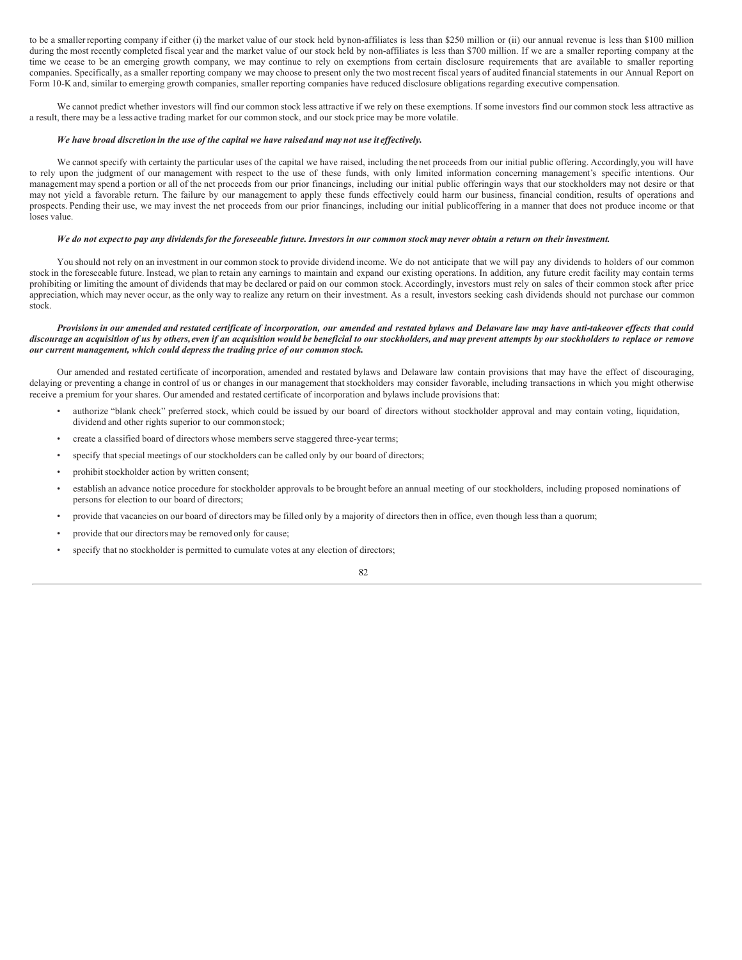to be a smallerreporting company if either (i) the market value of our stock held bynon-affiliates is less than \$250 million or (ii) our annual revenue is less than \$100 million during the most recently completed fiscal year and the market value of our stock held by non-affiliates is less than \$700 million. If we are a smaller reporting company at the time we cease to be an emerging growth company, we may continue to rely on exemptions from certain disclosure requirements that are available to smaller reporting companies. Specifically, as a smaller reporting company we may choose to present only the two mostrecent fiscal years of audited financial statements in our Annual Report on Form 10-K and, similar to emerging growth companies, smaller reporting companies have reduced disclosure obligations regarding executive compensation.

We cannot predict whether investors will find our common stock less attractive if we rely on these exemptions. If some investors find our common stock less attractive as a result, there may be a less active trading market for our common stock, and our stock price may be more volatile.

#### We have broad discretion in the use of the capital we have raised and may not use it effectively.

We cannot specify with certainty the particular uses of the capital we have raised, including the net proceeds from our initial public offering. Accordingly, you will have to rely upon the judgment of our management with respect to the use of these funds, with only limited information concerning management's specific intentions. Our management may spend a portion or all of the net proceeds from our prior financings, including our initial public offeringin ways that our stockholders may not desire or that may not yield a favorable return. The failure by our management to apply these funds effectively could harm our business, financial condition, results of operations and prospects. Pending their use, we may invest the net proceeds from our prior financings, including our initial publicoffering in a manner that does not produce income or that loses value.

#### We do not expect to pay any dividends for the foreseeable future. Investors in our common stock may never obtain a return on their investment.

You should not rely on an investment in our common stock to provide dividend income. We do not anticipate that we will pay any dividends to holders of our common stock in the foreseeable future. Instead, we plan to retain any earnings to maintain and expand our existing operations. In addition, any future credit facility may contain terms prohibiting or limiting the amount of dividends that may be declared or paid on our common stock.Accordingly, investors must rely on sales of their common stock after price appreciation, which may never occur, as the only way to realize any return on their investment. As a result, investors seeking cash dividends should not purchase our common stock.

#### Provisions in our amended and restated certificate of incorporation, our amended and restated bylaws and Delaware law may have anti-takeover effects that could discourage an acquisition of us by others, even if an acquisition would be beneficial to our stockholders, and may prevent attempts by our stockholders to replace or remove *our current management, which could depress the trading price of our common stock.*

Our amended and restated certificate of incorporation, amended and restated bylaws and Delaware law contain provisions that may have the effect of discouraging, delaying or preventing a change in control of us or changes in our management that stockholders may consider favorable, including transactions in which you might otherwise receive a premium for your shares. Our amended and restated certificate of incorporation and bylaws include provisions that:

- authorize "blank check" preferred stock, which could be issued by our board of directors without stockholder approval and may contain voting, liquidation, dividend and other rights superior to our common stock;
- create a classified board of directors whose members serve staggered three-year terms;
- specify that special meetings of our stockholders can be called only by our board of directors;
- prohibit stockholder action by written consent;
- establish an advance notice procedure for stockholder approvals to be brought before an annual meeting of our stockholders, including proposed nominations of persons for election to our board of directors;
- provide that vacancies on our board of directors may be filled only by a majority of directors then in office, even though lessthan a quorum;
- provide that our directors may be removed only for cause;
- specify that no stockholder is permitted to cumulate votes at any election of directors;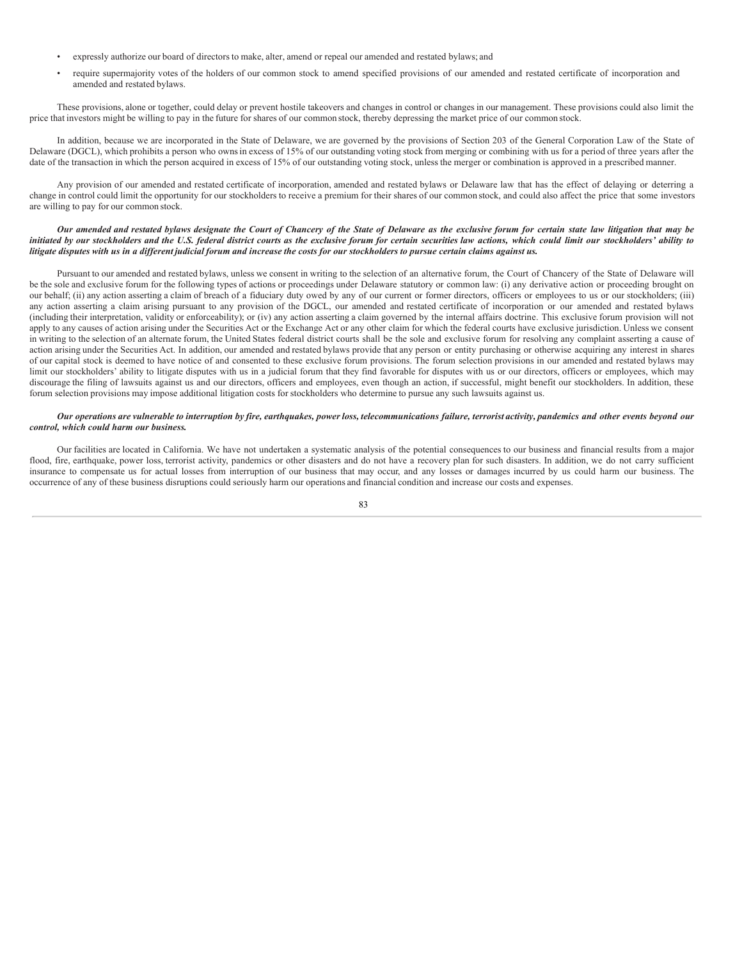- expressly authorize our board of directors to make, alter, amend or repeal our amended and restated bylaws; and
- require supermajority votes of the holders of our common stock to amend specified provisions of our amended and restated certificate of incorporation and amended and restated bylaws.

These provisions, alone or together, could delay or prevent hostile takeovers and changes in control or changes in our management. These provisions could also limit the price that investors might be willing to pay in the future for shares of our common stock, thereby depressing the market price of our common stock.

In addition, because we are incorporated in the State of Delaware, we are governed by the provisions of Section 203 of the General Corporation Law of the State of Delaware (DGCL), which prohibits a person who ownsin excess of 15% of our outstanding voting stock from merging or combining with us for a period of three years after the date of the transaction in which the person acquired in excess of 15% of our outstanding voting stock, unless the merger or combination is approved in a prescribed manner.

Any provision of our amended and restated certificate of incorporation, amended and restated bylaws or Delaware law that has the effect of delaying or deterring a change in control could limit the opportunity for our stockholders to receive a premium for their shares of our common stock, and could also affect the price that some investors are willing to pay for our common stock.

#### Our amended and restated bylaws designate the Court of Chancery of the State of Delaware as the exclusive forum for certain state law litigation that may be initiated by our stockholders and the U.S. federal district courts as the exclusive forum for certain securities law actions, which could limit our stockholders' ability to litigate disputes with us in a different judicial forum and increase the costs for our stockholders to pursue certain claims against us.

Pursuant to our amended and restated bylaws, unless we consent in writing to the selection of an alternative forum, the Court of Chancery of the State of Delaware will be the sole and exclusive forum for the following types of actions or proceedings under Delaware statutory or common law: (i) any derivative action or proceeding brought on our behalf; (ii) any action asserting a claim of breach of a fiduciary duty owed by any of our current or former directors, officers or employees to us or our stockholders; (iii) any action asserting a claim arising pursuant to any provision of the DGCL, our amended and restated certificate of incorporation or our amended and restated bylaws (including their interpretation, validity or enforceability); or (iv) any action asserting a claim governed by the internal affairs doctrine. This exclusive forum provision will not apply to any causes of action arising under the Securities Act or the Exchange Act or any other claim for which the federal courts have exclusive jurisdiction. Unless we consent in writing to the selection of an alternate forum, the United States federal district courts shall be the sole and exclusive forum for resolving any complaint asserting a cause of action arising under the Securities Act. In addition, our amended and restated bylaws provide that any person or entity purchasing or otherwise acquiring any interest in shares of our capital stock is deemed to have notice of and consented to these exclusive forum provisions. The forum selection provisions in our amended and restated bylaws may limit our stockholders' ability to litigate disputes with us in a judicial forum that they find favorable for disputes with us or our directors, officers or employees, which may discourage the filing of lawsuits against us and our directors, officers and employees, even though an action, if successful, might benefit our stockholders. In addition, these forum selection provisions may impose additional litigation costs for stockholders who determine to pursue any such lawsuits against us.

#### Our operations are vulnerable to interruption by fire, earthquakes, power loss, telecommunications failure, terrorist activity, pandemics and other events beyond our *control, which could harm our business.*

Our facilities are located in California. We have not undertaken a systematic analysis of the potential consequences to our business and financial results from a major flood, fire, earthquake, power loss, terrorist activity, pandemics or other disasters and do not have a recovery plan for such disasters. In addition, we do not carry sufficient insurance to compensate us for actual losses from interruption of our business that may occur, and any losses or damages incurred by us could harm our business. The occurrence of any of these business disruptions could seriously harm our operations and financial condition and increase our costs and expenses.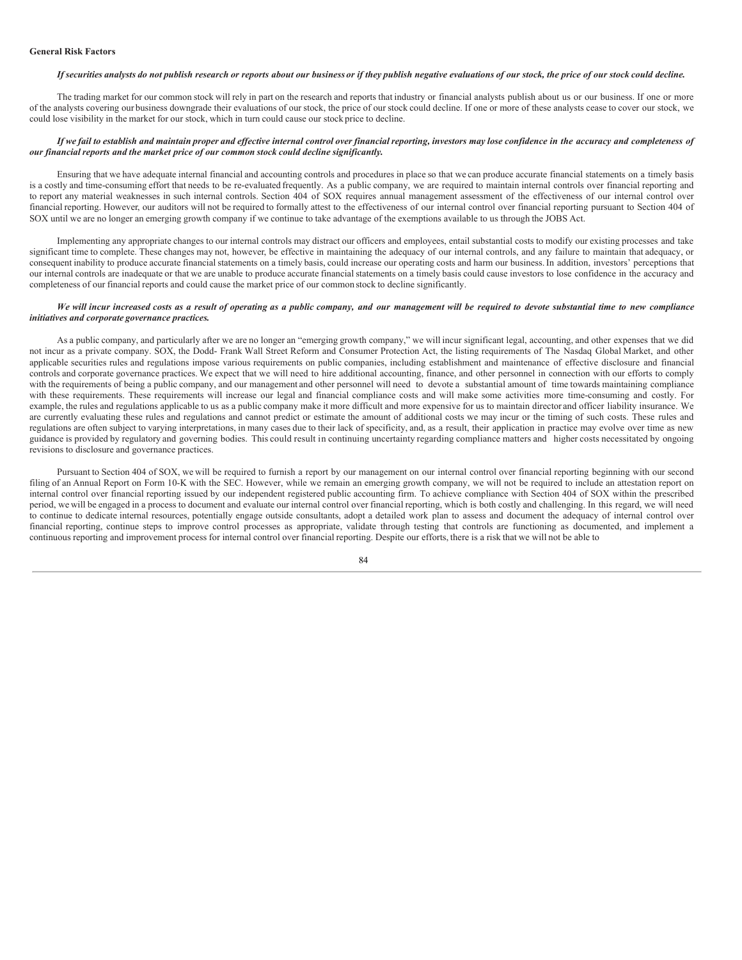## If securities analysts do not publish research or reports about our business or if they publish negative evaluations of our stock, the price of our stock could decline.

The trading market for our common stock will rely in part on the research and reports that industry or financial analysts publish about us or our business. If one or more of the analysts covering our business downgrade their evaluations of our stock, the price of our stock could decline. If one or more of these analysts cease to cover our stock, we could lose visibility in the market for our stock, which in turn could cause our stock price to decline.

## If we fail to establish and maintain proper and effective internal control over financial reporting, investors may lose confidence in the accuracy and completeness of *our financial reports and the market price of our common stock could decline significantly.*

Ensuring that we have adequate internal financial and accounting controls and procedures in place so that we can produce accurate financial statements on a timely basis is a costly and time-consuming effort that needs to be re-evaluated frequently. As a public company, we are required to maintain internal controls over financial reporting and to report any material weaknesses in such internal controls. Section 404 of SOX requires annual management assessment of the effectiveness of our internal control over financial reporting. However, our auditors will not be required to formally attest to the effectiveness of our internal control over financial reporting pursuant to Section 404 of SOX until we are no longer an emerging growth company if we continue to take advantage of the exemptions available to us through the JOBS Act.

Implementing any appropriate changes to our internal controls may distract our officers and employees, entail substantial costs to modify our existing processes and take significant time to complete. These changes may not, however, be effective in maintaining the adequacy of our internal controls, and any failure to maintain that adequacy, or consequent inability to produce accurate financial statements on a timely basis, could increase our operating costs and harm our business. In addition, investors' perceptions that our internal controls are inadequate or that we are unable to produce accurate financial statements on a timely basis could cause investors to lose confidence in the accuracy and completeness of our financial reports and could cause the market price of our common stock to decline significantly.

## We will incur increased costs as a result of operating as a public company, and our management will be required to devote substantial time to new compliance *initiatives and corporate governance practices.*

As a public company, and particularly after we are no longer an "emerging growth company," we will incur significant legal, accounting, and other expenses that we did not incur as a private company. SOX, the Dodd- Frank Wall Street Reform and Consumer Protection Act, the listing requirements of The Nasdaq Global Market, and other applicable securities rules and regulations impose various requirements on public companies, including establishment and maintenance of effective disclosure and financial controls and corporate governance practices. We expect that we will need to hire additional accounting, finance, and other personnel in connection with our efforts to comply with the requirements of being a public company, and our management and other personnel will need to devote a substantial amount of time towards maintaining compliance with these requirements. These requirements will increase our legal and financial compliance costs and will make some activities more time-consuming and costly. For example, the rules and regulations applicable to us as a public company make it more difficult and more expensive for us to maintain director and officer liability insurance. We are currently evaluating these rules and regulations and cannot predict or estimate the amount of additional costs we may incur or the timing of such costs. These rules and regulations are often subject to varying interpretations, in many cases due to their lack of specificity, and, as a result, their application in practice may evolve over time as new guidance is provided by regulatory and governing bodies. This could result in continuing uncertainty regarding compliance matters and higher costs necessitated by ongoing revisions to disclosure and governance practices.

Pursuant to Section 404 of SOX, we will be required to furnish a report by our management on our internal control over financial reporting beginning with our second filing of an Annual Report on Form 10-K with the SEC. However, while we remain an emerging growth company, we will not be required to include an attestation report on internal control over financial reporting issued by our independent registered public accounting firm. To achieve compliance with Section 404 of SOX within the prescribed period, we will be engaged in a process to document and evaluate our internal control over financial reporting, which is both costly and challenging. In this regard, we will need to continue to dedicate internal resources, potentially engage outside consultants, adopt a detailed work plan to assess and document the adequacy of internal control over financial reporting, continue steps to improve control processes as appropriate, validate through testing that controls are functioning as documented, and implement a continuous reporting and improvement process for internal control over financial reporting. Despite our efforts, there is a risk that we will not be able to

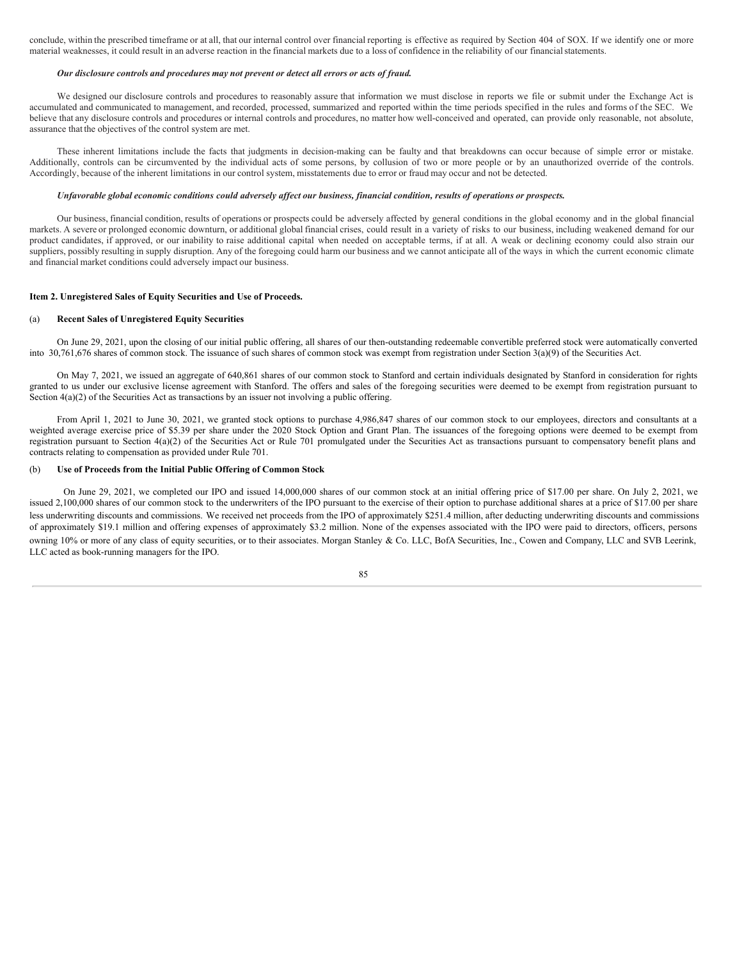conclude, within the prescribed timeframe or at all, that our internal control over financial reporting is effective as required by Section 404 of SOX. If we identify one or more material weaknesses, it could result in an adverse reaction in the financial markets due to a loss of confidence in the reliability of our financialstatements.

## *Our disclosure controls and procedures may not prevent or detect all errors or acts of fraud.*

We designed our disclosure controls and procedures to reasonably assure that information we must disclose in reports we file or submit under the Exchange Act is accumulated and communicated to management, and recorded, processed, summarized and reported within the time periods specified in the rules and forms of the SEC. We believe that any disclosure controls and procedures or internal controls and procedures, no matter how well-conceived and operated, can provide only reasonable, not absolute, assurance that the objectives of the control system are met.

These inherent limitations include the facts that judgments in decision-making can be faulty and that breakdowns can occur because of simple error or mistake. Additionally, controls can be circumvented by the individual acts of some persons, by collusion of two or more people or by an unauthorized override of the controls. Accordingly, because of the inherent limitations in our control system, misstatements due to error or fraud may occur and not be detected.

## Unfavorable global economic conditions could adversely affect our business, financial condition, results of operations or prospects.

Our business, financial condition, results of operations or prospects could be adversely affected by general conditions in the global economy and in the global financial markets. A severe or prolonged economic downturn, or additional global financial crises, could result in a variety of risks to our business, including weakened demand for our product candidates, if approved, or our inability to raise additional capital when needed on acceptable terms, if at all. A weak or declining economy could also strain our suppliers, possibly resulting in supply disruption. Any of the foregoing could harm our business and we cannot anticipate all of the ways in which the current economic climate and financial market conditions could adversely impact our business.

#### **Item 2. Unregistered Sales of Equity Securities and Use of Proceeds.**

#### (a) **Recent Sales of Unregistered Equity Securities**

On June 29, 2021, upon the closing of our initial public offering, all shares of our then-outstanding redeemable convertible preferred stock were automatically converted into 30,761,676 shares of common stock. The issuance of such shares of common stock was exempt from registration under Section 3(a)(9) of the Securities Act.

On May 7, 2021, we issued an aggregate of 640,861 shares of our common stock to Stanford and certain individuals designated by Stanford in consideration for rights granted to us under our exclusive license agreement with Stanford. The offers and sales of the foregoing securities were deemed to be exempt from registration pursuant to Section  $4(a)(2)$  of the Securities Act as transactions by an issuer not involving a public offering.

From April 1, 2021 to June 30, 2021, we granted stock options to purchase 4,986,847 shares of our common stock to our employees, directors and consultants at a weighted average exercise price of \$5.39 per share under the 2020 Stock Option and Grant Plan. The issuances of the foregoing options were deemed to be exempt from registration pursuant to Section 4(a)(2) of the Securities Act or Rule 701 promulgated under the Securities Act as transactions pursuant to compensatory benefit plans and contracts relating to compensation as provided under Rule 701.

#### (b) **Use of Proceeds from the Initial Public Offering of Common Stock**

On June 29, 2021, we completed our IPO and issued 14,000,000 shares of our common stock at an initial offering price of \$17.00 per share. On July 2, 2021, we issued 2,100,000 shares of our common stock to the underwriters of the IPO pursuant to the exercise of their option to purchase additional shares at a price of \$17.00 per share less underwriting discounts and commissions. We received net proceeds from the IPO of approximately \$251.4 million, after deducting underwriting discounts and commissions of approximately \$19.1 million and offering expenses of approximately \$3.2 million. None of the expenses associated with the IPO were paid to directors, officers, persons owning 10% or more of any class of equity securities, or to their associates. Morgan Stanley & Co. LLC, BofA Securities, Inc., Cowen and Company, LLC and SVB Leerink, LLC acted as book-running managers for the IPO.

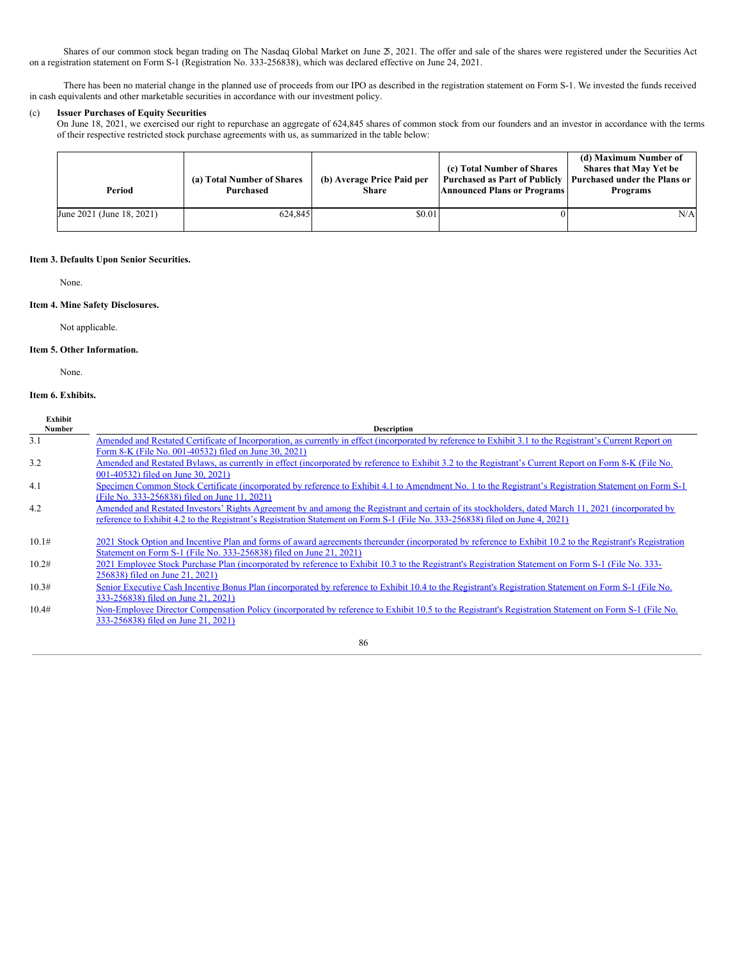Shares of our common stock began trading on The Nasdaq Global Market on June 25, 2021. The offer and sale of the shares were registered under the Securities Act on a registration statement on Form S-1 (Registration No. 333-256838), which was declared effective on June 24, 2021.

There has been no material change in the planned use of proceeds from our IPO as described in the registration statement on Form S-1. We invested the funds received in cash equivalents and other marketable securities in accordance with our investment policy.

# (c) **Issuer Purchases of Equity Securities**

On June 18, 2021, we exercised our right to repurchase an aggregate of 624,845 shares of common stock from our founders and an investor in accordance with the terms of their respective restricted stock purchase agreements with us, as summarized in the table below:

| Period                    | (a) Total Number of Shares<br>Purchased | (b) Average Price Paid per<br>Share | (c) Total Number of Shares<br><b>Purchased as Part of Publicly</b><br><b>Announced Plans or Programs</b> | (d) Maximum Number of<br><b>Shares that May Yet be</b><br>Purchased under the Plans or<br><b>Programs</b> |
|---------------------------|-----------------------------------------|-------------------------------------|----------------------------------------------------------------------------------------------------------|-----------------------------------------------------------------------------------------------------------|
| June 2021 (June 18, 2021) | 624.845                                 | \$0.01                              |                                                                                                          | N/A                                                                                                       |

## **Item 3. Defaults Upon Senior Securities.**

None.

## **Item 4. Mine Safety Disclosures.**

Not applicable.

## **Item 5. Other Information.**

None.

## **Item 6. Exhibits.**

| Exhibit<br>Number | <b>Description</b>                                                                                                                                        |
|-------------------|-----------------------------------------------------------------------------------------------------------------------------------------------------------|
| 3.1               | Amended and Restated Certificate of Incorporation, as currently in effect (incorporated by reference to Exhibit 3.1 to the Registrant's Current Report on |
|                   | Form 8-K (File No. 001-40532) filed on June 30, 2021)                                                                                                     |
| 3.2               | Amended and Restated Bylaws, as currently in effect (incorporated by reference to Exhibit 3.2 to the Registrant's Current Report on Form 8-K (File No.    |
|                   | 001-40532) filed on June 30, 2021)                                                                                                                        |
| 4.1               | Specimen Common Stock Certificate (incorporated by reference to Exhibit 4.1 to Amendment No. 1 to the Registrant's Registration Statement on Form S-1     |
|                   | (File No. 333-256838) filed on June 11, 2021)                                                                                                             |
| 4.2               | Amended and Restated Investors' Rights Agreement by and among the Registrant and certain of its stockholders, dated March 11, 2021 (incorporated by       |
|                   | reference to Exhibit 4.2 to the Registrant's Registration Statement on Form S-1 (File No. 333-256838) filed on June 4, 2021)                              |
|                   |                                                                                                                                                           |
| 10.1#             | 2021 Stock Option and Incentive Plan and forms of award agreements thereunder (incorporated by reference to Exhibit 10.2 to the Registrant's Registration |
|                   | Statement on Form S-1 (File No. 333-256838) filed on June 21, 2021)                                                                                       |
| 10.2#             | 2021 Employee Stock Purchase Plan (incorporated by reference to Exhibit 10.3 to the Registrant's Registration Statement on Form S-1 (File No. 333-        |
|                   | 256838) filed on June 21, 2021)                                                                                                                           |
| 10.3#             | Senior Executive Cash Incentive Bonus Plan (incorporated by reference to Exhibit 10.4 to the Registrant's Registration Statement on Form S-1 (File No.    |
|                   | 333-256838) filed on June 21, 2021)                                                                                                                       |
| 10.4#             | Non-Employee Director Compensation Policy (incorporated by reference to Exhibit 10.5 to the Registrant's Registration Statement on Form S-1 (File No.     |
|                   | 333-256838) filed on June 21, 2021)                                                                                                                       |
|                   |                                                                                                                                                           |
|                   | $\sim$ $\sim$                                                                                                                                             |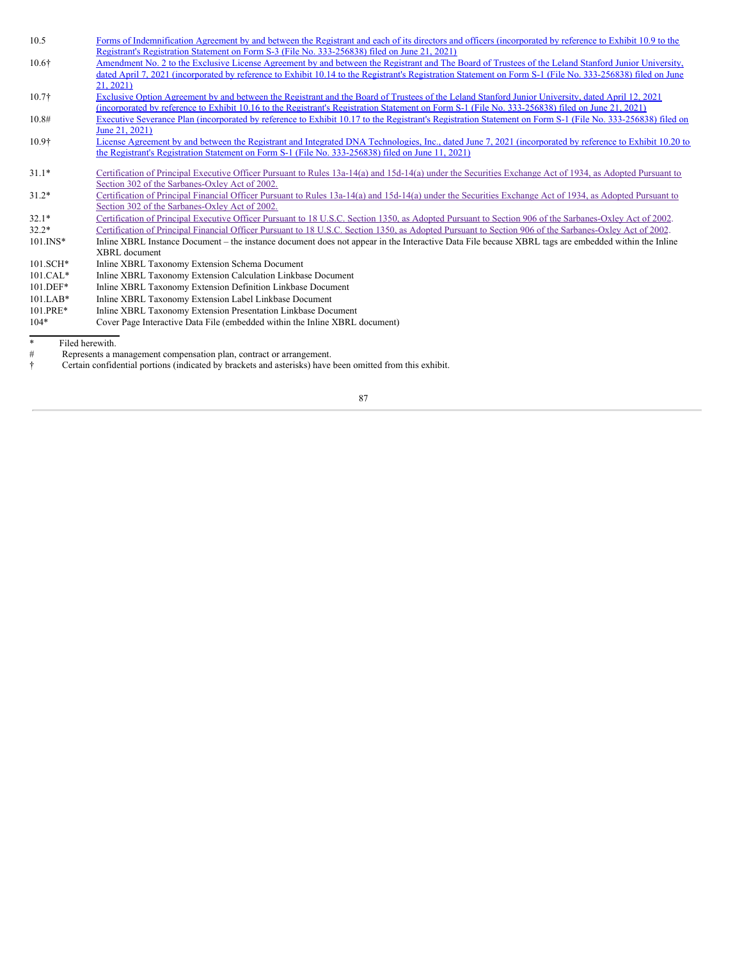| 10.5              | Forms of Indemnification Agreement by and between the Registrant and each of its directors and officers (incorporated by reference to Exhibit 10.9 to the  |
|-------------------|------------------------------------------------------------------------------------------------------------------------------------------------------------|
|                   | Registrant's Registration Statement on Form S-3 (File No. 333-256838) filed on June 21, 2021)                                                              |
| 10.6†             | Amendment No. 2 to the Exclusive License Agreement by and between the Registrant and The Board of Trustees of the Leland Stanford Junior University,       |
|                   | dated April 7, 2021 (incorporated by reference to Exhibit 10.14 to the Registrant's Registration Statement on Form S-1 (File No. 333-256838) filed on June |
|                   | 21, 2021)                                                                                                                                                  |
| 10.7 <sup>†</sup> | Exclusive Option Agreement by and between the Registrant and the Board of Trustees of the Leland Stanford Junior University, dated April 12, 2021          |
|                   | (incorporated by reference to Exhibit 10.16 to the Registrant's Registration Statement on Form S-1 (File No. 333-256838) filed on June 21, 2021)           |
| 10.8#             | Executive Severance Plan (incorporated by reference to Exhibit 10.17 to the Registrant's Registration Statement on Form S-1 (File No. 333-256838) filed on |
|                   | June 21, 2021)                                                                                                                                             |
| 10.9†             | License Agreement by and between the Registrant and Integrated DNA Technologies, Inc., dated June 7, 2021 (incorporated by reference to Exhibit 10.20 to   |
|                   | the Registrant's Registration Statement on Form S-1 (File No. 333-256838) filed on June 11, 2021)                                                          |
|                   |                                                                                                                                                            |
| $31.1*$           | Certification of Principal Executive Officer Pursuant to Rules 13a-14(a) and 15d-14(a) under the Securities Exchange Act of 1934, as Adopted Pursuant to   |
|                   | Section 302 of the Sarbanes-Oxley Act of 2002.                                                                                                             |
| $31.2*$           | Certification of Principal Financial Officer Pursuant to Rules 13a-14(a) and 15d-14(a) under the Securities Exchange Act of 1934, as Adopted Pursuant to   |
|                   | Section 302 of the Sarbanes-Oxley Act of 2002.                                                                                                             |
| $32.1*$           | Certification of Principal Executive Officer Pursuant to 18 U.S.C. Section 1350, as Adopted Pursuant to Section 906 of the Sarbanes-Oxley Act of 2002.     |
| $32.2*$           | Certification of Principal Financial Officer Pursuant to 18 U.S.C. Section 1350, as Adopted Pursuant to Section 906 of the Sarbanes-Oxley Act of 2002.     |
| $101$ . INS*      | Inline XBRL Instance Document – the instance document does not appear in the Interactive Data File because XBRL tags are embedded within the Inline        |
|                   | <b>XBRL</b> document                                                                                                                                       |
| 101.SCH*          | Inline XBRL Taxonomy Extension Schema Document                                                                                                             |
| $101.CAL*$        | Inline XBRL Taxonomy Extension Calculation Linkbase Document                                                                                               |
| 101.DEF*          | Inline XBRL Taxonomy Extension Definition Linkbase Document                                                                                                |
| $101.LAB*$        | Inline XBRL Taxonomy Extension Label Linkbase Document                                                                                                     |
| 101.PRE*          | Inline XBRL Taxonomy Extension Presentation Linkbase Document                                                                                              |
| $104*$            | Cover Page Interactive Data File (embedded within the Inline XBRL document)                                                                                |
|                   |                                                                                                                                                            |

\* Filed herewith.<br># Represents a m # Represents a management compensation plan, contract or arrangement.

† Certain confidential portions (indicated by brackets and asterisks) have been omitted from this exhibit.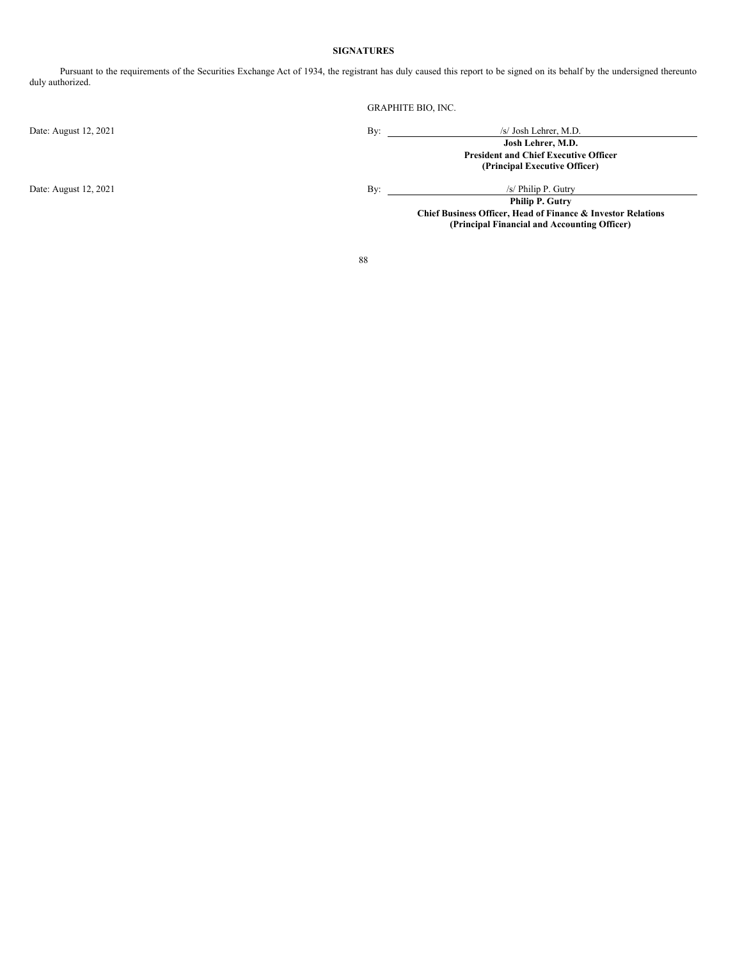## **SIGNATURES**

Pursuant to the requirements of the Securities Exchange Act of 1934, the registrant has duly caused this report to be signed on its behalf by the undersigned thereunto duly authorized.

Date: August 12, 2021 By: /s/ Philip P. Gutry

GRAPHITE BIO, INC.

Date: August 12, 2021 By: <u>Josh Lehrer, M.D. By: Josh Lehrer, M.</u>D. **Josh Lehrer, M.D. President and Chief Executive Officer (Principal Executive Officer)**

**Philip P. Gutry Chief Business Officer, Head of Finance & Investor Relations (Principal Financial and Accounting Officer)**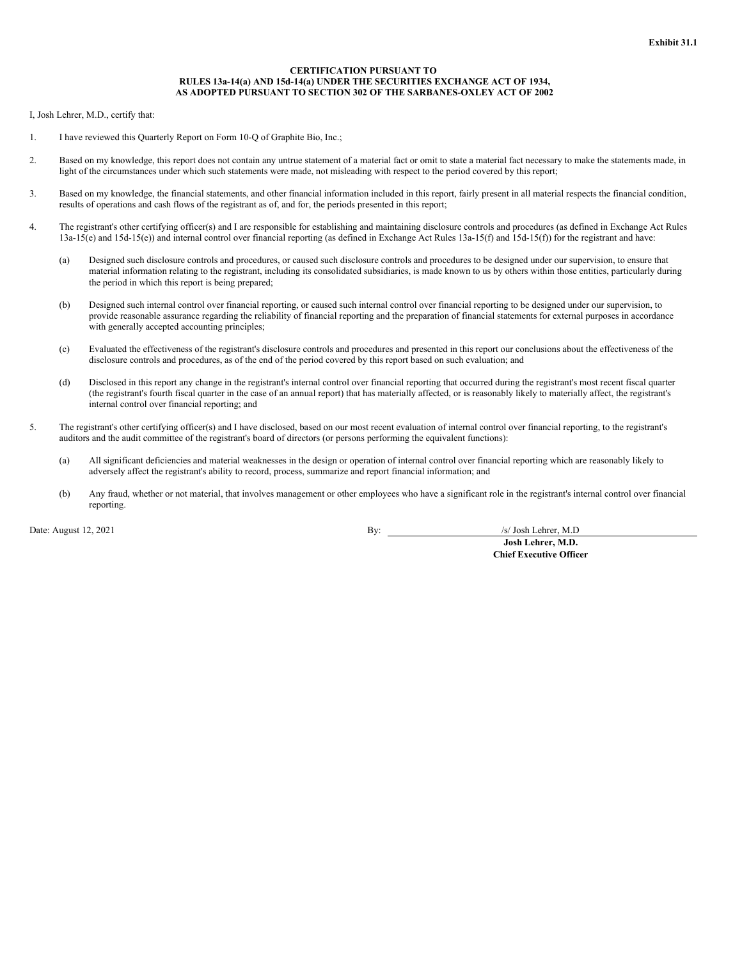#### **CERTIFICATION PURSUANT TO RULES 13a-14(a) AND 15d-14(a) UNDER THE SECURITIES EXCHANGE ACT OF 1934, AS ADOPTED PURSUANT TO SECTION 302 OF THE SARBANES-OXLEY ACT OF 2002**

<span id="page-94-0"></span>I, Josh Lehrer, M.D., certify that:

- 1. I have reviewed this Quarterly Report on Form 10-Q of Graphite Bio, Inc.;
- 2. Based on my knowledge, this report does not contain any untrue statement of a material fact or omit to state a material fact necessary to make the statements made, in light of the circumstances under which such statements were made, not misleading with respect to the period covered by this report;
- 3. Based on my knowledge, the financial statements, and other financial information included in this report, fairly present in all material respects the financial condition, results of operations and cash flows of the registrant as of, and for, the periods presented in this report;
- 4. The registrant's other certifying officer(s) and I are responsible for establishing and maintaining disclosure controls and procedures (as defined in Exchange Act Rules 13a-15(e) and 15d-15(e)) and internal control over financial reporting (as defined in Exchange Act Rules 13a-15(f) and 15d-15(f)) for the registrant and have:
	- (a) Designed such disclosure controls and procedures, or caused such disclosure controls and procedures to be designed under our supervision, to ensure that material information relating to the registrant, including its consolidated subsidiaries, is made known to us by others within those entities, particularly during the period in which this report is being prepared;
	- (b) Designed such internal control over financial reporting, or caused such internal control over financial reporting to be designed under our supervision, to provide reasonable assurance regarding the reliability of financial reporting and the preparation of financial statements for external purposes in accordance with generally accepted accounting principles;
	- (c) Evaluated the effectiveness of the registrant's disclosure controls and procedures and presented in this report our conclusions about the effectiveness of the disclosure controls and procedures, as of the end of the period covered by this report based on such evaluation; and
	- (d) Disclosed in this report any change in the registrant's internal control over financial reporting that occurred during the registrant's most recent fiscal quarter (the registrant's fourth fiscal quarter in the case of an annual report) that has materially affected, or is reasonably likely to materially affect, the registrant's internal control over financial reporting; and
- 5. The registrant's other certifying officer(s) and I have disclosed, based on our most recent evaluation of internal control over financial reporting, to the registrant's auditors and the audit committee of the registrant's board of directors (or persons performing the equivalent functions):
	- (a) All significant deficiencies and material weaknesses in the design or operation of internal control over financial reporting which are reasonably likely to adversely affect the registrant's ability to record, process, summarize and report financial information; and
	- (b) Any fraud, whether or not material, that involves management or other employees who have a significant role in the registrant's internal control over financial reporting.

Date: August 12, 2021 By: /s/ Josh Lehrer, M.D

**Josh Lehrer, M.D. Chief Executive Officer**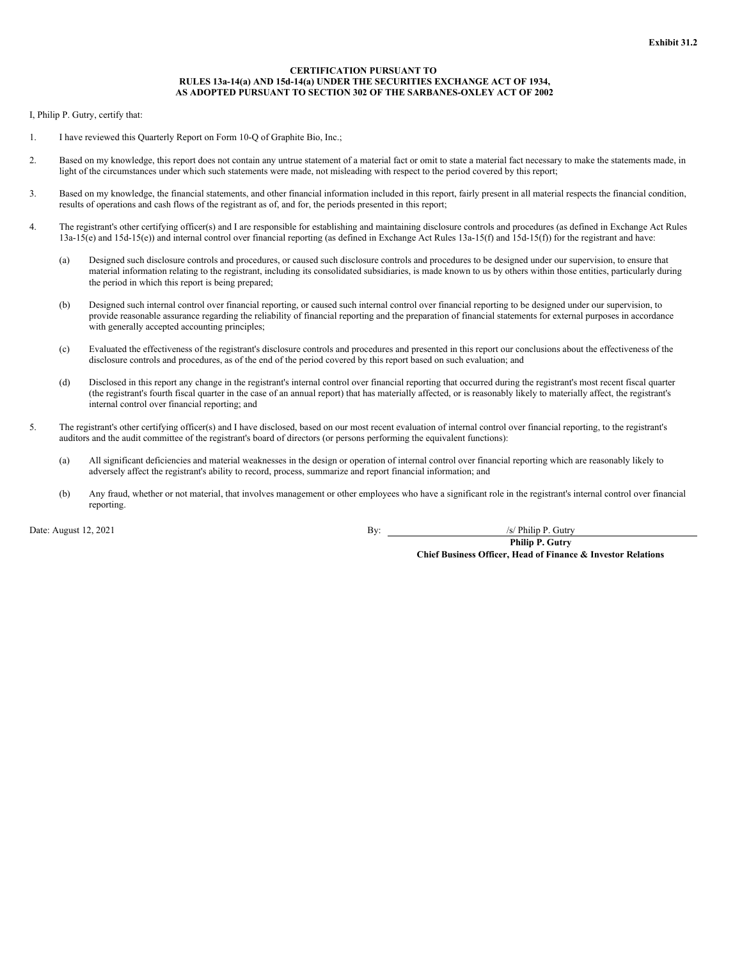#### **CERTIFICATION PURSUANT TO RULES 13a-14(a) AND 15d-14(a) UNDER THE SECURITIES EXCHANGE ACT OF 1934, AS ADOPTED PURSUANT TO SECTION 302 OF THE SARBANES-OXLEY ACT OF 2002**

<span id="page-95-0"></span>I, Philip P. Gutry, certify that:

- 1. I have reviewed this Quarterly Report on Form 10-Q of Graphite Bio, Inc.;
- 2. Based on my knowledge, this report does not contain any untrue statement of a material fact or omit to state a material fact necessary to make the statements made, in light of the circumstances under which such statements were made, not misleading with respect to the period covered by this report;
- 3. Based on my knowledge, the financial statements, and other financial information included in this report, fairly present in all material respects the financial condition, results of operations and cash flows of the registrant as of, and for, the periods presented in this report;
- 4. The registrant's other certifying officer(s) and I are responsible for establishing and maintaining disclosure controls and procedures (as defined in Exchange Act Rules 13a-15(e) and 15d-15(e)) and internal control over financial reporting (as defined in Exchange Act Rules 13a-15(f) and 15d-15(f)) for the registrant and have:
	- (a) Designed such disclosure controls and procedures, or caused such disclosure controls and procedures to be designed under our supervision, to ensure that material information relating to the registrant, including its consolidated subsidiaries, is made known to us by others within those entities, particularly during the period in which this report is being prepared;
	- (b) Designed such internal control over financial reporting, or caused such internal control over financial reporting to be designed under our supervision, to provide reasonable assurance regarding the reliability of financial reporting and the preparation of financial statements for external purposes in accordance with generally accepted accounting principles;
	- (c) Evaluated the effectiveness of the registrant's disclosure controls and procedures and presented in this report our conclusions about the effectiveness of the disclosure controls and procedures, as of the end of the period covered by this report based on such evaluation; and
	- (d) Disclosed in this report any change in the registrant's internal control over financial reporting that occurred during the registrant's most recent fiscal quarter (the registrant's fourth fiscal quarter in the case of an annual report) that has materially affected, or is reasonably likely to materially affect, the registrant's internal control over financial reporting; and
- 5. The registrant's other certifying officer(s) and I have disclosed, based on our most recent evaluation of internal control over financial reporting, to the registrant's auditors and the audit committee of the registrant's board of directors (or persons performing the equivalent functions):
	- (a) All significant deficiencies and material weaknesses in the design or operation of internal control over financial reporting which are reasonably likely to adversely affect the registrant's ability to record, process, summarize and report financial information; and
	- (b) Any fraud, whether or not material, that involves management or other employees who have a significant role in the registrant's internal control over financial reporting.

Date: August 12, 2021 /s/ Philip P. Gutry

**Philip P. Gutry Chief Business Officer, Head of Finance & Investor Relations**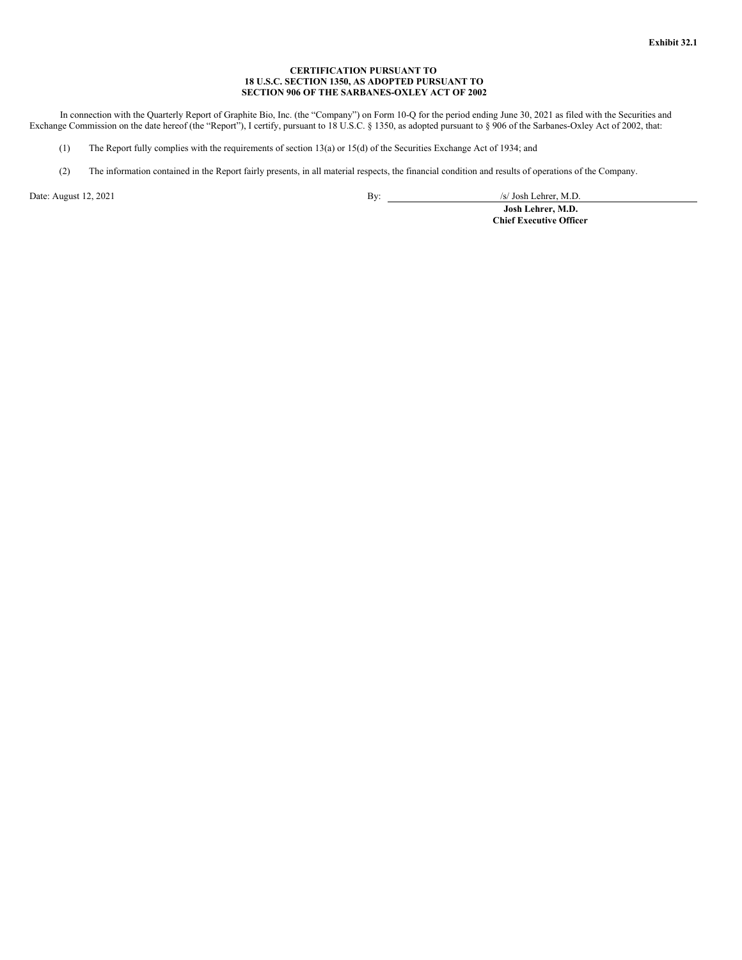#### **CERTIFICATION PURSUANT TO 18 U.S.C. SECTION 1350, AS ADOPTED PURSUANT TO SECTION 906 OF THE SARBANES-OXLEY ACT OF 2002**

<span id="page-96-0"></span>In connection with the Quarterly Report of Graphite Bio, Inc. (the "Company") on Form 10-Q for the period ending June 30, 2021 as filed with the Securities and Exchange Commission on the date hereof (the "Report"), I certify, pursuant to 18 U.S.C. § 1350, as adopted pursuant to § 906 of the Sarbanes-Oxley Act of 2002, that:

- (1) The Report fully complies with the requirements of section 13(a) or 15(d) of the Securities Exchange Act of 1934; and
- (2) The information contained in the Report fairly presents, in all material respects, the financial condition and results of operations of the Company.

Date: August 12, 2021 <br>By: /s/ Josh Lehrer, M.D.

**Josh Lehrer, M.D. Chief Executive Officer**